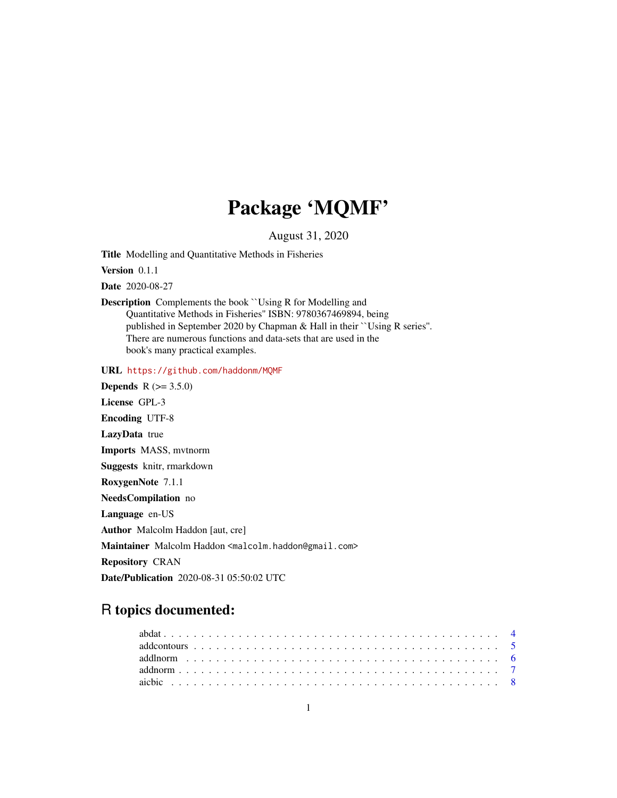# Package 'MQMF'

August 31, 2020

Title Modelling and Quantitative Methods in Fisheries

Version 0.1.1

Date 2020-08-27

Description Complements the book ``Using R for Modelling and Quantitative Methods in Fisheries'' ISBN: 9780367469894, being published in September 2020 by Chapman & Hall in their ``Using R series''. There are numerous functions and data-sets that are used in the book's many practical examples.

URL <https://github.com/haddonm/MQMF>

**Depends**  $R (= 3.5.0)$ License GPL-3 Encoding UTF-8 LazyData true Imports MASS, mvtnorm Suggests knitr, rmarkdown RoxygenNote 7.1.1 NeedsCompilation no Language en-US Author Malcolm Haddon [aut, cre] Maintainer Malcolm Haddon <malcolm.haddon@gmail.com> Repository CRAN

Date/Publication 2020-08-31 05:50:02 UTC

# R topics documented: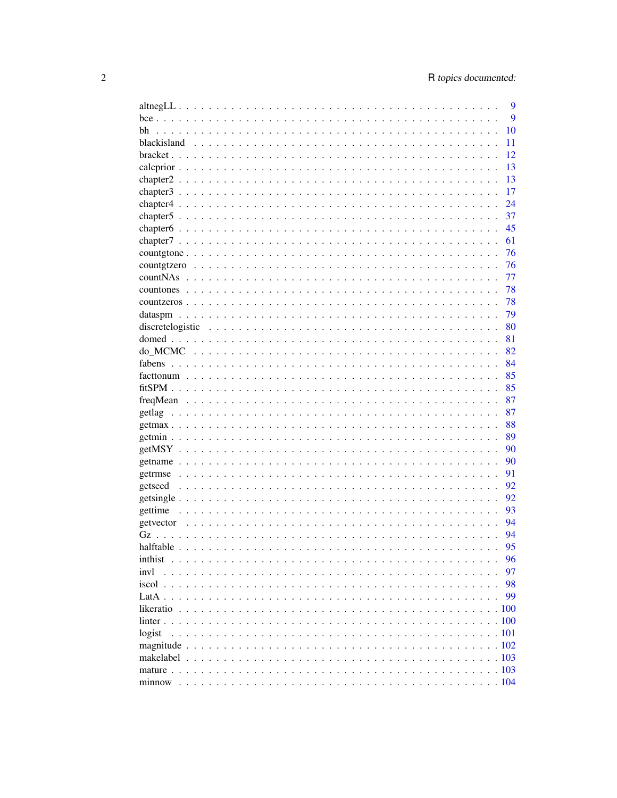|         | 9    |
|---------|------|
|         | 9    |
| bh      | 10   |
|         | 11   |
|         | 12   |
|         | 13   |
|         | 13   |
|         | 17   |
|         | 24   |
|         | 37   |
|         | 45   |
|         | 61   |
|         | 76   |
|         | 76   |
|         |      |
|         | 77   |
|         | 78   |
|         | 78   |
|         | 79   |
|         | 80   |
|         | 81   |
|         | 82   |
|         | 84   |
|         | 85   |
|         | 85   |
|         | 87   |
|         | 87   |
|         | 88   |
|         | 89   |
|         | 90   |
|         | 90   |
|         | 91   |
| getseed | 92   |
|         | 92   |
|         | 93   |
|         | 94   |
|         | 94   |
|         | 95   |
| inthist | 96   |
| invl    | 97   |
|         | 98   |
|         | 99   |
|         |      |
|         |      |
|         | .100 |
| logist  |      |
|         |      |
|         |      |
|         |      |
|         |      |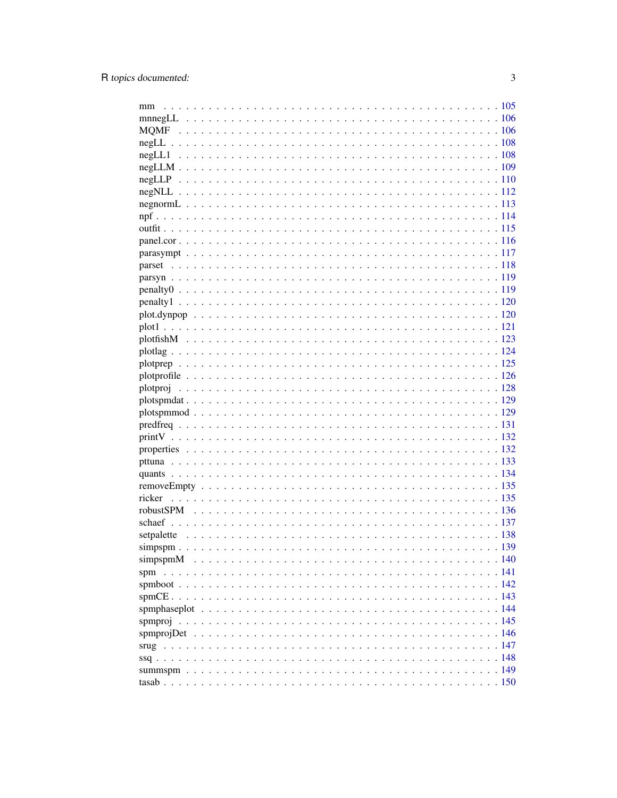| mm       |  |
|----------|--|
|          |  |
|          |  |
|          |  |
|          |  |
|          |  |
|          |  |
|          |  |
|          |  |
|          |  |
|          |  |
|          |  |
|          |  |
|          |  |
|          |  |
|          |  |
|          |  |
|          |  |
|          |  |
|          |  |
|          |  |
|          |  |
|          |  |
|          |  |
|          |  |
|          |  |
|          |  |
|          |  |
|          |  |
|          |  |
|          |  |
|          |  |
|          |  |
|          |  |
|          |  |
|          |  |
|          |  |
|          |  |
| simpspmM |  |
| spm      |  |
|          |  |
|          |  |
|          |  |
|          |  |
|          |  |
|          |  |
|          |  |
|          |  |
|          |  |
|          |  |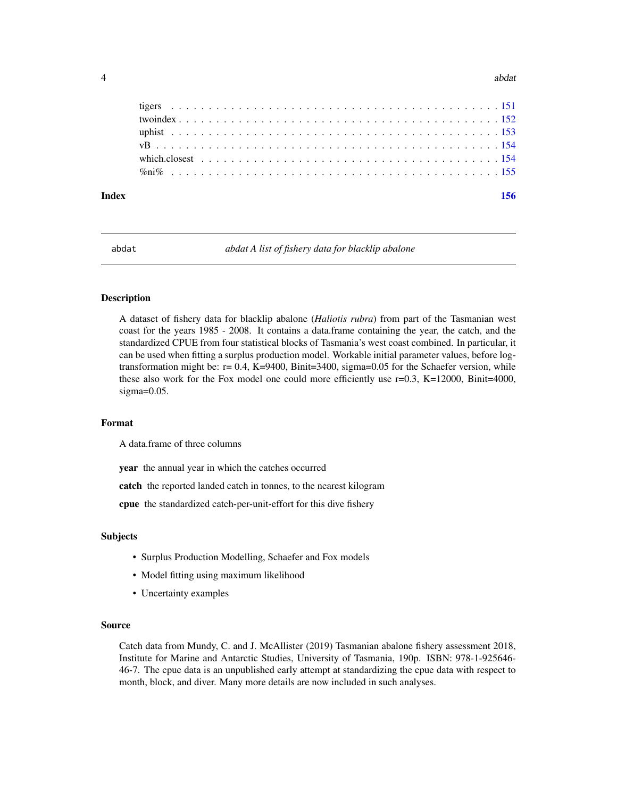# <span id="page-3-0"></span>4 abdul 20 abdul 20 abdul 20 abdul 20 abdul 20 abdul 20 abdul 20 abdul 20 abdul 20 abdul 20 abdul 20 abdul 20

abdat *abdat A list of fishery data for blacklip abalone*

# Description

A dataset of fishery data for blacklip abalone (*Haliotis rubra*) from part of the Tasmanian west coast for the years 1985 - 2008. It contains a data.frame containing the year, the catch, and the standardized CPUE from four statistical blocks of Tasmania's west coast combined. In particular, it can be used when fitting a surplus production model. Workable initial parameter values, before logtransformation might be:  $r = 0.4$ , K=9400, Binit=3400, sigma=0.05 for the Schaefer version, while these also work for the Fox model one could more efficiently use  $r=0.3$ ,  $K=12000$ , Binit=4000,  $sigma=0.05$ .

# Format

A data.frame of three columns

year the annual year in which the catches occurred

catch the reported landed catch in tonnes, to the nearest kilogram

cpue the standardized catch-per-unit-effort for this dive fishery

# Subjects

- Surplus Production Modelling, Schaefer and Fox models
- Model fitting using maximum likelihood
- Uncertainty examples

# Source

Catch data from Mundy, C. and J. McAllister (2019) Tasmanian abalone fishery assessment 2018, Institute for Marine and Antarctic Studies, University of Tasmania, 190p. ISBN: 978-1-925646- 46-7. The cpue data is an unpublished early attempt at standardizing the cpue data with respect to month, block, and diver. Many more details are now included in such analyses.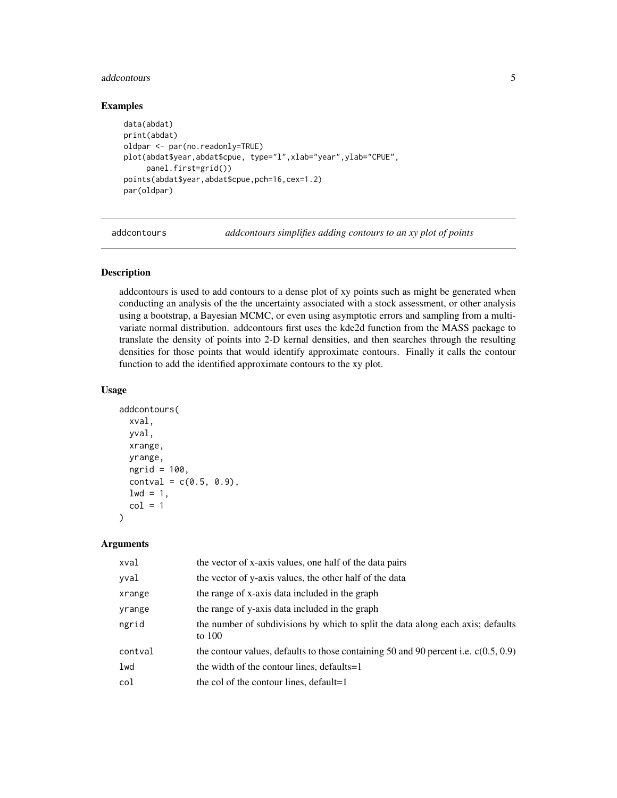# <span id="page-4-0"></span>addcontours 5

# Examples

```
data(abdat)
print(abdat)
oldpar <- par(no.readonly=TRUE)
plot(abdat$year,abdat$cpue, type="l",xlab="year",ylab="CPUE",
     panel.first=grid())
points(abdat$year,abdat$cpue,pch=16,cex=1.2)
par(oldpar)
```
addcontours *addcontours simplifies adding contours to an xy plot of points*

# Description

addcontours is used to add contours to a dense plot of xy points such as might be generated when conducting an analysis of the the uncertainty associated with a stock assessment, or other analysis using a bootstrap, a Bayesian MCMC, or even using asymptotic errors and sampling from a multivariate normal distribution. addcontours first uses the kde2d function from the MASS package to translate the density of points into 2-D kernal densities, and then searches through the resulting densities for those points that would identify approximate contours. Finally it calls the contour function to add the identified approximate contours to the xy plot.

# Usage

```
addcontours(
  xval,
 yval,
 xrange,
 yrange,
 ngrid = 100,
 control = c(0.5, 0.9),
 1wd = 1,
  col = 1)
```
# Arguments

| xval    | the vector of x-axis values, one half of the data pairs                                     |
|---------|---------------------------------------------------------------------------------------------|
| yval    | the vector of y-axis values, the other half of the data                                     |
| xrange  | the range of x-axis data included in the graph                                              |
| yrange  | the range of y-axis data included in the graph                                              |
| ngrid   | the number of subdivisions by which to split the data along each axis; defaults<br>to $100$ |
| contval | the contour values, defaults to those containing 50 and 90 percent i.e. $c(0.5, 0.9)$       |
| lwd     | the width of the contour lines, defaults=1                                                  |
| col     | the col of the contour lines, default=1                                                     |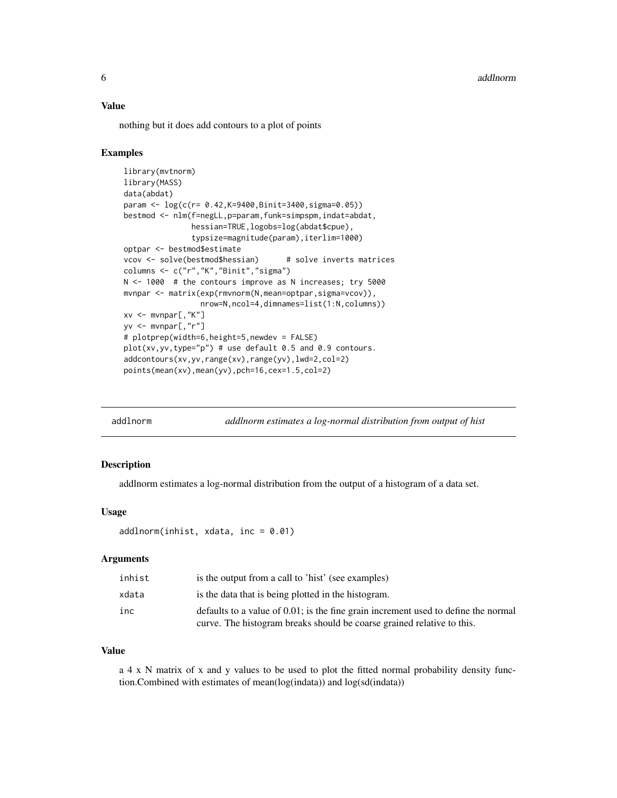# <span id="page-5-0"></span>Value

nothing but it does add contours to a plot of points

#### Examples

```
library(mvtnorm)
library(MASS)
data(abdat)
param <- log(c(r= 0.42,K=9400,Binit=3400,sigma=0.05))
bestmod <- nlm(f=negLL,p=param,funk=simpspm,indat=abdat,
              hessian=TRUE,logobs=log(abdat$cpue),
               typsize=magnitude(param),iterlim=1000)
optpar <- bestmod$estimate
vcov <- solve(bestmod$hessian) # solve inverts matrices
columns <- c("r","K","Binit","sigma")
N <- 1000 # the contours improve as N increases; try 5000
mvnpar <- matrix(exp(rmvnorm(N,mean=optpar,sigma=vcov)),
                 nrow=N,ncol=4,dimnames=list(1:N,columns))
xv <- mvnpar[,"K"]
yv <- mvnpar[,"r"]
# plotprep(width=6,height=5,newdev = FALSE)
plot(xv,yv,type="p") # use default 0.5 and 0.9 contours.
addcontours(xv,yv,range(xv),range(yv),lwd=2,col=2)
points(mean(xv),mean(yv),pch=16,cex=1.5,col=2)
```

| addlnorm | addlnorm estimates a log-normal distribution from output of hist |
|----------|------------------------------------------------------------------|
|          |                                                                  |

# Description

addlnorm estimates a log-normal distribution from the output of a histogram of a data set.

# Usage

```
addlnorm(inhist, xdata, inc = 0.01)
```
# Arguments

| inhist | is the output from a call to 'hist' (see examples)                                 |
|--------|------------------------------------------------------------------------------------|
| xdata  | is the data that is being plotted in the histogram.                                |
| inc    | defaults to a value of 0.01; is the fine grain increment used to define the normal |
|        | curve. The histogram breaks should be coarse grained relative to this.             |

#### Value

a 4 x N matrix of x and y values to be used to plot the fitted normal probability density function.Combined with estimates of mean(log(indata)) and log(sd(indata))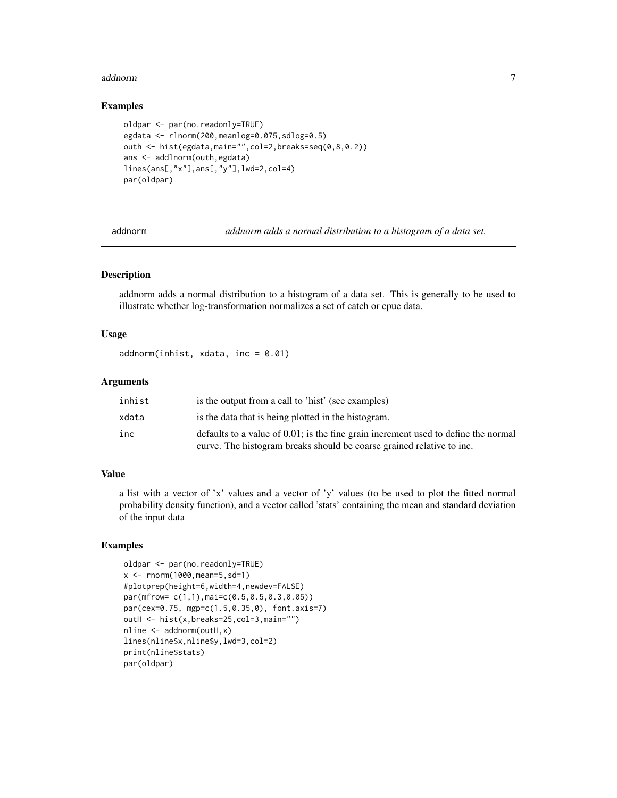# <span id="page-6-0"></span>addnorm **7**

# Examples

```
oldpar <- par(no.readonly=TRUE)
egdata <- rlnorm(200,meanlog=0.075,sdlog=0.5)
outh <- hist(egdata,main="",col=2,breaks=seq(0,8,0.2))
ans <- addlnorm(outh,egdata)
lines(ans[,"x"],ans[,"y"],lwd=2,col=4)
par(oldpar)
```
addnorm *addnorm adds a normal distribution to a histogram of a data set.*

# Description

addnorm adds a normal distribution to a histogram of a data set. This is generally to be used to illustrate whether log-transformation normalizes a set of catch or cpue data.

# Usage

addnorm(inhist, xdata, inc = 0.01)

# Arguments

| inhist | is the output from a call to 'hist' (see examples)                                 |
|--------|------------------------------------------------------------------------------------|
| xdata  | is the data that is being plotted in the histogram.                                |
| inc    | defaults to a value of 0.01; is the fine grain increment used to define the normal |
|        | curve. The histogram breaks should be coarse grained relative to inc.              |

# Value

a list with a vector of 'x' values and a vector of 'y' values (to be used to plot the fitted normal probability density function), and a vector called 'stats' containing the mean and standard deviation of the input data

```
oldpar <- par(no.readonly=TRUE)
x \le - rnorm(1000, mean=5, sd=1)
#plotprep(height=6,width=4,newdev=FALSE)
par(mfrow= c(1,1),mai=c(0.5,0.5,0.3,0.05))
par(cex=0.75, mgp=c(1.5,0.35,0), font.axis=7)
outH <- hist(x,breaks=25,col=3,main="")
nline <- addnorm(outH,x)
lines(nline$x,nline$y,lwd=3,col=2)
print(nline$stats)
par(oldpar)
```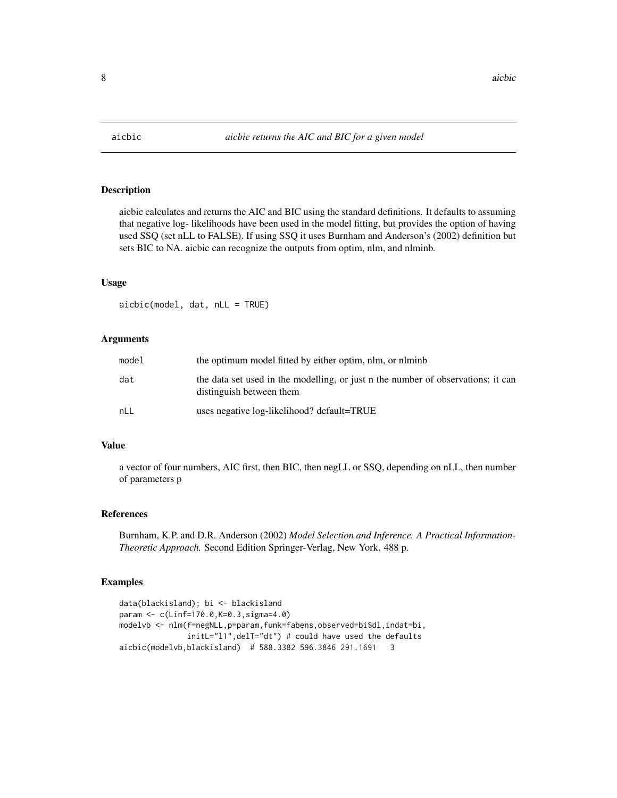<span id="page-7-0"></span>

aicbic calculates and returns the AIC and BIC using the standard definitions. It defaults to assuming that negative log- likelihoods have been used in the model fitting, but provides the option of having used SSQ (set nLL to FALSE). If using SSQ it uses Burnham and Anderson's (2002) definition but sets BIC to NA. aicbic can recognize the outputs from optim, nlm, and nlminb.

# Usage

aicbic(model, dat, nLL = TRUE)

# Arguments

| model | the optimum model fitted by either optim, nlm, or nlminb                                                     |
|-------|--------------------------------------------------------------------------------------------------------------|
| dat   | the data set used in the modelling, or just n the number of observations; it can<br>distinguish between them |
| nLL   | uses negative log-likelihood? default=TRUE                                                                   |

# Value

a vector of four numbers, AIC first, then BIC, then negLL or SSQ, depending on nLL, then number of parameters p

# References

Burnham, K.P. and D.R. Anderson (2002) *Model Selection and Inference. A Practical Information-Theoretic Approach.* Second Edition Springer-Verlag, New York. 488 p.

```
data(blackisland); bi <- blackisland
param <- c(Linf=170.0,K=0.3,sigma=4.0)
modelvb <- nlm(f=negNLL,p=param,funk=fabens,observed=bi$dl,indat=bi,
               initL="l1",delT="dt") # could have used the defaults
aicbic(modelvb,blackisland) # 588.3382 596.3846 291.1691 3
```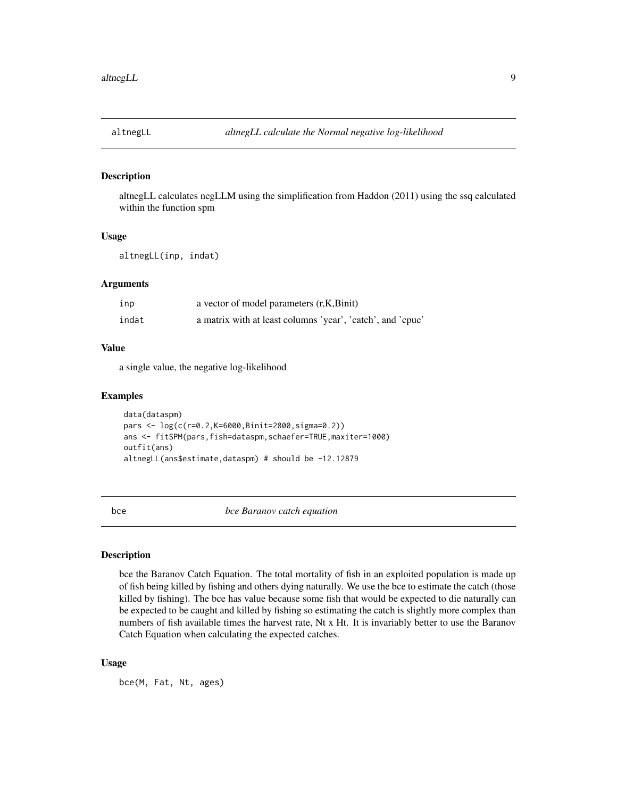<span id="page-8-0"></span>

altnegLL calculates negLLM using the simplification from Haddon (2011) using the ssq calculated within the function spm

#### Usage

altnegLL(inp, indat)

# Arguments

| inp   | a vector of model parameters (r, K, Binit)                 |
|-------|------------------------------------------------------------|
| indat | a matrix with at least columns 'year', 'catch', and 'cpue' |

# Value

a single value, the negative log-likelihood

#### Examples

```
data(dataspm)
pars <- log(c(r=0.2,K=6000,Binit=2800,sigma=0.2))
ans <- fitSPM(pars,fish=dataspm,schaefer=TRUE,maxiter=1000)
outfit(ans)
altnegLL(ans$estimate,dataspm) # should be -12.12879
```
bce *bce Baranov catch equation*

# Description

bce the Baranov Catch Equation. The total mortality of fish in an exploited population is made up of fish being killed by fishing and others dying naturally. We use the bce to estimate the catch (those killed by fishing). The bce has value because some fish that would be expected to die naturally can be expected to be caught and killed by fishing so estimating the catch is slightly more complex than numbers of fish available times the harvest rate, Nt x Ht. It is invariably better to use the Baranov Catch Equation when calculating the expected catches.

# Usage

bce(M, Fat, Nt, ages)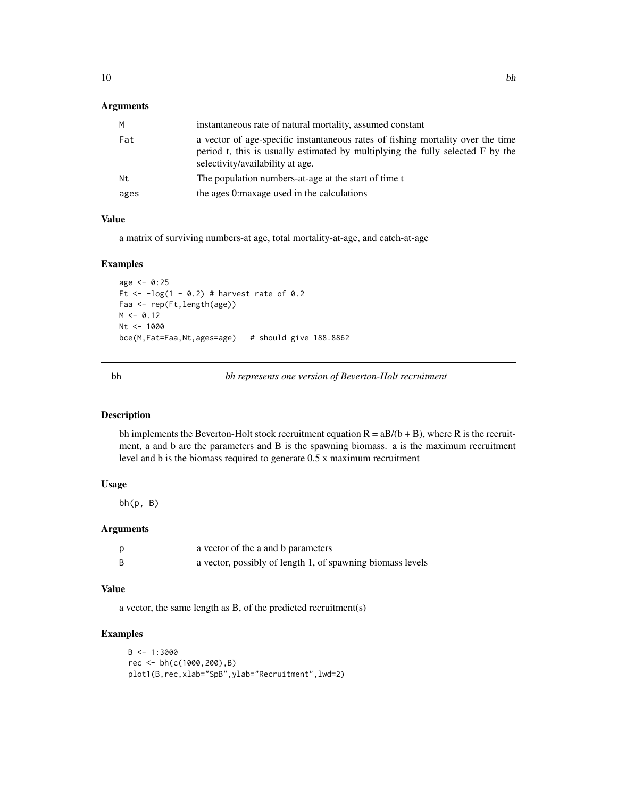# <span id="page-9-0"></span>Arguments

| M    | instantaneous rate of natural mortality, assumed constant                                                                                                                                             |
|------|-------------------------------------------------------------------------------------------------------------------------------------------------------------------------------------------------------|
| Fat  | a vector of age-specific instantaneous rates of fishing mortality over the time<br>period t, this is usually estimated by multiplying the fully selected F by the<br>selectivity/availability at age. |
| Nt   | The population numbers-at-age at the start of time t                                                                                                                                                  |
| ages | the ages 0: maxage used in the calculations                                                                                                                                                           |

# Value

a matrix of surviving numbers-at age, total mortality-at-age, and catch-at-age

# Examples

```
age <- 0:25
Ft <- -log(1 - 0.2) # harvest rate of 0.2
Faa <- rep(Ft,length(age))
M < -0.12Nt <- 1000
bce(M,Fat=Faa,Nt,ages=age) # should give 188.8862
```
bh *bh represents one version of Beverton-Holt recruitment*

# Description

bh implements the Beverton-Holt stock recruitment equation  $R = aB/(b + B)$ , where R is the recruitment, a and b are the parameters and B is the spawning biomass. a is the maximum recruitment level and b is the biomass required to generate 0.5 x maximum recruitment

# Usage

bh(p, B)

# Arguments

| a vector of the a and b parameters                         |
|------------------------------------------------------------|
| a vector, possibly of length 1, of spawning biomass levels |

# Value

a vector, the same length as B, of the predicted recruitment(s)

```
B < -1:3000rec <- bh(c(1000,200),B)
plot1(B,rec,xlab="SpB",ylab="Recruitment",lwd=2)
```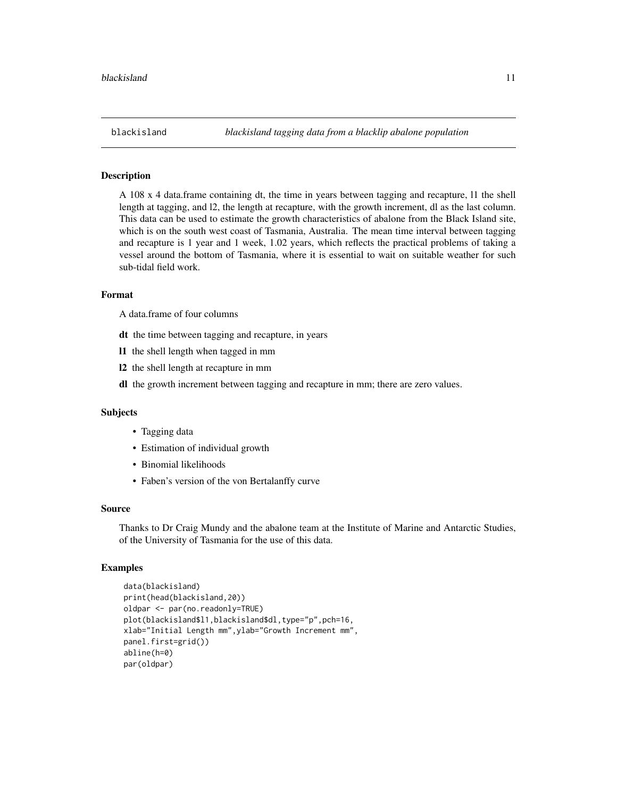<span id="page-10-0"></span>

A 108 x 4 data.frame containing dt, the time in years between tagging and recapture, l1 the shell length at tagging, and l2, the length at recapture, with the growth increment, dl as the last column. This data can be used to estimate the growth characteristics of abalone from the Black Island site, which is on the south west coast of Tasmania, Australia. The mean time interval between tagging and recapture is 1 year and 1 week, 1.02 years, which reflects the practical problems of taking a vessel around the bottom of Tasmania, where it is essential to wait on suitable weather for such sub-tidal field work.

# Format

A data.frame of four columns

- dt the time between tagging and recapture, in years
- l1 the shell length when tagged in mm
- l2 the shell length at recapture in mm
- dl the growth increment between tagging and recapture in mm; there are zero values.

# Subjects

- Tagging data
- Estimation of individual growth
- Binomial likelihoods
- Faben's version of the von Bertalanffy curve

# Source

Thanks to Dr Craig Mundy and the abalone team at the Institute of Marine and Antarctic Studies, of the University of Tasmania for the use of this data.

```
data(blackisland)
print(head(blackisland,20))
oldpar <- par(no.readonly=TRUE)
plot(blackisland$l1,blackisland$dl,type="p",pch=16,
xlab="Initial Length mm",ylab="Growth Increment mm",
panel.first=grid())
abline(h=0)
par(oldpar)
```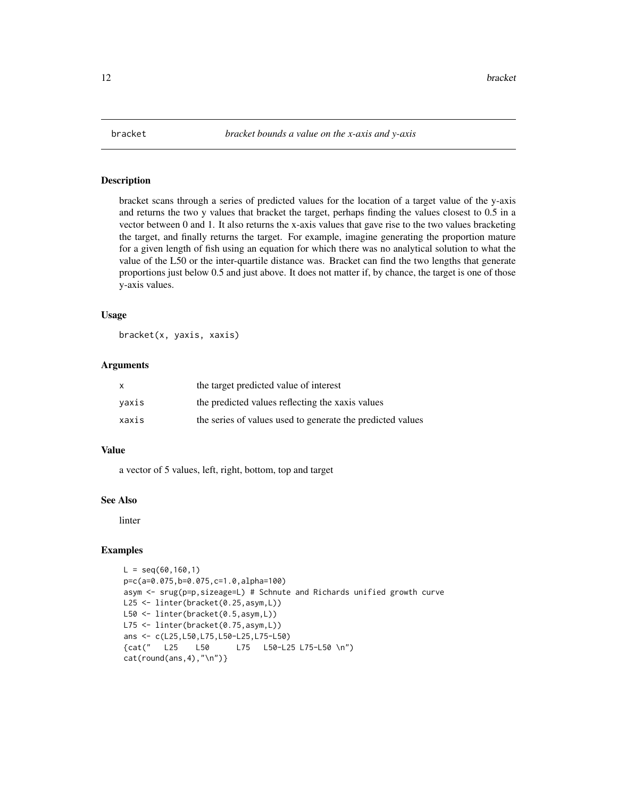<span id="page-11-0"></span>

bracket scans through a series of predicted values for the location of a target value of the y-axis and returns the two y values that bracket the target, perhaps finding the values closest to 0.5 in a vector between 0 and 1. It also returns the x-axis values that gave rise to the two values bracketing the target, and finally returns the target. For example, imagine generating the proportion mature for a given length of fish using an equation for which there was no analytical solution to what the value of the L50 or the inter-quartile distance was. Bracket can find the two lengths that generate proportions just below 0.5 and just above. It does not matter if, by chance, the target is one of those y-axis values.

# Usage

bracket(x, yaxis, xaxis)

# Arguments

|       | the target predicted value of interest                     |
|-------|------------------------------------------------------------|
| vaxis | the predicted values reflecting the xaxis values           |
| xaxis | the series of values used to generate the predicted values |

# Value

a vector of 5 values, left, right, bottom, top and target

#### See Also

linter

```
L = \text{seq}(60, 160, 1)p=c(a=0.075,b=0.075,c=1.0,alpha=100)
asym <- srug(p=p,sizeage=L) # Schnute and Richards unified growth curve
L25 <- linter(bracket(0.25,asym,L))
L50 <- linter(bracket(0.5,asym,L))
L75 <- linter(bracket(0.75,asym,L))
ans <- c(L25,L50,L75,L50-L25,L75-L50)
{cat(" L25 L50 L75 L50-L25 L75-L50 \n")
cat(round(ans,4),"\n")}
```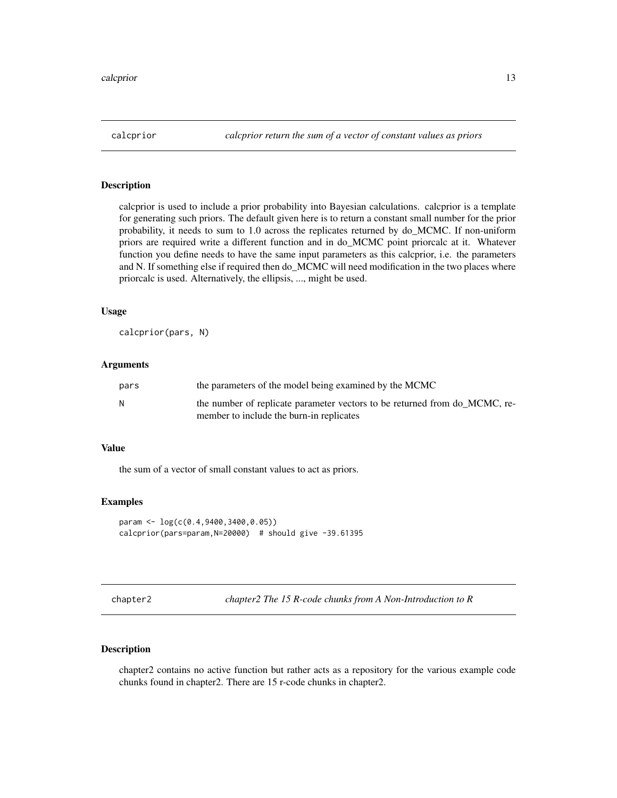<span id="page-12-0"></span>

calcprior is used to include a prior probability into Bayesian calculations. calcprior is a template for generating such priors. The default given here is to return a constant small number for the prior probability, it needs to sum to 1.0 across the replicates returned by do\_MCMC. If non-uniform priors are required write a different function and in do\_MCMC point priorcalc at it. Whatever function you define needs to have the same input parameters as this calcprior, i.e. the parameters and N. If something else if required then do\_MCMC will need modification in the two places where priorcalc is used. Alternatively, the ellipsis, ..., might be used.

# Usage

calcprior(pars, N)

# Arguments

| pars | the parameters of the model being examined by the MCMC                     |
|------|----------------------------------------------------------------------------|
| N    | the number of replicate parameter vectors to be returned from do MCMC, re- |
|      | member to include the burn-in replicates                                   |

# Value

the sum of a vector of small constant values to act as priors.

# Examples

```
param <- log(c(0.4,9400,3400,0.05))
calcprior(pars=param,N=20000) # should give -39.61395
```
chapter2 *chapter2 The 15 R-code chunks from A Non-Introduction to R*

# Description

chapter2 contains no active function but rather acts as a repository for the various example code chunks found in chapter2. There are 15 r-code chunks in chapter2.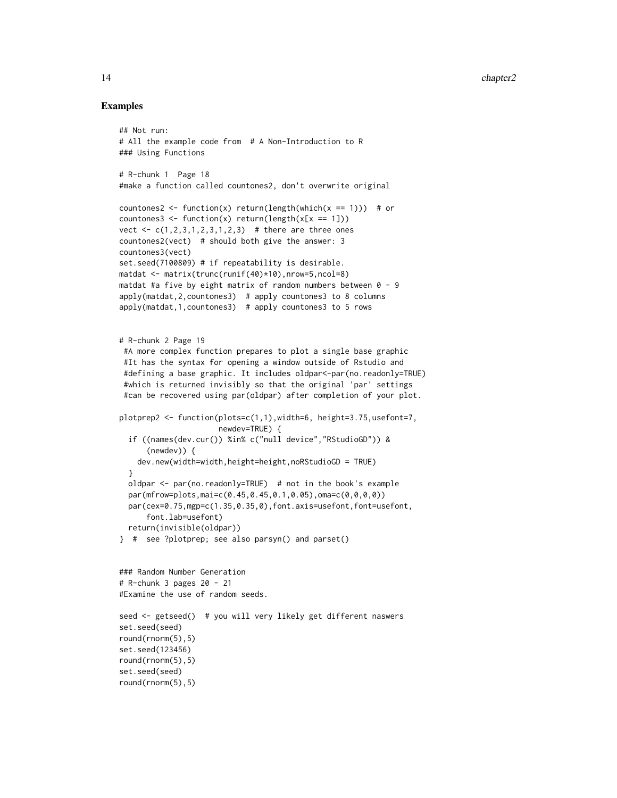```
## Not run:
# All the example code from # A Non-Introduction to R
### Using Functions
# R-chunk 1 Page 18
#make a function called countones2, don't overwrite original
countones2 <- function(x) return(length(which(x == 1))) # or
countones3 <- function(x) return(length(x[x == 1]))
vect \leq c(1, 2, 3, 1, 2, 3, 1, 2, 3) # there are three ones
countones2(vect) # should both give the answer: 3
countones3(vect)
set.seed(7100809) # if repeatability is desirable.
matdat <- matrix(trunc(runif(40)*10),nrow=5,ncol=8)
matdat #a five by eight matrix of random numbers between 0 - 9apply(matdat,2,countones3) # apply countones3 to 8 columns
apply(matdat,1,countones3) # apply countones3 to 5 rows
# R-chunk 2 Page 19
 #A more complex function prepares to plot a single base graphic
 #It has the syntax for opening a window outside of Rstudio and
 #defining a base graphic. It includes oldpar<-par(no.readonly=TRUE)
 #which is returned invisibly so that the original 'par' settings
 #can be recovered using par(oldpar) after completion of your plot.
plotprep2 <- function(plots=c(1,1),width=6, height=3.75,usefont=7,
                      newdev=TRUE) {
  if ((names(dev.cur()) %in% c("null device","RStudioGD")) &
      (newdev)) {
    dev.new(width=width,height=height,noRStudioGD = TRUE)
  }
  oldpar <- par(no.readonly=TRUE) # not in the book's example
  par(mfrow=plots,mai=c(0.45,0.45,0.1,0.05),oma=c(0,0,0,0))
  par(cex=0.75,mgp=c(1.35,0.35,0),font.axis=usefont,font=usefont,
      font.lab=usefont)
  return(invisible(oldpar))
} # see ?plotprep; see also parsyn() and parset()
### Random Number Generation
# R-chunk 3 pages 20 - 21
#Examine the use of random seeds.
seed <- getseed() # you will very likely get different naswers
set.seed(seed)
round(rnorm(5),5)
set.seed(123456)
round(rnorm(5),5)
set.seed(seed)
round(rnorm(5),5)
```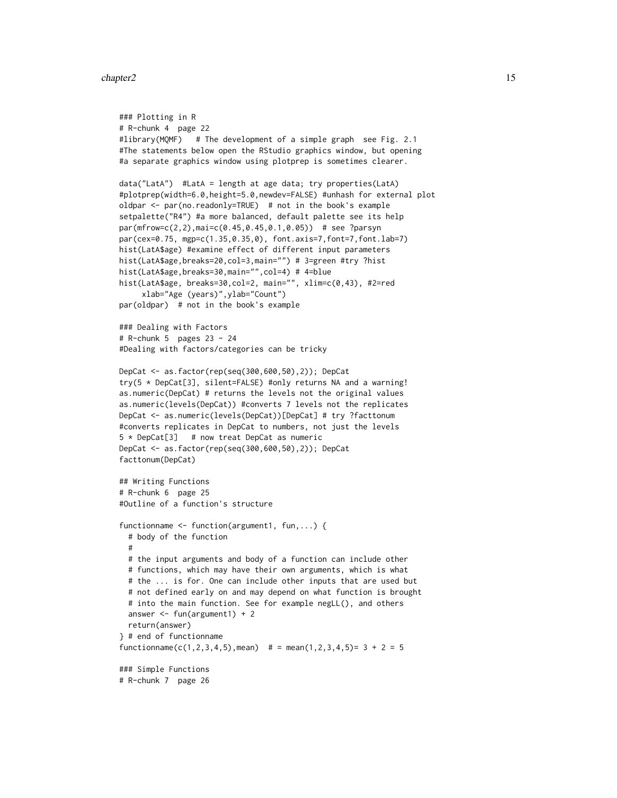# chapter2 15

```
### Plotting in R
# R-chunk 4 page 22
#library(MQMF) # The development of a simple graph see Fig. 2.1
#The statements below open the RStudio graphics window, but opening
#a separate graphics window using plotprep is sometimes clearer.
data("LatA") #LatA = length at age data; try properties(LatA)
#plotprep(width=6.0,height=5.0,newdev=FALSE) #unhash for external plot
oldpar <- par(no.readonly=TRUE) # not in the book's example
setpalette("R4") #a more balanced, default palette see its help
par(mfrow=c(2,2),mai=c(0.45,0.45,0.1,0.05)) # see ?parsyn
par(cex=0.75, mgp=c(1.35,0.35,0), font.axis=7,font=7,font.lab=7)
hist(LatA$age) #examine effect of different input parameters
hist(LatA$age,breaks=20,col=3,main="") # 3=green #try ?hist
hist(LatA$age,breaks=30,main="",col=4) # 4=blue
hist(LatA$age, breaks=30,col=2, main="", xlim=c(0,43), #2=red
     xlab="Age (years)",ylab="Count")
par(oldpar) # not in the book's example
### Dealing with Factors
# R-chunk 5 pages 23 - 24
#Dealing with factors/categories can be tricky
DepCat <- as.factor(rep(seq(300,600,50),2)); DepCat
try(5 * DepCat[3], silent=FALSE) #only returns NA and a warning!
as.numeric(DepCat) # returns the levels not the original values
as.numeric(levels(DepCat)) #converts 7 levels not the replicates
DepCat <- as.numeric(levels(DepCat))[DepCat] # try ?facttonum
#converts replicates in DepCat to numbers, not just the levels
5 * DepCat[3] # now treat DepCat as numeric
DepCat <- as.factor(rep(seq(300,600,50),2)); DepCat
facttonum(DepCat)
## Writing Functions
# R-chunk 6 page 25
#Outline of a function's structure
functionname <- function(argument1, fun,...) {
 # body of the function
  #
 # the input arguments and body of a function can include other
 # functions, which may have their own arguments, which is what
 # the ... is for. One can include other inputs that are used but
 # not defined early on and may depend on what function is brought
 # into the main function. See for example negLL(), and others
 answer \leq fun(argument1) + 2
 return(answer)
} # end of functionname
functionname(c(1,2,3,4,5),mean) # = mean(1,2,3,4,5)= 3 + 2 = 5### Simple Functions
# R-chunk 7 page 26
```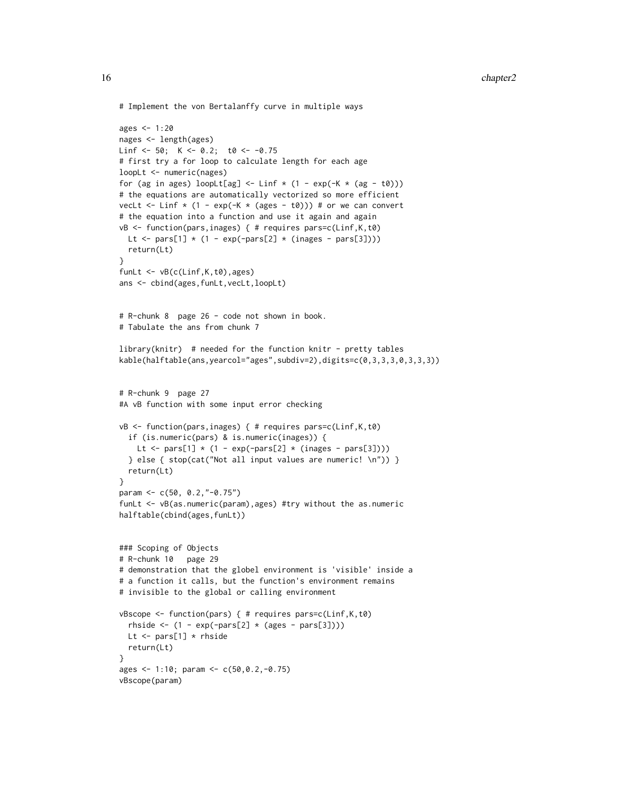```
# Implement the von Bertalanffy curve in multiple ways
ages <-1:20nages <- length(ages)
Linf <- 50; K <- 0.2; t0 <- -0.75
# first try a for loop to calculate length for each age
loopLt <- numeric(nages)
for (ag in ages) loopLt[ag] <- Linf * (1 - exp(-K * (ag - t0)))
# the equations are automatically vectorized so more efficient
vecLt <- Linf * (1 - exp(-K * (ages - t0))) # or we can convert
# the equation into a function and use it again and again
vB <- function(pars,inages) { # requires pars=c(Linf,K,t0)
  Lt \leftarrow pars[1] \star (1 - exp(-pars[2] \star (inages - pars[3])))
  return(Lt)
}
funLt <- vB(c(Linf,K,t0),ages)
ans <- cbind(ages, funLt, vecLt, loopLt)
# R-chunk 8 page 26 - code not shown in book.
# Tabulate the ans from chunk 7
library(knitr) # needed for the function knitr - pretty tables
kable(halftable(ans,yearcol="ages",subdiv=2),digits=c(0,3,3,3,0,3,3,3))
# R-chunk 9 page 27
#A vB function with some input error checking
vB <- function(pars,inages) { # requires pars=c(Linf,K,t0)
  if (is.numeric(pars) & is.numeric(inages)) {
   Lt <- pars[1] \star (1 - exp(-pars[2] \star (inages - pars[3])))
  } else { stop(cat("Not all input values are numeric! \n")) }
  return(Lt)
}
param <- c(50, 0.2,"-0.75")
funLt <- vB(as.numeric(param),ages) #try without the as.numeric
halftable(cbind(ages,funLt))
### Scoping of Objects
# R-chunk 10 page 29
# demonstration that the globel environment is 'visible' inside a
# a function it calls, but the function's environment remains
# invisible to the global or calling environment
vBscope <- function(pars) { # requires pars=c(Linf,K,t0)
  rhside \leftarrow (1 - exp(-pars[2] \star (ages - pars[3])))
  Lt \leq pars[1] \star rhside
  return(Lt)
}
ages <- 1:10; param <- c(50,0.2,-0.75)
vBscope(param)
```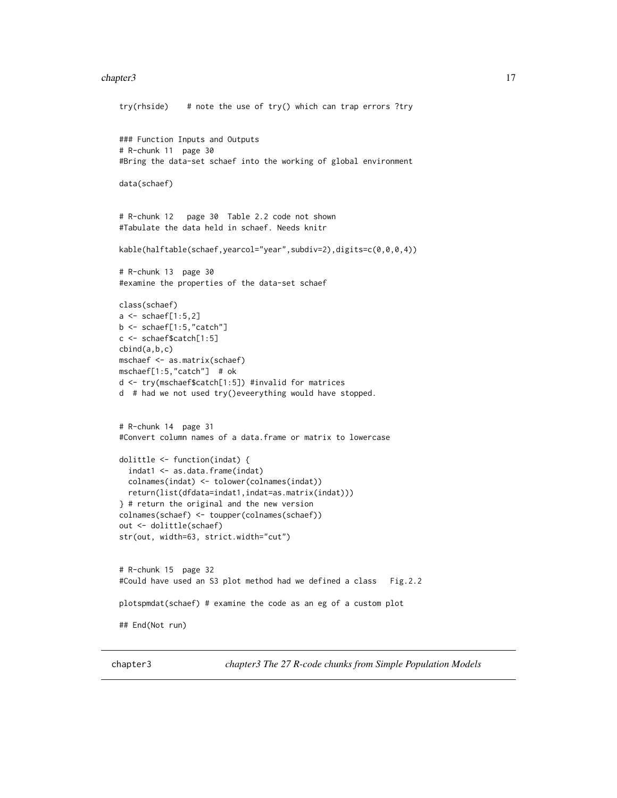# <span id="page-16-0"></span>chapter3 17

```
try(rhside) # note the use of try() which can trap errors ?try
### Function Inputs and Outputs
# R-chunk 11 page 30
#Bring the data-set schaef into the working of global environment
data(schaef)
# R-chunk 12 page 30 Table 2.2 code not shown
#Tabulate the data held in schaef. Needs knitr
kable(halftable(schaef,yearcol="year",subdiv=2),digits=c(0,0,0,4))
# R-chunk 13 page 30
#examine the properties of the data-set schaef
class(schaef)
a <- schaef[1:5,2]
b <- schaef[1:5,"catch"]
c <- schaef$catch[1:5]
cbind(a,b,c)
mschaef <- as.matrix(schaef)
mschaef[1:5,"catch"] # ok
d <- try(mschaef$catch[1:5]) #invalid for matrices
d # had we not used try()eveerything would have stopped.
# R-chunk 14 page 31
#Convert column names of a data.frame or matrix to lowercase
dolittle <- function(indat) {
  indat1 <- as.data.frame(indat)
  colnames(indat) <- tolower(colnames(indat))
  return(list(dfdata=indat1,indat=as.matrix(indat)))
} # return the original and the new version
colnames(schaef) <- toupper(colnames(schaef))
out <- dolittle(schaef)
str(out, width=63, strict.width="cut")
# R-chunk 15 page 32
#Could have used an S3 plot method had we defined a class Fig.2.2
plotspmdat(schaef) # examine the code as an eg of a custom plot
## End(Not run)
```
chapter3 *chapter3 The 27 R-code chunks from Simple Population Models*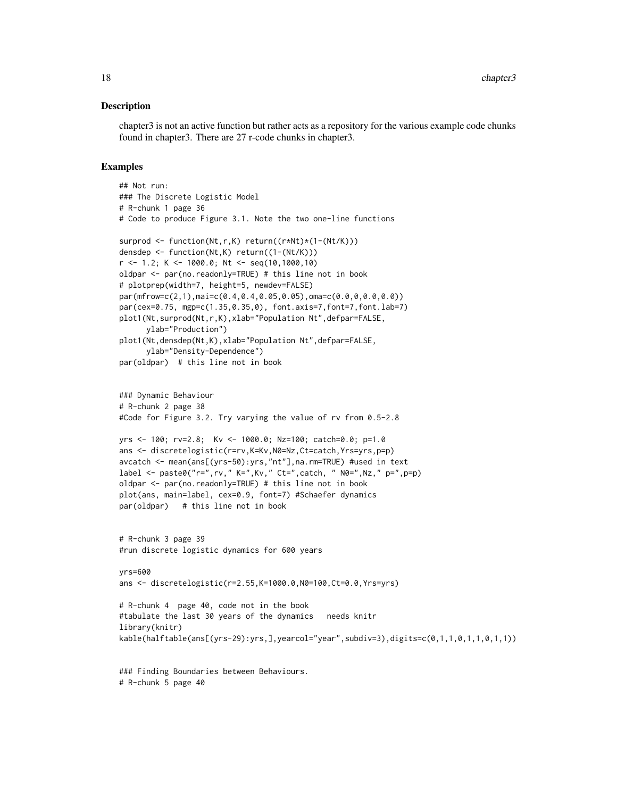chapter3 is not an active function but rather acts as a repository for the various example code chunks found in chapter3. There are 27 r-code chunks in chapter3.

# Examples

```
## Not run:
### The Discrete Logistic Model
# R-chunk 1 page 36
# Code to produce Figure 3.1. Note the two one-line functions
surprod <- function(Nt,r,K) return((r*Nt)*(1-(Nt/K)))
densdep <- function(Nt,K) return((1-(Nt/K)))
r \le -1.2; K \le -1000.0; Nt \le -100(10, 1000, 10)oldpar <- par(no.readonly=TRUE) # this line not in book
# plotprep(width=7, height=5, newdev=FALSE)
par(mfrow=c(2,1),mai=c(0.4,0.4,0.05,0.05),oma=c(0.0,0,0.0,0.0))
par(cex=0.75, mgp=c(1.35,0.35,0), font.axis=7,font=7,font.lab=7)
plot1(Nt,surprod(Nt,r,K),xlab="Population Nt",defpar=FALSE,
      ylab="Production")
plot1(Nt,densdep(Nt,K),xlab="Population Nt",defpar=FALSE,
     ylab="Density-Dependence")
par(oldpar) # this line not in book
### Dynamic Behaviour
# R-chunk 2 page 38
#Code for Figure 3.2. Try varying the value of rv from 0.5-2.8
yrs <- 100; rv=2.8; Kv <- 1000.0; Nz=100; catch=0.0; p=1.0
ans <- discretelogistic(r=rv,K=Kv,N0=Nz,Ct=catch,Yrs=yrs,p=p)
avcatch <- mean(ans[(yrs-50):yrs,"nt"],na.rm=TRUE) #used in text
label <- paste0("r=",rv," K=",Kv," Ct=",catch, " N0=",Nz," p=",p=p)
oldpar <- par(no.readonly=TRUE) # this line not in book
plot(ans, main=label, cex=0.9, font=7) #Schaefer dynamics
par(oldpar) # this line not in book
# R-chunk 3 page 39
#run discrete logistic dynamics for 600 years
yrs=600
ans <- discretelogistic(r=2.55,K=1000.0,N0=100,Ct=0.0,Yrs=yrs)
# R-chunk 4 page 40, code not in the book
#tabulate the last 30 years of the dynamics needs knitr
library(knitr)
kable(halftable(ans[(yrs-29):yrs,],yearcol="year",subdiv=3),digits=c(0,1,1,0,1,1,0,1,1))
```
### Finding Boundaries between Behaviours. # R-chunk 5 page 40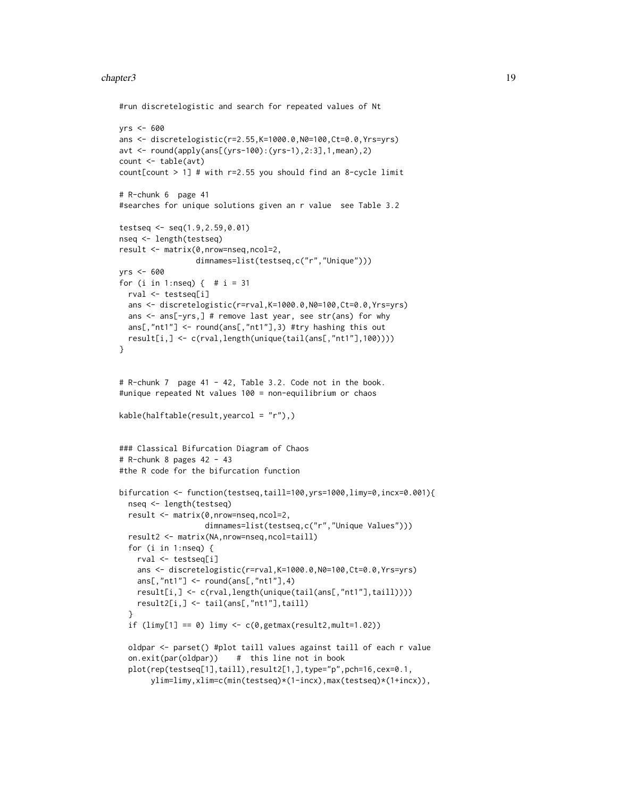# chapter3 19

```
#run discretelogistic and search for repeated values of Nt
```

```
vrs <- 600
ans <- discretelogistic(r=2.55,K=1000.0,N0=100,Ct=0.0,Yrs=yrs)
avt <- round(apply(ans[(yrs-100):(yrs-1),2:3],1,mean),2)
count \leftarrow table(avt)count[count > 1] # with r=2.55 you should find an 8-cycle limit
# R-chunk 6 page 41
#searches for unique solutions given an r value see Table 3.2
testseq <- seq(1.9,2.59,0.01)
nseq <- length(testseq)
result <- matrix(0,nrow=nseq,ncol=2,
                 dimnames=list(testseq,c("r","Unique")))
yrs <- 600
for (i in 1:nseq) { \# i = 31rval <- testseq[i]
  ans <- discretelogistic(r=rval,K=1000.0,N0=100,Ct=0.0,Yrs=yrs)
  ans <- ans[-yrs,] # remove last year, see str(ans) for why
  ans[,"nt1"] <- round(ans[,"nt1"],3) #try hashing this out
  result[i,] <- c(rval,length(unique(tail(ans[,"nt1"],100))))
}
# R-chunk 7 page 41 - 42, Table 3.2. Code not in the book.
#unique repeated Nt values 100 = non-equilibrium or chaos
kable(halftable(result,yearcol = "r"),)
### Classical Bifurcation Diagram of Chaos
# R-chunk 8 pages 42 - 43
#the R code for the bifurcation function
bifurcation <- function(testseq,taill=100,yrs=1000,limy=0,incx=0.001){
  nseq <- length(testseq)
  result <- matrix(0,nrow=nseq,ncol=2,
                   dimnames=list(testseq,c("r","Unique Values")))
  result2 <- matrix(NA,nrow=nseq,ncol=taill)
  for (i in 1:nseq) {
    rval <- testseq[i]
    ans <- discretelogistic(r=rval,K=1000.0,N0=100,Ct=0.0,Yrs=yrs)
   ans[, "nt1"] \leftarrow round(ans[, "nt1"], 4)
   result[i,] <- c(rval,length(unique(tail(ans[,"nt1"],taill))))
   result2[i,] <- tail(ans[,"nt1"],taill)
  }
  if (limy[1] == 0) limy \leq c(0, \text{getmax}(\text{result2}, \text{mult=1.02}))oldpar <- parset() #plot taill values against taill of each r value
  on.exit(par(oldpar)) # this line not in book
  plot(rep(testseq[1],taill),result2[1,],type="p",pch=16,cex=0.1,
       ylim=limy,xlim=c(min(testseq)*(1-incx),max(testseq)*(1+incx)),
```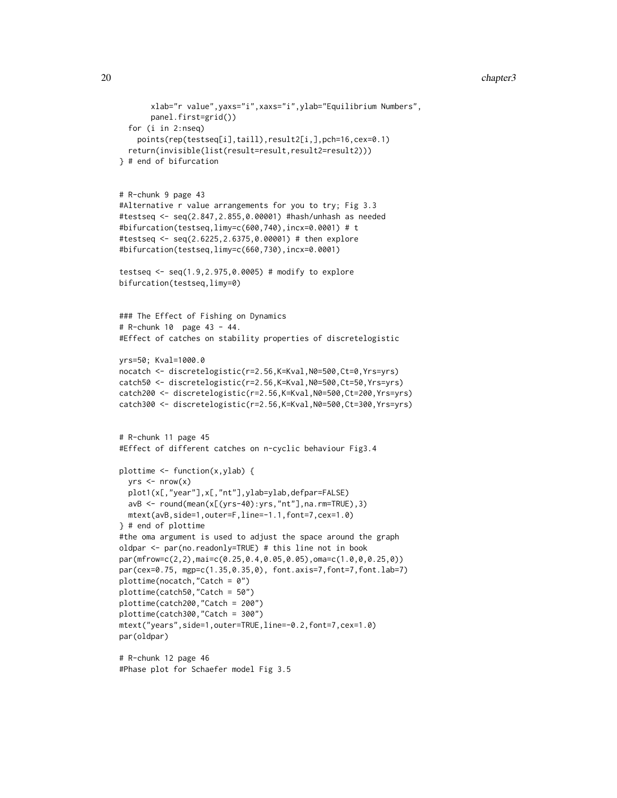```
xlab="r value",yaxs="i",xaxs="i",ylab="Equilibrium Numbers",
      panel.first=grid())
 for (i in 2:nseq)
   points(rep(testseq[i],taill),result2[i,],pch=16,cex=0.1)
 return(invisible(list(result=result,result2=result2)))
} # end of bifurcation
# R-chunk 9 page 43
#Alternative r value arrangements for you to try; Fig 3.3
#testseq <- seq(2.847,2.855,0.00001) #hash/unhash as needed
#bifurcation(testseq,limy=c(600,740),incx=0.0001) # t
#testseq <- seq(2.6225,2.6375,0.00001) # then explore
#bifurcation(testseq,limy=c(660,730),incx=0.0001)
testseq <- seq(1.9,2.975,0.0005) # modify to explore
bifurcation(testseq,limy=0)
### The Effect of Fishing on Dynamics
# R-chunk 10 page 43 - 44.
#Effect of catches on stability properties of discretelogistic
yrs=50; Kval=1000.0
nocatch <- discretelogistic(r=2.56,K=Kval,N0=500,Ct=0,Yrs=yrs)
catch50 <- discretelogistic(r=2.56,K=Kval,N0=500,Ct=50,Yrs=yrs)
catch200 <- discretelogistic(r=2.56,K=Kval,N0=500,Ct=200,Yrs=yrs)
catch300 <- discretelogistic(r=2.56,K=Kval,N0=500,Ct=300,Yrs=yrs)
# R-chunk 11 page 45
#Effect of different catches on n-cyclic behaviour Fig3.4
plottime <- function(x,ylab) {
 yrs \leftarrow nrow(x)plot1(x[,"year"],x[,"nt"],ylab=ylab,defpar=FALSE)
 avB <- round(mean(x[(yrs-40):yrs,"nt"],na.rm=TRUE),3)
 mtext(avB,side=1,outer=F,line=-1.1,font=7,cex=1.0)
} # end of plottime
#the oma argument is used to adjust the space around the graph
oldpar <- par(no.readonly=TRUE) # this line not in book
par(mfrow=c(2,2),mai=c(0.25,0.4,0.05,0.05),oma=c(1.0,0,0.25,0))
par(cex=0.75, mgp=c(1.35,0.35,0), font.axis=7,font=7,font.lab=7)
plottime(nocatch,"Catch = 0")
plottime(catch50,"Catch = 50")
plottime(catch200,"Catch = 200")
plottime(catch300,"Catch = 300")
mtext("years",side=1,outer=TRUE,line=-0.2,font=7,cex=1.0)
par(oldpar)
# R-chunk 12 page 46
#Phase plot for Schaefer model Fig 3.5
```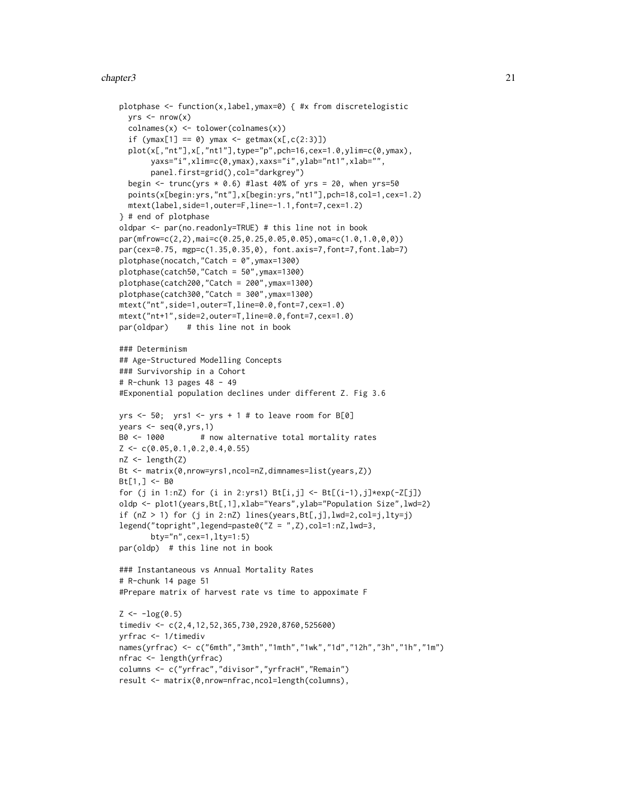# chapter3 21

```
plotphase <- function(x,label,ymax=0) { #x from discretelogistic
  yrs \leftarrow nrow(x)colnames(x) <- tolower(colnames(x))
  if (\gammamax[1] == 0) ymax <- getmax(x[,c(2:3)])
  plot(x[, "nt"],x[, "nt1"],type="p",pch=16,cex=1.0,ylim=c(0,ymax),
       yaxs="i",xlim=c(0,ymax),xaxs="i",ylab="nt1",xlab="",
       panel.first=grid(),col="darkgrey")
  begin \le trunc(yrs * 0.6) #last 40% of yrs = 20, when yrs=50
  points(x[begin:yrs,"nt"],x[begin:yrs,"nt1"],pch=18,col=1,cex=1.2)
  mtext(label,side=1,outer=F,line=-1.1,font=7,cex=1.2)
} # end of plotphase
oldpar <- par(no.readonly=TRUE) # this line not in book
par(mfrow=c(2,2),mai=c(0.25,0.25,0.05,0.05),oma=c(1.0,1.0,0,0))
par(cex=0.75, mgp=c(1.35,0.35,0), font.axis=7,font=7,font.lab=7)
plotphase(nocatch,"Catch = 0",ymax=1300)
plotphase(catch50,"Catch = 50",ymax=1300)
plotphase(catch200,"Catch = 200",ymax=1300)
plotphase(catch300,"Catch = 300",ymax=1300)
mtext("nt",side=1,outer=T,line=0.0,font=7,cex=1.0)
mtext("nt+1",side=2,outer=T,line=0.0,font=7,cex=1.0)
par(oldpar) # this line not in book
### Determinism
## Age-Structured Modelling Concepts
### Survivorship in a Cohort
# R-chunk 13 pages 48 - 49
#Exponential population declines under different Z. Fig 3.6
yrs \le 50; yrs1 \le yrs + 1 # to leave room for B[0]
years \leq seq(0, yrs, 1)
B0 <- 1000 # now alternative total mortality rates
Z \leftarrow c(0.05, 0.1, 0.2, 0.4, 0.55)nZ <- length(Z)
Bt <- matrix(0,nrow=yrs1,ncol=nZ,dimnames=list(years,Z))
Bt[1,] < - B0for (j in 1:nZ) for (i in 2:yrs1) Bt[i,j] \leftarrow Bt[(i-1),j] \ast exp(-Z[j])oldp <- plot1(years,Bt[,1],xlab="Years",ylab="Population Size",lwd=2)
if (nZ > 1) for (j in 2:nZ) lines(years, Bt[,j], lwd=2, col=j, lty=j)
legend("topright",legend=paste0("Z = ",Z),col=1:nZ,lwd=3,
       bty="n",cex=1,lty=1:5)
par(oldp) # this line not in book
### Instantaneous vs Annual Mortality Rates
# R-chunk 14 page 51
#Prepare matrix of harvest rate vs time to appoximate F
Z \leftarrow -\log(0.5)timediv <- c(2,4,12,52,365,730,2920,8760,525600)
yrfrac <- 1/timediv
names(yrfrac) <- c("6mth","3mth","1mth","1wk","1d","12h","3h","1h","1m")
nfrac <- length(yrfrac)
columns <- c("yrfrac","divisor","yrfracH","Remain")
result <- matrix(0,nrow=nfrac,ncol=length(columns),
```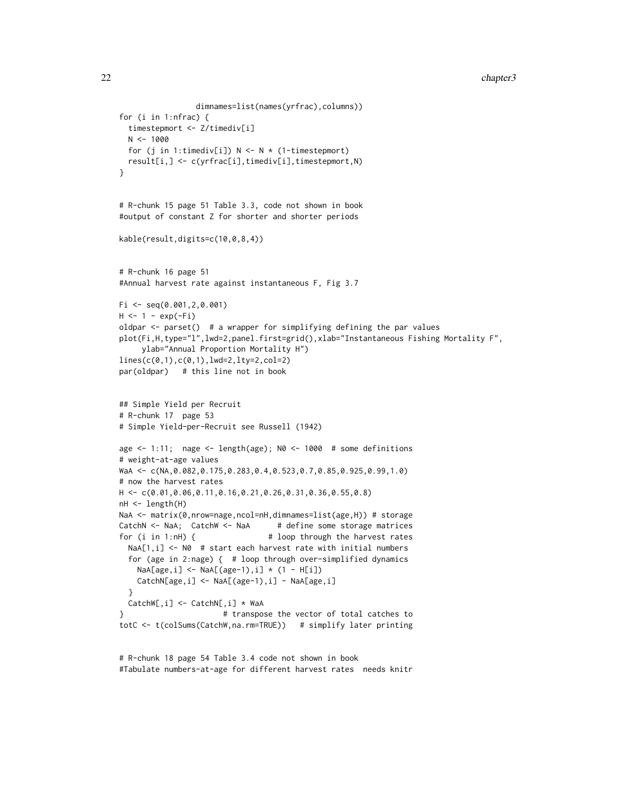```
dimnames=list(names(yrfrac),columns))
for (i in 1:nfrac) {
 timestepmort <- Z/timediv[i]
 N < - 1000for (j in 1:timediv[i]) N \leftarrow N * (1 - timestepmort)
 result[i,] <- c(yrfrac[i],timediv[i],timestepmort,N)
}
# R-chunk 15 page 51 Table 3.3, code not shown in book
#output of constant Z for shorter and shorter periods
kable(result,digits=c(10,0,8,4))
# R-chunk 16 page 51
#Annual harvest rate against instantaneous F, Fig 3.7
Fi <- seq(0.001,2,0.001)
H < -1 - exp(-Fi)oldpar <- parset() # a wrapper for simplifying defining the par values
plot(Fi,H,type="l",lwd=2,panel.first=grid(),xlab="Instantaneous Fishing Mortality F",
    ylab="Annual Proportion Mortality H")
lines(c(0,1),c(0,1),lwd=2,lty=2,col=2)
par(oldpar) # this line not in book
## Simple Yield per Recruit
# R-chunk 17 page 53
# Simple Yield-per-Recruit see Russell (1942)
age \le 1:11; nage \le length(age); N0 \le 1000 # some definitions
# weight-at-age values
WaA <- c(NA,0.082,0.175,0.283,0.4,0.523,0.7,0.85,0.925,0.99,1.0)
# now the harvest rates
H <- c(0.01,0.06,0.11,0.16,0.21,0.26,0.31,0.36,0.55,0.8)
nH <- length(H)
NaA <- matrix(0,nrow=nage,ncol=nH,dimnames=list(age,H)) # storage
CatchN <- NaA; CatchW <- NaA # define some storage matrices
for (i in 1:nH) { # loop through the harvest rates
 NaA[1,i] <- N0 # start each harvest rate with initial numbers
 for (age in 2:nage) { # loop through over-simplified dynamics
   NaA[age, i] < - NaA[(age-1), i] * (1 - H[i])CatchN[age,i] <- NaA[(age-1),i] - NaA[age,i]
 }
 CatchW[,i] <- CatchN[,i] * WaA
} # transpose the vector of total catches to
totC <- t(colSums(CatchW,na.rm=TRUE)) # simplify later printing
```

```
# R-chunk 18 page 54 Table 3.4 code not shown in book
#Tabulate numbers-at-age for different harvest rates needs knitr
```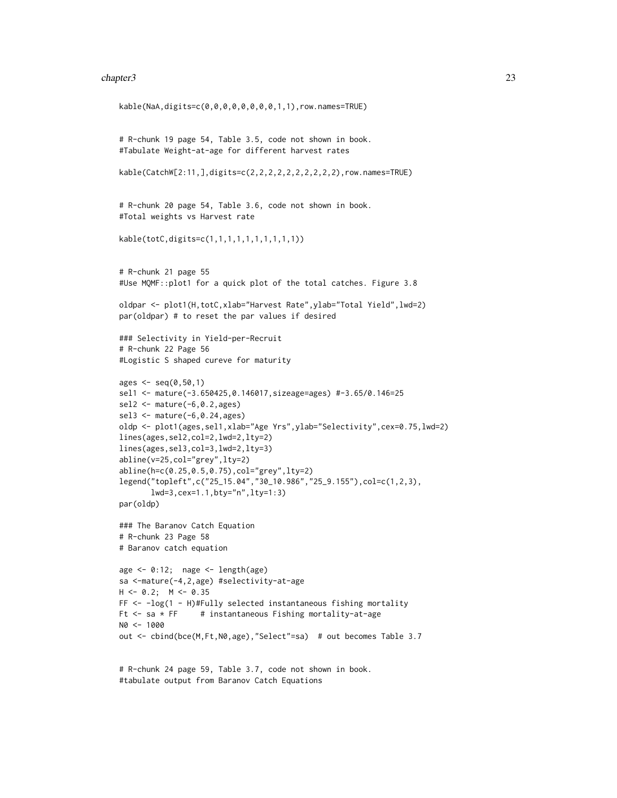# chapter3 23

```
kable(NaA,digits=c(0,0,0,0,0,0,0,0,1,1),row.names=TRUE)
# R-chunk 19 page 54, Table 3.5, code not shown in book.
#Tabulate Weight-at-age for different harvest rates
kable(CatchW[2:11,],digits=c(2,2,2,2,2,2,2,2,2,2),row.names=TRUE)
# R-chunk 20 page 54, Table 3.6, code not shown in book.
#Total weights vs Harvest rate
kable(totC,digits=c(1,1,1,1,1,1,1,1,1,1))
# R-chunk 21 page 55
#Use MQMF::plot1 for a quick plot of the total catches. Figure 3.8
oldpar <- plot1(H,totC,xlab="Harvest Rate",ylab="Total Yield",lwd=2)
par(oldpar) # to reset the par values if desired
### Selectivity in Yield-per-Recruit
# R-chunk 22 Page 56
#Logistic S shaped cureve for maturity
ages <- seq(0,50,1)
sel1 <- mature(-3.650425,0.146017,sizeage=ages) #-3.65/0.146=25
sel2 \leq mature(-6,0.2,ages)
sel3 <- mature(-6,0.24,ages)
oldp <- plot1(ages,sel1,xlab="Age Yrs",ylab="Selectivity",cex=0.75,lwd=2)
lines(ages,sel2,col=2,lwd=2,lty=2)
lines(ages,sel3,col=3,lwd=2,lty=3)
abline(v=25,col="grey",lty=2)
abline(h=c(0.25,0.5,0.75),col="grey",lty=2)
legend("topleft",c("25_15.04","30_10.986","25_9.155"),col=c(1,2,3),
       lwd=3,cex=1.1,bty="n",lty=1:3)
par(oldp)
### The Baranov Catch Equation
# R-chunk 23 Page 58
# Baranov catch equation
age <- 0:12; nage <- length(age)
sa <-mature(-4,2,age) #selectivity-at-age
H < -0.2; M < -0.35FF <- -log(1 - H)#Fully selected instantaneous fishing mortality
Ft \leq sa \star FF # instantaneous Fishing mortality-at-age
N0 <- 1000
out <- cbind(bce(M,Ft,N0,age),"Select"=sa) # out becomes Table 3.7
```

```
# R-chunk 24 page 59, Table 3.7, code not shown in book.
#tabulate output from Baranov Catch Equations
```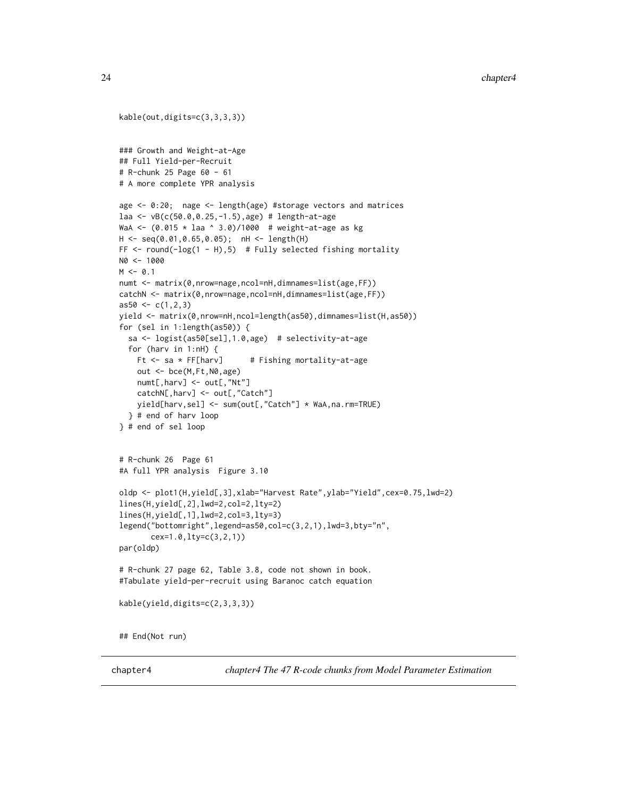```
kable(out,digits=c(3,3,3,3))
### Growth and Weight-at-Age
## Full Yield-per-Recruit
# R-chunk 25 Page 60 - 61
# A more complete YPR analysis
age <- 0:20; nage <- length(age) #storage vectors and matrices
laa <- vB(c(50.0,0.25,-1.5),age) # length-at-age
WaA <- (0.015 * laa ^ 3.0)/1000 # weight-at-age as kg
H <- seq(0.01,0.65,0.05); nH <- length(H)
FF \le round(-log(1 - H),5) # Fully selected fishing mortality
N0 <- 1000
M < -0.1numt <- matrix(0,nrow=nage,ncol=nH,dimnames=list(age,FF))
catchN <- matrix(0,nrow=nage,ncol=nH,dimnames=list(age,FF))
as50 < -c(1,2,3)yield <- matrix(0,nrow=nH,ncol=length(as50),dimnames=list(H,as50))
for (sel in 1:length(as50)) {
  sa <- logist(as50[sel],1.0,age) # selectivity-at-age
  for (harv in 1:nH) {
   Ft <- sa * FF[harv] # Fishing mortality-at-age
    out <- bce(M,Ft,N0,age)
    numt[,harv] <- out[,"Nt"]
    catchN[,harv] <- out[,"Catch"]
   yield[harv,sel] <- sum(out[,"Catch"] * WaA,na.rm=TRUE)
  } # end of harv loop
} # end of sel loop
# R-chunk 26 Page 61
#A full YPR analysis Figure 3.10
oldp <- plot1(H,yield[,3],xlab="Harvest Rate",ylab="Yield",cex=0.75,lwd=2)
lines(H,yield[,2],lwd=2,col=2,lty=2)
lines(H,yield[,1],lwd=2,col=3,lty=3)
legend("bottomright",legend=as50,col=c(3,2,1),lwd=3,bty="n",
       cex=1.0,lty=c(3,2,1))
par(oldp)
# R-chunk 27 page 62, Table 3.8, code not shown in book.
#Tabulate yield-per-recruit using Baranoc catch equation
kable(yield,digits=c(2,3,3,3))
## End(Not run)
```
chapter4 *chapter4 The 47 R-code chunks from Model Parameter Estimation*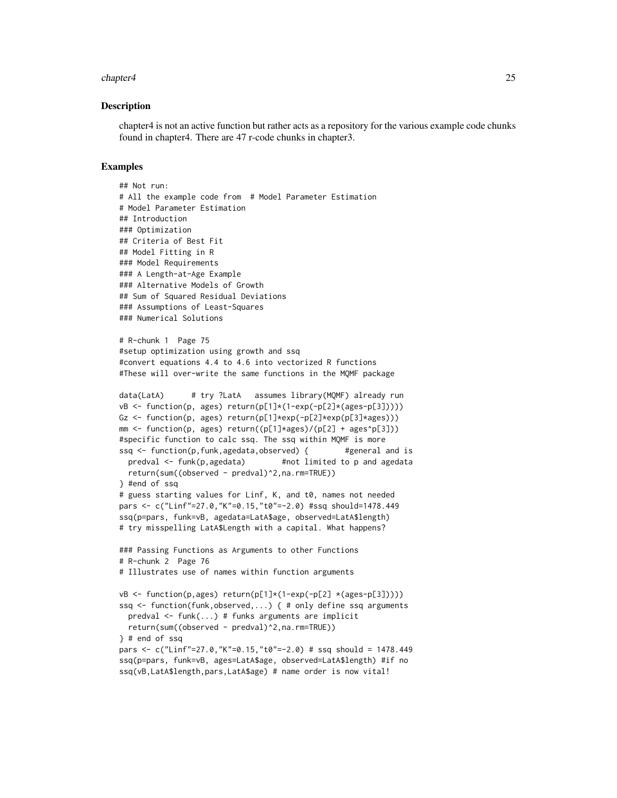# Description

chapter4 is not an active function but rather acts as a repository for the various example code chunks found in chapter4. There are 47 r-code chunks in chapter3.

```
## Not run:
# All the example code from # Model Parameter Estimation
# Model Parameter Estimation
## Introduction
### Optimization
## Criteria of Best Fit
## Model Fitting in R
### Model Requirements
### A Length-at-Age Example
### Alternative Models of Growth
## Sum of Squared Residual Deviations
### Assumptions of Least-Squares
### Numerical Solutions
# R-chunk 1 Page 75
#setup optimization using growth and ssq
#convert equations 4.4 to 4.6 into vectorized R functions
#These will over-write the same functions in the MQMF package
data(LatA) # try ?LatA assumes library(MQMF) already run
vB <- function(p, ages) return(p[1]*(1-exp(-p[2]*(ages-p[3]))))
Gz \leq function(p, ages) return(p[1]*exp(-p[2]*exp(p[3]*ages)))
mm <- function(p, ages) return((p[1]*ages)/(p[2] + ages^p[3]))
#specific function to calc ssq. The ssq within MQMF is more
ssq <- function(p,funk,agedata,observed) { #general and is
 predval <- funk(p,agedata) #not limited to p and agedata
 return(sum((observed - predval)^2,na.rm=TRUE))
} #end of ssq
# guess starting values for Linf, K, and t0, names not needed
pars <- c("Linf"=27.0,"K"=0.15,"t0"=-2.0) #ssq should=1478.449
ssq(p=pars, funk=vB, agedata=LatA$age, observed=LatA$length)
# try misspelling LatA$Length with a capital. What happens?
### Passing Functions as Arguments to other Functions
# R-chunk 2 Page 76
# Illustrates use of names within function arguments
vB <- function(p,ages) return(p[1]*(1-exp(-p[2] *(ages-p[3]))))
ssq <- function(funk,observed,...) { # only define ssq arguments
 predval \leq funk(...) # funks arguments are implicit
 return(sum((observed - predval)^2,na.rm=TRUE))
} # end of ssq
pars <- c("Linf"=27.0,"K"=0.15,"t0"=-2.0) # ssq should = 1478.449
ssq(p=pars, funk=vB, ages=LatA$age, observed=LatA$length) #if no
ssq(vB,LatA$length,pars,LatA$age) # name order is now vital!
```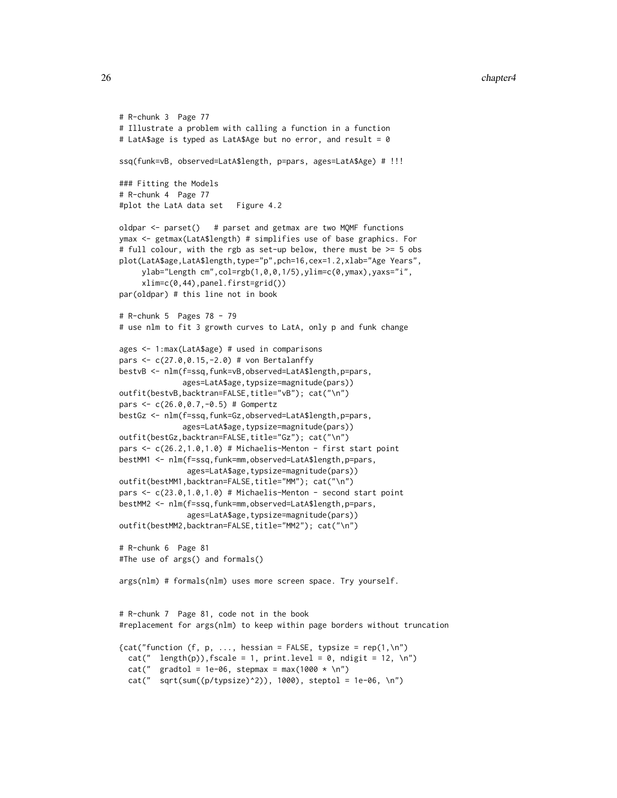```
# R-chunk 3 Page 77
# Illustrate a problem with calling a function in a function
# LatA$age is typed as LatA$Age but no error, and result = 0
ssq(funk=vB, observed=LatA$length, p=pars, ages=LatA$Age) # !!!
### Fitting the Models
# R-chunk 4 Page 77
#plot the LatA data set Figure 4.2
oldpar <- parset() # parset and getmax are two MQMF functions
ymax <- getmax(LatA$length) # simplifies use of base graphics. For
# full colour, with the rgb as set-up below, there must be >= 5 obs
plot(LatA$age,LatA$length,type="p",pch=16,cex=1.2,xlab="Age Years",
     ylab="Length cm",col=rgb(1,0,0,1/5),ylim=c(0,ymax),yaxs="i",
     xlim=c(0,44),panel.first=grid())
par(oldpar) # this line not in book
# R-chunk 5 Pages 78 - 79
# use nlm to fit 3 growth curves to LatA, only p and funk change
ages <- 1:max(LatA$age) # used in comparisons
pars <- c(27.0,0.15,-2.0) # von Bertalanffy
bestvB <- nlm(f=ssq,funk=vB,observed=LatA$length,p=pars,
              ages=LatA$age,typsize=magnitude(pars))
outfit(bestvB,backtran=FALSE,title="vB"); cat("\n")
pars <- c(26.0,0.7,-0.5) # Gompertz
bestGz <- nlm(f=ssq,funk=Gz,observed=LatA$length,p=pars,
              ages=LatA$age,typsize=magnitude(pars))
outfit(bestGz,backtran=FALSE,title="Gz"); cat("\n")
pars \leq c(26.2, 1.0, 1.0) # Michaelis-Menton - first start point
bestMM1 <- nlm(f=ssq,funk=mm,observed=LatA$length,p=pars,
               ages=LatA$age,typsize=magnitude(pars))
outfit(bestMM1,backtran=FALSE,title="MM"); cat("\n")
pars <- c(23.0,1.0,1.0) # Michaelis-Menton - second start point
bestMM2 <- nlm(f=ssq,funk=mm,observed=LatA$length,p=pars,
               ages=LatA$age,typsize=magnitude(pars))
outfit(bestMM2,backtran=FALSE,title="MM2"); cat("\n")
# R-chunk 6 Page 81
#The use of args() and formals()
args(nlm) # formals(nlm) uses more screen space. Try yourself.
# R-chunk 7 Page 81, code not in the book
#replacement for args(nlm) to keep within page borders without truncation
{cat("function (f, p, ..., hessian = FALSE, typsize = rep(1,\n^n))cat(" length(p)), fscale = 1, print. level = 0, ndigit = 12, \n\binom{n}{r}cat(" gridto1 = 1e-06, stepmax = max(1000 * \n'')cat(" sqrt(sum((p/typsize)^2)), 1000), steptol = 1e-06, \n")
```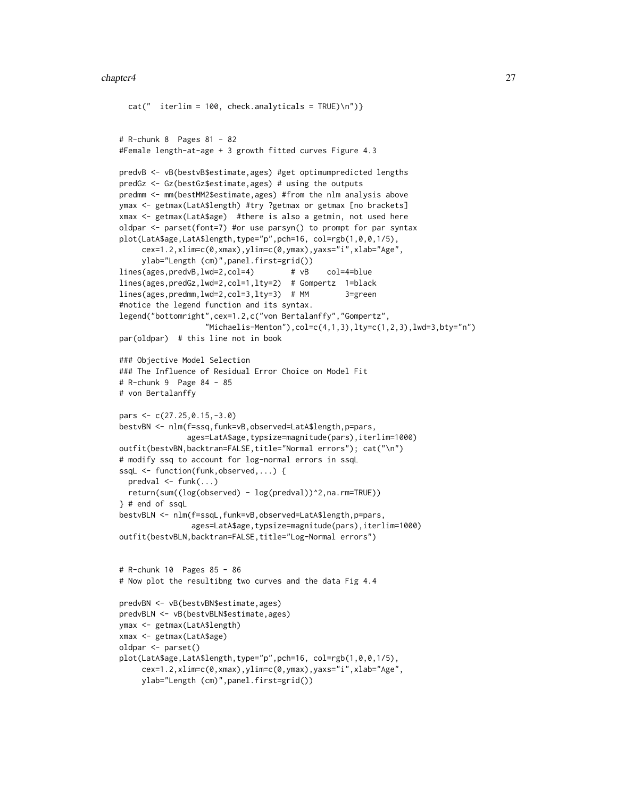```
cat(" iterlim = 100, check.analyticals = TRUE)\n") }
# R-chunk 8 Pages 81 - 82
#Female length-at-age + 3 growth fitted curves Figure 4.3
predvB <- vB(bestvB$estimate,ages) #get optimumpredicted lengths
predGz <- Gz(bestGz$estimate,ages) # using the outputs
predmm <- mm(bestMM2$estimate,ages) #from the nlm analysis above
ymax <- getmax(LatA$length) #try ?getmax or getmax [no brackets]
xmax <- getmax(LatA$age) #there is also a getmin, not used here
oldpar <- parset(font=7) #or use parsyn() to prompt for par syntax
plot(LatA$age,LatA$length,type="p",pch=16, col=rgb(1,0,0,1/5),
     cex=1.2,xlim=c(0,xmax),ylim=c(0,ymax),yaxs="i",xlab="Age",
     ylab="Length (cm)",panel.first=grid())
lines(ages,predvB,lwd=2,col=4) # vB col=4=blue
lines(ages,predGz,lwd=2,col=1,lty=2) # Gompertz 1=black
lines(ages,predmm,lwd=2,col=3,lty=3) # MM 3=green
#notice the legend function and its syntax.
legend("bottomright",cex=1.2,c("von Bertalanffy","Gompertz",
                   "Michaelis-Menton"),col=c(4,1,3),lty=c(1,2,3),lwd=3,bty="n")
par(oldpar) # this line not in book
### Objective Model Selection
### The Influence of Residual Error Choice on Model Fit
# R-chunk 9 Page 84 - 85
# von Bertalanffy
pars <- c(27.25,0.15,-3.0)
bestvBN <- nlm(f=ssq,funk=vB,observed=LatA$length,p=pars,
               ages=LatA$age,typsize=magnitude(pars),iterlim=1000)
outfit(bestvBN,backtran=FALSE,title="Normal errors"); cat("\n")
# modify ssq to account for log-normal errors in ssqL
ssqL <- function(funk,observed,...) {
  predval \leq funk( \dots )return(sum((log(observed) - log(predval))^2,na.rm=TRUE))
} # end of ssqL
bestvBLN <- nlm(f=ssqL,funk=vB,observed=LatA$length,p=pars,
                ages=LatA$age,typsize=magnitude(pars),iterlim=1000)
outfit(bestvBLN,backtran=FALSE,title="Log-Normal errors")
# R-chunk 10 Pages 85 - 86
# Now plot the resultibng two curves and the data Fig 4.4
predvBN <- vB(bestvBN$estimate,ages)
predvBLN <- vB(bestvBLN$estimate,ages)
ymax <- getmax(LatA$length)
xmax <- getmax(LatA$age)
oldpar <- parset()
plot(LatA$age,LatA$length,type="p",pch=16, col=rgb(1,0,0,1/5),
     cex=1.2,xlim=c(0,xmax),ylim=c(0,ymax),yaxs="i",xlab="Age",
     ylab="Length (cm)",panel.first=grid())
```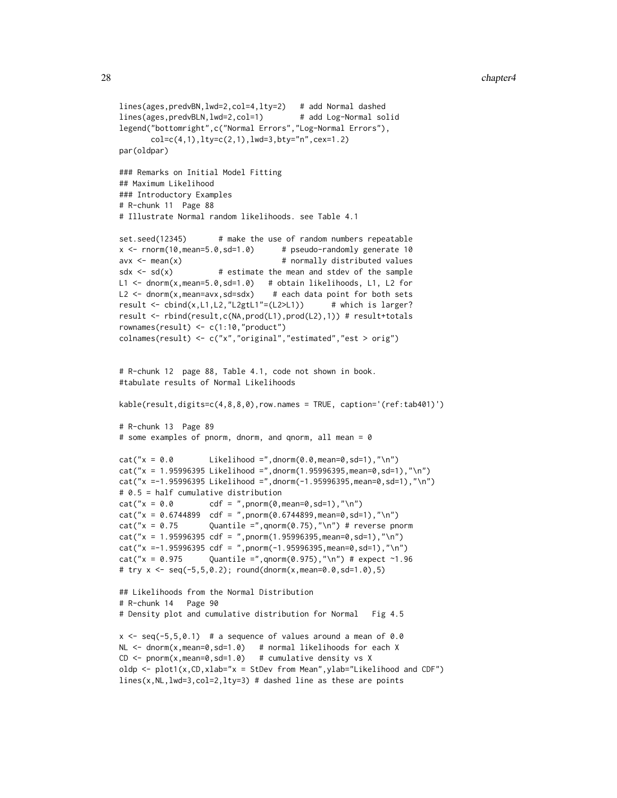```
28 chapter4
```

```
lines(ages,predvBN,lwd=2,col=4,lty=2) # add Normal dashed
lines(ages,predvBLN,lwd=2,col=1) # add Log-Normal solid
legend("bottomright",c("Normal Errors","Log-Normal Errors"),
      col=c(4,1),lty=c(2,1),lwd=3,bty="n",cex=1.2)
par(oldpar)
### Remarks on Initial Model Fitting
## Maximum Likelihood
### Introductory Examples
# R-chunk 11 Page 88
# Illustrate Normal random likelihoods. see Table 4.1
set.seed(12345) # make the use of random numbers repeatable
x \le rnorm(10, mean=5.0, sd=1.0) # pseudo-randomly generate 10
avx \leq mean(x) # normally distributed values
sdx \leftarrow sd(x) \qquad # estimate the mean and stdev of the sample
L1 <- dnorm(x,mean=5.0,sd=1.0) # obtain likelihoods, L1, L2 for
L2 \le dnorm(x, mean=avx, sd=sdx) # each data point for both sets
result <- cbind(x,L1,L2,"L2gtL1"=(L2>L1)) # which is larger?
result <- rbind(result,c(NA,prod(L1),prod(L2),1)) # result+totals
rownames(result) <- c(1:10,"product")
colnames(result) <- c("x","original","estimated","est > orig")
# R-chunk 12 page 88, Table 4.1, code not shown in book.
#tabulate results of Normal Likelihoods
kable(result,digits=c(4,8,8,0),row.names = TRUE, caption='(ref:tab401)')
# R-chunk 13 Page 89
# some examples of pnorm, dnorm, and qnorm, all mean = 0
cat("x = 0.0 Likelihood =",dnorm(0.0,mean=0,sd=1),"\n")
cat("x = 1.95996395 Likelihood =",dnorm(1.95996395,mean=0,sd=1), "\n")cat("x =-1.95996395 Likelihood =",dnorm(-1.95996395,mean=0,sd=1),"\n")
# 0.5 = half cumulative distribution
cat("x = 0.0 cdf = ",pnorm(\theta,mean=0, sd=1), "\n")cat("x = 0.6744899 \text{ cdf = ",}pnorm(0.6744899,mean=0,sd=1),"\n")
cat("x = 0.75 Quantile =", qnorm(0.75), "\n") # reverse pnorm
cat("x = 1.95996395 cdf = ",pnorm(1.95996395,mean=0,sd=1), "\n")cat("x =-1.95996395 cdf = ",pnorm(-1.95996395,mean=0,sd=1),"\n")
cat("x = 0.975 Quantile =", qnorm(0.975), "\n") # expect ~1.96
# try x <- seq(-5,5,0.2); round(dnorm(x,mean=0.0,sd=1.0),5)
## Likelihoods from the Normal Distribution
# R-chunk 14 Page 90
# Density plot and cumulative distribution for Normal Fig 4.5
x \leq - seq(-5,5,0.1) # a sequence of values around a mean of 0.0
NL \le - dnorm(x, mean=0, sd=1.0) # normal likelihoods for each X
CD \le - pnorm(x, mean=0, sd=1.0) # cumulative density vs X
oldp <- plot1(x,CD,xlab="x = StDev from Mean",ylab="Likelihood and CDF")
lines(x,NL,lwd=3,col=2,lty=3) # dashed line as these are points
```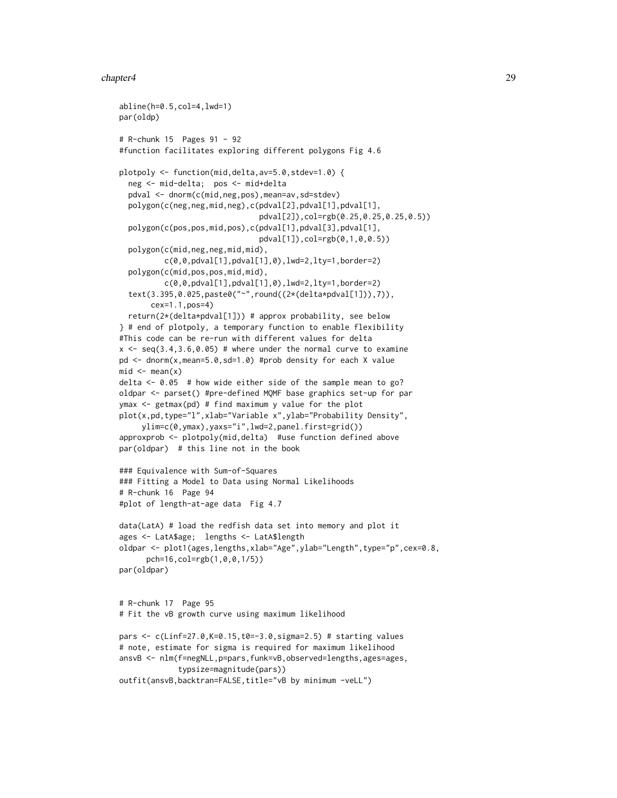```
abline(h=0.5,col=4,lwd=1)
par(oldp)
# R-chunk 15 Pages 91 - 92
#function facilitates exploring different polygons Fig 4.6
plotpoly <- function(mid,delta,av=5.0,stdev=1.0) {
 neg <- mid-delta; pos <- mid+delta
 pdval <- dnorm(c(mid,neg,pos),mean=av,sd=stdev)
 polygon(c(neg,neg,mid,neg),c(pdval[2],pdval[1],pdval[1],
                               pdval[2]),col=rgb(0.25,0.25,0.25,0.5))
 polygon(c(pos,pos,mid,pos),c(pdval[1],pdval[3],pdval[1],
                               pdval[1]),col=rgb(0,1,0,0.5))
 polygon(c(mid,neg,neg,mid,mid),
          c(0,0,pdval[1],pdval[1],0),lwd=2,lty=1,border=2)
 polygon(c(mid,pos,pos,mid,mid),
          c(0,0,pdval[1],pdval[1],0),lwd=2,lty=1,border=2)
 text(3.395,0.025,paste0("~",round((2*(delta*pdval[1])),7)),
      cex=1.1,pos=4)
 return(2*(delta*pdval[1])) # approx probability, see below
} # end of plotpoly, a temporary function to enable flexibility
#This code can be re-run with different values for delta
x \leq -\text{seq}(3.4, 3.6, 0.05) # where under the normal curve to examine
pd <- dnorm(x,mean=5.0,sd=1.0) #prob density for each X value
mid < - mean(x)delta <- 0.05 # how wide either side of the sample mean to go?
oldpar <- parset() #pre-defined MQMF base graphics set-up for par
ymax <- getmax(pd) # find maximum y value for the plot
plot(x,pd,type="l",xlab="Variable x",ylab="Probability Density",
    ylim=c(0,ymax),yaxs="i",lwd=2,panel.first=grid())
approxprob <- plotpoly(mid,delta) #use function defined above
par(oldpar) # this line not in the book
### Equivalence with Sum-of-Squares
### Fitting a Model to Data using Normal Likelihoods
# R-chunk 16 Page 94
#plot of length-at-age data Fig 4.7
data(LatA) # load the redfish data set into memory and plot it
ages <- LatA$age; lengths <- LatA$length
oldpar <- plot1(ages,lengths,xlab="Age",ylab="Length",type="p",cex=0.8,
      pch=16,col=rgb(1,0,0,1/5))
par(oldpar)
# R-chunk 17 Page 95
# Fit the vB growth curve using maximum likelihood
pars <- c(Linf=27.0,K=0.15,t0=-3.0,sigma=2.5) # starting values
# note, estimate for sigma is required for maximum likelihood
ansvB <- nlm(f=negNLL,p=pars,funk=vB,observed=lengths,ages=ages,
             typsize=magnitude(pars))
outfit(ansvB,backtran=FALSE,title="vB by minimum -veLL")
```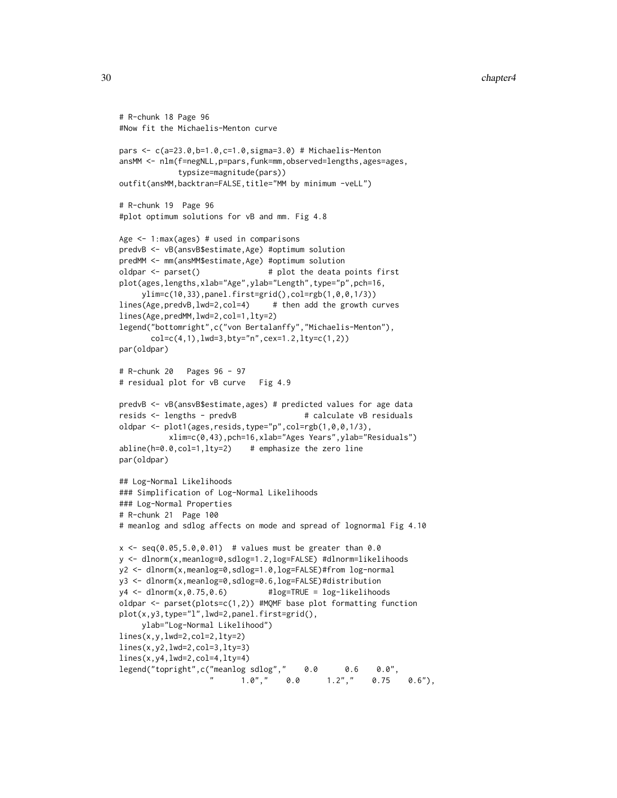```
# R-chunk 18 Page 96
#Now fit the Michaelis-Menton curve
pars <- c(a=23.0,b=1.0,c=1.0,sigma=3.0) # Michaelis-Menton
ansMM <- nlm(f=negNLL,p=pars,funk=mm,observed=lengths,ages=ages,
            typsize=magnitude(pars))
outfit(ansMM,backtran=FALSE,title="MM by minimum -veLL")
# R-chunk 19 Page 96
#plot optimum solutions for vB and mm. Fig 4.8
Age <- 1:max(ages) # used in comparisons
predvB <- vB(ansvB$estimate,Age) #optimum solution
predMM <- mm(ansMM$estimate,Age) #optimum solution
oldpar <- parset() \qquad # plot the deata points first
plot(ages,lengths,xlab="Age",ylab="Length",type="p",pch=16,
    ylim=c(10,33),panel.first=grid(),col=rgb(1,0,0,1/3))
lines(Age,predvB,lwd=2,col=4) # then add the growth curves
lines(Age,predMM,lwd=2,col=1,lty=2)
legend("bottomright",c("von Bertalanffy","Michaelis-Menton"),
      col=c(4,1),lwd=3,bty="n",cex=1.2,lty=c(1,2))
par(oldpar)
# R-chunk 20 Pages 96 - 97
# residual plot for vB curve Fig 4.9
predvB <- vB(ansvB$estimate,ages) # predicted values for age data
resids <- lengths - predvB # calculate vB residuals
oldpar <- plot1(ages, resids, type="p", col=rgb(1,0,0,1/3),
          xlim=c(0,43),pch=16,xlab="Ages Years",ylab="Residuals")
abline(h=0.0,col=1,lty=2) # emphasize the zero line
par(oldpar)
## Log-Normal Likelihoods
### Simplification of Log-Normal Likelihoods
### Log-Normal Properties
# R-chunk 21 Page 100
# meanlog and sdlog affects on mode and spread of lognormal Fig 4.10
x < - seq(0.05,5.0,0.01) # values must be greater than 0.0
y <- dlnorm(x,meanlog=0,sdlog=1.2,log=FALSE) #dlnorm=likelihoods
y2 <- dlnorm(x,meanlog=0,sdlog=1.0,log=FALSE)#from log-normal
y3 <- dlnorm(x,meanlog=0,sdlog=0.6,log=FALSE)#distribution
y4 \leq dlnorm(x, 0.75, 0.6) #log=TRUE = log-likelihoods
oldpar \leq parset(plots=c(1,2)) #MQMF base plot formatting function
plot(x,y3,type="l",lwd=2,panel.first=grid(),
    ylab="Log-Normal Likelihood")
lines(x,y,lwd=2,col=2,lty=2)
lines(x,y2,lwd=2,col=3,lty=3)
lines(x,y4,lwd=2,col=4,lty=4)
legend("topright",c("meanlog sdlog"," 0.0 0.6 0.0",
                   " 1.0"," 0.0 1.2"," 0.75 0.6"),
```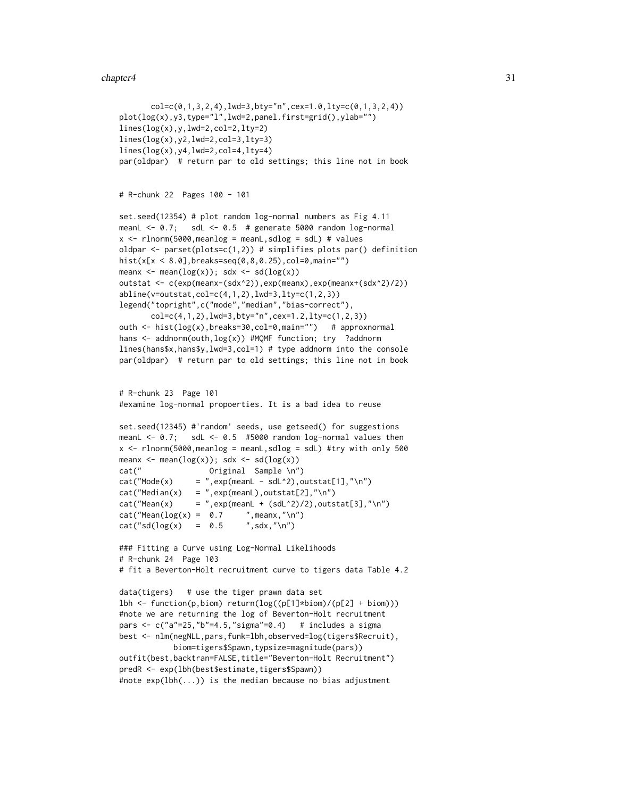```
col = c(0, 1, 3, 2, 4), lwd=3, bty="n", cex=1.0, lty=c(0,1,3,2,4))
plot(log(x),y3,type="l",lwd=2,panel.first=grid(),ylab="")
lines(log(x),y,lwd=2,col=2,lty=2)
lines(log(x),y2,lwd=2,col=3,lty=3)
lines(log(x),y4,lwd=2,col=4,lty=4)
par(oldpar) # return par to old settings; this line not in book
# R-chunk 22 Pages 100 - 101
set.seed(12354) # plot random log-normal numbers as Fig 4.11
meanL <- 0.7; sdL <- 0.5 # generate 5000 random log-normal
x \le - rlnorm(5000, meanlog = meanL, sdlog = sdL) # values
oldpar \leq parset(plots=c(1,2)) # simplifies plots par() definition
hist(x[x < 8.0], breaks = seq(0, 8, 0.25), col = 0, main = "")meanx \leq mean(log(x)); sdx \leq sd(log(x))
outstat <- c(exp(meanx-(sdx^2)),exp(meanx),exp(meanx+(sdx^2)/2))
abline(v=outstat,col=c(4,1,2),lwd=3,lty=c(1,2,3))
legend("topright",c("mode","median","bias-correct"),
      col=c(4,1,2),lwd=3,bty="n",cex=1.2,lty=c(1,2,3))
outh <- hist(log(x),breaks=30,col=0,main="") # approxnormal
hans <- addnorm(outh,log(x)) #MQMF function; try ?addnorm
lines(hans$x,hans$y,lwd=3,col=1) # type addnorm into the console
par(oldpar) # return par to old settings; this line not in book
# R-chunk 23 Page 101
#examine log-normal propoerties. It is a bad idea to reuse
set.seed(12345) #'random' seeds, use getseed() for suggestions
meanL \leq -0.7; sdL \leq -0.5 #5000 random log-normal values then
x \le rlnorm(5000, meanlog = meanL, sdlog = sdL) #try with only 500
meanx \leq mean(log(x)); sdx \leq sd(log(x))
cat(" Original Sample \n")
cat("Mode(x) = ",exp(meanL - sdL^2),outstat[1], "\n")cat("Median(x) = ",exp(meanL),outstat[2], "\\n")cat("Mean(x) = ",exp(meanL + (sdL^2)/2),outstat[3], "\n")cat("Mean(log(x) = 0.7 ", meanx, "\n")
cat("sd(log(x) = 0.5 ", sdx," \n'n")### Fitting a Curve using Log-Normal Likelihoods
# R-chunk 24 Page 103
# fit a Beverton-Holt recruitment curve to tigers data Table 4.2
data(tigers) # use the tiger prawn data set
1bh \leq function(p, biom) return(log((p[1]*biom)/(p[2] + biom)))
#note we are returning the log of Beverton-Holt recruitment
pars <- c("a"=25,"b"=4.5,"sigma"=0.4) # includes a sigma
best <- nlm(negNLL,pars,funk=lbh,observed=log(tigers$Recruit),
            biom=tigers$Spawn,typsize=magnitude(pars))
outfit(best,backtran=FALSE,title="Beverton-Holt Recruitment")
predR <- exp(lbh(best$estimate,tigers$Spawn))
#note exp(lbh(...)) is the median because no bias adjustment
```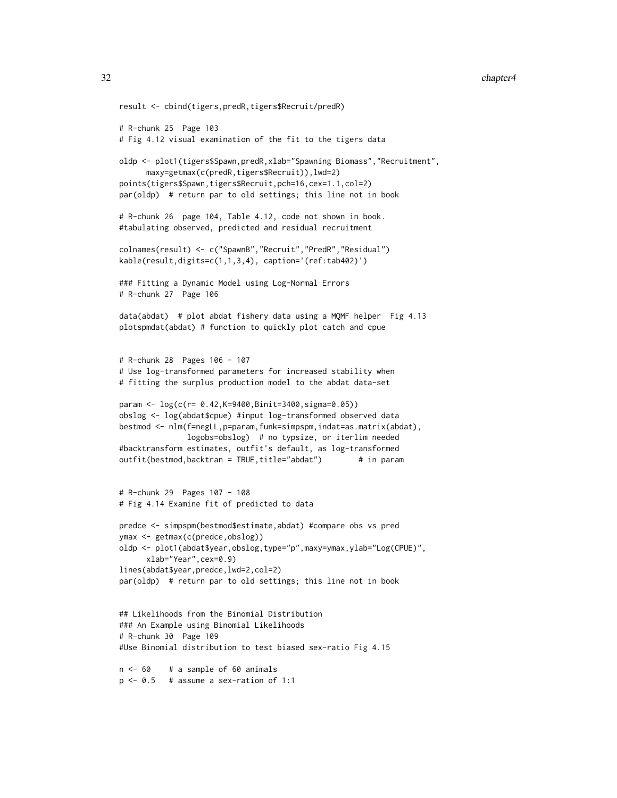```
result <- cbind(tigers,predR,tigers$Recruit/predR)
# R-chunk 25 Page 103
# Fig 4.12 visual examination of the fit to the tigers data
oldp <- plot1(tigers$Spawn,predR,xlab="Spawning Biomass","Recruitment",
     maxy=getmax(c(predR,tigers$Recruit)),lwd=2)
points(tigers$Spawn,tigers$Recruit,pch=16,cex=1.1,col=2)
par(oldp) # return par to old settings; this line not in book
# R-chunk 26 page 104, Table 4.12, code not shown in book.
#tabulating observed, predicted and residual recruitment
colnames(result) <- c("SpawnB","Recruit","PredR","Residual")
kable(result,digits=c(1,1,3,4), caption='(ref:tab402)')
### Fitting a Dynamic Model using Log-Normal Errors
# R-chunk 27 Page 106
data(abdat) # plot abdat fishery data using a MQMF helper Fig 4.13
plotspmdat(abdat) # function to quickly plot catch and cpue
# R-chunk 28 Pages 106 - 107
# Use log-transformed parameters for increased stability when
# fitting the surplus production model to the abdat data-set
param <- log(c(r= 0.42,K=9400,Binit=3400,sigma=0.05))
obslog <- log(abdat$cpue) #input log-transformed observed data
bestmod <- nlm(f=negLL,p=param,funk=simpspm,indat=as.matrix(abdat),
              logobs=obslog) # no typsize, or iterlim needed
#backtransform estimates, outfit's default, as log-transformed
outfit(bestmod,backtran = TRUE,title="abdat") # in param
# R-chunk 29 Pages 107 - 108
# Fig 4.14 Examine fit of predicted to data
predce <- simpspm(bestmod$estimate,abdat) #compare obs vs pred
ymax <- getmax(c(predce,obslog))
oldp <- plot1(abdat$year,obslog,type="p",maxy=ymax,ylab="Log(CPUE)",
     xlab="Year",cex=0.9)
lines(abdat$year,predce,lwd=2,col=2)
par(oldp) # return par to old settings; this line not in book
## Likelihoods from the Binomial Distribution
### An Example using Binomial Likelihoods
# R-chunk 30 Page 109
#Use Binomial distribution to test biased sex-ratio Fig 4.15
n <- 60 # a sample of 60 animals
p \le -0.5 # assume a sex-ration of 1:1
```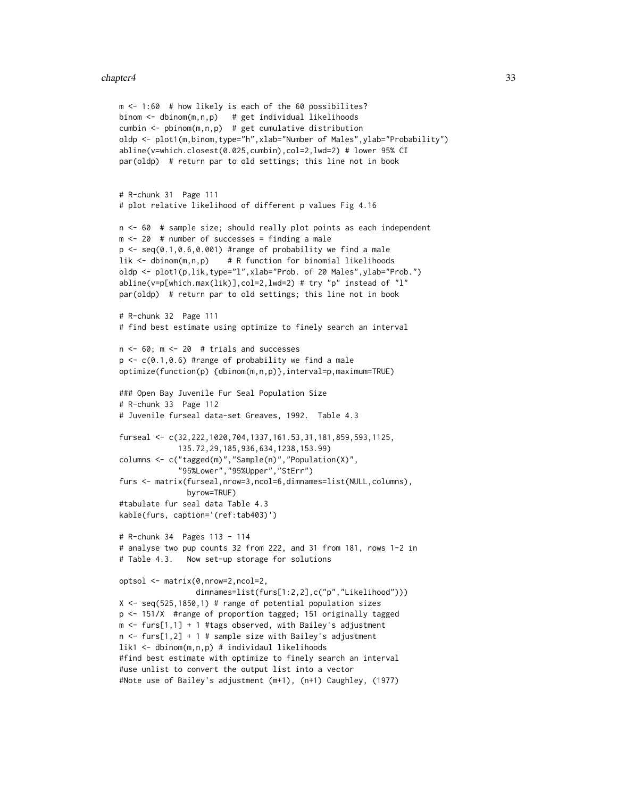```
m <- 1:60 # how likely is each of the 60 possibilites?
binom <- dbinom(m,n,p) # get individual likelihoods
cumbin <- pbinom(m,n,p) # get cumulative distribution
oldp <- plot1(m,binom,type="h",xlab="Number of Males",ylab="Probability")
abline(v=which.closest(0.025,cumbin),col=2,lwd=2) # lower 95% CI
par(oldp) # return par to old settings; this line not in book
# R-chunk 31 Page 111
# plot relative likelihood of different p values Fig 4.16
n <- 60 # sample size; should really plot points as each independent
m < -20 # number of successes = finding a male
p \leq -\text{seq}(0.1, 0.6, 0.001) #range of probability we find a male
lik \leq dbinom(m, n, p) # R function for binomial likelihoods
oldp <- plot1(p,lik,type="l",xlab="Prob. of 20 Males",ylab="Prob.")
abline(v=p[which.max(lik)],col=2,lwd=2) # try "p" instead of "l"
par(oldp) # return par to old settings; this line not in book
# R-chunk 32 Page 111
# find best estimate using optimize to finely search an interval
n < -60; m < -20 # trials and successes
p <- c(0.1,0.6) #range of probability we find a male
optimize(function(p) {dbinom(m,n,p)},interval=p,maximum=TRUE)
### Open Bay Juvenile Fur Seal Population Size
# R-chunk 33 Page 112
# Juvenile furseal data-set Greaves, 1992. Table 4.3
furseal <- c(32,222,1020,704,1337,161.53,31,181,859,593,1125,
             135.72,29,185,936,634,1238,153.99)
columns <- c("tagged(m)","Sample(n)","Population(X)",
             "95%Lower","95%Upper","StErr")
furs <- matrix(furseal,nrow=3,ncol=6,dimnames=list(NULL,columns),
               byrow=TRUE)
#tabulate fur seal data Table 4.3
kable(furs, caption='(ref:tab403)')
# R-chunk 34 Pages 113 - 114
# analyse two pup counts 32 from 222, and 31 from 181, rows 1-2 in
# Table 4.3. Now set-up storage for solutions
optsol <- matrix(0,nrow=2,ncol=2,
                 dimnames=list(furs[1:2,2],c("p","Likelihood")))
X \leq - seq(525,1850,1) # range of potential population sizes
p <- 151/X #range of proportion tagged; 151 originally tagged
m \leq furs[1,1] + 1 #tags observed, with Bailey's adjustment
n \leq furs[1,2] + 1 # sample size with Bailey's adjustment
lik1 <- dbinom(m,n,p) # individaul likelihoods
#find best estimate with optimize to finely search an interval
#use unlist to convert the output list into a vector
#Note use of Bailey's adjustment (m+1), (n+1) Caughley, (1977)
```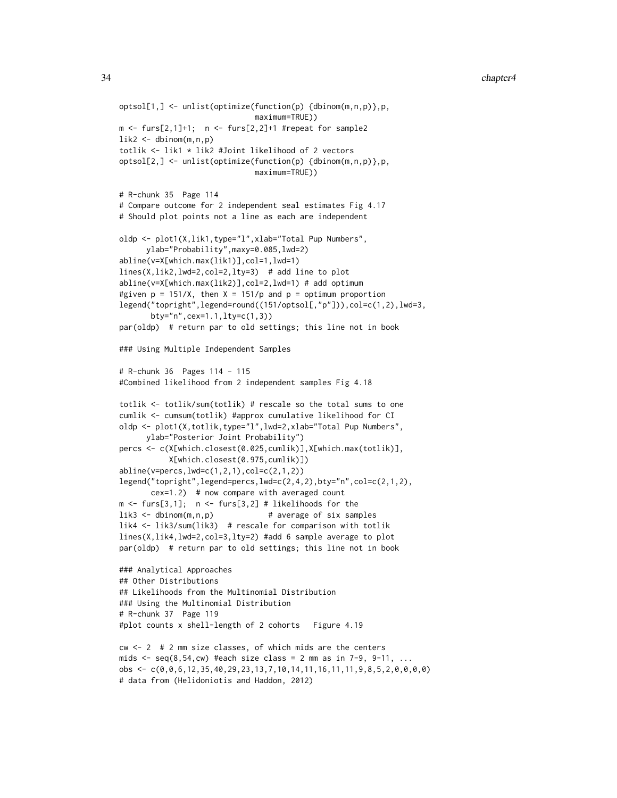```
optsol[1,] <- unlist(optimize(function(p) {dbinom(m,n,p)},p,
                              maximum=TRUE))
m \le - furs[2,1]+1; n \le - furs[2,2]+1 #repeat for sample2
lik2 \leq dibinom(m,n,p)totlik <- lik1 * lik2 #Joint likelihood of 2 vectors
optsol[2,] <- unlist(optimize(function(p) {dbinom(m,n,p)},p,
                              maximum=TRUE))
# R-chunk 35 Page 114
# Compare outcome for 2 independent seal estimates Fig 4.17
# Should plot points not a line as each are independent
oldp <- plot1(X,lik1,type="l",xlab="Total Pup Numbers",
      ylab="Probability",maxy=0.085,lwd=2)
abline(v=X[which.max(lik1)],col=1,lwd=1)
lines(X,lik2,lwd=2,col=2,lty=3) # add line to plot
abline(v=X[which.max(lik2)],col=2,lwd=1) # add optimum
#given p = 151/X, then X = 151/p and p = optimum proportion
legend("topright",legend=round((151/optsol[,"p"])),col=c(1,2),lwd=3,
       bty="n",cex=1.1,lty=c(1,3))
par(oldp) # return par to old settings; this line not in book
### Using Multiple Independent Samples
# R-chunk 36 Pages 114 - 115
#Combined likelihood from 2 independent samples Fig 4.18
totlik <- totlik/sum(totlik) # rescale so the total sums to one
cumlik <- cumsum(totlik) #approx cumulative likelihood for CI
oldp <- plot1(X,totlik,type="l",lwd=2,xlab="Total Pup Numbers",
     ylab="Posterior Joint Probability")
percs <- c(X[which.closest(0.025,cumlik)],X[which.max(totlik)],
           X[which.closest(0.975,cumlik)])
abline(v=percs,lwd=c(1,2,1),col=c(2,1,2))
legend("topright",legend=percs,lwd=c(2,4,2),bty="n",col=c(2,1,2),
       cex=1.2) # now compare with averaged count
m \leftarrow \text{furs}[3,1]; n \leftarrow \text{furs}[3,2] \text{ # likelihoods for the}lik3 <- dbinom(m,n,p) # average of six samples
lik4 <- lik3/sum(lik3) # rescale for comparison with totlik
lines(X,lik4,lwd=2,col=3,lty=2) #add 6 sample average to plot
par(oldp) # return par to old settings; this line not in book
### Analytical Approaches
## Other Distributions
## Likelihoods from the Multinomial Distribution
### Using the Multinomial Distribution
# R-chunk 37 Page 119
#plot counts x shell-length of 2 cohorts Figure 4.19
cw <- 2 # 2 mm size classes, of which mids are the centers
mids \leq seq(8,54, cw) #each size class = 2 mm as in 7-9, 9-11, ...
obs <- c(0,0,6,12,35,40,29,23,13,7,10,14,11,16,11,11,9,8,5,2,0,0,0,0)
# data from (Helidoniotis and Haddon, 2012)
```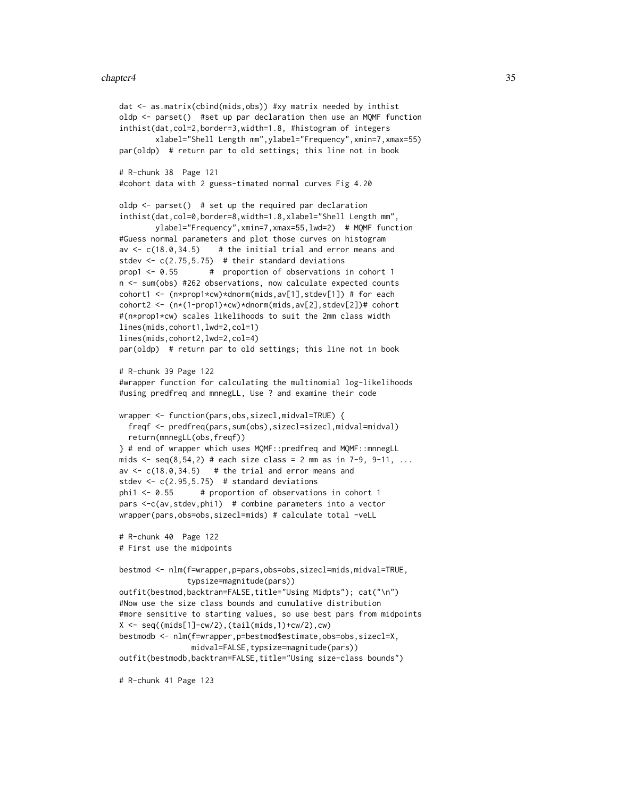```
dat <- as.matrix(cbind(mids,obs)) #xy matrix needed by inthist
oldp <- parset() #set up par declaration then use an MQMF function
inthist(dat,col=2,border=3,width=1.8, #histogram of integers
        xlabel="Shell Length mm",ylabel="Frequency",xmin=7,xmax=55)
par(oldp) # return par to old settings; this line not in book
# R-chunk 38 Page 121
#cohort data with 2 guess-timated normal curves Fig 4.20
oldp <- parset() # set up the required par declaration
inthist(dat,col=0,border=8,width=1.8,xlabel="Shell Length mm",
        ylabel="Frequency",xmin=7,xmax=55,lwd=2) # MQMF function
#Guess normal parameters and plot those curves on histogram
av \leq c(18.0,34.5) # the initial trial and error means and
stdev \leq c(2.75,5.75) # their standard deviations
prop1 <- 0.55 # proportion of observations in cohort 1
n <- sum(obs) #262 observations, now calculate expected counts
cohort1 <- (n*prop1*cw)*dnorm(mids,av[1],stdev[1]) # for each
cohort2 <- (n*(1-prop1)*cw)*dnorm(mids,av[2],stdev[2])# cohort
#(n*prop1*cw) scales likelihoods to suit the 2mm class width
lines(mids,cohort1,lwd=2,col=1)
lines(mids,cohort2,lwd=2,col=4)
par(oldp) # return par to old settings; this line not in book
# R-chunk 39 Page 122
#wrapper function for calculating the multinomial log-likelihoods
#using predfreq and mnnegLL, Use ? and examine their code
wrapper <- function(pars,obs,sizecl,midval=TRUE) {
 freqf <- predfreq(pars,sum(obs),sizecl=sizecl,midval=midval)
 return(mnnegLL(obs,freqf))
} # end of wrapper which uses MQMF::predfreq and MQMF::mnnegLL
mids \leq seq(8,54,2) # each size class = 2 mm as in 7-9, 9-11, ...
av \leq c(18.0, 34.5) # the trial and error means and
stdev \leq c(2.95,5.75) # standard deviations
phi1 <- 0.55 # proportion of observations in cohort 1
pars <-c(av,stdev,phi1) # combine parameters into a vector
wrapper(pars,obs=obs,sizecl=mids) # calculate total -veLL
# R-chunk 40 Page 122
# First use the midpoints
bestmod <- nlm(f=wrapper,p=pars,obs=obs,sizecl=mids,midval=TRUE,
               typsize=magnitude(pars))
outfit(bestmod,backtran=FALSE,title="Using Midpts"); cat("\n")
#Now use the size class bounds and cumulative distribution
#more sensitive to starting values, so use best pars from midpoints
X \leq -\text{seq}((\text{mids}[1]-\text{cw}/2),(\text{tail}(\text{mids},1)+\text{cw}/2),\text{cw})bestmodb <- nlm(f=wrapper,p=bestmod$estimate,obs=obs,sizecl=X,
                midval=FALSE,typsize=magnitude(pars))
outfit(bestmodb,backtran=FALSE,title="Using size-class bounds")
# R-chunk 41 Page 123
```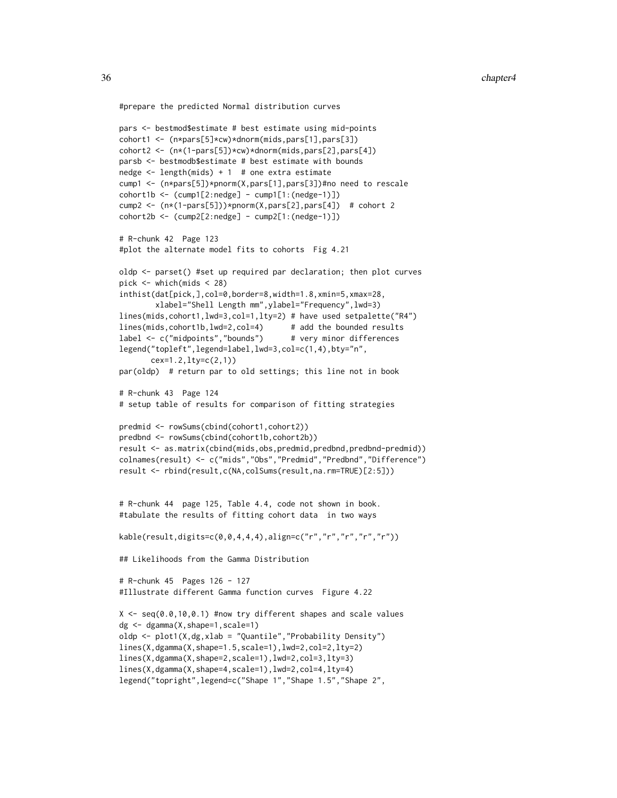```
#prepare the predicted Normal distribution curves
```

```
pars <- bestmod$estimate # best estimate using mid-points
cohort1 <- (n*pars[5]*cw)*dnorm(mids,pars[1],pars[3])
cohort2 <- (n*(1-pars[5])*cw)*dnorm(mids,pars[2],pars[4])
parsb <- bestmodb$estimate # best estimate with bounds
nedge <- length(mids) + 1 # one extra estimate
cump1 <- (n*pars[5])*pnorm(X,pars[1],pars[3])#no need to rescale
cohort1b <- (cump1[2:nedge] - cump1[1:(nedge-1)])
cump2 <- (n*(1-pars[5]))*pnorm(X,pars[2],pars[4]) # cohort 2
\text{cohort2b} \leq (\text{cump2}[2:\text{nedge}] - \text{cump2}[1:(\text{nedge}-1)]# R-chunk 42 Page 123
#plot the alternate model fits to cohorts Fig 4.21
oldp <- parset() #set up required par declaration; then plot curves
pick <- which(mids < 28)
inthist(dat[pick,],col=0,border=8,width=1.8,xmin=5,xmax=28,
        xlabel="Shell Length mm",ylabel="Frequency",lwd=3)
lines(mids,cohort1,lwd=3,col=1,lty=2) # have used setpalette("R4")
lines(mids,cohort1b,lwd=2,col=4) # add the bounded results
label <- c("midpoints","bounds") # very minor differences
legend("topleft",legend=label,lwd=3,col=c(1,4),bty="n",
       cex=1.2,lty=c(2,1))
par(oldp) # return par to old settings; this line not in book
# R-chunk 43 Page 124
# setup table of results for comparison of fitting strategies
predmid <- rowSums(cbind(cohort1,cohort2))
predbnd <- rowSums(cbind(cohort1b,cohort2b))
result <- as.matrix(cbind(mids,obs,predmid,predbnd,predbnd-predmid))
colnames(result) <- c("mids","Obs","Predmid","Predbnd","Difference")
result <- rbind(result,c(NA,colSums(result,na.rm=TRUE)[2:5]))
# R-chunk 44 page 125, Table 4.4, code not shown in book.
#tabulate the results of fitting cohort data in two ways
kable(result,digits=c(0,0,4,4,4),align=c("r","r","r","r","r"))
## Likelihoods from the Gamma Distribution
# R-chunk 45 Pages 126 - 127
#Illustrate different Gamma function curves Figure 4.22
X \leq - seq(0.0,10,0.1) #now try different shapes and scale values
dg <- dgamma(X,shape=1,scale=1)
oldp <- plot1(X,dg,xlab = "Quantile","Probability Density")
lines(X,dgamma(X,shape=1.5,scale=1),lwd=2,col=2,lty=2)
lines(X,dgamma(X,shape=2,scale=1),lwd=2,col=3,lty=3)
lines(X,dgamma(X,shape=4,scale=1),lwd=2,col=4,lty=4)
```

```
legend("topright",legend=c("Shape 1","Shape 1.5","Shape 2",
```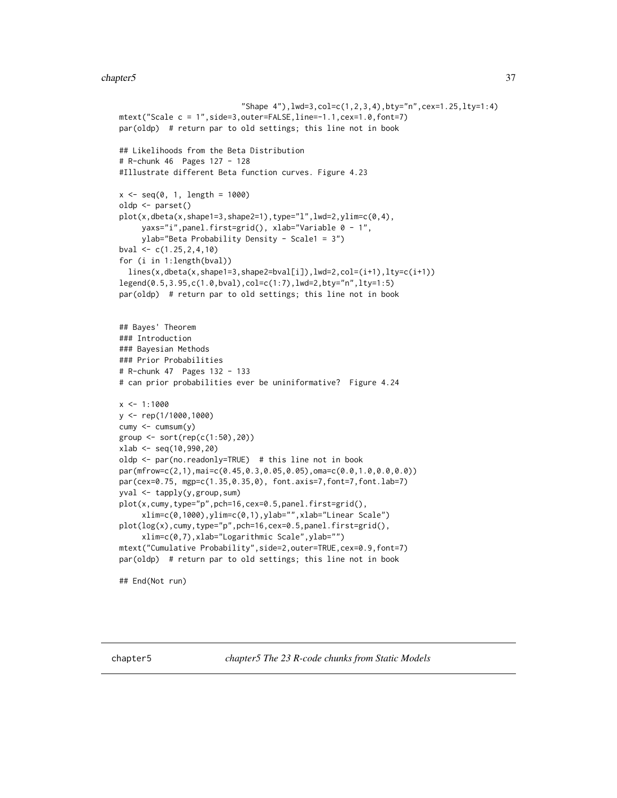```
"Shape 4"),lwd=3,col=c(1,2,3,4),bty="n",cex=1.25,lty=1:4)
mtext("Scale c = 1",side=3,outer=FALSE,line=-1.1,cex=1.0,font=7)
par(oldp) # return par to old settings; this line not in book
## Likelihoods from the Beta Distribution
# R-chunk 46 Pages 127 - 128
#Illustrate different Beta function curves. Figure 4.23
x \le - seq(0, 1, length = 1000)
oldp <- parset()
plot(x,dbeta(x,shape1=3,shape2=1),type="l",lwd=2,ylim=c(0,4),
     yaxs="i",panel.first=grid(), xlab="Variable 0 - 1",
     ylab="Beta Probability Density - Scale1 = 3")
bval <- c(1.25,2,4,10)
for (i in 1:length(bval))
 lines(x,dbeta(x,shape1=3,shape2=bval[i]),lwd=2,col=(i+1),lty=c(i+1))
legend(0.5,3.95,c(1.0,bval),col=c(1:7),lwd=2,bty="n",lty=1:5)
par(oldp) # return par to old settings; this line not in book
## Bayes' Theorem
### Introduction
### Bayesian Methods
### Prior Probabilities
# R-chunk 47 Pages 132 - 133
# can prior probabilities ever be uniniformative? Figure 4.24
x < -1:1000y <- rep(1/1000,1000)
cumy <- cumsum(y)
group <- sort(rep(c(1:50),20))
xlab <- seq(10,990,20)
oldp <- par(no.readonly=TRUE) # this line not in book
par(mfrow=c(2,1),mai=c(0.45,0.3,0.05,0.05),oma=c(0.0,1.0,0.0,0.0))
par(cex=0.75, mgp=c(1.35,0.35,0), font.axis=7,font=7,font.lab=7)
yval <- tapply(y,group,sum)
plot(x,cumy,type="p",pch=16,cex=0.5,panel.first=grid(),
     xlim=c(0,1000),ylim=c(0,1),ylab="",xlab="Linear Scale")
plot(log(x),cumy,type="p",pch=16,cex=0.5,panel.first=grid(),
     xlim=c(0,7),xlab="Logarithmic Scale",ylab="")
mtext("Cumulative Probability",side=2,outer=TRUE,cex=0.9,font=7)
par(oldp) # return par to old settings; this line not in book
## End(Not run)
```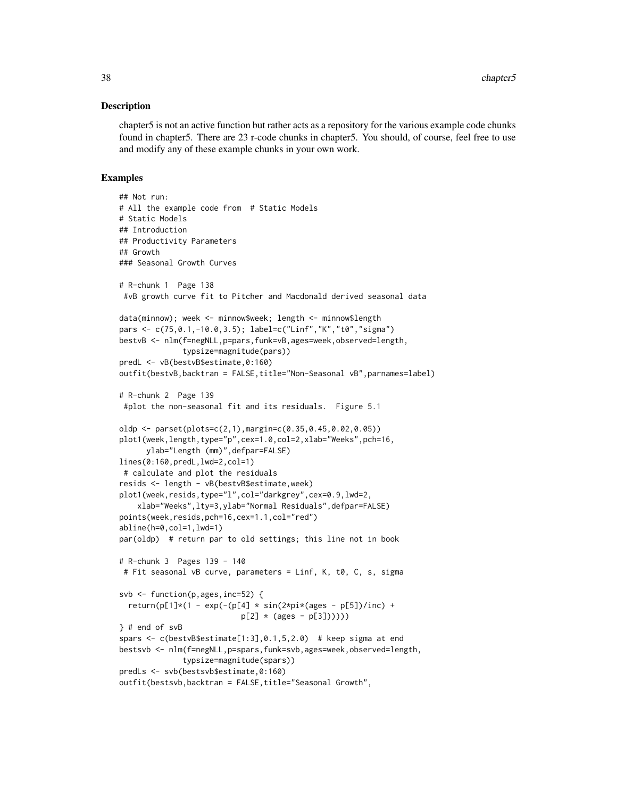## Description

chapter5 is not an active function but rather acts as a repository for the various example code chunks found in chapter5. There are 23 r-code chunks in chapter5. You should, of course, feel free to use and modify any of these example chunks in your own work.

# Examples

```
## Not run:
# All the example code from # Static Models
# Static Models
## Introduction
## Productivity Parameters
## Growth
### Seasonal Growth Curves
# R-chunk 1 Page 138
#vB growth curve fit to Pitcher and Macdonald derived seasonal data
data(minnow); week <- minnow$week; length <- minnow$length
pars <- c(75,0.1,-10.0,3.5); label=c("Linf","K","t0","sigma")
bestvB <- nlm(f=negNLL,p=pars,funk=vB,ages=week,observed=length,
              typsize=magnitude(pars))
predL <- vB(bestvB$estimate,0:160)
outfit(bestvB,backtran = FALSE,title="Non-Seasonal vB",parnames=label)
# R-chunk 2 Page 139
#plot the non-seasonal fit and its residuals. Figure 5.1
oldp <- parset(plots=c(2,1),margin=c(0.35,0.45,0.02,0.05))
plot1(week,length,type="p",cex=1.0,col=2,xlab="Weeks",pch=16,
     ylab="Length (mm)",defpar=FALSE)
lines(0:160,predL,lwd=2,col=1)
# calculate and plot the residuals
resids <- length - vB(bestvB$estimate,week)
plot1(week,resids,type="l",col="darkgrey",cex=0.9,lwd=2,
    xlab="Weeks",lty=3,ylab="Normal Residuals",defpar=FALSE)
points(week,resids,pch=16,cex=1.1,col="red")
abline(h=0,col=1,lwd=1)
par(oldp) # return par to old settings; this line not in book
# R-chunk 3 Pages 139 - 140
# Fit seasonal vB curve, parameters = Linf, K, t0, C, s, sigma
svb <- function(p,ages,inc=52) {
 return(p[1]*(1 - exp(-(p[4] * sin(2*pi*(ages - p[5]))/inc) +p[2] * (ages - p[3]))))} # end of svB
spars <- c(bestvB$estimate[1:3],0.1,5,2.0) # keep sigma at end
bestsvb <- nlm(f=negNLL,p=spars,funk=svb,ages=week,observed=length,
              typsize=magnitude(spars))
predLs <- svb(bestsvb$estimate,0:160)
outfit(bestsvb, backtran = FALSE, title="Seasonal Growth",
```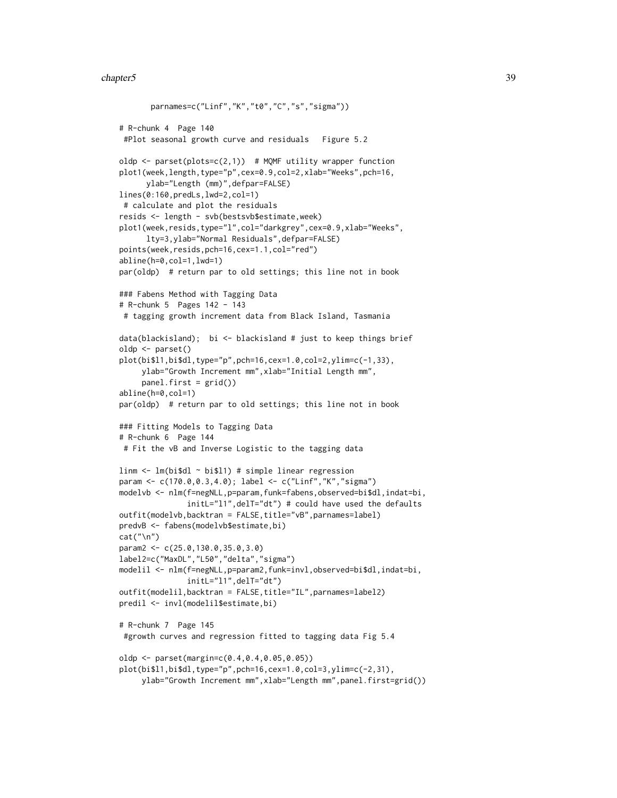```
parnames=c("Linf","K","t0","C","s","sigma"))
# R-chunk 4 Page 140
#Plot seasonal growth curve and residuals Figure 5.2
oldp \leq parset(plots=c(2,1)) # MQMF utility wrapper function
plot1(week,length,type="p",cex=0.9,col=2,xlab="Weeks",pch=16,
     ylab="Length (mm)",defpar=FALSE)
lines(0:160,predLs,lwd=2,col=1)
# calculate and plot the residuals
resids <- length - svb(bestsvb$estimate,week)
plot1(week,resids,type="l",col="darkgrey",cex=0.9,xlab="Weeks",
      lty=3,ylab="Normal Residuals",defpar=FALSE)
points(week,resids,pch=16,cex=1.1,col="red")
abline(h=0,col=1,lwd=1)
par(oldp) # return par to old settings; this line not in book
### Fabens Method with Tagging Data
# R-chunk 5 Pages 142 - 143
# tagging growth increment data from Black Island, Tasmania
data(blackisland); bi <- blackisland # just to keep things brief
oldp <- parset()
plot(bi$l1,bi$dl,type="p",pch=16,cex=1.0,col=2,ylim=c(-1,33),
     ylab="Growth Increment mm",xlab="Initial Length mm",
     panel.first = grid())
abline(h=0,col=1)
par(oldp) # return par to old settings; this line not in book
### Fitting Models to Tagging Data
# R-chunk 6 Page 144
# Fit the vB and Inverse Logistic to the tagging data
linm <- lm(bi$dl ~ bi$l1) # simple linear regression
param <- c(170.0,0.3,4.0); label <- c("Linf","K","sigma")
modelvb <- nlm(f=negNLL,p=param,funk=fabens,observed=bi$dl,indat=bi,
               initL="l1",delT="dt") # could have used the defaults
outfit(modelvb,backtran = FALSE,title="vB",parnames=label)
predvB <- fabens(modelvb$estimate,bi)
cat("\n")
param2 <- c(25.0,130.0,35.0,3.0)
label2=c("MaxDL","L50","delta","sigma")
modelil <- nlm(f=negNLL,p=param2,funk=invl,observed=bi$dl,indat=bi,
               initL="l1",delT="dt")
outfit(modelil,backtran = FALSE,title="IL",parnames=label2)
predil <- invl(modelil$estimate,bi)
# R-chunk 7 Page 145
#growth curves and regression fitted to tagging data Fig 5.4
oldp <- parset(margin=c(0.4,0.4,0.05,0.05))
plot(bi$l1,bi$dl,type="p",pch=16,cex=1.0,col=3,ylim=c(-2,31),
     ylab="Growth Increment mm",xlab="Length mm",panel.first=grid())
```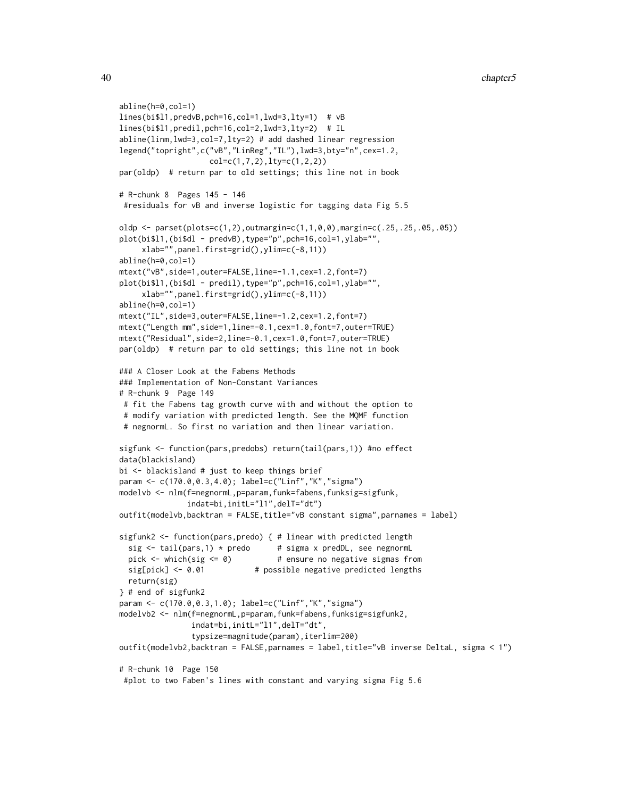```
abline(h=0,col=1)
lines(bi$l1,predvB,pch=16,col=1,lwd=3,lty=1) # vB
lines(bi$l1,predil,pch=16,col=2,lwd=3,lty=2) # IL
abline(linm,lwd=3,col=7,lty=2) # add dashed linear regression
legend("topright",c("vB","LinReg","IL"),lwd=3,bty="n",cex=1.2,
                   col=c(1,7,2),lty=c(1,2,2))
par(oldp) # return par to old settings; this line not in book
# R-chunk 8 Pages 145 - 146
#residuals for vB and inverse logistic for tagging data Fig 5.5
oldp <- parset(plots=c(1,2),outmargin=c(1,1,0,0),margin=c(.25,.25,.05,.05))
plot(bi$l1,(bi$dl - predvB),type="p",pch=16,col=1,ylab="",
     xlab="",panel.first=grid(),ylim=c(-8,11))
abline(h=0,col=1)
mtext("vB",side=1,outer=FALSE,line=-1.1,cex=1.2,font=7)
plot(bi$l1,(bi$dl - predil),type="p",pch=16,col=1,ylab="",
     xlab="",panel.first=grid(),ylim=c(-8,11))
abline(h=0,col=1)
mtext("IL",side=3,outer=FALSE,line=-1.2,cex=1.2,font=7)
mtext("Length mm",side=1,line=-0.1,cex=1.0,font=7,outer=TRUE)
mtext("Residual",side=2,line=-0.1,cex=1.0,font=7,outer=TRUE)
par(oldp) # return par to old settings; this line not in book
### A Closer Look at the Fabens Methods
### Implementation of Non-Constant Variances
# R-chunk 9 Page 149
# fit the Fabens tag growth curve with and without the option to
# modify variation with predicted length. See the MQMF function
# negnormL. So first no variation and then linear variation.
sigfunk <- function(pars,predobs) return(tail(pars,1)) #no effect
data(blackisland)
bi <- blackisland # just to keep things brief
param <- c(170.0,0.3,4.0); label=c("Linf","K","sigma")
modelvb <- nlm(f=negnormL,p=param,funk=fabens,funksig=sigfunk,
               indat=bi,initL="l1",delT="dt")
outfit(modelvb,backtran = FALSE,title="vB constant sigma",parnames = label)
sigfunk2 <- function(pars,predo) { # linear with predicted length
 sig \le tail(pars, 1) * predo # sigma x predDL, see negnormL
 pick \leq which(sig \leq 0) \qquad # ensure no negative sigmas from
 sig[pick] <- 0.01 # possible negative predicted lengths
 return(sig)
} # end of sigfunk2
param <- c(170.0,0.3,1.0); label=c("Linf","K","sigma")
modelvb2 <- nlm(f=negnormL,p=param,funk=fabens,funksig=sigfunk2,
                indat=bi,initL="l1",delT="dt",
                typsize=magnitude(param),iterlim=200)
outfit(modelvb2,backtran = FALSE,parnames = label,title="vB inverse DeltaL, sigma < 1")
# R-chunk 10 Page 150
 #plot to two Faben's lines with constant and varying sigma Fig 5.6
```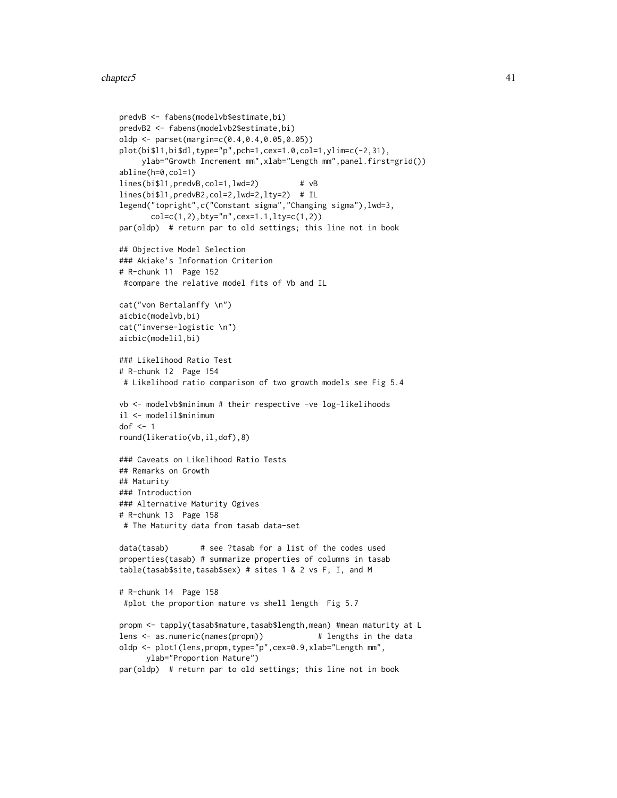```
predvB <- fabens(modelvb$estimate,bi)
predvB2 <- fabens(modelvb2$estimate,bi)
oldp <- parset(margin=c(0.4,0.4,0.05,0.05))
plot(bi$l1,bi$dl,type="p",pch=1,cex=1.0,col=1,ylim=c(-2,31),
    ylab="Growth Increment mm",xlab="Length mm",panel.first=grid())
abline(h=0,col=1)
lines(bi$l1,predvB,col=1,lwd=2) # vB
lines(bi$l1,predvB2,col=2,lwd=2,lty=2) # IL
legend("topright",c("Constant sigma","Changing sigma"),lwd=3,
      col=c(1,2),bty="n",cex=1.1,lty=c(1,2))
par(oldp) # return par to old settings; this line not in book
## Objective Model Selection
### Akiake's Information Criterion
# R-chunk 11 Page 152
#compare the relative model fits of Vb and IL
cat("von Bertalanffy \n")
aicbic(modelvb,bi)
cat("inverse-logistic \n")
aicbic(modelil,bi)
### Likelihood Ratio Test
# R-chunk 12 Page 154
# Likelihood ratio comparison of two growth models see Fig 5.4
vb <- modelvb$minimum # their respective -ve log-likelihoods
il <- modelil$minimum
dof < -1round(likeratio(vb,il,dof),8)
### Caveats on Likelihood Ratio Tests
## Remarks on Growth
## Maturity
### Introduction
### Alternative Maturity Ogives
# R-chunk 13 Page 158
# The Maturity data from tasab data-set
data(tasab) # see ?tasab for a list of the codes used
properties(tasab) # summarize properties of columns in tasab
table(tasab$site,tasab$sex) # sites 1 & 2 vs F, I, and M
# R-chunk 14 Page 158
#plot the proportion mature vs shell length Fig 5.7
propm <- tapply(tasab$mature,tasab$length,mean) #mean maturity at L
lens <- as.numeric(names(propm)) # lengths in the data
oldp <- plot1(lens,propm,type="p",cex=0.9,xlab="Length mm",
     ylab="Proportion Mature")
par(oldp) # return par to old settings; this line not in book
```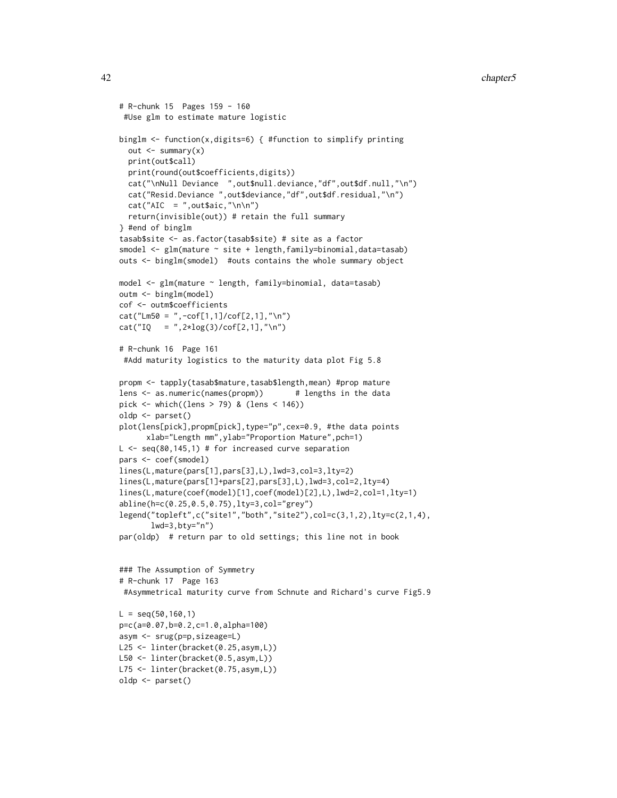```
# R-chunk 15 Pages 159 - 160
 #Use glm to estimate mature logistic
binglm <- function(x,digits=6) { #function to simplify printing
  out \leftarrow summary(x)print(out$call)
  print(round(out$coefficients,digits))
  cat("\nNull Deviance ",out$null.deviance,"df",out$df.null,"\n")
  cat("Resid.Deviance ",out$deviance,"df",out$df.residual,"\n")
  cat("AIC = ",out$aic," \n\n\\n\n\\n"return(invisible(out)) # retain the full summary
} #end of binglm
tasab$site <- as.factor(tasab$site) # site as a factor
smodel <- glm(mature ~ site + length, family=binomial, data=tasab)
outs <- binglm(smodel) #outs contains the whole summary object
model <- glm(mature ~ length, family=binomial, data=tasab)
outm <- binglm(model)
cof <- outm$coefficients
cat("Lm50 = ",-cof[1,1]/cof[2,1], "\n")cat("IQ = ",2*log(3)/cof[2,1], "\\n")# R-chunk 16 Page 161
 #Add maturity logistics to the maturity data plot Fig 5.8
propm <- tapply(tasab$mature,tasab$length,mean) #prop mature
lens <- as.numeric(names(propm)) # lengths in the data
pick <- which((lens > 79) & (lens < 146))
oldp <- parset()
plot(lens[pick],propm[pick],type="p",cex=0.9, #the data points
      xlab="Length mm",ylab="Proportion Mature",pch=1)
L \leq - seq(80,145,1) # for increased curve separation
pars <- coef(smodel)
lines(L,mature(pars[1],pars[3],L),lwd=3,col=3,lty=2)
lines(L,mature(pars[1]+pars[2],pars[3],L),lwd=3,col=2,lty=4)
lines(L,mature(coef(model)[1],coef(model)[2],L),lwd=2,col=1,lty=1)
abline(h=c(0.25,0.5,0.75),lty=3,col="grey")
legend("topleft",c("site1","both","site2"),col=c(3,1,2),lty=c(2,1,4),
       lwd=3,bty="n")
par(oldp) # return par to old settings; this line not in book
### The Assumption of Symmetry
# R-chunk 17 Page 163
 #Asymmetrical maturity curve from Schnute and Richard's curve Fig5.9
L = \text{seq}(50, 160, 1)p=c(a=0.07,b=0.2,c=1.0,alpha=100)
asym <- srug(p=p,sizeage=L)
L25 <- linter(bracket(0.25,asym,L))
L50 <- linter(bracket(0.5,asym,L))
L75 <- linter(bracket(0.75,asym,L))
oldp <- parset()
```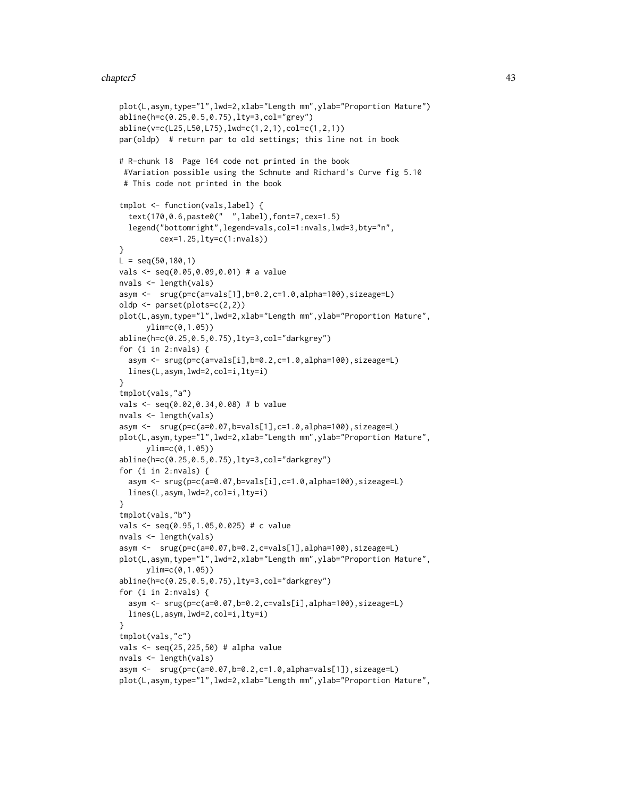```
plot(L,asym,type="l",lwd=2,xlab="Length mm",ylab="Proportion Mature")
abline(h=c(0.25,0.5,0.75),lty=3,col="grey")
abline(v=c(L25,L50,L75),lwd=c(1,2,1),col=c(1,2,1))
par(oldp) # return par to old settings; this line not in book
# R-chunk 18 Page 164 code not printed in the book
 #Variation possible using the Schnute and Richard's Curve fig 5.10
 # This code not printed in the book
tmplot <- function(vals,label) {
  text(170,0.6,paste0(" ",label),font=7,cex=1.5)
  legend("bottomright",legend=vals,col=1:nvals,lwd=3,bty="n",
         cex=1.25,lty=c(1:nvals))
}
L = \text{seq}(50, 180, 1)vals <- seq(0.05,0.09,0.01) # a value
nvals <- length(vals)
asym <- srug(p=c(a=vals[1],b=0.2,c=1.0,alpha=100),sizeage=L)
oldp <- parset(plots=c(2,2))
plot(L,asym,type="l",lwd=2,xlab="Length mm",ylab="Proportion Mature",
      ylim=c(0,1.05))
abline(h=c(0.25,0.5,0.75),lty=3,col="darkgrey")
for (i in 2:nvals) {
  asym <- srug(p=c(a=vals[i],b=0.2,c=1.0,alpha=100),sizeage=L)
  lines(L,asym,lwd=2,col=i,lty=i)
}
tmplot(vals,"a")
vals <- seq(0.02,0.34,0.08) # b value
nvals <- length(vals)
asym <- srug(p=c(a=0.07,b=vals[1],c=1.0,alpha=100),sizeage=L)
plot(L,asym,type="l",lwd=2,xlab="Length mm",ylab="Proportion Mature",
      ylim=c(0,1.05))
abline(h=c(0.25,0.5,0.75),lty=3,col="darkgrey")
for (i in 2:nvals) {
  asym <- srug(p=c(a=0.07,b=vals[i],c=1.0,alpha=100),sizeage=L)
  lines(L,asym,lwd=2,col=i,lty=i)
}
tmplot(vals,"b")
vals <- seq(0.95,1.05,0.025) # c value
nvals <- length(vals)
asym <- srug(p=c(a=0.07,b=0.2,c=vals[1],alpha=100),sizeage=L)
plot(L,asym,type="l",lwd=2,xlab="Length mm",ylab="Proportion Mature",
      ylim=c(0,1.05))
abline(h=c(0.25,0.5,0.75),lty=3,col="darkgrey")
for (i in 2:nvals) {
  asym <- srug(p=c(a=0.07,b=0.2,c=vals[i],alpha=100),sizeage=L)
  lines(L,asym,lwd=2,col=i,lty=i)
}
tmplot(vals,"c")
vals <- seq(25,225,50) # alpha value
nvals <- length(vals)
asym <- srug(p=c(a=0.07,b=0.2,c=1.0,alpha=vals[1]),sizeage=L)
plot(L,asym,type="l",lwd=2,xlab="Length mm",ylab="Proportion Mature",
```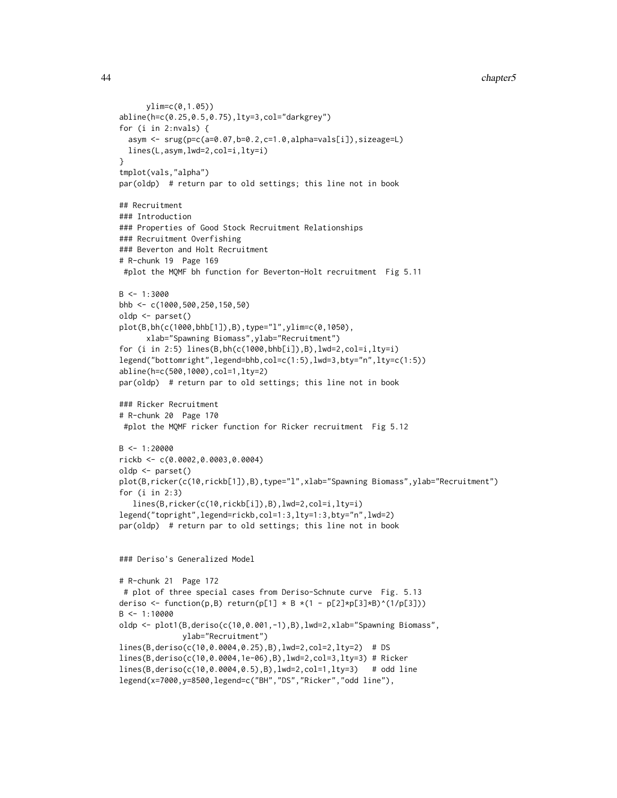```
44 chapter5
```

```
ylim=c(0,1.05))
abline(h=c(0.25,0.5,0.75),lty=3,col="darkgrey")
for (i in 2:nvals) {
  asym <- srug(p=c(a=0.07,b=0.2,c=1.0,alpha=vals[i]),sizeage=L)
  lines(L,asym,lwd=2,col=i,lty=i)
}
tmplot(vals,"alpha")
par(oldp) # return par to old settings; this line not in book
## Recruitment
### Introduction
### Properties of Good Stock Recruitment Relationships
### Recruitment Overfishing
### Beverton and Holt Recruitment
# R-chunk 19 Page 169
#plot the MQMF bh function for Beverton-Holt recruitment Fig 5.11
B < -1:3000bhb <- c(1000,500,250,150,50)
oldp <- parset()
plot(B,bh(c(1000,bhb[1]),B),type="l",ylim=c(0,1050),
      xlab="Spawning Biomass",ylab="Recruitment")
for (i in 2:5) lines(B,bh(c(1000,bhb[i]),B),lwd=2,col=i,lty=i)
legend("bottomright",legend=bhb,col=c(1:5),lwd=3,bty="n",lty=c(1:5))
abline(h=c(500,1000),col=1,lty=2)
par(oldp) # return par to old settings; this line not in book
### Ricker Recruitment
# R-chunk 20 Page 170
#plot the MQMF ricker function for Ricker recruitment Fig 5.12
B < -1:20000rickb <- c(0.0002,0.0003,0.0004)
oldp <- parset()
plot(B,ricker(c(10,rickb[1]),B),type="l",xlab="Spawning Biomass",ylab="Recruitment")
for (i in 2:3)
   lines(B,ricker(c(10,rickb[i]),B),lwd=2,col=i,lty=i)
legend("topright",legend=rickb,col=1:3,lty=1:3,bty="n",lwd=2)
par(oldp) # return par to old settings; this line not in book
### Deriso's Generalized Model
# R-chunk 21 Page 172
# plot of three special cases from Deriso-Schnute curve Fig. 5.13
deriso <- function(p,B) return(p[1] * B *(1 - p[2]*p[3]*B)^(1/p[3]))
B < -1:10000oldp <- plot1(B,deriso(c(10,0.001,-1),B),lwd=2,xlab="Spawning Biomass",
             ylab="Recruitment")
lines(B,deriso(c(10,0.0004,0.25),B),lwd=2,col=2,lty=2) # DS
lines(B,deriso(c(10,0.0004,1e-06),B),lwd=2,col=3,lty=3) # Ricker
lines(B,deriso(c(10,0.0004,0.5),B),lwd=2,col=1,lty=3) # odd line
legend(x=7000,y=8500,legend=c("BH","DS","Ricker","odd line"),
```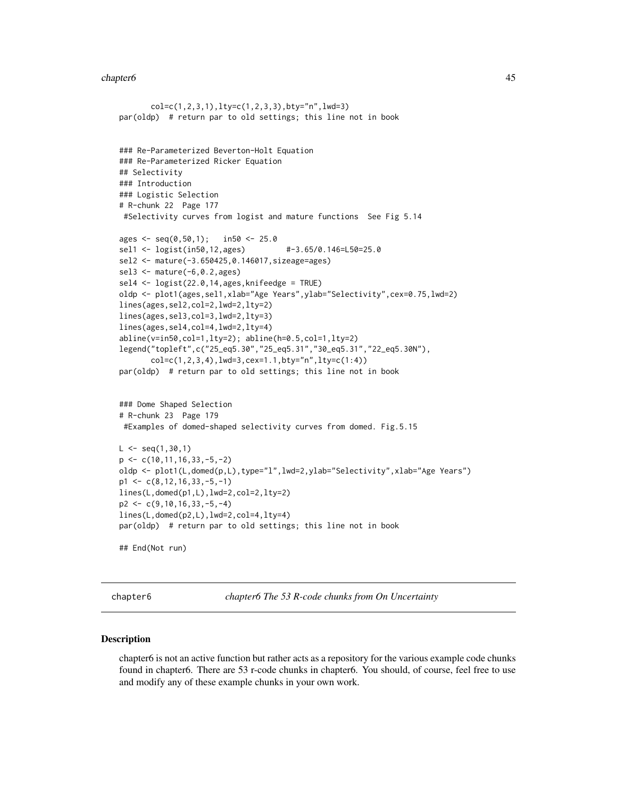```
col=c(1,2,3,1),lty=c(1,2,3,3),bty="n",lwd=3)
par(oldp) # return par to old settings; this line not in book
### Re-Parameterized Beverton-Holt Equation
### Re-Parameterized Ricker Equation
## Selectivity
### Introduction
### Logistic Selection
# R-chunk 22 Page 177
 #Selectivity curves from logist and mature functions See Fig 5.14
ages <- seq(0,50,1); in50 <- 25.0
sel1 <- logist(in50,12,ages) #-3.65/0.146=L50=25.0
sel2 <- mature(-3.650425,0.146017,sizeage=ages)
sel3 <- mature(-6,0.2,ages)
sel4 <- logist(22.0,14,ages,knifeedge = TRUE)
oldp <- plot1(ages,sel1,xlab="Age Years",ylab="Selectivity",cex=0.75,lwd=2)
lines(ages,sel2,col=2,lwd=2,lty=2)
lines(ages,sel3,col=3,lwd=2,lty=3)
lines(ages,sel4,col=4,lwd=2,lty=4)
abline(v=in50,col=1,lty=2); abline(h=0.5,col=1,lty=2)
legend("topleft",c("25_eq5.30","25_eq5.31","30_eq5.31","22_eq5.30N"),
       col=c(1,2,3,4),lwd=3,cex=1.1,bty="n",lty=c(1:4))
par(oldp) # return par to old settings; this line not in book
### Dome Shaped Selection
# R-chunk 23 Page 179
#Examples of domed-shaped selectivity curves from domed. Fig.5.15
L \leq -\text{seq}(1, 30, 1)p \leftarrow c(10, 11, 16, 33, -5, -2)oldp <- plot1(L,domed(p,L),type="l",lwd=2,ylab="Selectivity",xlab="Age Years")
p1 \leftarrow c(8, 12, 16, 33, -5, -1)lines(L,domed(p1,L),lwd=2,col=2,lty=2)
p2 \leq -c(9,10,16,33,-5,-4)lines(L,domed(p2,L),lwd=2,col=4,lty=4)
par(oldp) # return par to old settings; this line not in book
## End(Not run)
```
chapter6 *chapter6 The 53 R-code chunks from On Uncertainty*

#### **Description**

chapter6 is not an active function but rather acts as a repository for the various example code chunks found in chapter6. There are 53 r-code chunks in chapter6. You should, of course, feel free to use and modify any of these example chunks in your own work.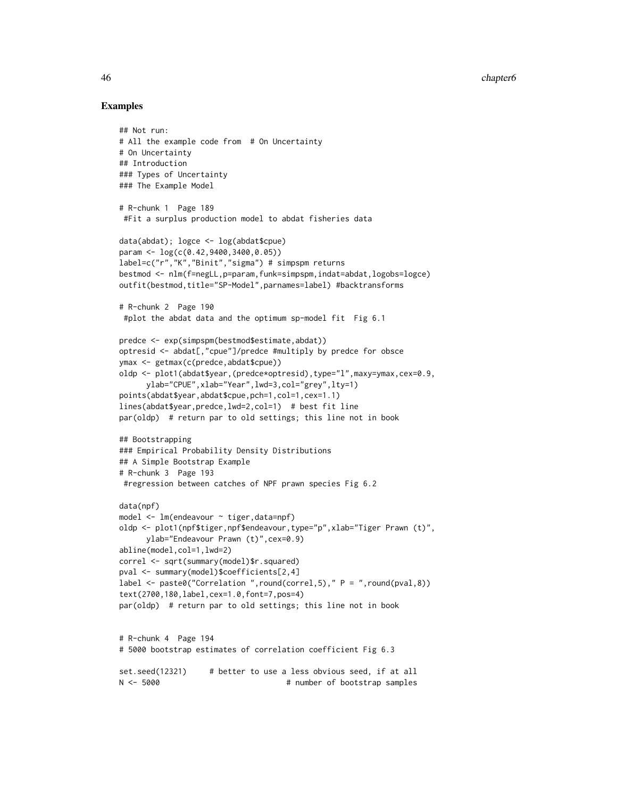# Examples

```
## Not run:
# All the example code from # On Uncertainty
# On Uncertainty
## Introduction
### Types of Uncertainty
### The Example Model
# R-chunk 1 Page 189
#Fit a surplus production model to abdat fisheries data
data(abdat); logce <- log(abdat$cpue)
param <- log(c(0.42,9400,3400,0.05))
label=c("r","K","Binit","sigma") # simpspm returns
bestmod <- nlm(f=negLL,p=param,funk=simpspm,indat=abdat,logobs=logce)
outfit(bestmod,title="SP-Model",parnames=label) #backtransforms
# R-chunk 2 Page 190
#plot the abdat data and the optimum sp-model fit Fig 6.1
predce <- exp(simpspm(bestmod$estimate,abdat))
optresid <- abdat[,"cpue"]/predce #multiply by predce for obsce
ymax <- getmax(c(predce,abdat$cpue))
oldp <- plot1(abdat$year,(predce*optresid),type="l",maxy=ymax,cex=0.9,
     ylab="CPUE",xlab="Year",lwd=3,col="grey",lty=1)
points(abdat$year,abdat$cpue,pch=1,col=1,cex=1.1)
lines(abdat$year,predce,lwd=2,col=1) # best fit line
par(oldp) # return par to old settings; this line not in book
## Bootstrapping
### Empirical Probability Density Distributions
## A Simple Bootstrap Example
# R-chunk 3 Page 193
#regression between catches of NPF prawn species Fig 6.2
data(npf)
model <- lm(endeavour ~ tiger,data=npf)
oldp <- plot1(npf$tiger,npf$endeavour,type="p",xlab="Tiger Prawn (t)",
     ylab="Endeavour Prawn (t)",cex=0.9)
abline(model,col=1,lwd=2)
correl <- sqrt(summary(model)$r.squared)
pval <- summary(model)$coefficients[2,4]
label <- paste0("Correlation ",round(correl,5)," P = ",round(pval,8))
text(2700,180,label,cex=1.0,font=7,pos=4)
par(oldp) # return par to old settings; this line not in book
# R-chunk 4 Page 194
# 5000 bootstrap estimates of correlation coefficient Fig 6.3
set.seed(12321) # better to use a less obvious seed, if at all
N <- 5000 # number of bootstrap samples
```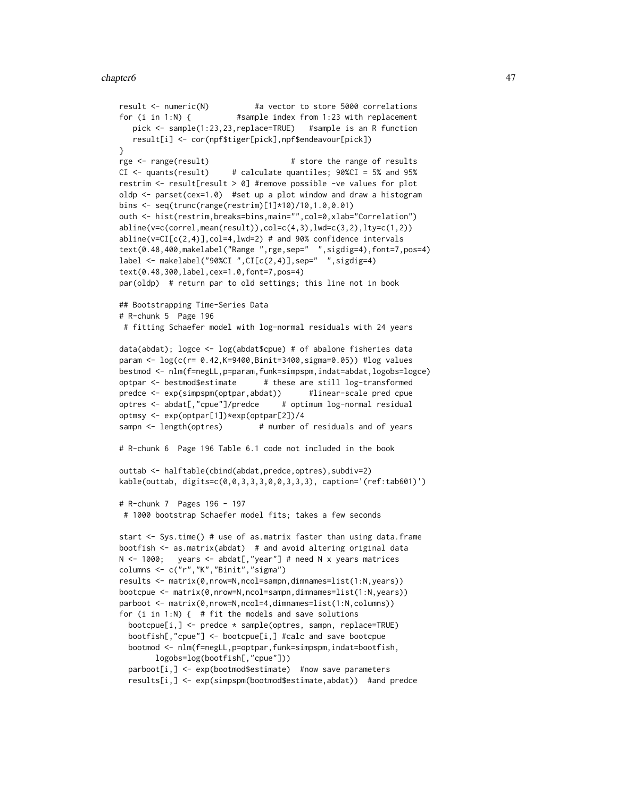```
result <- numeric(N) #a vector to store 5000 correlations
for (i in 1:N) { #sample index from 1:23 with replacement
  pick <- sample(1:23,23,replace=TRUE) #sample is an R function
  result[i] <- cor(npf$tiger[pick],npf$endeavour[pick])
}
rge <- range(result) \qquad # store the range of results
CI < - quants(result) # calculate quantiles; 90\%CI = 5\% and 95\%restrim \le result[result > 0] #remove possible -ve values for plot
oldp <- parset(cex=1.0) #set up a plot window and draw a histogram
bins <- seq(trunc(range(restrim)[1]*10)/10,1.0,0.01)
outh <- hist(restrim,breaks=bins,main="",col=0,xlab="Correlation")
abline(v=c(correl,mean(result)),col=c(4,3),lwd=c(3,2),lty=c(1,2))
abline(v=CI[c(2,4)],col=4,lwd=2) # and 90% confidence intervals
text(0.48,400,makelabel("Range ",rge,sep=" ",sigdig=4),font=7,pos=4)
label <- makelabel("90%CI ",CI[c(2,4)],sep=" ",sigdig=4)
text(0.48,300,label,cex=1.0,font=7,pos=4)
par(oldp) # return par to old settings; this line not in book
## Bootstrapping Time-Series Data
# R-chunk 5 Page 196
# fitting Schaefer model with log-normal residuals with 24 years
data(abdat); logce <- log(abdat$cpue) # of abalone fisheries data
param <- log(c(r= 0.42,K=9400,Binit=3400,sigma=0.05)) #log values
bestmod <- nlm(f=negLL,p=param,funk=simpspm,indat=abdat,logobs=logce)
optpar <- bestmod$estimate # these are still log-transformed
predce <- exp(simpspm(optpar,abdat)) #linear-scale pred cpue
optres <- abdat[,"cpue"]/predce # optimum log-normal residual
optmsy <- exp(optpar[1])*exp(optpar[2])/4
sampn <- length(optres) # number of residuals and of years
# R-chunk 6 Page 196 Table 6.1 code not included in the book
outtab <- halftable(cbind(abdat,predce,optres),subdiv=2)
kable(outtab, digits=c(0,0,3,3,3,0,0,3,3,3), caption='(ref:tab601)')
# R-chunk 7 Pages 196 - 197
# 1000 bootstrap Schaefer model fits; takes a few seconds
start <- Sys.time() # use of as.matrix faster than using data.frame
bootfish <- as.matrix(abdat) # and avoid altering original data
N <- 1000; years <- abdat[,"year"] # need N x years matrices
columns <- c("r","K","Binit","sigma")
results <- matrix(0,nrow=N,ncol=sampn,dimnames=list(1:N,years))
bootcpue <- matrix(0,nrow=N,ncol=sampn,dimnames=list(1:N,years))
parboot <- matrix(0,nrow=N,ncol=4,dimnames=list(1:N,columns))
for (i in 1:N) \{ # fit the models and save solutions
 bootcpue[i,] <- predce * sample(optres, sampn, replace=TRUE)
 bootfish[,"cpue"] <- bootcpue[i,] #calc and save bootcpue
 bootmod <- nlm(f=negLL,p=optpar,funk=simpspm,indat=bootfish,
       logobs=log(bootfish[,"cpue"]))
 parboot[i,] <- exp(bootmod$estimate) #now save parameters
 results[i,] <- exp(simpspm(bootmod$estimate,abdat)) #and predce
```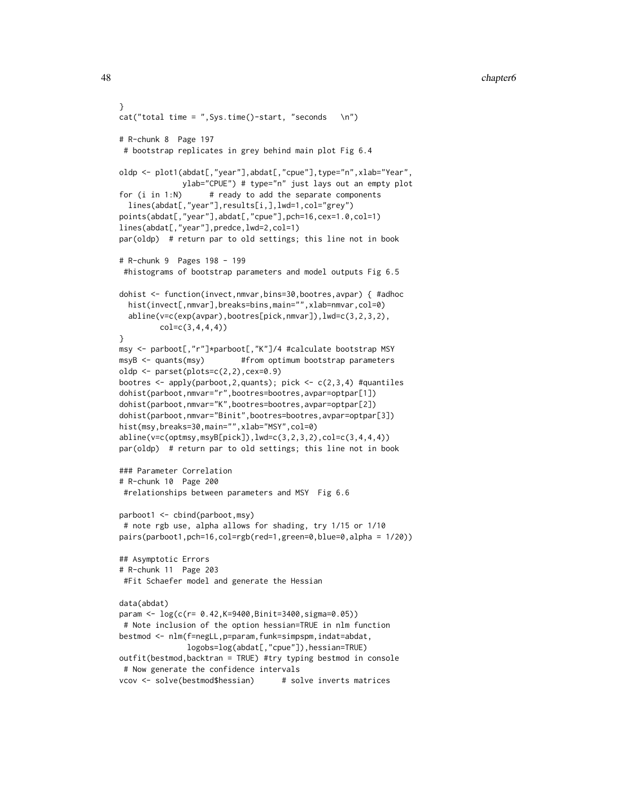```
}
cat("total time = ",Sys.time() - start, "seconds \n\n\quad n")# R-chunk 8 Page 197
# bootstrap replicates in grey behind main plot Fig 6.4
oldp <- plot1(abdat[,"year"],abdat[,"cpue"],type="n",xlab="Year",
             ylab="CPUE") # type="n" just lays out an empty plot
for (i \text{ in } 1:N) # ready to add the separate components
 lines(abdat[,"year"],results[i,],lwd=1,col="grey")
points(abdat[,"year"],abdat[,"cpue"],pch=16,cex=1.0,col=1)
lines(abdat[,"year"],predce,lwd=2,col=1)
par(oldp) # return par to old settings; this line not in book
# R-chunk 9 Pages 198 - 199
#histograms of bootstrap parameters and model outputs Fig 6.5
dohist <- function(invect,nmvar,bins=30,bootres,avpar) { #adhoc
 hist(invect[,nmvar],breaks=bins,main="",xlab=nmvar,col=0)
 abline(v=c(exp(avpar),bootres[pick,nmvar]),lwd=c(3,2,3,2),
         col=c(3,4,4,4))
}
msy <- parboot[,"r"]*parboot[,"K"]/4 #calculate bootstrap MSY
msyB <- quants(msy) #from optimum bootstrap parameters
oldp <- parset(plots=c(2,2),cex=0.9)
bootres <- apply(parboot,2,quants); pick <- c(2,3,4) #quantiles
dohist(parboot,nmvar="r",bootres=bootres,avpar=optpar[1])
dohist(parboot,nmvar="K",bootres=bootres,avpar=optpar[2])
dohist(parboot,nmvar="Binit",bootres=bootres,avpar=optpar[3])
hist(msy,breaks=30,main="",xlab="MSY",col=0)
abline(v=c(optmsy,msyB[pick]),lwd=c(3,2,3,2),col=c(3,4,4,4))
par(oldp) # return par to old settings; this line not in book
### Parameter Correlation
# R-chunk 10 Page 200
#relationships between parameters and MSY Fig 6.6
parboot1 <- cbind(parboot,msy)
# note rgb use, alpha allows for shading, try 1/15 or 1/10
pairs(parboot1,pch=16,col=rgb(red=1,green=0,blue=0,alpha = 1/20))
## Asymptotic Errors
# R-chunk 11 Page 203
#Fit Schaefer model and generate the Hessian
data(abdat)
param <- log(c(r= 0.42,K=9400,Binit=3400,sigma=0.05))
# Note inclusion of the option hessian=TRUE in nlm function
bestmod <- nlm(f=negLL,p=param,funk=simpspm,indat=abdat,
               logobs=log(abdat[,"cpue"]),hessian=TRUE)
outfit(bestmod,backtran = TRUE) #try typing bestmod in console
# Now generate the confidence intervals
vcov <- solve(bestmod$hessian) # solve inverts matrices
```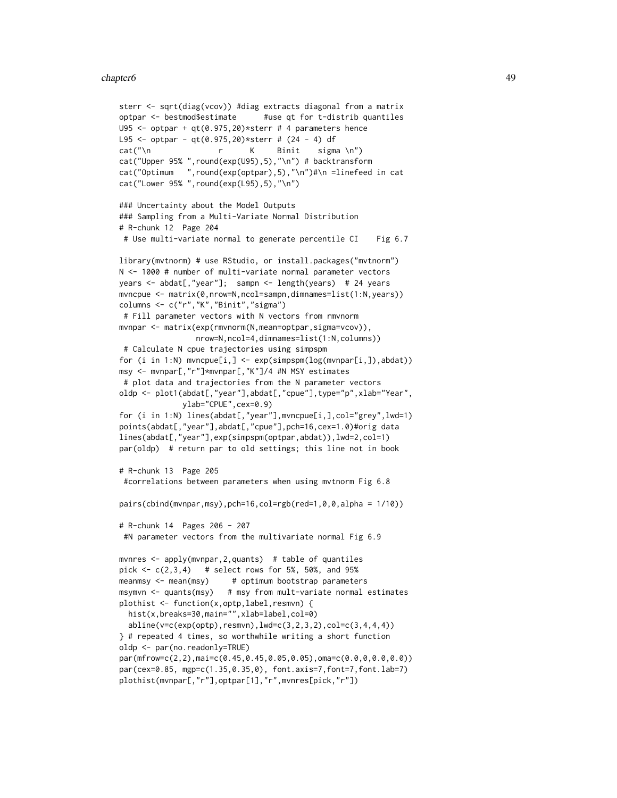```
sterr <- sqrt(diag(vcov)) #diag extracts diagonal from a matrix
optpar <- bestmod$estimate #use qt for t-distrib quantiles
U95 <- optpar + qt(0.975, 20)*sterr # 4 parameters hence
L95 <- optpar - qt(0.975,20)*sterr # (24 - 4) df
cat("\n r K Binit sigma \n")
cat("Upper 95% ",round(exp(U95),5),"\n") # backtransform
cat("Optimum ",round(exp(optpar),5),"\n")#\n =linefeed in cat
cat("Lower 95%", round(exp(L95), 5), "\n")
### Uncertainty about the Model Outputs
### Sampling from a Multi-Variate Normal Distribution
# R-chunk 12 Page 204
# Use multi-variate normal to generate percentile CI Fig 6.7
library(mvtnorm) # use RStudio, or install.packages("mvtnorm")
N <- 1000 # number of multi-variate normal parameter vectors
years <- abdat[,"year"]; sampn <- length(years) # 24 years
mvncpue <- matrix(0,nrow=N,ncol=sampn,dimnames=list(1:N,years))
columns <- c("r","K","Binit","sigma")
# Fill parameter vectors with N vectors from rmvnorm
mvnpar <- matrix(exp(rmvnorm(N,mean=optpar,sigma=vcov)),
                nrow=N,ncol=4,dimnames=list(1:N,columns))
# Calculate N cpue trajectories using simpspm
for (i in 1:N) mvncpue[i,] <- exp(simpspm(log(mvnpar[i,]),abdat))
msy <- mvnpar[,"r"]*mvnpar[,"K"]/4 #N MSY estimates
# plot data and trajectories from the N parameter vectors
oldp <- plot1(abdat[,"year"],abdat[,"cpue"],type="p",xlab="Year",
             ylab="CPUE",cex=0.9)
for (i in 1:N) lines(abdat[,"year"],mvncpue[i,],col="grey",lwd=1)
points(abdat[,"year"],abdat[,"cpue"],pch=16,cex=1.0)#orig data
lines(abdat[,"year"],exp(simpspm(optpar,abdat)),lwd=2,col=1)
par(oldp) # return par to old settings; this line not in book
# R-chunk 13 Page 205
#correlations between parameters when using mvtnorm Fig 6.8
pairs(cbind(mvnpar,msy),pch=16,col=rgb(red=1,0,0,alpha = 1/10))
# R-chunk 14 Pages 206 - 207
#N parameter vectors from the multivariate normal Fig 6.9
mvnres <- apply(mvnpar,2,quants) # table of quantiles
pick \leq c(2,3,4) # select rows for 5%, 50%, and 95%
meanmsy <- mean(msy) # optimum bootstrap parameters
msymvn <- quants(msy) # msy from mult-variate normal estimates
plothist <- function(x,optp,label,resmvn) {
 hist(x,breaks=30,main="",xlab=label,col=0)
 abline(v=c(exp(optp),resmvn),lwd=c(3,2,3,2),col=c(3,4,4,4))
} # repeated 4 times, so worthwhile writing a short function
oldp <- par(no.readonly=TRUE)
par(mfrow=c(2,2),mai=c(0.45,0.45,0.05,0.05),oma=c(0.0,0,0.0,0.0))
par(cex=0.85, mgp=c(1.35,0.35,0), font.axis=7,font=7,font.lab=7)
plothist(mvnpar[,"r"],optpar[1],"r",mvnres[pick,"r"])
```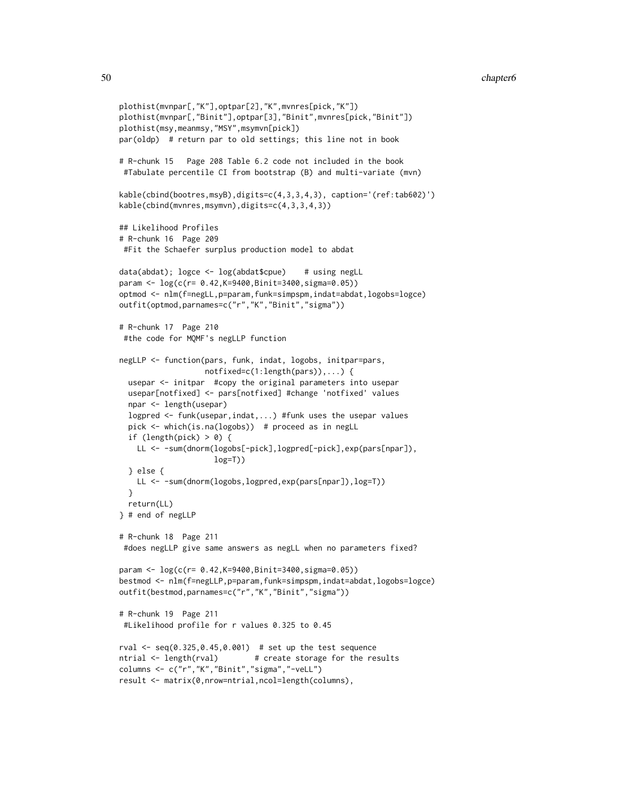```
plothist(mvnpar[,"K"],optpar[2],"K",mvnres[pick,"K"])
plothist(mvnpar[,"Binit"],optpar[3],"Binit",mvnres[pick,"Binit"])
plothist(msy,meanmsy,"MSY",msymvn[pick])
par(oldp) # return par to old settings; this line not in book
# R-chunk 15 Page 208 Table 6.2 code not included in the book
#Tabulate percentile CI from bootstrap (B) and multi-variate (mvn)
kable(cbind(bootres,msyB),digits=c(4,3,3,4,3), caption='(ref:tab602)')
kable(cbind(mvnres,msymvn),digits=c(4,3,3,4,3))
## Likelihood Profiles
# R-chunk 16 Page 209
#Fit the Schaefer surplus production model to abdat
data(abdat); logce <- log(abdat$cpue) # using negLL
param <- log(c(r= 0.42,K=9400,Binit=3400,sigma=0.05))
optmod <- nlm(f=negLL,p=param,funk=simpspm,indat=abdat,logobs=logce)
outfit(optmod,parnames=c("r","K","Binit","sigma"))
# R-chunk 17 Page 210
#the code for MQMF's negLLP function
negLLP <- function(pars, funk, indat, logobs, initpar=pars,
                  notfixed=c(1:length(pars)),...) {
 usepar <- initpar #copy the original parameters into usepar
 usepar[notfixed] <- pars[notfixed] #change 'notfixed' values
 npar <- length(usepar)
 logpred <- funk(usepar,indat,...) #funk uses the usepar values
 pick <- which(is.na(logobs)) # proceed as in negLL
 if (length(pick) > 0) {
   LL <- -sum(dnorm(logobs[-pick],logpred[-pick],exp(pars[npar]),
                    log=T))
 } else {
   LL <- -sum(dnorm(logobs,logpred,exp(pars[npar]),log=T))
 }
 return(LL)
} # end of negLLP
# R-chunk 18 Page 211
#does negLLP give same answers as negLL when no parameters fixed?
param <- log(c(r= 0.42,K=9400,Binit=3400,sigma=0.05))
bestmod <- nlm(f=negLLP,p=param,funk=simpspm,indat=abdat,logobs=logce)
outfit(bestmod,parnames=c("r","K","Binit","sigma"))
# R-chunk 19 Page 211
#Likelihood profile for r values 0.325 to 0.45
rval <- seq(0.325,0.45,0.001) # set up the test sequence
ntrial <- length(rval) # create storage for the results
columns <- c("r","K","Binit","sigma","-veLL")
result <- matrix(0,nrow=ntrial,ncol=length(columns),
```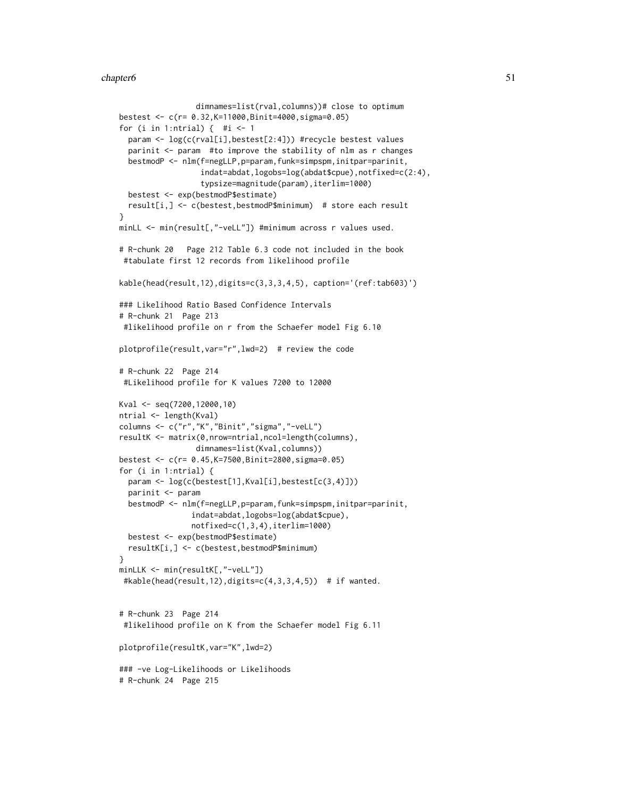```
dimnames=list(rval,columns))# close to optimum
bestest <- c(r= 0.32,K=11000,Binit=4000,sigma=0.05)
for (i in 1:ntrial) { \#i <- 1
 param <- log(c(rval[i],bestest[2:4])) #recycle bestest values
 parinit <- param #to improve the stability of nlm as r changes
 bestmodP <- nlm(f=negLLP,p=param,funk=simpspm,initpar=parinit,
                  indat=abdat,logobs=log(abdat$cpue),notfixed=c(2:4),
                  typsize=magnitude(param),iterlim=1000)
 bestest <- exp(bestmodP$estimate)
 result[i,] <- c(bestest,bestmodP$minimum) # store each result
}
minLL <- min(result[,"-veLL"]) #minimum across r values used.
# R-chunk 20 Page 212 Table 6.3 code not included in the book
#tabulate first 12 records from likelihood profile
kable(head(result,12),digits=c(3,3,3,4,5), caption='(ref:tab603)')
### Likelihood Ratio Based Confidence Intervals
# R-chunk 21 Page 213
#likelihood profile on r from the Schaefer model Fig 6.10
plotprofile(result,var="r",lwd=2) # review the code
# R-chunk 22 Page 214
#Likelihood profile for K values 7200 to 12000
Kval <- seq(7200,12000,10)
ntrial <- length(Kval)
columns <- c("r","K","Binit","sigma","-veLL")
resultK <- matrix(0,nrow=ntrial,ncol=length(columns),
                 dimnames=list(Kval,columns))
bestest <- c(r= 0.45,K=7500,Binit=2800,sigma=0.05)
for (i in 1:ntrial) {
 param <- log(c(bestest[1],Kval[i],bestest[c(3,4)]))
 parinit <- param
 bestmodP <- nlm(f=negLLP,p=param,funk=simpspm,initpar=parinit,
                indat=abdat,logobs=log(abdat$cpue),
                notfixed=c(1,3,4),iterlim=1000)
 bestest <- exp(bestmodP$estimate)
 resultK[i,] <- c(bestest,bestmodP$minimum)
}
minLLK <- min(resultK[,"-veLL"])
#kable(head(result,12),digits=c(4,3,3,4,5)) # if wanted.
# R-chunk 23 Page 214
#likelihood profile on K from the Schaefer model Fig 6.11
plotprofile(resultK,var="K",lwd=2)
### -ve Log-Likelihoods or Likelihoods
# R-chunk 24 Page 215
```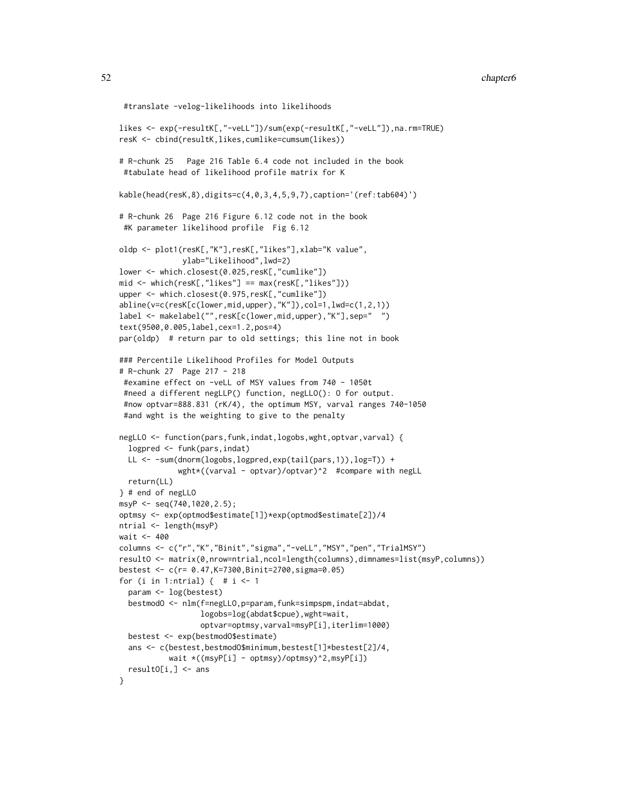```
#translate -velog-likelihoods into likelihoods
likes <- exp(-resultK[,"-veLL"])/sum(exp(-resultK[,"-veLL"]),na.rm=TRUE)
resK <- cbind(resultK,likes,cumlike=cumsum(likes))
# R-chunk 25 Page 216 Table 6.4 code not included in the book
#tabulate head of likelihood profile matrix for K
kable(head(resK,8),digits=c(4,0,3,4,5,9,7),caption='(ref:tab604)')
# R-chunk 26 Page 216 Figure 6.12 code not in the book
#K parameter likelihood profile Fig 6.12
oldp <- plot1(resK[,"K"],resK[,"likes"],xlab="K value",
              ylab="Likelihood",lwd=2)
lower <- which.closest(0.025,resK[,"cumlike"])
mid <- which(resK[,"likes"] == max(resK[,"likes"]))
upper <- which.closest(0.975,resK[,"cumlike"])
abline(v=c(resK[c(lower,mid,upper),"K"]),col=1,lwd=c(1,2,1))
label <- makelabel("",resK[c(lower,mid,upper),"K"],sep=" ")
text(9500,0.005,label,cex=1.2,pos=4)
par(oldp) # return par to old settings; this line not in book
### Percentile Likelihood Profiles for Model Outputs
# R-chunk 27 Page 217 - 218
 #examine effect on -veLL of MSY values from 740 - 1050t
 #need a different negLLP() function, negLLO(): O for output.
 #now optvar=888.831 (rK/4), the optimum MSY, varval ranges 740-1050
 #and wght is the weighting to give to the penalty
negLLO <- function(pars,funk,indat,logobs,wght,optvar,varval) {
 logpred <- funk(pars,indat)
 LL <- -sum(dnorm(logobs,logpred,exp(tail(pars,1)),log=T)) +
             wght*((varval - optvar)/optvar)^2 #compare with negLL
 return(LL)
} # end of negLLO
msyP <- seq(740,1020,2.5);
optmsy <- exp(optmod$estimate[1])*exp(optmod$estimate[2])/4
ntrial <- length(msyP)
wait <- 400
columns <- c("r","K","Binit","sigma","-veLL","MSY","pen","TrialMSY")
resultO <- matrix(0,nrow=ntrial,ncol=length(columns),dimnames=list(msyP,columns))
bestest <- c(r= 0.47,K=7300,Binit=2700,sigma=0.05)
for (i in 1:ntrial) { \# i <- 1
 param <- log(bestest)
 bestmodO <- nlm(f=negLLO,p=param,funk=simpspm,indat=abdat,
                  logobs=log(abdat$cpue),wght=wait,
                  optvar=optmsy,varval=msyP[i],iterlim=1000)
 bestest <- exp(bestmodO$estimate)
 ans <- c(bestest,bestmodO$minimum,bestest[1]*bestest[2]/4,
           wait *((msyP[i] - optmsy)/optmsy)^2,msyP[i])
 result0[i, ] \leftarrow ans}
```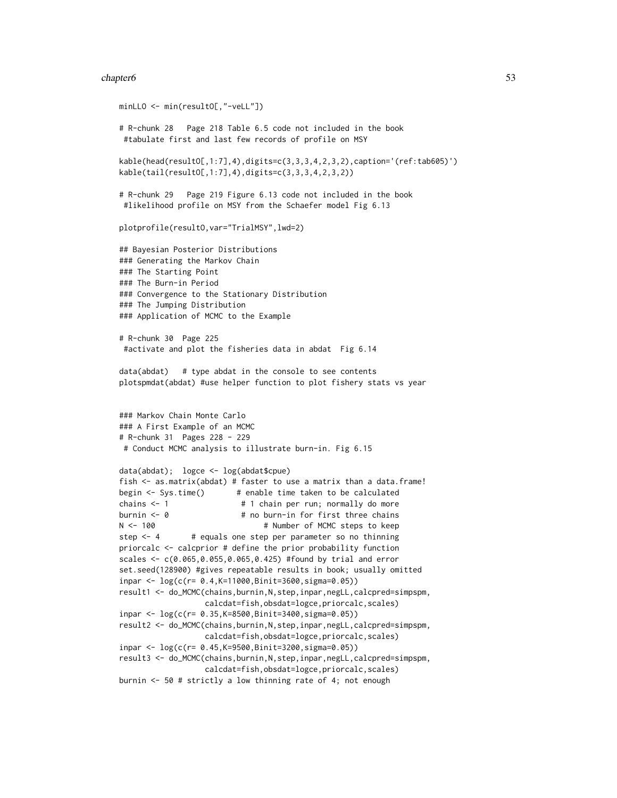```
minLLO <- min(resultO[,"-veLL"])
# R-chunk 28 Page 218 Table 6.5 code not included in the book
#tabulate first and last few records of profile on MSY
kable(head(resultO[,1:7],4),digits=c(3,3,3,4,2,3,2),caption='(ref:tab605)')
kable(tail(resultO[,1:7],4),digits=c(3,3,3,4,2,3,2))
# R-chunk 29 Page 219 Figure 6.13 code not included in the book
#likelihood profile on MSY from the Schaefer model Fig 6.13
plotprofile(resultO,var="TrialMSY",lwd=2)
## Bayesian Posterior Distributions
### Generating the Markov Chain
### The Starting Point
### The Burn-in Period
### Convergence to the Stationary Distribution
### The Jumping Distribution
### Application of MCMC to the Example
# R-chunk 30 Page 225
#activate and plot the fisheries data in abdat Fig 6.14
data(abdat) # type abdat in the console to see contents
plotspmdat(abdat) #use helper function to plot fishery stats vs year
### Markov Chain Monte Carlo
### A First Example of an MCMC
# R-chunk 31 Pages 228 - 229
# Conduct MCMC analysis to illustrate burn-in. Fig 6.15
data(abdat); logce <- log(abdat$cpue)
fish \leq as.matrix(abdat) # faster to use a matrix than a data.frame!
begin <- Sys.time() # enable time taken to be calculated
chains \leq -1 # 1 chain per run; normally do more
burnin \leq 0 # no burn-in for first three chains
N <- 100 + Number of MCMC steps to keep
step \leq -4 # equals one step per parameter so no thinning
priorcalc <- calcprior # define the prior probability function
scales <- c(0.065,0.055,0.065,0.425) #found by trial and error
set.seed(128900) #gives repeatable results in book; usually omitted
inpar <- log(c(r= 0.4,K=11000,Binit=3600,sigma=0.05))
result1 <- do_MCMC(chains,burnin,N,step,inpar,negLL,calcpred=simpspm,
                  calcdat=fish,obsdat=logce,priorcalc,scales)
inpar <- log(c(r= 0.35,K=8500,Binit=3400,sigma=0.05))
result2 <- do_MCMC(chains,burnin,N,step,inpar,negLL,calcpred=simpspm,
                  calcdat=fish,obsdat=logce,priorcalc,scales)
inpar <- log(c(r= 0.45,K=9500,Binit=3200,sigma=0.05))
result3 <- do_MCMC(chains,burnin,N,step,inpar,negLL,calcpred=simpspm,
                  calcdat=fish,obsdat=logce,priorcalc,scales)
burnin <- 50 # strictly a low thinning rate of 4; not enough
```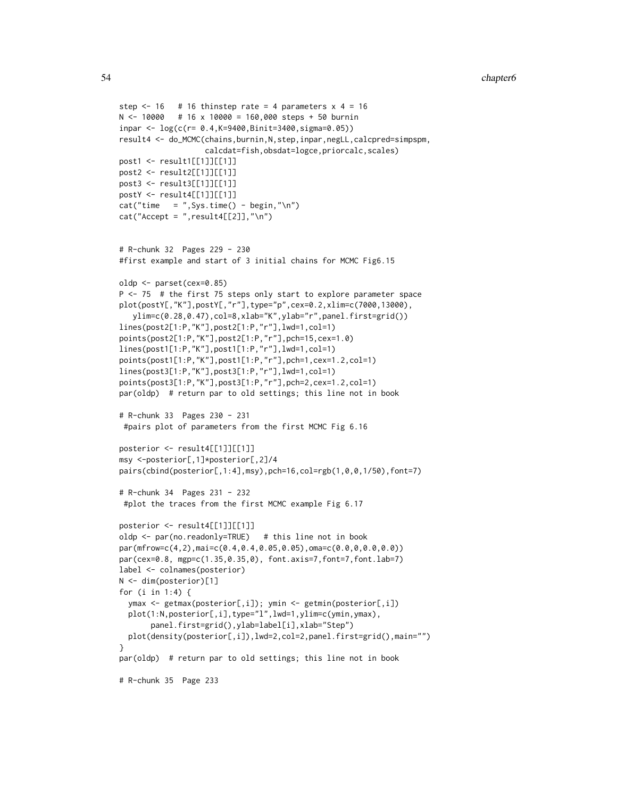```
step <-16 # 16 thinstep rate = 4 parameters x 4 = 16
N < -10000 # 16 x 10000 = 160,000 steps + 50 burnin
inpar <- log(c(r= 0.4,K=9400,Binit=3400,sigma=0.05))
result4 <- do_MCMC(chains,burnin,N,step,inpar,negLL,calcpred=simpspm,
                   calcdat=fish,obsdat=logce,priorcalc,scales)
post1 <- result1[[1]][[1]]
post2 <- result2[[1]][[1]]
post3 <- result3[[1]][[1]]
postY <- result4[[1]][[1]]
cat("time = ",Sys.time() - begin, "\n")cat("Accept = ",result4[[2]], "\\n")# R-chunk 32 Pages 229 - 230
#first example and start of 3 initial chains for MCMC Fig6.15
oldp <- parset(cex=0.85)
P <- 75 # the first 75 steps only start to explore parameter space
plot(postY[,"K"],postY[,"r"],type="p",cex=0.2,xlim=c(7000,13000),
   ylim=c(0.28,0.47),col=8,xlab="K",ylab="r",panel.first=grid())
lines(post2[1:P,"K"],post2[1:P,"r"],lwd=1,col=1)
points(post2[1:P,"K"],post2[1:P,"r"],pch=15,cex=1.0)
lines(post1[1:P,"K"],post1[1:P,"r"],lwd=1,col=1)
points(post1[1:P,"K"],post1[1:P,"r"],pch=1,cex=1.2,col=1)
lines(post3[1:P,"K"],post3[1:P,"r"],lwd=1,col=1)
points(post3[1:P,"K"],post3[1:P,"r"],pch=2,cex=1.2,col=1)
par(oldp) # return par to old settings; this line not in book
# R-chunk 33 Pages 230 - 231
 #pairs plot of parameters from the first MCMC Fig 6.16
posterior <- result4[[1]][[1]]
msy <-posterior[,1]*posterior[,2]/4
pairs(cbind(posterior[,1:4],msy),pch=16,col=rgb(1,0,0,1/50),font=7)
# R-chunk 34 Pages 231 - 232
 #plot the traces from the first MCMC example Fig 6.17
posterior <- result4[[1]][[1]]
oldp <- par(no.readonly=TRUE) # this line not in book
par(mfrow=c(4,2),mai=c(0.4,0.4,0.05,0.05),oma=c(0.0,0,0.0,0.0))
par(cex=0.8, mgp=c(1.35,0.35,0), font.axis=7,font=7,font.lab=7)
label <- colnames(posterior)
N <- dim(posterior)[1]
for (i in 1:4) {
  ymax <- getmax(posterior[,i]); ymin <- getmin(posterior[,i])
  plot(1:N,posterior[,i],type="l",lwd=1,ylim=c(ymin,ymax),
       panel.first=grid(),ylab=label[i],xlab="Step")
  plot(density(posterior[,i]),lwd=2,col=2,panel.first=grid(),main="")
}
par(oldp) # return par to old settings; this line not in book
# R-chunk 35 Page 233
```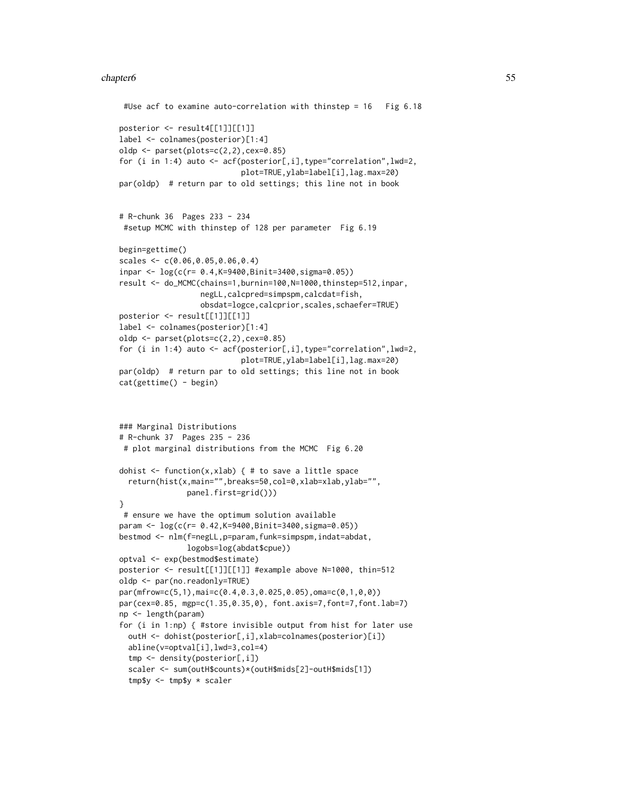```
#Use acf to examine auto-correlation with thinstep = 16 Fig 6.18
posterior <- result4[[1]][[1]]
label <- colnames(posterior)[1:4]
oldp \leq parset(plots=c(2,2), cex=0.85)
for (i in 1:4) auto <- acf(posterior[,i],type="correlation",lwd=2,
                           plot=TRUE,ylab=label[i],lag.max=20)
par(oldp) # return par to old settings; this line not in book
# R-chunk 36 Pages 233 - 234
 #setup MCMC with thinstep of 128 per parameter Fig 6.19
begin=gettime()
scales <- c(0.06,0.05,0.06,0.4)
inpar <- log(c(r= 0.4,K=9400,Binit=3400,sigma=0.05))
result <- do_MCMC(chains=1,burnin=100,N=1000,thinstep=512,inpar,
                  negLL,calcpred=simpspm,calcdat=fish,
                  obsdat=logce,calcprior,scales,schaefer=TRUE)
posterior <- result[[1]][[1]]
label <- colnames(posterior)[1:4]
oldp <- parset(plots=c(2,2),cex=0.85)
for (i in 1:4) auto <- acf(posterior[,i],type="correlation",lwd=2,
                           plot=TRUE,ylab=label[i],lag.max=20)
par(oldp) # return par to old settings; this line not in book
cat(gettime() - begin)
### Marginal Distributions
# R-chunk 37 Pages 235 - 236
 # plot marginal distributions from the MCMC Fig 6.20
dohist \le function(x,xlab) { # to save a little space
  return(hist(x,main="",breaks=50,col=0,xlab=xlab,ylab="",
               panel.first=grid()))
}
 # ensure we have the optimum solution available
param <- log(c(r= 0.42,K=9400,Binit=3400,sigma=0.05))
bestmod <- nlm(f=negLL,p=param,funk=simpspm,indat=abdat,
               logobs=log(abdat$cpue))
optval <- exp(bestmod$estimate)
posterior <- result[[1]][[1]] #example above N=1000, thin=512
oldp <- par(no.readonly=TRUE)
par(mfrow=c(5,1),mai=c(0.4,0.3,0.025,0.05),oma=c(0,1,0,0))
par(cex=0.85, mgp=c(1.35,0.35,0), font.axis=7,font=7,font.lab=7)
np <- length(param)
for (i in 1:np) { #store invisible output from hist for later use
  outH <- dohist(posterior[,i],xlab=colnames(posterior)[i])
  abline(v=optval[i],lwd=3,col=4)
  tmp <- density(posterior[,i])
  scaler <- sum(outH$counts)*(outH$mids[2]-outH$mids[1])
  tmp$y <- tmp$y * scaler
```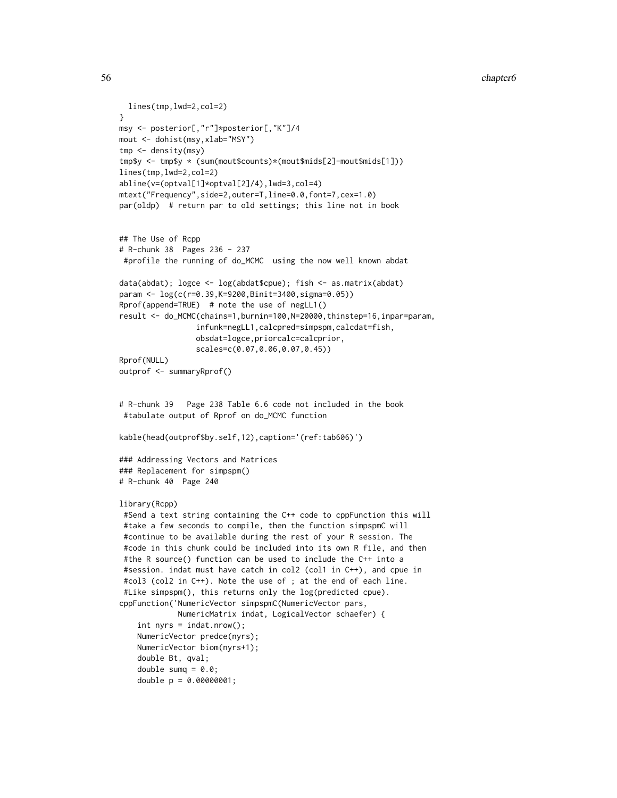#### 56 chapter6 chapter6 chapter6 chapter6 chapter6 chapter6 chapter6 chapter6

```
lines(tmp,lwd=2,col=2)
}
msy <- posterior[,"r"]*posterior[,"K"]/4
mout <- dohist(msy,xlab="MSY")
tmp <- density(msy)
tmp$y <- tmp$y * (sum(mout$counts)*(mout$mids[2]-mout$mids[1]))
lines(tmp,lwd=2,col=2)
abline(v=(optval[1]*optval[2]/4),lwd=3,col=4)
mtext("Frequency",side=2,outer=T,line=0.0,font=7,cex=1.0)
par(oldp) # return par to old settings; this line not in book
## The Use of Rcpp
# R-chunk 38 Pages 236 - 237
 #profile the running of do_MCMC using the now well known abdat
data(abdat); logce <- log(abdat$cpue); fish <- as.matrix(abdat)
param <- log(c(r=0.39,K=9200,Binit=3400,sigma=0.05))
Rprof(append=TRUE) # note the use of negLL1()
result <- do_MCMC(chains=1,burnin=100,N=20000,thinstep=16,inpar=param,
                 infunk=negLL1,calcpred=simpspm,calcdat=fish,
                 obsdat=logce,priorcalc=calcprior,
                 scales=c(0.07,0.06,0.07,0.45))
Rprof(NULL)
outprof <- summaryRprof()
# R-chunk 39 Page 238 Table 6.6 code not included in the book
 #tabulate output of Rprof on do_MCMC function
kable(head(outprof$by.self,12),caption='(ref:tab606)')
### Addressing Vectors and Matrices
### Replacement for simpspm()
# R-chunk 40 Page 240
library(Rcpp)
 #Send a text string containing the C++ code to cppFunction this will
 #take a few seconds to compile, then the function simpspmC will
 #continue to be available during the rest of your R session. The
 #code in this chunk could be included into its own R file, and then
 #the R source() function can be used to include the C++ into a
 #session. indat must have catch in col2 (col1 in C++), and cpue in
 #col3 (col2 in C++). Note the use of ; at the end of each line.
 #Like simpspm(), this returns only the log(predicted cpue).
cppFunction('NumericVector simpspmC(NumericVector pars,
             NumericMatrix indat, LogicalVector schaefer) {
    int nyrs = indat.nrow();
    NumericVector predce(nyrs);
    NumericVector biom(nyrs+1);
    double Bt, qval;
    double sumq = 0.0;
    double p = 0.00000001;
```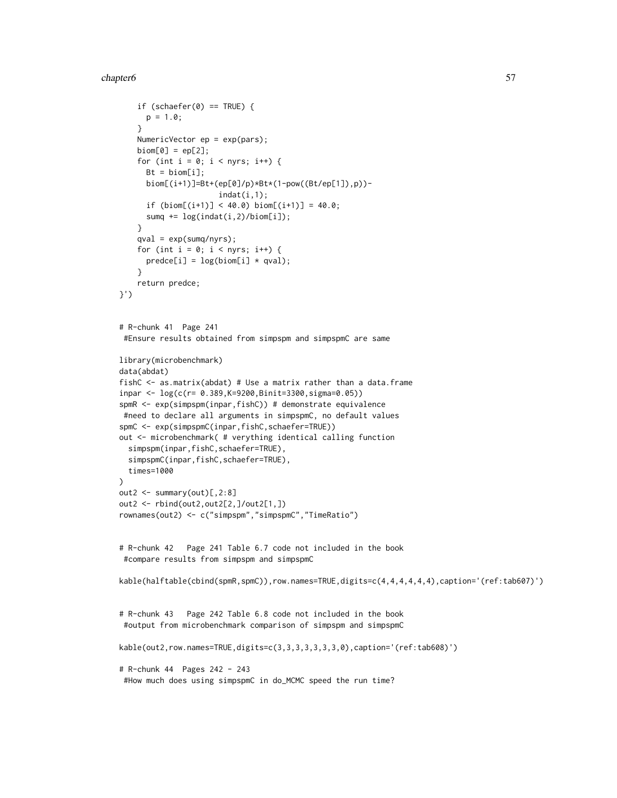```
if (schaefer(0) == TRUE) {
     p = 1.0;
    }
    NumericVector ep = exp(pars);
    biom[0] = ep[2];for (int i = 0; i < nyrs; i++) {
      Bt = bin[m[i];biom[(i+1)]=Bt+(ep[0]/p)*Bt*(1-pow((Bt/ep[1]),p))-
                      indat(i,1);if (biom[(i+1)] < 40.0) bin[(i+1)] = 40.0;sumq += log(indat(i,2)/biom[i]);
    }
    qval = exp(sumq/nyrs);
    for (int i = 0; i < nyrs; i++) {
      predce[i] = log(biom[i] * qval);}
    return predce;
}')
# R-chunk 41 Page 241
 #Ensure results obtained from simpspm and simpspmC are same
library(microbenchmark)
data(abdat)
fishC \leq as.matrix(abdat) # Use a matrix rather than a data.frame
inpar <- log(c(r= 0.389,K=9200,Binit=3300,sigma=0.05))
spmR <- exp(simpspm(inpar,fishC)) # demonstrate equivalence
 #need to declare all arguments in simpspmC, no default values
spmC <- exp(simpspmC(inpar,fishC,schaefer=TRUE))
out <- microbenchmark( # verything identical calling function
  simpspm(inpar,fishC,schaefer=TRUE),
  simpspmC(inpar,fishC,schaefer=TRUE),
  times=1000
\lambdaout2 <- summary(out)[,2:8]
out2 <- rbind(out2,out2[2,]/out2[1,])
rownames(out2) <- c("simpspm","simpspmC","TimeRatio")
# R-chunk 42 Page 241 Table 6.7 code not included in the book
 #compare results from simpspm and simpspmC
kable(halftable(cbind(spmR,spmC)),row.names=TRUE,digits=c(4,4,4,4,4,4),caption='(ref:tab607)')
# R-chunk 43 Page 242 Table 6.8 code not included in the book
 #output from microbenchmark comparison of simpspm and simpspmC
kable(out2,row.names=TRUE,digits=c(3,3,3,3,3,3,3,0),caption='(ref:tab608)')
# R-chunk 44 Pages 242 - 243
 #How much does using simpspmC in do_MCMC speed the run time?
```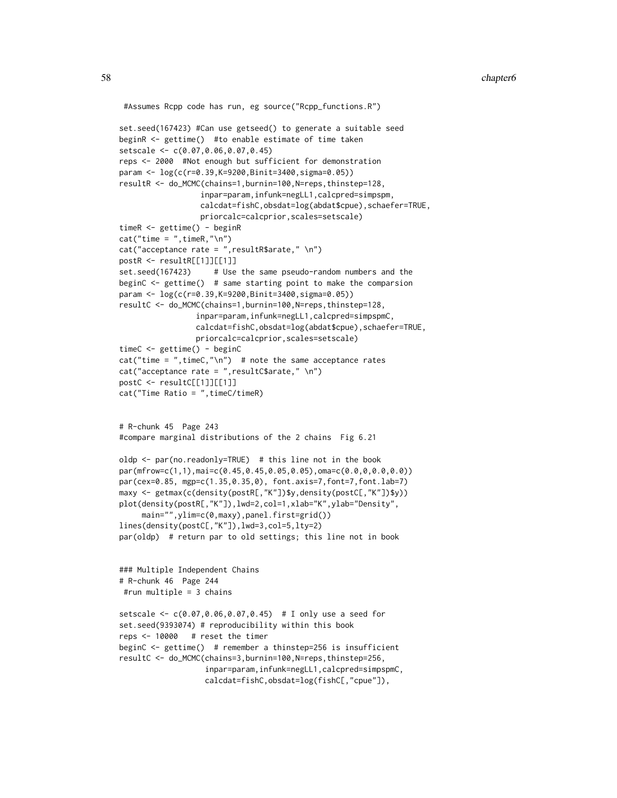```
#Assumes Rcpp code has run, eg source("Rcpp_functions.R")
set.seed(167423) #Can use getseed() to generate a suitable seed
beginR <- gettime() #to enable estimate of time taken
setscale <- c(0.07,0.06,0.07,0.45)
reps <- 2000 #Not enough but sufficient for demonstration
param <- log(c(r=0.39,K=9200,Binit=3400,sigma=0.05))
resultR <- do_MCMC(chains=1,burnin=100,N=reps,thinstep=128,
                 inpar=param,infunk=negLL1,calcpred=simpspm,
                 calcdat=fishC,obsdat=log(abdat$cpue),schaefer=TRUE,
                 priorcalc=calcprior,scales=setscale)
timeR <- gettime() - beginR
cat("time = ",timeR,"\ncat("acceptance rate = ",resultR$arate," \n'postR <- resultR[[1]][[1]]
set.seed(167423) # Use the same pseudo-random numbers and the
beginC <- gettime() # same starting point to make the comparsion
param <- log(c(r=0.39,K=9200,Binit=3400,sigma=0.05))
resultC <- do_MCMC(chains=1,burnin=100,N=reps,thinstep=128,
                inpar=param,infunk=negLL1,calcpred=simpspmC,
                calcdat=fishC,obsdat=log(abdat$cpue),schaefer=TRUE,
                priorcalc=calcprior,scales=setscale)
timeC <- gettime() - beginC
cat("time = ",timeC,"\\n") # note the same acceptance rates
cat("acceptance rate = ",resultC$arate," \n")
postC <- resultC[[1]][[1]]
cat("Time Ratio = ",timeC/timeR)
# R-chunk 45 Page 243
#compare marginal distributions of the 2 chains Fig 6.21
oldp <- par(no.readonly=TRUE) # this line not in the book
par(mfrow=c(1,1),mai=c(0.45,0.45,0.05,0.05),oma=c(0.0,0,0.0,0.0))
par(cex=0.85, mgp=c(1.35,0.35,0), font.axis=7,font=7,font.lab=7)
maxy <- getmax(c(density(postR[,"K"])$y,density(postC[,"K"])$y))
plot(density(postR[,"K"]),lwd=2,col=1,xlab="K",ylab="Density",
     main="",ylim=c(0,maxy),panel.first=grid())
lines(density(postC[,"K"]),lwd=3,col=5,lty=2)
par(oldp) # return par to old settings; this line not in book
### Multiple Independent Chains
# R-chunk 46 Page 244
#run multiple = 3 chains
setscale <- c(0.07,0.06,0.07,0.45) # I only use a seed for
set.seed(9393074) # reproducibility within this book
reps <- 10000 # reset the timer
beginC <- gettime() # remember a thinstep=256 is insufficient
resultC <- do_MCMC(chains=3,burnin=100,N=reps,thinstep=256,
                   inpar=param,infunk=negLL1,calcpred=simpspmC,
```

```
calcdat=fishC,obsdat=log(fishC[,"cpue"]),
```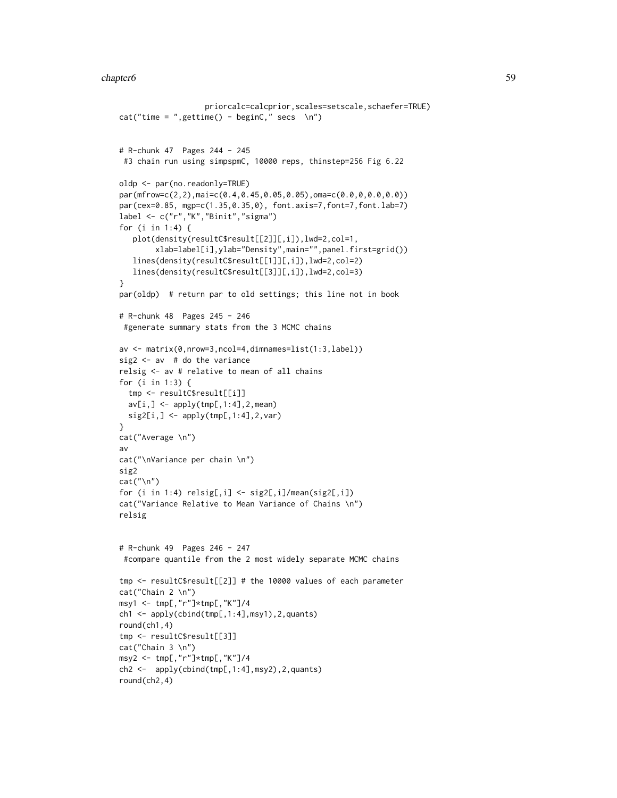```
priorcalc=calcprior,scales=setscale,schaefer=TRUE)
cat("time = ",gettime() - beginC," secs \n\infty")# R-chunk 47 Pages 244 - 245
#3 chain run using simpspmC, 10000 reps, thinstep=256 Fig 6.22
oldp <- par(no.readonly=TRUE)
par(mfrow=c(2,2),mai=c(0.4,0.45,0.05,0.05),oma=c(0.0,0,0.0,0.0))
par(cex=0.85, mgp=c(1.35,0.35,0), font.axis=7,font=7,font.lab=7)
label <- c("r","K","Binit","sigma")
for (i in 1:4) {
   plot(density(resultC$result[[2]][,i]),lwd=2,col=1,
        xlab=label[i],ylab="Density",main="",panel.first=grid())
   lines(density(resultC$result[[1]][,i]),lwd=2,col=2)
   lines(density(resultC$result[[3]][,i]),lwd=2,col=3)
}
par(oldp) # return par to old settings; this line not in book
# R-chunk 48 Pages 245 - 246
#generate summary stats from the 3 MCMC chains
av <- matrix(0,nrow=3,ncol=4,dimnames=list(1:3,label))
sig2 < -av # do the variance
relsig <- av # relative to mean of all chains
for (i in 1:3) {
  tmp <- resultC$result[[i]]
  av[i, ] \leftarrow apply(tmp[, 1:4], 2, mean)sig2[i, ] \leftarrow apply(tmp[, 1:4], 2, var)}
cat("Average \n")
av
cat("\nVariance per chain \n")
sig2
cat("\n'\)for (i in 1:4) relsig[,i] < - sig2[,i]/mean(sig2[,i])cat("Variance Relative to Mean Variance of Chains \n")
relsig
# R-chunk 49 Pages 246 - 247
 #compare quantile from the 2 most widely separate MCMC chains
tmp <- resultC$result[[2]] # the 10000 values of each parameter
cat("Chain 2 \n")
msy1 <- tmp[,"r"]*tmp[,"K"]/4
ch1 <- apply(cbind(tmp[,1:4],msy1),2,quants)
round(ch1,4)
tmp <- resultC$result[[3]]
cat("Chain 3 \n")
msy2 <- tmp[,"r"]*tmp[,"K"]/4
ch2 < - apply(cbind(tmp[,1:4],msy2),2,quants)
round(ch2,4)
```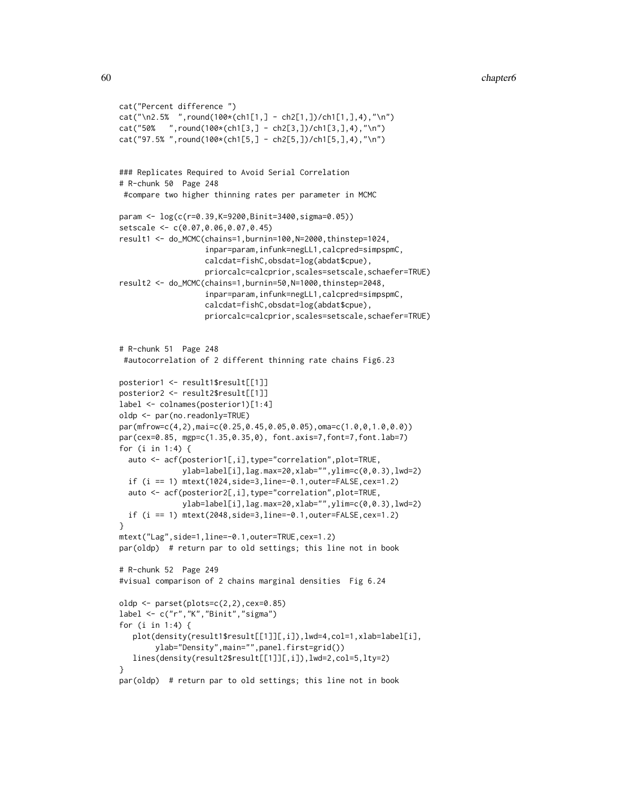```
cat("Percent difference ")
cat("\n2.5% ", round(100*(ch1[1,] - ch2[1,]))/ch1[1,],4), "\n")cat("50% ",round(100*(ch1[3,] - ch2[3,])/ch1[3,],4),"\n")
cat("97.5%", round(100*(ch1[5,] - ch2[5,]))/ch1[5,],4), "\n")### Replicates Required to Avoid Serial Correlation
# R-chunk 50 Page 248
#compare two higher thinning rates per parameter in MCMC
param <- log(c(r=0.39,K=9200,Binit=3400,sigma=0.05))
setscale <- c(0.07,0.06,0.07,0.45)
result1 <- do_MCMC(chains=1,burnin=100,N=2000,thinstep=1024,
                   inpar=param,infunk=negLL1,calcpred=simpspmC,
                   calcdat=fishC,obsdat=log(abdat$cpue),
                   priorcalc=calcprior,scales=setscale,schaefer=TRUE)
result2 <- do_MCMC(chains=1,burnin=50,N=1000,thinstep=2048,
                   inpar=param,infunk=negLL1,calcpred=simpspmC,
                   calcdat=fishC,obsdat=log(abdat$cpue),
                   priorcalc=calcprior,scales=setscale,schaefer=TRUE)
# R-chunk 51 Page 248
#autocorrelation of 2 different thinning rate chains Fig6.23
posterior1 <- result1$result[[1]]
posterior2 <- result2$result[[1]]
label <- colnames(posterior1)[1:4]
oldp <- par(no.readonly=TRUE)
par(mfrow=c(4,2),mai=c(0.25,0.45,0.05,0.05),oma=c(1.0,0,1.0,0.0))
par(cex=0.85, mgp=c(1.35,0.35,0), font.axis=7,font=7,font.lab=7)
for (i in 1:4) {
 auto <- acf(posterior1[,i],type="correlation",plot=TRUE,
             ylab=label[i],lag.max=20,xlab="",ylim=c(0,0.3),lwd=2)
 if (i == 1) mtext(1024, side=3, line=-0.1, outer=FALSE, cex=1.2)
 auto <- acf(posterior2[,i],type="correlation",plot=TRUE,
              ylab=label[i],lag.max=20,xlab="",ylim=c(0,0.3),lwd=2)
 if (i == 1) mtext(2048, side=3, line=-0.1, outer=FALSE, cex=1.2)
}
mtext("Lag",side=1,line=-0.1,outer=TRUE,cex=1.2)
par(oldp) # return par to old settings; this line not in book
# R-chunk 52 Page 249
#visual comparison of 2 chains marginal densities Fig 6.24
oldp <- parset(plots=c(2,2),cex=0.85)
label <- c("r","K","Binit","sigma")
for (i in 1:4) {
  plot(density(result1$result[[1]][,i]),lwd=4,col=1,xlab=label[i],
       ylab="Density",main="",panel.first=grid())
  lines(density(result2$result[[1]][,i]),lwd=2,col=5,lty=2)
}
par(oldp) # return par to old settings; this line not in book
```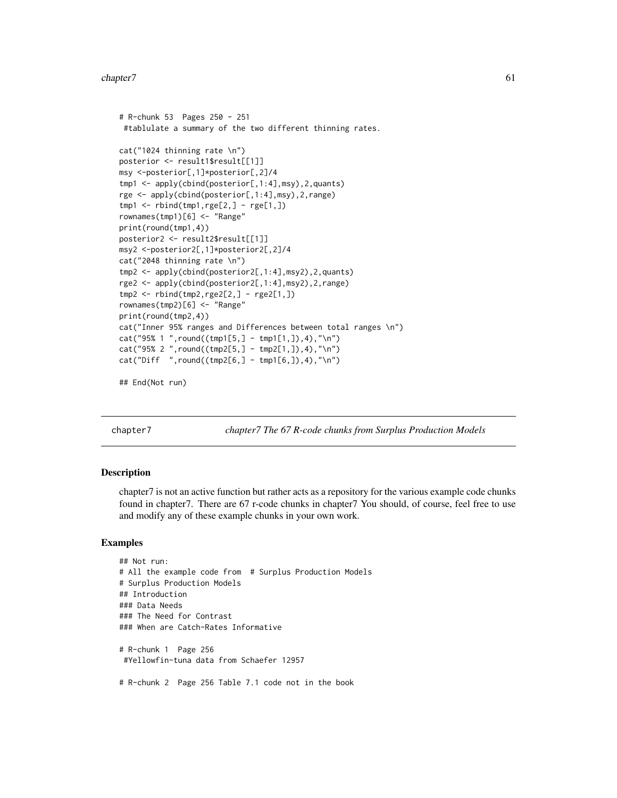#### chapter7 61

```
# R-chunk 53 Pages 250 - 251
#tablulate a summary of the two different thinning rates.
cat("1024 thinning rate \n")
posterior <- result1$result[[1]]
msy <-posterior[,1]*posterior[,2]/4
tmp1 <- apply(cbind(posterior[,1:4],msy),2,quants)
rge <- apply(cbind(posterior[,1:4],msy),2,range)
tmp1 < - rbind(tmp1, rge[2,] - rge[1,])rownames(tmp1)[6] <- "Range"
print(round(tmp1,4))
posterior2 <- result2$result[[1]]
msy2 <-posterior2[,1]*posterior2[,2]/4
cat("2048 thinning rate \n")
tmp2 <- apply(cbind(posterior2[,1:4],msy2),2,quants)
rge2 <- apply(cbind(posterior2[,1:4],msy2),2,range)
tmp2 <- rbind(tmp2,rge2[2,] - rge2[1,])
rownames(tmp2)[6] <- "Range"
print(round(tmp2,4))
cat("Inner 95% ranges and Differences between total ranges \n")
cat("95% 1", round((tmp1[5,] - tmp1[1,]), 4), "\n")cat("95% 2 ",round((tmp2[5,] - tmp2[1,]),4),"\n")
cat("Diff ",round((tmp2[6,] - tmp1[6,]),4),"\n")
```

```
## End(Not run)
```
chapter7 *chapter7 The 67 R-code chunks from Surplus Production Models*

## **Description**

chapter7 is not an active function but rather acts as a repository for the various example code chunks found in chapter7. There are 67 r-code chunks in chapter7 You should, of course, feel free to use and modify any of these example chunks in your own work.

# Examples

```
## Not run:
# All the example code from # Surplus Production Models
# Surplus Production Models
## Introduction
### Data Needs
### The Need for Contrast
### When are Catch-Rates Informative
# R-chunk 1 Page 256
#Yellowfin-tuna data from Schaefer 12957
# R-chunk 2 Page 256 Table 7.1 code not in the book
```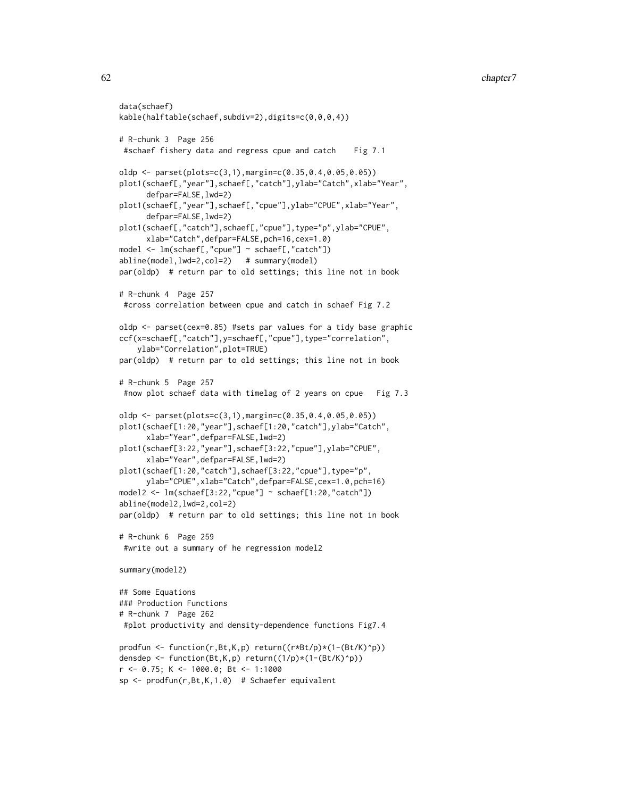```
data(schaef)
kable(halftable(schaef,subdiv=2),digits=c(0,0,0,4))
# R-chunk 3 Page 256
#schaef fishery data and regress cpue and catch Fig 7.1
oldp <- parset(plots=c(3,1),margin=c(0.35,0.4,0.05,0.05))
plot1(schaef[,"year"],schaef[,"catch"],ylab="Catch",xlab="Year",
      defpar=FALSE,lwd=2)
plot1(schaef[,"year"],schaef[,"cpue"],ylab="CPUE",xlab="Year",
      defpar=FALSE,lwd=2)
plot1(schaef[,"catch"],schaef[,"cpue"],type="p",ylab="CPUE",
      xlab="Catch",defpar=FALSE,pch=16,cex=1.0)
model <- lm(schaef[,"cpue"] ~ schaef[,"catch"])
abline(model,lwd=2,col=2) # summary(model)
par(oldp) # return par to old settings; this line not in book
# R-chunk 4 Page 257
#cross correlation between cpue and catch in schaef Fig 7.2
oldp <- parset(cex=0.85) #sets par values for a tidy base graphic
ccf(x=schaef[,"catch"],y=schaef[,"cpue"],type="correlation",
   ylab="Correlation",plot=TRUE)
par(oldp) # return par to old settings; this line not in book
# R-chunk 5 Page 257
#now plot schaef data with timelag of 2 years on cpue Fig 7.3
oldp <- parset(plots=c(3,1),margin=c(0.35,0.4,0.05,0.05))
plot1(schaef[1:20,"year"],schaef[1:20,"catch"],ylab="Catch",
     xlab="Year",defpar=FALSE,lwd=2)
plot1(schaef[3:22,"year"],schaef[3:22,"cpue"],ylab="CPUE",
      xlab="Year",defpar=FALSE,lwd=2)
plot1(schaef[1:20,"catch"],schaef[3:22,"cpue"],type="p",
     ylab="CPUE",xlab="Catch",defpar=FALSE,cex=1.0,pch=16)
model2 <- lm(schaef[3:22,"cpue"] ~ schaef[1:20,"catch"])
abline(model2,lwd=2,col=2)
par(oldp) # return par to old settings; this line not in book
# R-chunk 6 Page 259
#write out a summary of he regression model2
summary(model2)
## Some Equations
### Production Functions
# R-chunk 7 Page 262
#plot productivity and density-dependence functions Fig7.4
prodfun <- function(r,Bt,K,p) return((r*Bt/p)*(1-(Bt/K)^p))
densdep <- function(Bt,K,p) return((1/p)*(1-(Bt/K)^p))
r <- 0.75; K <- 1000.0; Bt <- 1:1000
sp <- prodfun(r,Bt,K,1.0) # Schaefer equivalent
```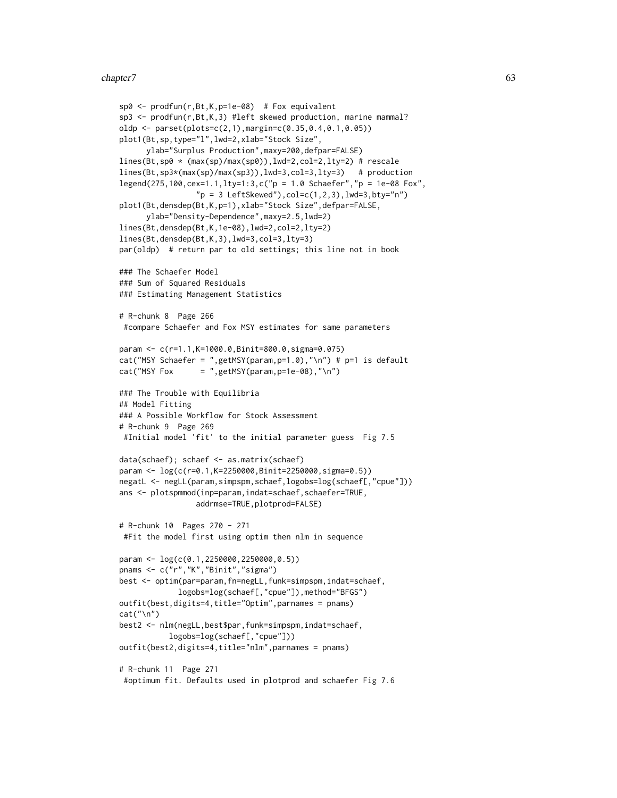### chapter7 63

```
sp0 \leq -\text{prodfun}(r, Bt, K, p=1e-08) # Fox equivalent
sp3 <- prodfun(r,Bt,K,3) #left skewed production, marine mammal?
oldp <- parset(plots=c(2,1),margin=c(0.35,0.4,0.1,0.05))
plot1(Bt,sp,type="l",lwd=2,xlab="Stock Size",
     ylab="Surplus Production",maxy=200,defpar=FALSE)
lines(Bt,sp0 * (max(sp)/max(sp0)),lwd=2,col=2,lty=2) # rescale
lines(Bt,sp3*(max(sp)/max(sp3)),lwd=3,col=3,lty=3) # production
legend(275,100,cex=1.1,lty=1:3,c("p = 1.0 Schaefer","p = 1e-08 Fox",
                 "p = 3 \text{LeftSkewed"}, col=c(1,2,3), lwd=3, bty="n"plot1(Bt,densdep(Bt,K,p=1),xlab="Stock Size",defpar=FALSE,
      ylab="Density-Dependence",maxy=2.5,lwd=2)
lines(Bt,densdep(Bt,K,1e-08),lwd=2,col=2,lty=2)
lines(Bt,densdep(Bt,K,3),lwd=3,col=3,lty=3)
par(oldp) # return par to old settings; this line not in book
### The Schaefer Model
### Sum of Squared Residuals
### Estimating Management Statistics
# R-chunk 8 Page 266
#compare Schaefer and Fox MSY estimates for same parameters
param <- c(r=1.1,K=1000.0,Binit=800.0,sigma=0.075)
cat("MSY Schaefer = ",getMSY(param,p=1.0),"\n") # p=1 is default
cat("MSY Fox = ",getMSY(param, p=1e-08), "\n")### The Trouble with Equilibria
## Model Fitting
### A Possible Workflow for Stock Assessment
# R-chunk 9 Page 269
#Initial model 'fit' to the initial parameter guess Fig 7.5
data(schaef); schaef <- as.matrix(schaef)
param <- log(c(r=0.1,K=2250000,Binit=2250000,sigma=0.5))
negatL <- negLL(param,simpspm,schaef,logobs=log(schaef[,"cpue"]))
ans <- plotspmmod(inp=param,indat=schaef,schaefer=TRUE,
                 addrmse=TRUE,plotprod=FALSE)
# R-chunk 10 Pages 270 - 271
#Fit the model first using optim then nlm in sequence
param <- log(c(0.1,2250000,2250000,0.5))
pnams <- c("r","K","Binit","sigma")
best <- optim(par=param,fn=negLL,funk=simpspm,indat=schaef,
             logobs=log(schaef[,"cpue"]),method="BFGS")
outfit(best,digits=4,title="Optim",parnames = pnams)
cat("\n'\)best2 <- nlm(negLL,best$par,funk=simpspm,indat=schaef,
           logobs=log(schaef[,"cpue"]))
outfit(best2,digits=4,title="nlm",parnames = pnams)
# R-chunk 11 Page 271
 #optimum fit. Defaults used in plotprod and schaefer Fig 7.6
```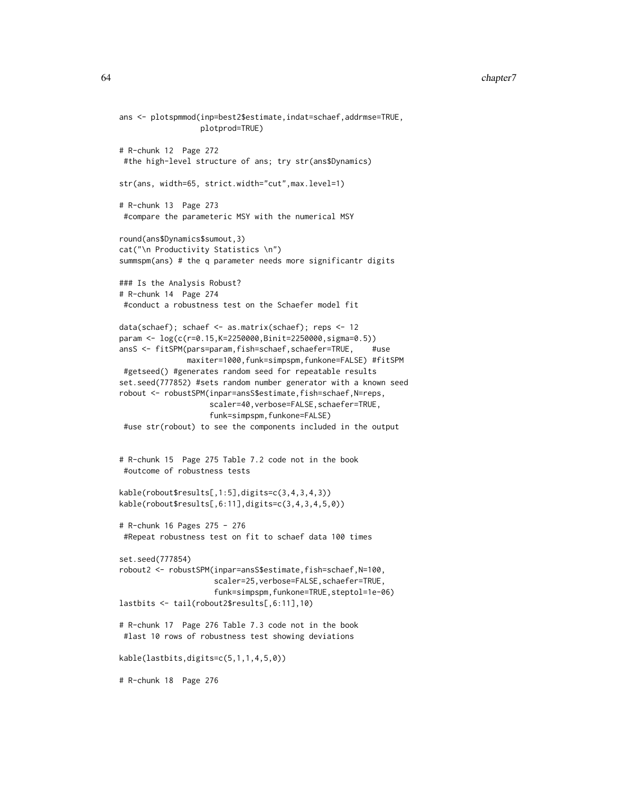```
ans <- plotspmmod(inp=best2$estimate,indat=schaef,addrmse=TRUE,
                  plotprod=TRUE)
# R-chunk 12 Page 272
#the high-level structure of ans; try str(ans$Dynamics)
str(ans, width=65, strict.width="cut",max.level=1)
# R-chunk 13 Page 273
#compare the parameteric MSY with the numerical MSY
round(ans$Dynamics$sumout,3)
cat("\n Productivity Statistics \n")
summspm(ans) # the q parameter needs more significantr digits
### Is the Analysis Robust?
# R-chunk 14 Page 274
#conduct a robustness test on the Schaefer model fit
data(schaef); schaef <- as.matrix(schaef); reps <- 12
param <- log(c(r=0.15,K=2250000,Binit=2250000,sigma=0.5))
ansS <- fitSPM(pars=param,fish=schaef,schaefer=TRUE, #use
              maxiter=1000,funk=simpspm,funkone=FALSE) #fitSPM
#getseed() #generates random seed for repeatable results
set.seed(777852) #sets random number generator with a known seed
robout <- robustSPM(inpar=ansS$estimate,fish=schaef,N=reps,
                    scaler=40,verbose=FALSE,schaefer=TRUE,
                    funk=simpspm,funkone=FALSE)
#use str(robout) to see the components included in the output
# R-chunk 15 Page 275 Table 7.2 code not in the book
#outcome of robustness tests
kable(robout$results[,1:5],digits=c(3,4,3,4,3))
kable(robout$results[,6:11],digits=c(3,4,3,4,5,0))
# R-chunk 16 Pages 275 - 276
#Repeat robustness test on fit to schaef data 100 times
set.seed(777854)
robout2 <- robustSPM(inpar=ansS$estimate,fish=schaef,N=100,
                     scaler=25,verbose=FALSE,schaefer=TRUE,
                     funk=simpspm,funkone=TRUE,steptol=1e-06)
lastbits <- tail(robout2$results[,6:11],10)
# R-chunk 17 Page 276 Table 7.3 code not in the book
#last 10 rows of robustness test showing deviations
kable(lastbits,digits=c(5,1,1,4,5,0))
# R-chunk 18 Page 276
```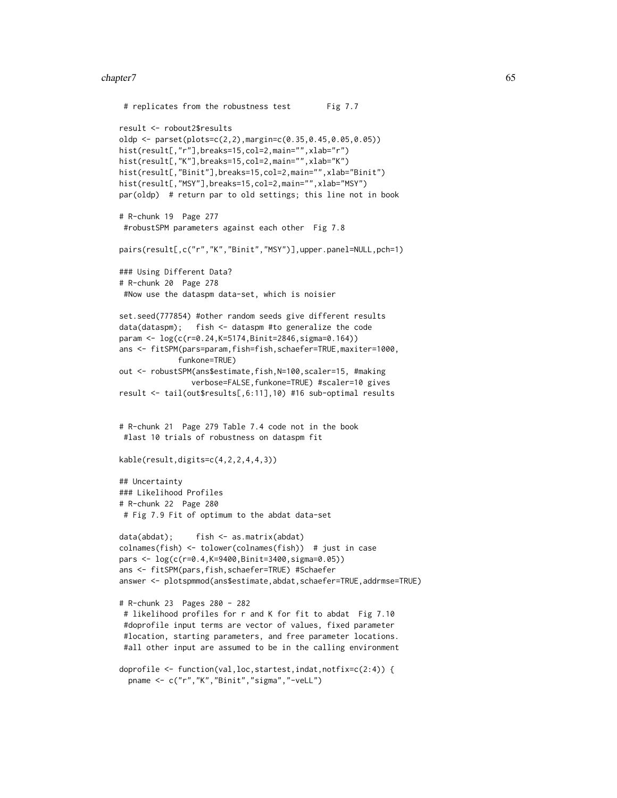#### chapter7 65

```
# replicates from the robustness test Fig 7.7
result <- robout2$results
oldp <- parset(plots=c(2,2),margin=c(0.35,0.45,0.05,0.05))
hist(result[,"r"],breaks=15,col=2,main="",xlab="r")
hist(result[,"K"],breaks=15,col=2,main="",xlab="K")
hist(result[,"Binit"],breaks=15,col=2,main="",xlab="Binit")
hist(result[,"MSY"],breaks=15,col=2,main="",xlab="MSY")
par(oldp) # return par to old settings; this line not in book
# R-chunk 19 Page 277
 #robustSPM parameters against each other Fig 7.8
pairs(result[,c("r","K","Binit","MSY")],upper.panel=NULL,pch=1)
### Using Different Data?
# R-chunk 20 Page 278
 #Now use the dataspm data-set, which is noisier
set.seed(777854) #other random seeds give different results
data(dataspm); fish <- dataspm #to generalize the code
param <- log(c(r=0.24,K=5174,Binit=2846,sigma=0.164))
ans <- fitSPM(pars=param, fish=fish, schaefer=TRUE, maxiter=1000,
             funkone=TRUE)
out <- robustSPM(ans$estimate,fish,N=100,scaler=15, #making
                verbose=FALSE,funkone=TRUE) #scaler=10 gives
result <- tail(out$results[,6:11],10) #16 sub-optimal results
# R-chunk 21 Page 279 Table 7.4 code not in the book
 #last 10 trials of robustness on dataspm fit
kable(result,digits=c(4,2,2,4,4,3))
## Uncertainty
### Likelihood Profiles
# R-chunk 22 Page 280
 # Fig 7.9 Fit of optimum to the abdat data-set
data(abdat); fish <- as.matrix(abdat)
colnames(fish) <- tolower(colnames(fish)) # just in case
pars <- log(c(r=0.4,K=9400,Binit=3400,sigma=0.05))
ans <- fitSPM(pars,fish,schaefer=TRUE) #Schaefer
answer <- plotspmmod(ans$estimate,abdat,schaefer=TRUE,addrmse=TRUE)
# R-chunk 23 Pages 280 - 282
 # likelihood profiles for r and K for fit to abdat Fig 7.10
 #doprofile input terms are vector of values, fixed parameter
 #location, starting parameters, and free parameter locations.
 #all other input are assumed to be in the calling environment
doprofile <- function(val,loc,startest,indat,notfix=c(2:4)) {
  pname <- c("r","K","Binit","sigma","-veLL")
```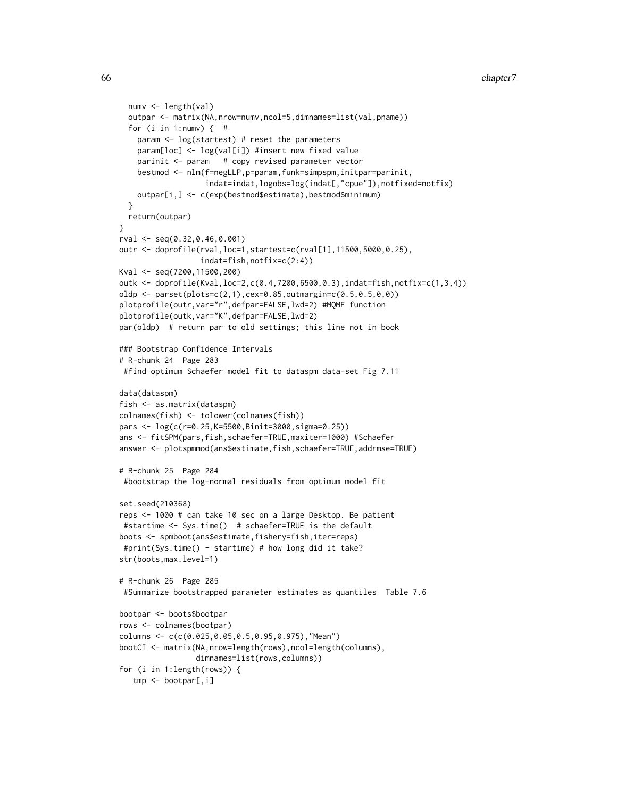```
numv <- length(val)
 outpar <- matrix(NA,nrow=numv,ncol=5,dimnames=list(val,pname))
  for (i in 1:numv) { #
   param <- log(startest) # reset the parameters
   param[loc] <- log(val[i]) #insert new fixed value
   parinit <- param # copy revised parameter vector
   bestmod <- nlm(f=negLLP,p=param,funk=simpspm,initpar=parinit,
                  indat=indat,logobs=log(indat[,"cpue"]),notfixed=notfix)
   outpar[i,] <- c(exp(bestmod$estimate),bestmod$minimum)
 }
 return(outpar)
}
rval <- seq(0.32,0.46,0.001)
outr <- doprofile(rval,loc=1,startest=c(rval[1],11500,5000,0.25),
                  indat=fish,notfix=c(2:4))
Kval <- seq(7200,11500,200)
outk <- doprofile(Kval,loc=2,c(0.4,7200,6500,0.3),indat=fish,notfix=c(1,3,4))
oldp <- parset(plots=c(2,1),cex=0.85,outmargin=c(0.5,0.5,0,0))
plotprofile(outr,var="r",defpar=FALSE,lwd=2) #MQMF function
plotprofile(outk,var="K",defpar=FALSE,lwd=2)
par(oldp) # return par to old settings; this line not in book
### Bootstrap Confidence Intervals
# R-chunk 24 Page 283
#find optimum Schaefer model fit to dataspm data-set Fig 7.11
data(dataspm)
fish <- as.matrix(dataspm)
colnames(fish) <- tolower(colnames(fish))
pars <- log(c(r=0.25,K=5500,Binit=3000,sigma=0.25))
ans <- fitSPM(pars,fish,schaefer=TRUE,maxiter=1000) #Schaefer
answer <- plotspmmod(ans$estimate,fish,schaefer=TRUE,addrmse=TRUE)
# R-chunk 25 Page 284
#bootstrap the log-normal residuals from optimum model fit
set.seed(210368)
reps <- 1000 # can take 10 sec on a large Desktop. Be patient
 #startime <- Sys.time() # schaefer=TRUE is the default
boots <- spmboot(ans$estimate,fishery=fish,iter=reps)
#print(Sys.time() - startime) # how long did it take?
str(boots,max.level=1)
# R-chunk 26 Page 285
#Summarize bootstrapped parameter estimates as quantiles Table 7.6
bootpar <- boots$bootpar
rows <- colnames(bootpar)
columns <- c(c(0.025,0.05,0.5,0.95,0.975),"Mean")
bootCI <- matrix(NA,nrow=length(rows),ncol=length(columns),
                 dimnames=list(rows,columns))
for (i in 1:length(rows)) {
  tmp <- bootpar[,i]
```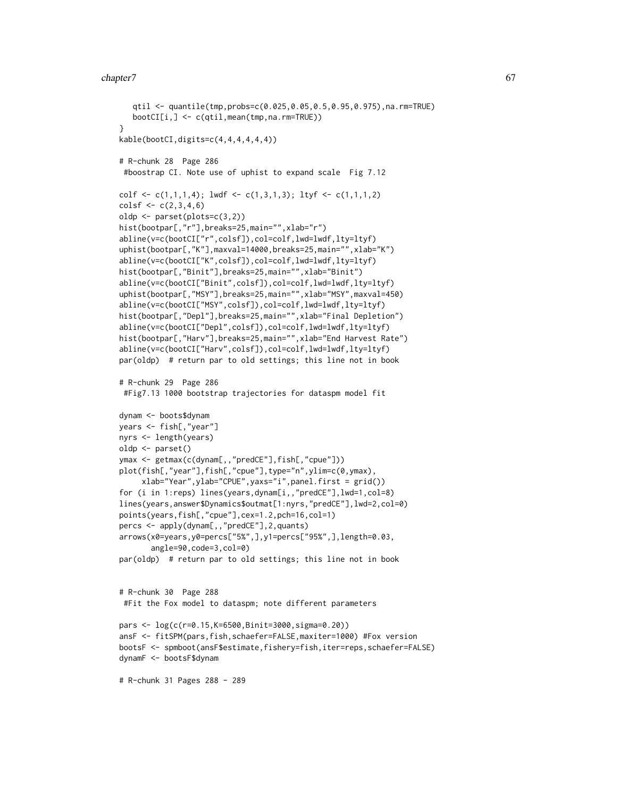```
qtil <- quantile(tmp,probs=c(0.025,0.05,0.5,0.95,0.975),na.rm=TRUE)
  bootCI[i,] <- c(qtil,mean(tmp,na.rm=TRUE))
}
kable(bootCI,digits=c(4,4,4,4,4,4))
# R-chunk 28 Page 286
#boostrap CI. Note use of uphist to expand scale Fig 7.12
\text{colf} \leftarrow c(1,1,1,4); \text{lwdf} \leftarrow c(1,3,1,3); \text{ltyf} \leftarrow c(1,1,1,2){\rm colsf} \leftarrow {\rm c}(2,3,4,6)oldp <- parset(plots=c(3,2))
hist(bootpar[,"r"],breaks=25,main="",xlab="r")
abline(v=c(bootCI["r",colsf]),col=colf,lwd=lwdf,lty=ltyf)
uphist(bootpar[,"K"],maxval=14000,breaks=25,main="",xlab="K")
abline(v=c(bootCI["K",colsf]),col=colf,lwd=lwdf,lty=ltyf)
hist(bootpar[,"Binit"],breaks=25,main="",xlab="Binit")
abline(v=c(bootCI["Binit",colsf]),col=colf,lwd=lwdf,lty=ltyf)
uphist(bootpar[,"MSY"],breaks=25,main="",xlab="MSY",maxval=450)
abline(v=c(bootCI["MSY",colsf]),col=colf,lwd=lwdf,lty=ltyf)
hist(bootpar[,"Depl"],breaks=25,main="",xlab="Final Depletion")
abline(v=c(bootCI["Depl",colsf]),col=colf,lwd=lwdf,lty=ltyf)
hist(bootpar[,"Harv"],breaks=25,main="",xlab="End Harvest Rate")
abline(v=c(bootCI["Harv",colsf]),col=colf,lwd=lwdf,lty=ltyf)
par(oldp) # return par to old settings; this line not in book
# R-chunk 29 Page 286
#Fig7.13 1000 bootstrap trajectories for dataspm model fit
dynam <- boots$dynam
years <- fish[,"year"]
nyrs <- length(years)
oldp <- parset()
ymax <- getmax(c(dynam[,,"predCE"],fish[,"cpue"]))
plot(fish[,"year"],fish[,"cpue"],type="n",ylim=c(0,ymax),
     xlab="Year",ylab="CPUE",yaxs="i",panel.first = grid())
for (i in 1:reps) lines(years,dynam[i,,"predCE"],lwd=1,col=8)
lines(years,answer$Dynamics$outmat[1:nyrs,"predCE"],lwd=2,col=0)
points(years,fish[,"cpue"],cex=1.2,pch=16,col=1)
percs <- apply(dynam[,,"predCE"],2,quants)
arrows(x0=years,y0=percs["5%",],y1=percs["95%",],length=0.03,
       angle=90,code=3,col=0)
par(oldp) # return par to old settings; this line not in book
# R-chunk 30 Page 288
#Fit the Fox model to dataspm; note different parameters
pars <- log(c(r=0.15,K=6500,Binit=3000,sigma=0.20))
ansF <- fitSPM(pars,fish,schaefer=FALSE,maxiter=1000) #Fox version
bootsF <- spmboot(ansF$estimate,fishery=fish,iter=reps,schaefer=FALSE)
dynamF <- bootsF$dynam
# R-chunk 31 Pages 288 - 289
```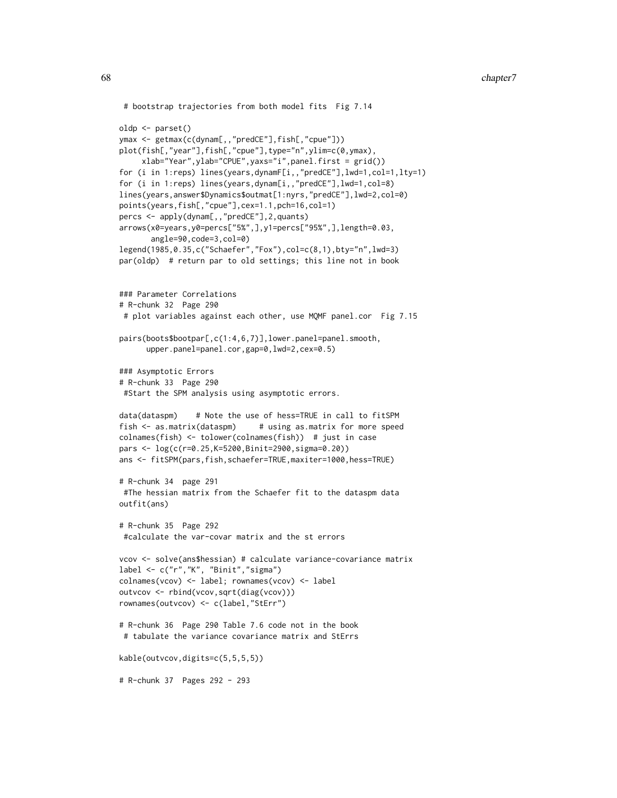```
# bootstrap trajectories from both model fits Fig 7.14
oldp <- parset()
ymax <- getmax(c(dynam[,,"predCE"],fish[,"cpue"]))
plot(fish[,"year"],fish[,"cpue"],type="n",ylim=c(0,ymax),
     xlab="Year",ylab="CPUE",yaxs="i",panel.first = grid())
for (i in 1:reps) lines(years,dynamF[i,,"predCE"],lwd=1,col=1,lty=1)
for (i in 1:reps) lines(years,dynam[i,,"predCE"],lwd=1,col=8)
lines(years,answer$Dynamics$outmat[1:nyrs,"predCE"],lwd=2,col=0)
points(years,fish[,"cpue"],cex=1.1,pch=16,col=1)
percs <- apply(dynam[,,"predCE"],2,quants)
arrows(x0=years,y0=percs["5%",],y1=percs["95%",],length=0.03,
       angle=90,code=3,col=0)
legend(1985,0.35,c("Schaefer","Fox"),col=c(8,1),bty="n",lwd=3)
par(oldp) # return par to old settings; this line not in book
### Parameter Correlations
# R-chunk 32 Page 290
# plot variables against each other, use MQMF panel.cor Fig 7.15
pairs(boots$bootpar[,c(1:4,6,7)],lower.panel=panel.smooth,
      upper.panel=panel.cor,gap=0,lwd=2,cex=0.5)
### Asymptotic Errors
# R-chunk 33 Page 290
#Start the SPM analysis using asymptotic errors.
data(dataspm) # Note the use of hess=TRUE in call to fitSPM
fish <- as.matrix(dataspm) # using as.matrix for more speed
colnames(fish) <- tolower(colnames(fish)) # just in case
pars <- log(c(r=0.25,K=5200,Binit=2900,sigma=0.20))
ans <- fitSPM(pars,fish,schaefer=TRUE,maxiter=1000,hess=TRUE)
# R-chunk 34 page 291
#The hessian matrix from the Schaefer fit to the dataspm data
outfit(ans)
# R-chunk 35 Page 292
#calculate the var-covar matrix and the st errors
vcov <- solve(ans$hessian) # calculate variance-covariance matrix
label <- c("r","K", "Binit","sigma")
colnames(vcov) <- label; rownames(vcov) <- label
outvcov <- rbind(vcov,sqrt(diag(vcov)))
rownames(outvcov) <- c(label,"StErr")
# R-chunk 36 Page 290 Table 7.6 code not in the book
# tabulate the variance covariance matrix and StErrs
kable(outvcov,digits=c(5,5,5,5))
# R-chunk 37 Pages 292 - 293
```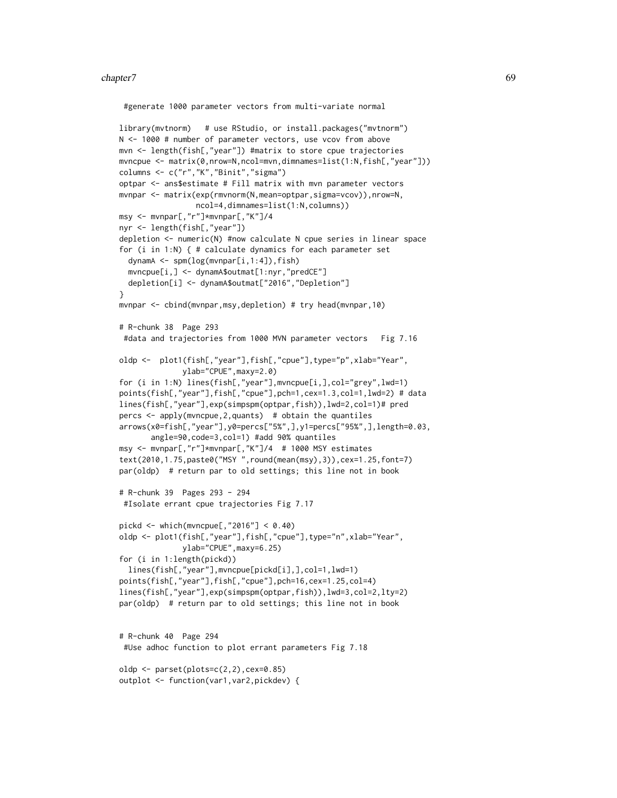#generate 1000 parameter vectors from multi-variate normal

```
library(mvtnorm) # use RStudio, or install.packages("mvtnorm")
N <- 1000 # number of parameter vectors, use vcov from above
mvn <- length(fish[,"year"]) #matrix to store cpue trajectories
mvncpue <- matrix(0,nrow=N,ncol=mvn,dimnames=list(1:N,fish[,"year"]))
columns <- c("r","K","Binit","sigma")
optpar <- ans$estimate # Fill matrix with mvn parameter vectors
mvnpar <- matrix(exp(rmvnorm(N,mean=optpar,sigma=vcov)),nrow=N,
                ncol=4,dimnames=list(1:N,columns))
msy <- mvnpar[,"r"]*mvnpar[,"K"]/4
nyr <- length(fish[,"year"])
depletion <- numeric(N) #now calculate N cpue series in linear space
for (i in 1:N) { # calculate dynamics for each parameter set
 dynamA <- spm(log(mvnpar[i,1:4]),fish)
 mvncpue[i,] <- dynamA$outmat[1:nyr,"predCE"]
 depletion[i] <- dynamA$outmat["2016","Depletion"]
}
mvnpar <- cbind(mvnpar,msy,depletion) # try head(mvnpar,10)
# R-chunk 38 Page 293
#data and trajectories from 1000 MVN parameter vectors Fig 7.16
oldp <- plot1(fish[,"year"],fish[,"cpue"],type="p",xlab="Year",
             ylab="CPUE",maxy=2.0)
for (i in 1:N) lines(fish[,"year"],mvncpue[i,],col="grey",lwd=1)
points(fish[,"year"],fish[,"cpue"],pch=1,cex=1.3,col=1,lwd=2) # data
lines(fish[,"year"],exp(simpspm(optpar,fish)),lwd=2,col=1)# pred
percs <- apply(mvncpue,2,quants) # obtain the quantiles
arrows(x0=fish[,"year"],y0=percs["5%",],y1=percs["95%",],length=0.03,
      angle=90,code=3,col=1) #add 90% quantiles
msy <- mvnpar[,"r"]*mvnpar[,"K"]/4 # 1000 MSY estimates
text(2010,1.75,paste0("MSY ",round(mean(msy),3)),cex=1.25,font=7)
par(oldp) # return par to old settings; this line not in book
# R-chunk 39 Pages 293 - 294
#Isolate errant cpue trajectories Fig 7.17
pickd <- which(mvncpue[,"2016"] < 0.40)
oldp <- plot1(fish[,"year"],fish[,"cpue"],type="n",xlab="Year",
             ylab="CPUE",maxy=6.25)
for (i in 1:length(pickd))
 lines(fish[,"year"],mvncpue[pickd[i],],col=1,lwd=1)
points(fish[,"year"],fish[,"cpue"],pch=16,cex=1.25,col=4)
lines(fish[,"year"],exp(simpspm(optpar,fish)),lwd=3,col=2,lty=2)
par(oldp) # return par to old settings; this line not in book
# R-chunk 40 Page 294
#Use adhoc function to plot errant parameters Fig 7.18
oldp <- parset(plots=c(2,2),cex=0.85)
```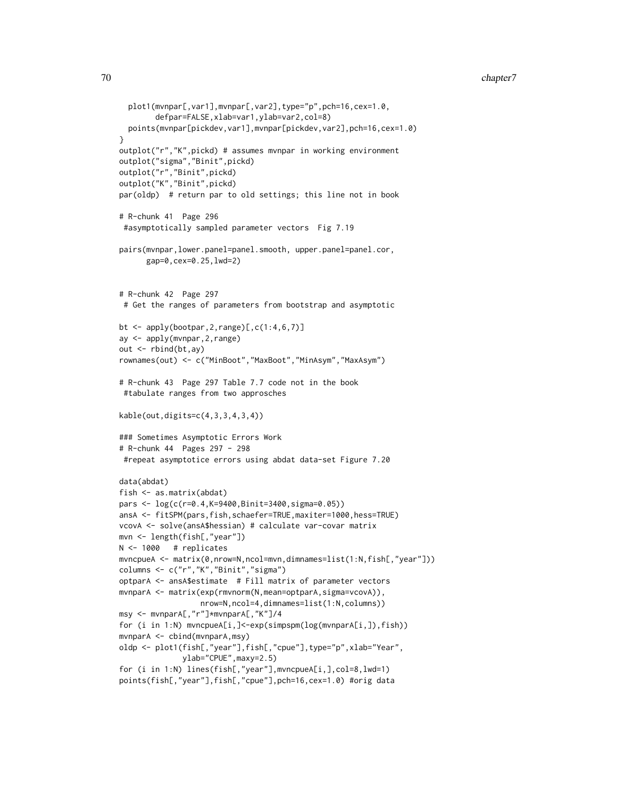```
plot1(mvnpar[,var1],mvnpar[,var2],type="p",pch=16,cex=1.0,
       defpar=FALSE,xlab=var1,ylab=var2,col=8)
 points(mvnpar[pickdev,var1],mvnpar[pickdev,var2],pch=16,cex=1.0)
}
outplot("r","K",pickd) # assumes mvnpar in working environment
outplot("sigma","Binit",pickd)
outplot("r","Binit",pickd)
outplot("K","Binit",pickd)
par(oldp) # return par to old settings; this line not in book
# R-chunk 41 Page 296
#asymptotically sampled parameter vectors Fig 7.19
pairs(mvnpar,lower.panel=panel.smooth, upper.panel=panel.cor,
      gap=0,cex=0.25,lwd=2)
# R-chunk 42 Page 297
# Get the ranges of parameters from bootstrap and asymptotic
bt \leq apply(bootpar, 2, range)[, c(1:4, 6, 7)]
ay <- apply(mvnpar,2,range)
out <- rbind(bt,ay)
rownames(out) <- c("MinBoot","MaxBoot","MinAsym","MaxAsym")
# R-chunk 43 Page 297 Table 7.7 code not in the book
#tabulate ranges from two approsches
kable(out,digits=c(4,3,3,4,3,4))
### Sometimes Asymptotic Errors Work
# R-chunk 44 Pages 297 - 298
#repeat asymptotice errors using abdat data-set Figure 7.20
data(abdat)
fish <- as.matrix(abdat)
pars <- log(c(r=0.4,K=9400,Binit=3400,sigma=0.05))
ansA <- fitSPM(pars,fish,schaefer=TRUE,maxiter=1000,hess=TRUE)
vcovA <- solve(ansA$hessian) # calculate var-covar matrix
mvn <- length(fish[,"year"])
N <- 1000 # replicates
mvncpueA <- matrix(0,nrow=N,ncol=mvn,dimnames=list(1:N,fish[,"year"]))
columns <- c("r","K","Binit","sigma")
optparA <- ansA$estimate # Fill matrix of parameter vectors
mvnparA <- matrix(exp(rmvnorm(N,mean=optparA,sigma=vcovA)),
                 nrow=N,ncol=4,dimnames=list(1:N,columns))
msy <- mvnparA[,"r"]*mvnparA[,"K"]/4
for (i in 1:N) mvncpueA[i,]<-exp(simpspm(log(mvnparA[i,]),fish))
mvnparA <- cbind(mvnparA,msy)
oldp <- plot1(fish[,"year"],fish[,"cpue"],type="p",xlab="Year",
              ylab="CPUE",maxy=2.5)
for (i in 1:N) lines(fish[,"year"],mvncpueA[i,],col=8,lwd=1)
points(fish[,"year"],fish[,"cpue"],pch=16,cex=1.0) #orig data
```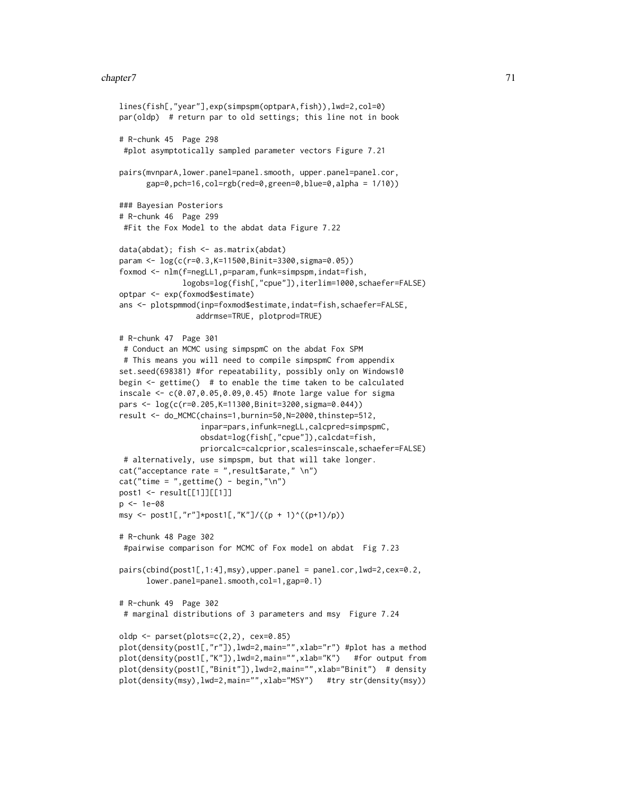#### chapter7 71

```
lines(fish[,"year"],exp(simpspm(optparA,fish)),lwd=2,col=0)
par(oldp) # return par to old settings; this line not in book
# R-chunk 45 Page 298
#plot asymptotically sampled parameter vectors Figure 7.21
pairs(mvnparA,lower.panel=panel.smooth, upper.panel=panel.cor,
      gap=0,pch=16,col=rgb(red=0,green=0,blue=0,alpha = 1/10))
### Bayesian Posteriors
# R-chunk 46 Page 299
#Fit the Fox Model to the abdat data Figure 7.22
data(abdat); fish <- as.matrix(abdat)
param <- log(c(r=0.3,K=11500,Binit=3300,sigma=0.05))
foxmod <- nlm(f=negLL1,p=param,funk=simpspm,indat=fish,
              logobs=log(fish[,"cpue"]),iterlim=1000,schaefer=FALSE)
optpar <- exp(foxmod$estimate)
ans <- plotspmmod(inp=foxmod$estimate,indat=fish,schaefer=FALSE,
                 addrmse=TRUE, plotprod=TRUE)
# R-chunk 47 Page 301
# Conduct an MCMC using simpspmC on the abdat Fox SPM
# This means you will need to compile simpspmC from appendix
set.seed(698381) #for repeatability, possibly only on Windows10
begin <- gettime() # to enable the time taken to be calculated
inscale <- c(0.07,0.05,0.09,0.45) #note large value for sigma
pars <- log(c(r=0.205,K=11300,Binit=3200,sigma=0.044))
result <- do_MCMC(chains=1,burnin=50,N=2000,thinstep=512,
                  inpar=pars,infunk=negLL,calcpred=simpspmC,
                  obsdat=log(fish[,"cpue"]),calcdat=fish,
                  priorcalc=calcprior,scales=inscale,schaefer=FALSE)
# alternatively, use simpspm, but that will take longer.
cat("acceptance rate = ",result~\{arate, " \n}\cat("time = ",gettime() - begin, "\n")post1 <- result[[1]][[1]]
p <- 1e-08
msy <- post1[,"r"]*post1[,"K"]/((p + 1)^((p+1)/p))
# R-chunk 48 Page 302
#pairwise comparison for MCMC of Fox model on abdat Fig 7.23
pairs(cbind(post1[,1:4],msy),upper.panel = panel.cor,lwd=2,cex=0.2,
      lower.panel=panel.smooth,col=1,gap=0.1)
# R-chunk 49 Page 302
# marginal distributions of 3 parameters and msy Figure 7.24
oldp <- parset(plots=c(2,2), cex=0.85)
plot(density(post1[,"r"]),lwd=2,main="",xlab="r") #plot has a method
plot(density(post1[,"K"]),lwd=2,main="",xlab="K") #for output from
plot(density(post1[,"Binit"]),lwd=2,main="",xlab="Binit") # density
plot(density(msy),lwd=2,main="",xlab="MSY") #try str(density(msy))
```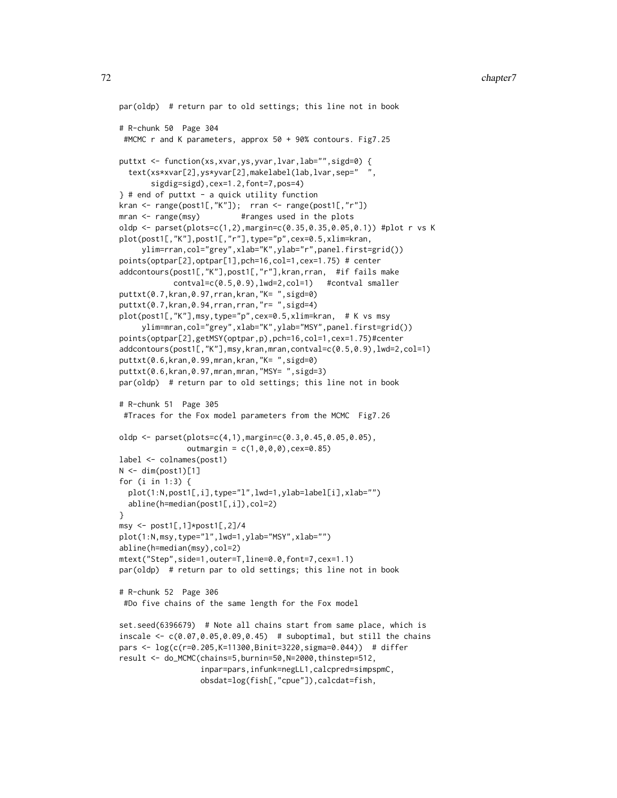```
par(oldp) # return par to old settings; this line not in book
# R-chunk 50 Page 304
#MCMC r and K parameters, approx 50 + 90% contours. Fig7.25
puttxt <- function(xs,xvar,ys,yvar,lvar,lab="",sigd=0) {
 text(xs*xvar[2],ys*yvar[2],makelabel(lab,lvar,sep=" ",
      sigdig=sigd),cex=1.2,font=7,pos=4)
} # end of puttxt - a quick utility function
kran <- range(post1[,"K"]); rran <- range(post1[,"r"])
mran <- range(msy) #ranges used in the plots
oldp <- parset(plots=c(1,2),margin=c(0.35,0.35,0.05,0.1)) #plot r vs K
plot(post1[,"K"],post1[,"r"],type="p",cex=0.5,xlim=kran,
     ylim=rran,col="grey",xlab="K",ylab="r",panel.first=grid())
points(optpar[2],optpar[1],pch=16,col=1,cex=1.75) # center
addcontours(post1[,"K"],post1[,"r"],kran,rran, #if fails make
           contval=c(0.5,0.9),lwd=2,col=1) #contval smaller
puttxt(0.7,kran,0.97,rran,kran,"K= ",sigd=0)
puttxt(0.7,kran,0.94,rran,rran,"r= ",sigd=4)
plot(post1[,"K"],msy,type="p",cex=0.5,xlim=kran, # K vs msy
     ylim=mran,col="grey",xlab="K",ylab="MSY",panel.first=grid())
points(optpar[2],getMSY(optpar,p),pch=16,col=1,cex=1.75)#center
addcontours(post1[,"K"],msy,kran,mran,contval=c(0.5,0.9),lwd=2,col=1)
puttxt(0.6,kran,0.99,mran,kran,"K= ",sigd=0)
puttxt(0.6,kran,0.97,mran,mran,"MSY= ",sigd=3)
par(oldp) # return par to old settings; this line not in book
# R-chunk 51 Page 305
#Traces for the Fox model parameters from the MCMC Fig7.26
oldp <- parset(plots=c(4,1),margin=c(0.3,0.45,0.05,0.05),
              outmargin = c(1, 0, 0, 0), cex=0.85)label <- colnames(post1)
N < - dim(post1)[1]
for (i in 1:3) {
 plot(1:N,post1[,i],type="l",lwd=1,ylab=label[i],xlab="")
 abline(h=median(post1[,i]),col=2)
}
msy <- post1[,1]*post1[,2]/4
plot(1:N,msy,type="l",lwd=1,ylab="MSY",xlab="")
abline(h=median(msy),col=2)
mtext("Step",side=1,outer=T,line=0.0,font=7,cex=1.1)
par(oldp) # return par to old settings; this line not in book
# R-chunk 52 Page 306
#Do five chains of the same length for the Fox model
set.seed(6396679) # Note all chains start from same place, which is
inscale \leq c(0.07,0.05,0.09,0.45) # suboptimal, but still the chains
pars <- log(c(r=0.205,K=11300,Binit=3220,sigma=0.044)) # differ
result <- do_MCMC(chains=5,burnin=50,N=2000,thinstep=512,
                  inpar=pars,infunk=negLL1,calcpred=simpspmC,
                 obsdat=log(fish[,"cpue"]),calcdat=fish,
```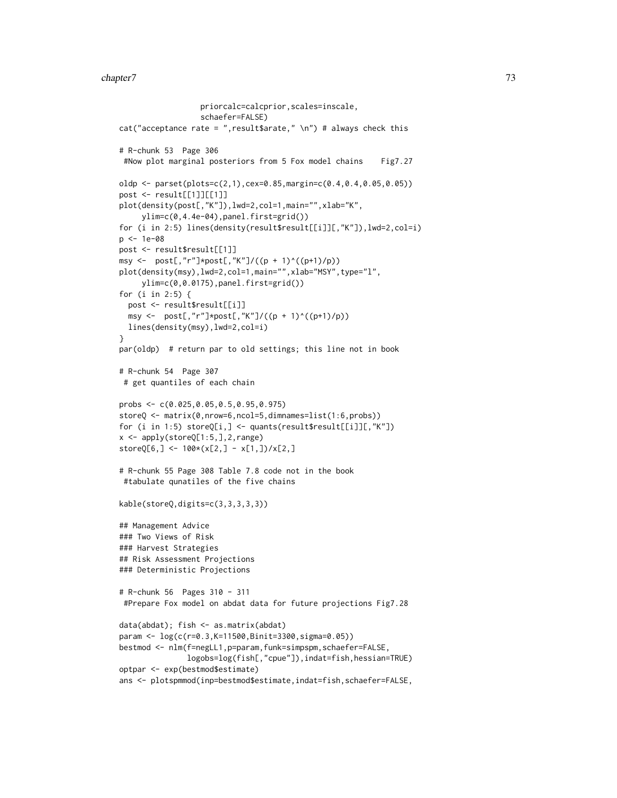### chapter7 73

```
priorcalc=calcprior,scales=inscale,
                  schaefer=FALSE)
cat("acceptance rate = ",result$arate," \n") # always check this
# R-chunk 53 Page 306
#Now plot marginal posteriors from 5 Fox model chains Fig7.27
oldp <- parset(plots=c(2,1),cex=0.85,margin=c(0.4,0.4,0.05,0.05))
post <- result[[1]][[1]]
plot(density(post[,"K"]),lwd=2,col=1,main="",xlab="K",
     ylim=c(0,4.4e-04),panel.first=grid())
for (i in 2:5) lines(density(result$result[[i]][,"K"]),lwd=2,col=i)
p <- 1e-08
post <- result$result[[1]]
msy <- post[, "r"]*post[, "K"]/((p + 1)^((p+1)/p))plot(density(msy),lwd=2,col=1,main="",xlab="MSY",type="l",
    ylim=c(0,0.0175),panel.first=grid())
for (i in 2:5) {
 post <- result$result[[i]]
 msy <- post[, "r"] * post[, "K"]/((p + 1)^*((p+1)/p))lines(density(msy),lwd=2,col=i)
}
par(oldp) # return par to old settings; this line not in book
# R-chunk 54 Page 307
# get quantiles of each chain
probs <- c(0.025,0.05,0.5,0.95,0.975)
storeQ <- matrix(0,nrow=6,ncol=5,dimnames=list(1:6,probs))
for (i in 1:5) storeQ[i, ] \leftarrow quants(resultSresult[[i]][, "K"])x \leftarrow apply(store[1:5,],2,range)storeQ[6,] <- 100*(x[2,] - x[1,])/x[2,]# R-chunk 55 Page 308 Table 7.8 code not in the book
#tabulate qunatiles of the five chains
kable(storeQ,digits=c(3,3,3,3,3))
## Management Advice
### Two Views of Risk
### Harvest Strategies
## Risk Assessment Projections
### Deterministic Projections
# R-chunk 56 Pages 310 - 311
#Prepare Fox model on abdat data for future projections Fig7.28
data(abdat); fish <- as.matrix(abdat)
param <- log(c(r=0.3,K=11500,Binit=3300,sigma=0.05))
bestmod <- nlm(f=negLL1,p=param,funk=simpspm,schaefer=FALSE,
               logobs=log(fish[,"cpue"]),indat=fish,hessian=TRUE)
optpar <- exp(bestmod$estimate)
ans <- plotspmmod(inp=bestmod$estimate,indat=fish,schaefer=FALSE,
```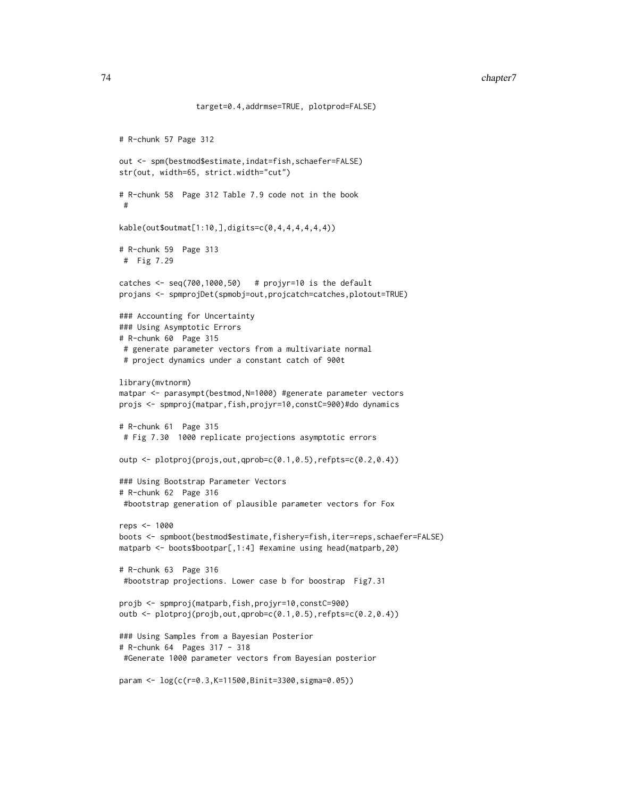```
target=0.4,addrmse=TRUE, plotprod=FALSE)
# R-chunk 57 Page 312
out <- spm(bestmod$estimate,indat=fish,schaefer=FALSE)
str(out, width=65, strict.width="cut")
# R-chunk 58 Page 312 Table 7.9 code not in the book
#
kable(out$outmat[1:10,],digits=c(0,4,4,4,4,4,4))
# R-chunk 59 Page 313
# Fig 7.29
catches \leq seq(700,1000,50) # projyr=10 is the default
projans <- spmprojDet(spmobj=out,projcatch=catches,plotout=TRUE)
### Accounting for Uncertainty
### Using Asymptotic Errors
# R-chunk 60 Page 315
# generate parameter vectors from a multivariate normal
# project dynamics under a constant catch of 900t
library(mvtnorm)
matpar <- parasympt(bestmod, N=1000) #generate parameter vectors
projs <- spmproj(matpar,fish,projyr=10,constC=900)#do dynamics
# R-chunk 61 Page 315
# Fig 7.30 1000 replicate projections asymptotic errors
outp <- plotproj(projs,out,qprob=c(0.1,0.5),refpts=c(0.2,0.4))
### Using Bootstrap Parameter Vectors
# R-chunk 62 Page 316
#bootstrap generation of plausible parameter vectors for Fox
reps <- 1000
boots <- spmboot(bestmod$estimate,fishery=fish,iter=reps,schaefer=FALSE)
matparb <- boots$bootpar[,1:4] #examine using head(matparb,20)
# R-chunk 63 Page 316
#bootstrap projections. Lower case b for boostrap Fig7.31
projb <- spmproj(matparb,fish,projyr=10,constC=900)
outb <- plotproj(projb,out,qprob=c(0.1,0.5),refpts=c(0.2,0.4))
### Using Samples from a Bayesian Posterior
# R-chunk 64 Pages 317 - 318
#Generate 1000 parameter vectors from Bayesian posterior
```

```
param <- log(c(r=0.3,K=11500,Binit=3300,sigma=0.05))
```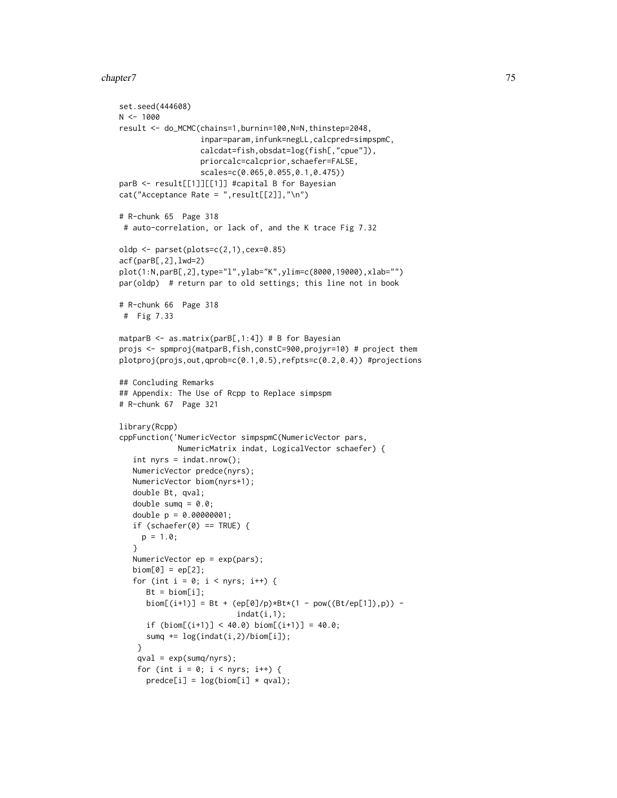### chapter7 75

```
set.seed(444608)
N < - 1000result <- do_MCMC(chains=1,burnin=100,N=N,thinstep=2048,
                  inpar=param,infunk=negLL,calcpred=simpspmC,
                  calcdat=fish,obsdat=log(fish[,"cpue"]),
                  priorcalc=calcprior,schaefer=FALSE,
                  scales=c(0.065,0.055,0.1,0.475))
parB <- result[[1]][[1]] #capital B for Bayesian
cat("Acceptance Rate = ",result[[2]],"\n")
# R-chunk 65 Page 318
 # auto-correlation, or lack of, and the K trace Fig 7.32
oldp <- parset(plots=c(2,1),cex=0.85)
acf(parB[,2],lwd=2)
plot(1:N,parB[,2],type="l",ylab="K",ylim=c(8000,19000),xlab="")
par(oldp) # return par to old settings; this line not in book
# R-chunk 66 Page 318
 # Fig 7.33
matparB <- as.matrix(parB[,1:4]) # B for Bayesian
projs <- spmproj(matparB,fish,constC=900,projyr=10) # project them
plotproj(projs,out,qprob=c(0.1,0.5),refpts=c(0.2,0.4)) #projections
## Concluding Remarks
## Appendix: The Use of Rcpp to Replace simpspm
# R-chunk 67 Page 321
library(Rcpp)
cppFunction('NumericVector simpspmC(NumericVector pars,
             NumericMatrix indat, LogicalVector schaefer) {
   int nyrs = indat.nrow();
   NumericVector predce(nyrs);
   NumericVector biom(nyrs+1);
   double Bt, qval;
   double sumq = 0.0;
   double p = 0.00000001;
   if (schaefer(0) == TRUE) {
     p = 1.0;
   }
   NumericVector ep = exp(pars);
   biom[0] = ep[2];for (int i = 0; i < nyrs; i++) {
      Bt = bin[i];\text{biom}[(i+1)] = \text{Bt} + (\text{ep}[0]/p) * \text{Bt} * (1 - \text{pow}((\text{Bt/ep}[1]), p)) -indat(i,1);if (biom[(i+1)] < 40.0) bin[(i+1)] = 40.0;sumq += log(indat(i,2)/biom[i]);
    }
    qval = exp(sumq/nyrs);
    for (int i = 0; i < nyrs; i++) {
      predce[i] = log(biom[i] * qval);
```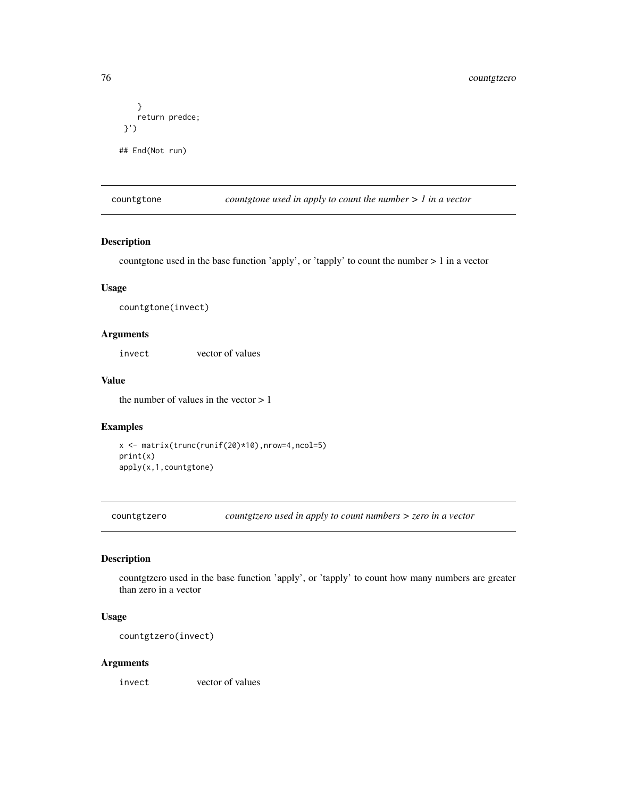```
}
    return predce;
}')
## End(Not run)
```
countgtone *countgtone used in apply to count the number > 1 in a vector*

# Description

countgtone used in the base function 'apply', or 'tapply' to count the number > 1 in a vector

## Usage

countgtone(invect)

# Arguments

invect vector of values

## Value

the number of values in the vector  $> 1$ 

# Examples

```
x <- matrix(trunc(runif(20)*10),nrow=4,ncol=5)
print(x)
apply(x,1,countgtone)
```
countgtzero *countgtzero used in apply to count numbers > zero in a vector*

# Description

countgtzero used in the base function 'apply', or 'tapply' to count how many numbers are greater than zero in a vector

# Usage

```
countgtzero(invect)
```
## Arguments

invect vector of values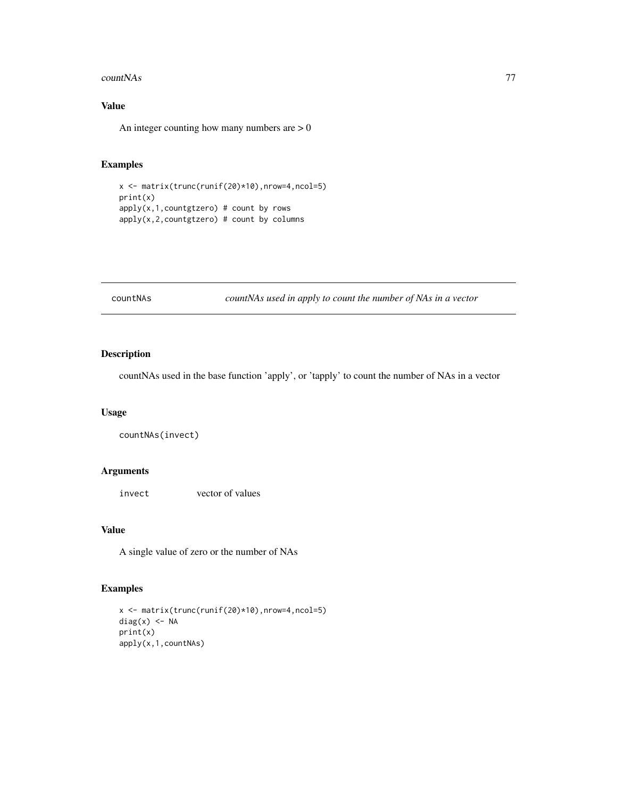### $countNAs$   $77$

# Value

An integer counting how many numbers are  $> 0$ 

## Examples

```
x <- matrix(trunc(runif(20)*10),nrow=4,ncol=5)
print(x)
apply(x,1,countgtzero) # count by rows
apply(x,2,countgtzero) # count by columns
```
countNAs *countNAs used in apply to count the number of NAs in a vector*

## Description

countNAs used in the base function 'apply', or 'tapply' to count the number of NAs in a vector

## Usage

```
countNAs(invect)
```
# Arguments

invect vector of values

## Value

A single value of zero or the number of NAs

```
x <- matrix(trunc(runif(20)*10),nrow=4,ncol=5)
diag(x) <- NA
print(x)
apply(x,1,countNAs)
```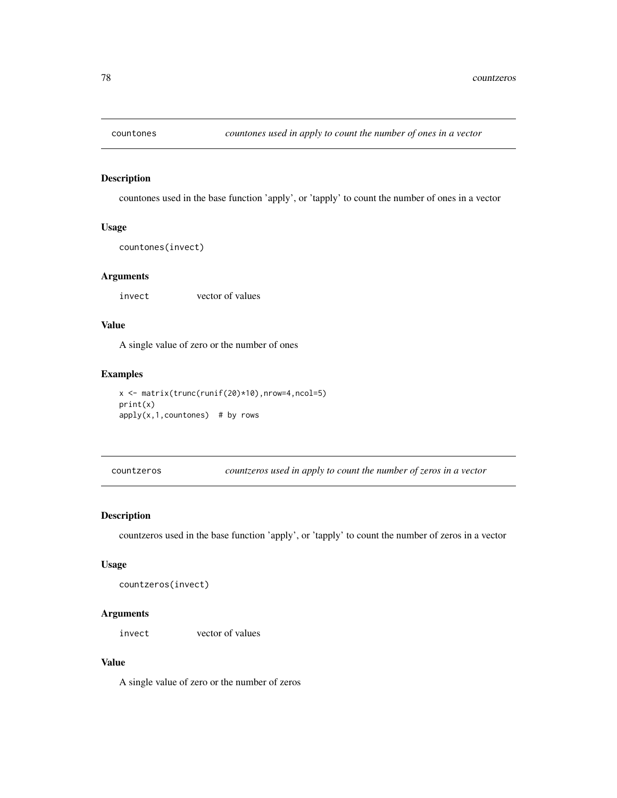countones used in the base function 'apply', or 'tapply' to count the number of ones in a vector

## Usage

```
countones(invect)
```
# Arguments

invect vector of values

# Value

A single value of zero or the number of ones

# Examples

```
x <- matrix(trunc(runif(20)*10),nrow=4,ncol=5)
print(x)
apply(x,1,countones) # by rows
```
countzeros *countzeros used in apply to count the number of zeros in a vector*

## Description

countzeros used in the base function 'apply', or 'tapply' to count the number of zeros in a vector

## Usage

```
countzeros(invect)
```
## Arguments

invect vector of values

## Value

A single value of zero or the number of zeros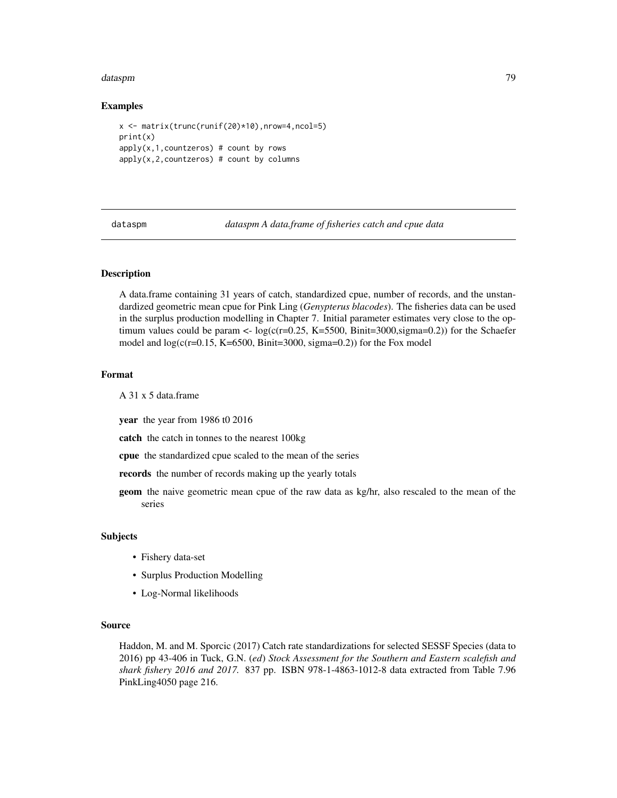### dataspm and the control of the control of the control of the control of the control of the control of the control of the control of the control of the control of the control of the control of the control of the control of

## Examples

```
x <- matrix(trunc(runif(20)*10),nrow=4,ncol=5)
print(x)
apply(x,1,countzeros) # count by rows
apply(x,2,countzeros) # count by columns
```
dataspm *dataspm A data.frame of fisheries catch and cpue data*

## Description

A data.frame containing 31 years of catch, standardized cpue, number of records, and the unstandardized geometric mean cpue for Pink Ling (*Genypterus blacodes*). The fisheries data can be used in the surplus production modelling in Chapter 7. Initial parameter estimates very close to the optimum values could be param  $\lt$ - log(c(r=0.25, K=5500, Binit=3000, sigma=0.2)) for the Schaefer model and  $log(c(r=0.15, K=6500, Binit=3000, sigma=0.2))$  for the Fox model

### Format

A 31 x 5 data.frame

year the year from 1986 t0 2016

catch the catch in tonnes to the nearest 100kg

cpue the standardized cpue scaled to the mean of the series

records the number of records making up the yearly totals

geom the naive geometric mean cpue of the raw data as kg/hr, also rescaled to the mean of the series

### Subjects

- Fishery data-set
- Surplus Production Modelling
- Log-Normal likelihoods

## Source

Haddon, M. and M. Sporcic (2017) Catch rate standardizations for selected SESSF Species (data to 2016) pp 43-406 in Tuck, G.N. (*ed*) *Stock Assessment for the Southern and Eastern scalefish and shark fishery 2016 and 2017.* 837 pp. ISBN 978-1-4863-1012-8 data extracted from Table 7.96 PinkLing4050 page 216.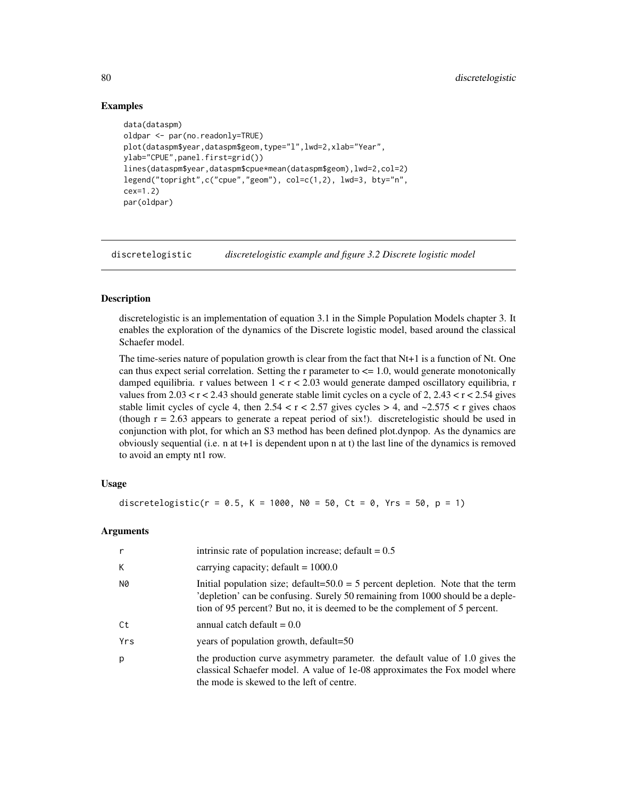## Examples

```
data(dataspm)
oldpar <- par(no.readonly=TRUE)
plot(dataspm$year,dataspm$geom,type="l",lwd=2,xlab="Year",
ylab="CPUE",panel.first=grid())
lines(dataspm$year,dataspm$cpue*mean(dataspm$geom),lwd=2,col=2)
legend("topright",c("cpue","geom"), col=c(1,2), lwd=3, bty="n",
cex=1.2)
par(oldpar)
```
discretelogistic *discretelogistic example and figure 3.2 Discrete logistic model*

## Description

discretelogistic is an implementation of equation 3.1 in the Simple Population Models chapter 3. It enables the exploration of the dynamics of the Discrete logistic model, based around the classical Schaefer model.

The time-series nature of population growth is clear from the fact that Nt+1 is a function of Nt. One can thus expect serial correlation. Setting the r parameter to  $\leq$  1.0, would generate monotonically damped equilibria. r values between  $1 < r < 2.03$  would generate damped oscillatory equilibria, r values from  $2.03 < r < 2.43$  should generate stable limit cycles on a cycle of  $2, 2.43 < r < 2.54$  gives stable limit cycles of cycle 4, then  $2.54 < r < 2.57$  gives cycles  $> 4$ , and  $\sim 2.575 < r$  gives chaos (though  $r = 2.63$  appears to generate a repeat period of six!). discrete logistic should be used in conjunction with plot, for which an S3 method has been defined plot.dynpop. As the dynamics are obviously sequential (i.e. n at t+1 is dependent upon n at t) the last line of the dynamics is removed to avoid an empty nt1 row.

## Usage

discretelogistic( $r = 0.5$ , K = 1000, N0 = 50, Ct = 0, Yrs = 50, p = 1)

## Arguments

|     | intrinsic rate of population increase; $default = 0.5$                                                                                                                                                                                           |
|-----|--------------------------------------------------------------------------------------------------------------------------------------------------------------------------------------------------------------------------------------------------|
| К   | carrying capacity; default = $1000.0$                                                                                                                                                                                                            |
| N0  | Initial population size; default=50.0 = 5 percent depletion. Note that the term<br>'depletion' can be confusing. Surely 50 remaining from 1000 should be a deple-<br>tion of 95 percent? But no, it is deemed to be the complement of 5 percent. |
| Ct  | annual catch default $= 0.0$                                                                                                                                                                                                                     |
| Yrs | years of population growth, default=50                                                                                                                                                                                                           |
| р   | the production curve asymmetry parameter, the default value of 1.0 gives the<br>classical Schaefer model. A value of 1e-08 approximates the Fox model where<br>the mode is skewed to the left of centre.                                         |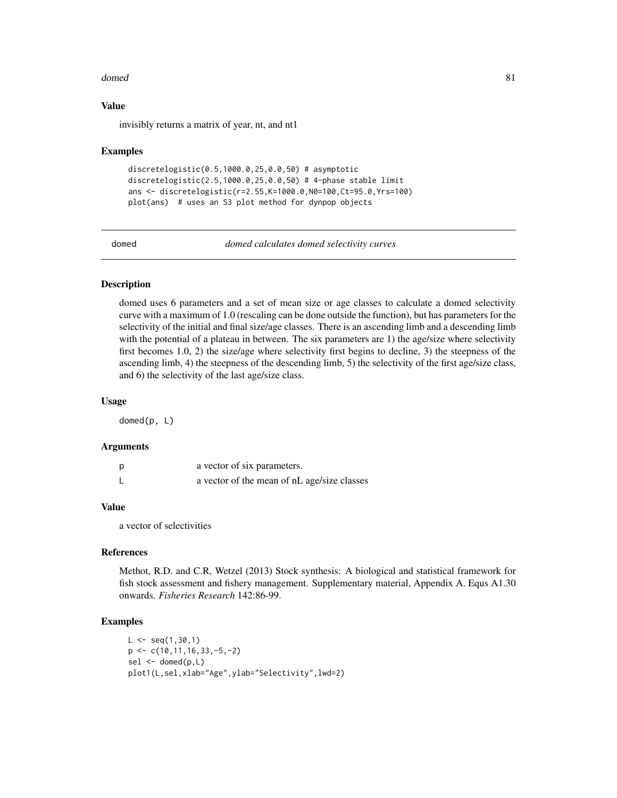### domed 81

## Value

invisibly returns a matrix of year, nt, and nt1

### Examples

```
discretelogistic(0.5,1000.0,25,0.0,50) # asymptotic
discretelogistic(2.5,1000.0,25,0.0,50) # 4-phase stable limit
ans <- discretelogistic(r=2.55,K=1000.0,N0=100,Ct=95.0,Yrs=100)
plot(ans) # uses an S3 plot method for dynpop objects
```
domed *domed calculates domed selectivity curves*

## Description

domed uses 6 parameters and a set of mean size or age classes to calculate a domed selectivity curve with a maximum of 1.0 (rescaling can be done outside the function), but has parameters for the selectivity of the initial and final size/age classes. There is an ascending limb and a descending limb with the potential of a plateau in between. The six parameters are 1) the age/size where selectivity first becomes 1.0, 2) the size/age where selectivity first begins to decline, 3) the steepness of the ascending limb, 4) the steepness of the descending limb, 5) the selectivity of the first age/size class, and 6) the selectivity of the last age/size class.

### Usage

domed(p, L)

# Arguments

| Ď | a vector of six parameters.                 |
|---|---------------------------------------------|
| ட | a vector of the mean of nL age/size classes |

### Value

a vector of selectivities

## References

Methot, R.D. and C.R, Wetzel (2013) Stock synthesis: A biological and statistical framework for fish stock assessment and fishery management. Supplementary material, Appendix A. Equs A1.30 onwards. *Fisheries Research* 142:86-99.

```
L \leq - seq(1,30,1)
p \leftarrow c(10, 11, 16, 33, -5, -2)sel \leftarrow domed(p, L)plot1(L,sel,xlab="Age",ylab="Selectivity",lwd=2)
```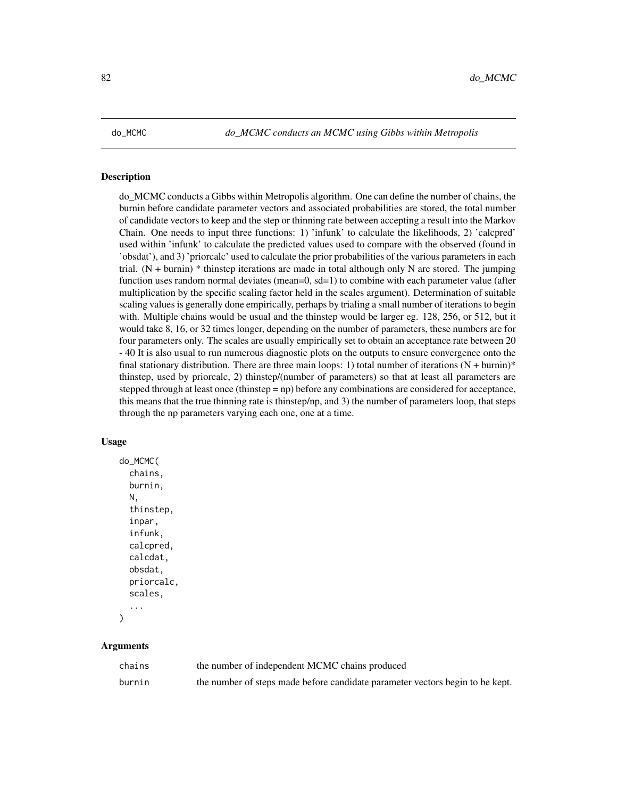do\_MCMC conducts a Gibbs within Metropolis algorithm. One can define the number of chains, the burnin before candidate parameter vectors and associated probabilities are stored, the total number of candidate vectors to keep and the step or thinning rate between accepting a result into the Markov Chain. One needs to input three functions: 1) 'infunk' to calculate the likelihoods, 2) 'calcpred' used within 'infunk' to calculate the predicted values used to compare with the observed (found in 'obsdat'), and 3) 'priorcalc' used to calculate the prior probabilities of the various parameters in each trial.  $(N + burnin)$  \* thinstep iterations are made in total although only N are stored. The jumping function uses random normal deviates (mean=0, sd=1) to combine with each parameter value (after multiplication by the specific scaling factor held in the scales argument). Determination of suitable scaling values is generally done empirically, perhaps by trialing a small number of iterations to begin with. Multiple chains would be usual and the thinstep would be larger eg. 128, 256, or 512, but it would take 8, 16, or 32 times longer, depending on the number of parameters, these numbers are for four parameters only. The scales are usually empirically set to obtain an acceptance rate between 20 - 40 It is also usual to run numerous diagnostic plots on the outputs to ensure convergence onto the final stationary distribution. There are three main loops: 1) total number of iterations  $(N + burnin)*$ thinstep, used by priorcalc, 2) thinstep/(number of parameters) so that at least all parameters are stepped through at least once (thinstep = np) before any combinations are considered for acceptance, this means that the true thinning rate is thinstep/np, and 3) the number of parameters loop, that steps through the np parameters varying each one, one at a time.

### Usage

```
do_MCMC(
  chains,
  burnin,
  N,
  thinstep,
  inpar,
  infunk,
  calcpred,
  calcdat,
  obsdat,
  priorcalc,
  scales,
  ...
```
### Arguments

)

| chains | the number of independent MCMC chains produced                                |
|--------|-------------------------------------------------------------------------------|
| burnin | the number of steps made before candidate parameter vectors begin to be kept. |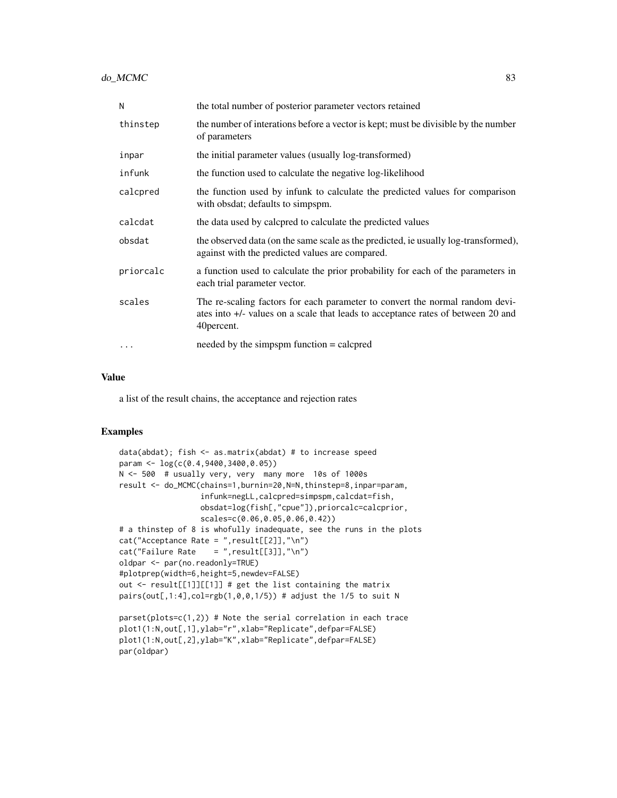| N         | the total number of posterior parameter vectors retained                                                                                                                          |
|-----------|-----------------------------------------------------------------------------------------------------------------------------------------------------------------------------------|
| thinstep  | the number of interations before a vector is kept; must be divisible by the number<br>of parameters                                                                               |
| inpar     | the initial parameter values (usually log-transformed)                                                                                                                            |
| infunk    | the function used to calculate the negative log-likelihood                                                                                                                        |
| calcpred  | the function used by infunk to calculate the predicted values for comparison<br>with obsdat; defaults to simpspm.                                                                 |
| calcdat   | the data used by calcored to calculate the predicted values                                                                                                                       |
| obsdat    | the observed data (on the same scale as the predicted, ie usually log-transformed),<br>against with the predicted values are compared.                                            |
| priorcalc | a function used to calculate the prior probability for each of the parameters in<br>each trial parameter vector.                                                                  |
| scales    | The re-scaling factors for each parameter to convert the normal random devi-<br>ates into $+/-$ values on a scale that leads to acceptance rates of between 20 and<br>40 percent. |
| .         | needed by the simpspm function = calcpred                                                                                                                                         |

### Value

a list of the result chains, the acceptance and rejection rates

```
data(abdat); fish <- as.matrix(abdat) # to increase speed
param <- log(c(0.4,9400,3400,0.05))
N <- 500 # usually very, very many more 10s of 1000s
result <- do_MCMC(chains=1,burnin=20,N=N,thinstep=8,inpar=param,
                  infunk=negLL,calcpred=simpspm,calcdat=fish,
                 obsdat=log(fish[,"cpue"]),priorcalc=calcprior,
                  scales=c(0.06,0.05,0.06,0.42))
# a thinstep of 8 is whofully inadequate, see the runs in the plots
cat("Acceptance Rate = ",result[[2]],"\n")
cat("Failure Rate = ",result[[3]], "\\n")oldpar <- par(no.readonly=TRUE)
#plotprep(width=6,height=5,newdev=FALSE)
out <- result[[1]][[1]] # get the list containing the matrix
pairs(out[,1:4],col=rgb(1,0,0,1/5)) # adjust the 1/5 to suit N
parset(plots = c(1,2)) # Note the serial correlation in each trace
plot1(1:N,out[,1],ylab="r",xlab="Replicate",defpar=FALSE)
plot1(1:N,out[,2],ylab="K",xlab="Replicate",defpar=FALSE)
par(oldpar)
```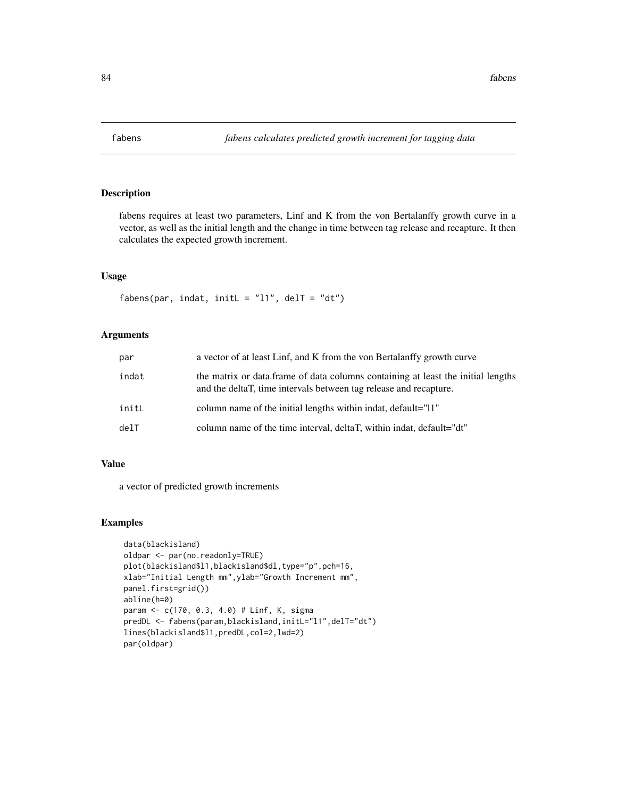fabens requires at least two parameters, Linf and K from the von Bertalanffy growth curve in a vector, as well as the initial length and the change in time between tag release and recapture. It then calculates the expected growth increment.

# Usage

```
fabens(par, indat, initL = "11", delT = "dt")
```
## Arguments

| par   | a vector of at least Linf, and K from the von Bertalanffy growth curve                                                                                 |
|-------|--------------------------------------------------------------------------------------------------------------------------------------------------------|
| indat | the matrix or data, frame of data columns containing at least the initial lengths<br>and the deltaT, time intervals between tag release and recapture. |
| initL | column name of the initial lengths within indat, default="11"                                                                                          |
| del   | column name of the time interval, deltaT, within indat, default="dt"                                                                                   |

# Value

a vector of predicted growth increments

```
data(blackisland)
oldpar <- par(no.readonly=TRUE)
plot(blackisland$l1,blackisland$dl,type="p",pch=16,
xlab="Initial Length mm",ylab="Growth Increment mm",
panel.first=grid())
abline(h=0)
param <- c(170, 0.3, 4.0) # Linf, K, sigma
predDL <- fabens(param,blackisland,initL="l1",delT="dt")
lines(blackisland$l1,predDL,col=2,lwd=2)
par(oldpar)
```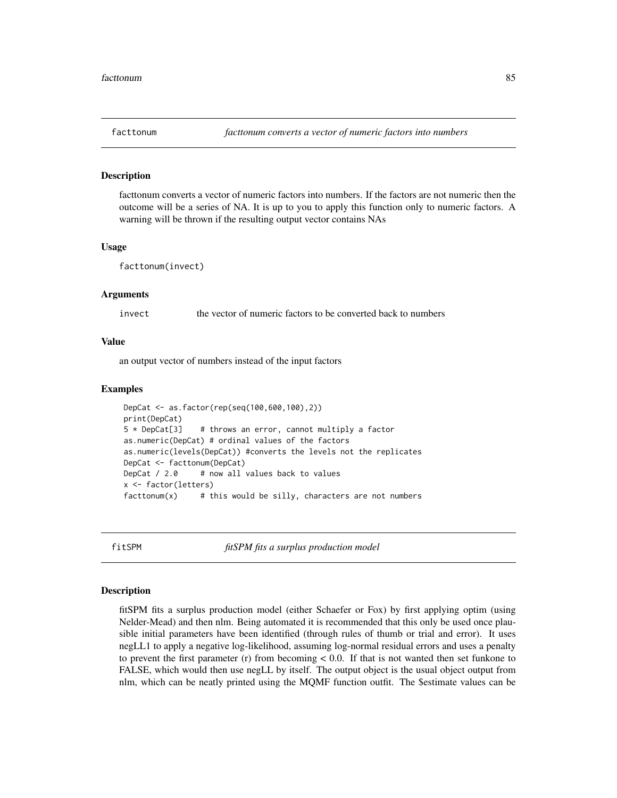facttonum converts a vector of numeric factors into numbers. If the factors are not numeric then the outcome will be a series of NA. It is up to you to apply this function only to numeric factors. A warning will be thrown if the resulting output vector contains NAs

### Usage

facttonum(invect)

## Arguments

invect the vector of numeric factors to be converted back to numbers

### Value

an output vector of numbers instead of the input factors

### Examples

```
DepCat <- as.factor(rep(seq(100,600,100),2))
print(DepCat)
5 * DepCat[3] # throws an error, cannot multiply a factor
as.numeric(DepCat) # ordinal values of the factors
as.numeric(levels(DepCat)) #converts the levels not the replicates
DepCat <- facttonum(DepCat)
DepCat / 2.0 # now all values back to values
x <- factor(letters)
factorum(x) # this would be silly, characters are not numbers
```
fitSPM *fitSPM fits a surplus production model*

## Description

fitSPM fits a surplus production model (either Schaefer or Fox) by first applying optim (using Nelder-Mead) and then nlm. Being automated it is recommended that this only be used once plausible initial parameters have been identified (through rules of thumb or trial and error). It uses negLL1 to apply a negative log-likelihood, assuming log-normal residual errors and uses a penalty to prevent the first parameter (r) from becoming  $< 0.0$ . If that is not wanted then set funkone to FALSE, which would then use negLL by itself. The output object is the usual object output from nlm, which can be neatly printed using the MQMF function outfit. The \$estimate values can be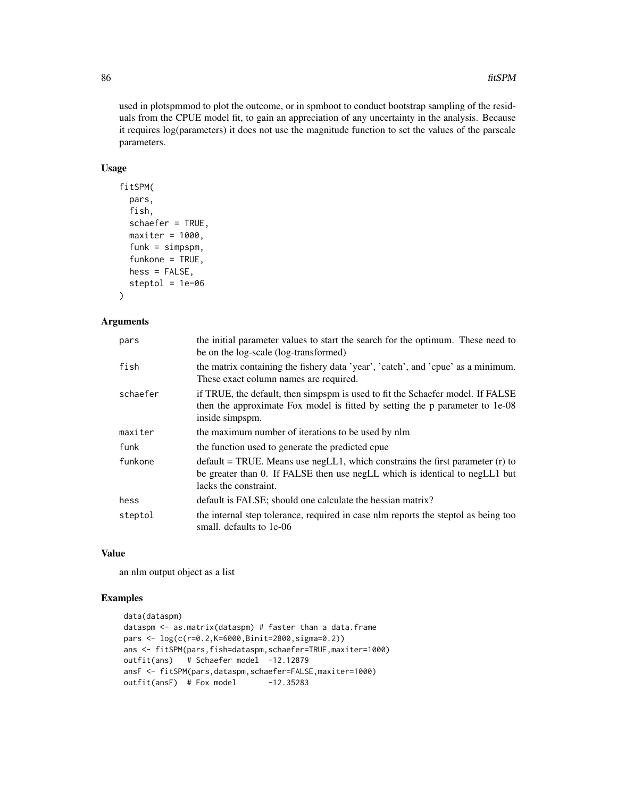used in plotspmmod to plot the outcome, or in spmboot to conduct bootstrap sampling of the residuals from the CPUE model fit, to gain an appreciation of any uncertainty in the analysis. Because it requires log(parameters) it does not use the magnitude function to set the values of the parscale parameters.

# Usage

```
fitSPM(
 pars,
  fish,
  schaefer = TRUE,
 maxiter = 1000,
  funk = simpspm,
  funkone = TRUE,
  hess = FALSE,
  steptol = 1e-06\lambda
```
## Arguments

| pars     | the initial parameter values to start the search for the optimum. These need to<br>be on the log-scale (log-transformed)                                                                 |
|----------|------------------------------------------------------------------------------------------------------------------------------------------------------------------------------------------|
| fish     | the matrix containing the fishery data 'year', 'catch', and 'cpue' as a minimum.<br>These exact column names are required.                                                               |
| schaefer | if TRUE, the default, then simpspm is used to fit the Schaefer model. If FALSE<br>then the approximate Fox model is fitted by setting the p parameter to 1e-08<br>inside simpspm.        |
| maxiter  | the maximum number of iterations to be used by nlm                                                                                                                                       |
| funk     | the function used to generate the predicted cpue                                                                                                                                         |
| funkone  | $default = TRUE$ . Means use negLL1, which constrains the first parameter (r) to<br>be greater than 0. If FALSE then use negLL which is identical to negLL1 but<br>lacks the constraint. |
| hess     | default is FALSE; should one calculate the hessian matrix?                                                                                                                               |
| steptol  | the internal step tolerance, required in case nlm reports the steptol as being too<br>small, defaults to 1e-06                                                                           |

## Value

an nlm output object as a list

```
data(dataspm)
dataspm <- as.matrix(dataspm) # faster than a data.frame
pars <- log(c(r=0.2,K=6000,Binit=2800,sigma=0.2))
ans <- fitSPM(pars,fish=dataspm,schaefer=TRUE,maxiter=1000)
outfit(ans) # Schaefer model -12.12879
ansF <- fitSPM(pars,dataspm,schaefer=FALSE,maxiter=1000)
outfit(ansF) # Fox model -12.35283
```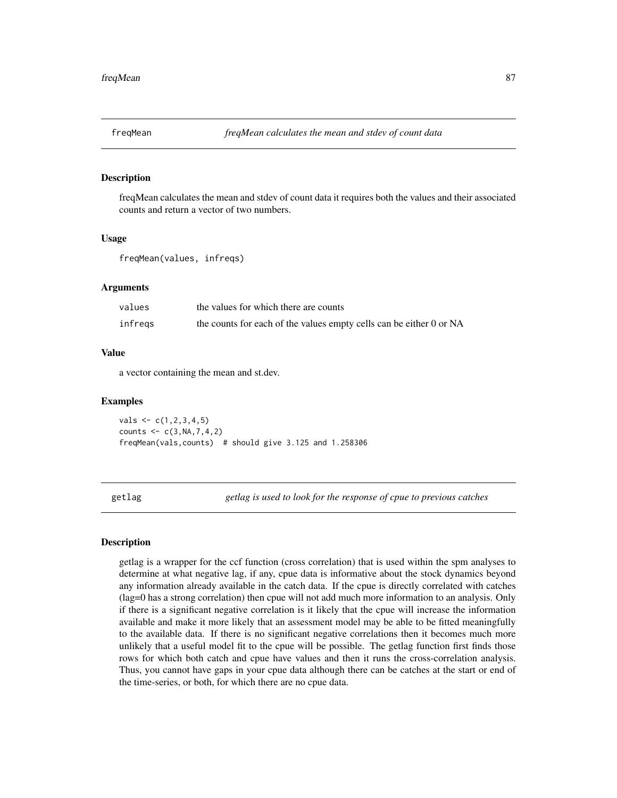freqMean calculates the mean and stdev of count data it requires both the values and their associated counts and return a vector of two numbers.

## Usage

freqMean(values, infreqs)

# Arguments

| values  | the values for which there are counts                               |
|---------|---------------------------------------------------------------------|
| infregs | the counts for each of the values empty cells can be either 0 or NA |

## Value

a vector containing the mean and st.dev.

### Examples

 $vals < -c(1, 2, 3, 4, 5)$  $counts < -c(3, NA, 7, 4, 2)$ freqMean(vals,counts) # should give 3.125 and 1.258306

getlag *getlag is used to look for the response of cpue to previous catches*

## Description

getlag is a wrapper for the ccf function (cross correlation) that is used within the spm analyses to determine at what negative lag, if any, cpue data is informative about the stock dynamics beyond any information already available in the catch data. If the cpue is directly correlated with catches (lag=0 has a strong correlation) then cpue will not add much more information to an analysis. Only if there is a significant negative correlation is it likely that the cpue will increase the information available and make it more likely that an assessment model may be able to be fitted meaningfully to the available data. If there is no significant negative correlations then it becomes much more unlikely that a useful model fit to the cpue will be possible. The getlag function first finds those rows for which both catch and cpue have values and then it runs the cross-correlation analysis. Thus, you cannot have gaps in your cpue data although there can be catches at the start or end of the time-series, or both, for which there are no cpue data.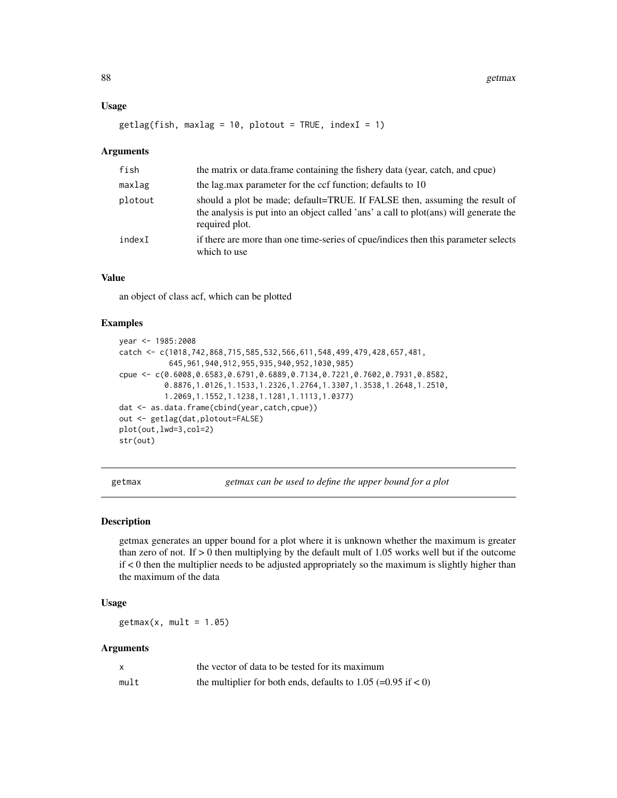### Usage

```
getlag(fish, maxlag = 10, plotout = TRUE, indexI = 1)
```
## Arguments

| fish    | the matrix or data.frame containing the fishery data (year, catch, and cpue)                                                                                                          |
|---------|---------------------------------------------------------------------------------------------------------------------------------------------------------------------------------------|
| maxlag  | the lag max parameter for the ccf function; defaults to 10                                                                                                                            |
| plotout | should a plot be made; default=TRUE. If FALSE then, assuming the result of<br>the analysis is put into an object called 'ans' a call to plot(ans) will generate the<br>required plot. |
| indexI  | if there are more than one time-series of cpue/indices then this parameter selects<br>which to use                                                                                    |

## Value

an object of class acf, which can be plotted

### Examples

```
year <- 1985:2008
catch <- c(1018,742,868,715,585,532,566,611,548,499,479,428,657,481,
           645,961,940,912,955,935,940,952,1030,985)
cpue <- c(0.6008,0.6583,0.6791,0.6889,0.7134,0.7221,0.7602,0.7931,0.8582,
          0.8876,1.0126,1.1533,1.2326,1.2764,1.3307,1.3538,1.2648,1.2510,
          1.2069,1.1552,1.1238,1.1281,1.1113,1.0377)
dat <- as.data.frame(cbind(year,catch,cpue))
out <- getlag(dat,plotout=FALSE)
plot(out,lwd=3,col=2)
str(out)
```
getmax *getmax can be used to define the upper bound for a plot*

# Description

getmax generates an upper bound for a plot where it is unknown whether the maximum is greater than zero of not. If  $> 0$  then multiplying by the default mult of 1.05 works well but if the outcome if < 0 then the multiplier needs to be adjusted appropriately so the maximum is slightly higher than the maximum of the data

## Usage

 $getmax(x, mult = 1.05)$ 

### Arguments

|      | the vector of data to be tested for its maximum                          |
|------|--------------------------------------------------------------------------|
| mult | the multiplier for both ends, defaults to 1.05 $(=0.95 \text{ if } < 0)$ |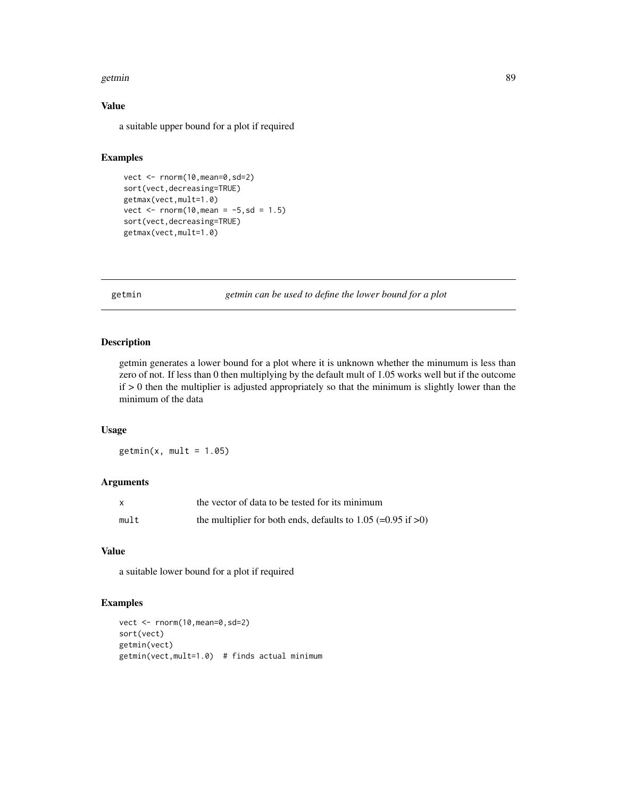### getmin 89

## Value

a suitable upper bound for a plot if required

# Examples

```
vect <- rnorm(10, mean=0, sd=2)
sort(vect,decreasing=TRUE)
getmax(vect,mult=1.0)
vect \le - rnorm(10, mean = -5, sd = 1.5)
sort(vect,decreasing=TRUE)
getmax(vect,mult=1.0)
```
getmin *getmin can be used to define the lower bound for a plot*

# Description

getmin generates a lower bound for a plot where it is unknown whether the minumum is less than zero of not. If less than 0 then multiplying by the default mult of 1.05 works well but if the outcome if > 0 then the multiplier is adjusted appropriately so that the minimum is slightly lower than the minimum of the data

## Usage

 $getmin(x, mult = 1.05)$ 

# Arguments

| x    | the vector of data to be tested for its minimum                         |
|------|-------------------------------------------------------------------------|
| mult | the multiplier for both ends, defaults to 1.05 $(=0.95 \text{ if } >0)$ |

# Value

a suitable lower bound for a plot if required

```
vect <- rnorm(10,mean=0,sd=2)
sort(vect)
getmin(vect)
getmin(vect,mult=1.0) # finds actual minimum
```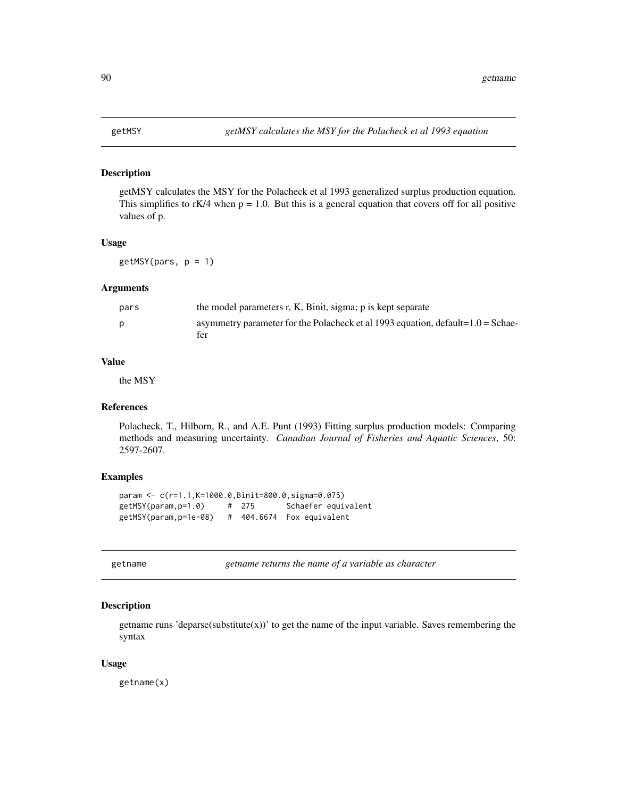getMSY calculates the MSY for the Polacheck et al 1993 generalized surplus production equation. This simplifies to  $rK/4$  when  $p = 1.0$ . But this is a general equation that covers off for all positive values of p.

### Usage

 $getMSY(pars, p = 1)$ 

# Arguments

| pars         | the model parameters r, K, Binit, sigma; p is kept separate                                               |
|--------------|-----------------------------------------------------------------------------------------------------------|
| <sub>D</sub> | asymmetry parameter for the Polacheck et al 1993 equation, $\text{default}=1.0 = \text{Schae}-1.0$<br>fer |

## Value

the MSY

### References

Polacheck, T., Hilborn, R., and A.E. Punt (1993) Fitting surplus production models: Comparing methods and measuring uncertainty. *Canadian Journal of Fisheries and Aquatic Sciences*, 50: 2597-2607.

# Examples

param <- c(r=1.1,K=1000.0,Binit=800.0,sigma=0.075) getMSY(param,p=1.0) # 275 Schaefer equivalent getMSY(param,p=1e-08) # 404.6674 Fox equivalent

| getname |
|---------|
|---------|

getname *getname returns the name of a variable as character*

### Description

getname runs 'deparse(substitute(x))' to get the name of the input variable. Saves remembering the syntax

### Usage

getname(x)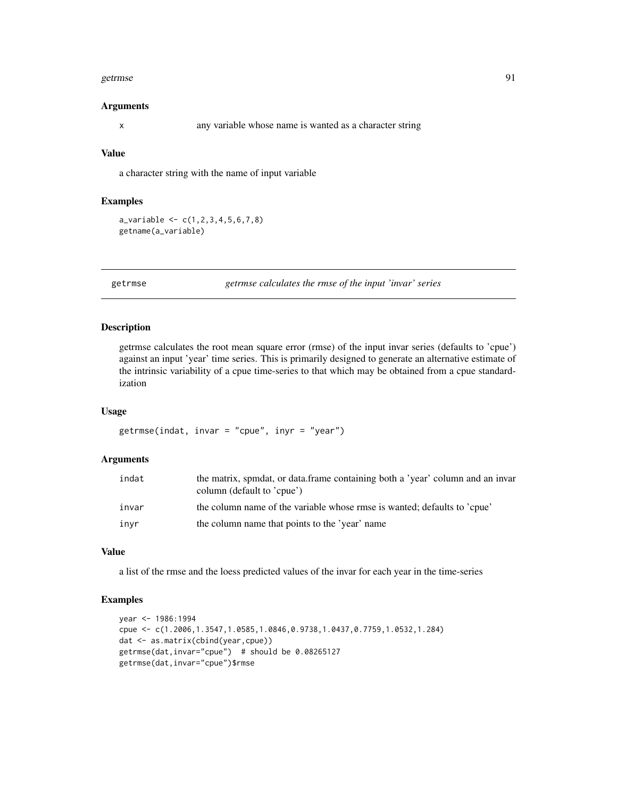### getrmse 1991 - 1992 van die 19de eeu n.C. Soos ander getref in die 19de eeu n.C. 1992 van die 1992 van die 199

### Arguments

x any variable whose name is wanted as a character string

## Value

a character string with the name of input variable

### Examples

 $a_variable \leftarrow c(1, 2, 3, 4, 5, 6, 7, 8)$ getname(a\_variable)

getrmse *getrmse calculates the rmse of the input 'invar' series*

# Description

getrmse calculates the root mean square error (rmse) of the input invar series (defaults to 'cpue') against an input 'year' time series. This is primarily designed to generate an alternative estimate of the intrinsic variability of a cpue time-series to that which may be obtained from a cpue standardization

## Usage

```
getrmse(indat, invar = "cpue", inyr = "year")
```
# Arguments

| indat | the matrix, spmdat, or data frame containing both a 'year' column and an invar<br>column (default to 'cpue') |
|-------|--------------------------------------------------------------------------------------------------------------|
| invar | the column name of the variable whose rmse is wanted; defaults to 'cpue'                                     |
| inyr  | the column name that points to the 'year' name                                                               |

## Value

a list of the rmse and the loess predicted values of the invar for each year in the time-series

```
year <- 1986:1994
cpue <- c(1.2006,1.3547,1.0585,1.0846,0.9738,1.0437,0.7759,1.0532,1.284)
dat <- as.matrix(cbind(year,cpue))
getrmse(dat,invar="cpue") # should be 0.08265127
getrmse(dat,invar="cpue")$rmse
```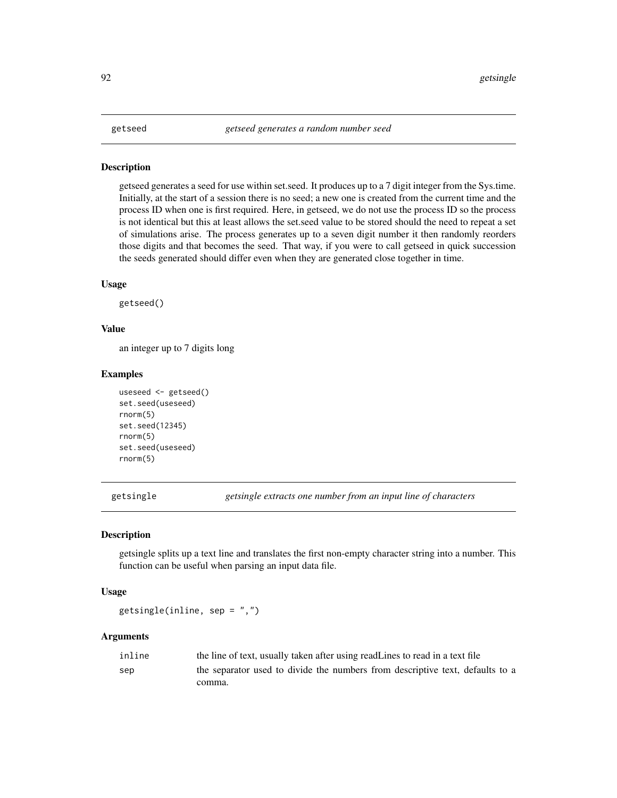getseed generates a seed for use within set.seed. It produces up to a 7 digit integer from the Sys.time. Initially, at the start of a session there is no seed; a new one is created from the current time and the process ID when one is first required. Here, in getseed, we do not use the process ID so the process is not identical but this at least allows the set.seed value to be stored should the need to repeat a set of simulations arise. The process generates up to a seven digit number it then randomly reorders those digits and that becomes the seed. That way, if you were to call getseed in quick succession the seeds generated should differ even when they are generated close together in time.

### Usage

getseed()

## Value

an integer up to 7 digits long

### Examples

```
useseed <- getseed()
set.seed(useseed)
rnorm(5)
set.seed(12345)
rnorm(5)
set.seed(useseed)
rnorm(5)
```
getsingle *getsingle extracts one number from an input line of characters*

### Description

getsingle splits up a text line and translates the first non-empty character string into a number. This function can be useful when parsing an input data file.

### Usage

```
getsingle(inline, sep = ",")
```
## Arguments

| inline | the line of text, usually taken after using read lines to read in a text file |
|--------|-------------------------------------------------------------------------------|
| sep    | the separator used to divide the numbers from descriptive text, defaults to a |
|        | comma.                                                                        |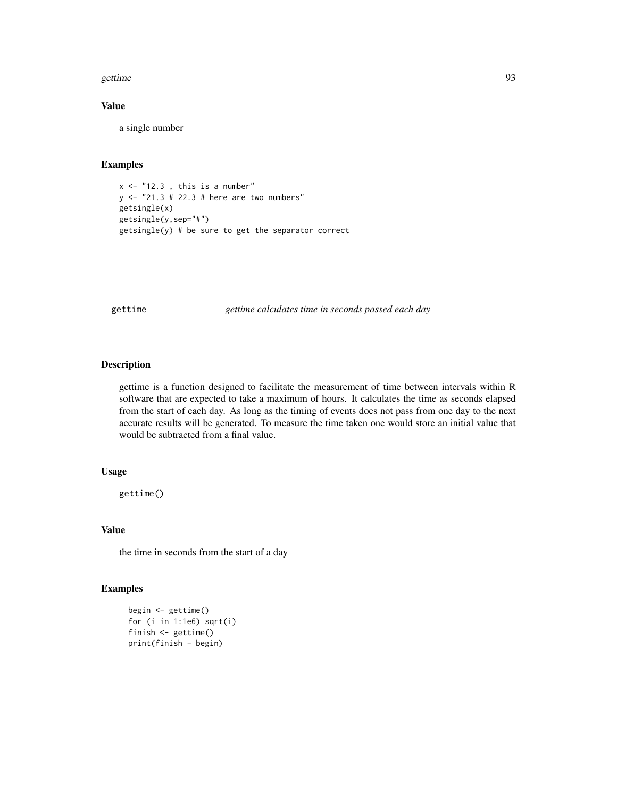### gettime 93

## Value

a single number

## Examples

```
x \le - "12.3, this is a number"
y <- "21.3 # 22.3 # here are two numbers"
getsingle(x)
getsingle(y,sep="#")
getsingle(y) # be sure to get the separator correct
```
gettime *gettime calculates time in seconds passed each day*

# Description

gettime is a function designed to facilitate the measurement of time between intervals within R software that are expected to take a maximum of hours. It calculates the time as seconds elapsed from the start of each day. As long as the timing of events does not pass from one day to the next accurate results will be generated. To measure the time taken one would store an initial value that would be subtracted from a final value.

# Usage

gettime()

# Value

the time in seconds from the start of a day

```
begin <- gettime()
for (i in 1:1e6) sqrt(i)
finish <- gettime()
print(finish - begin)
```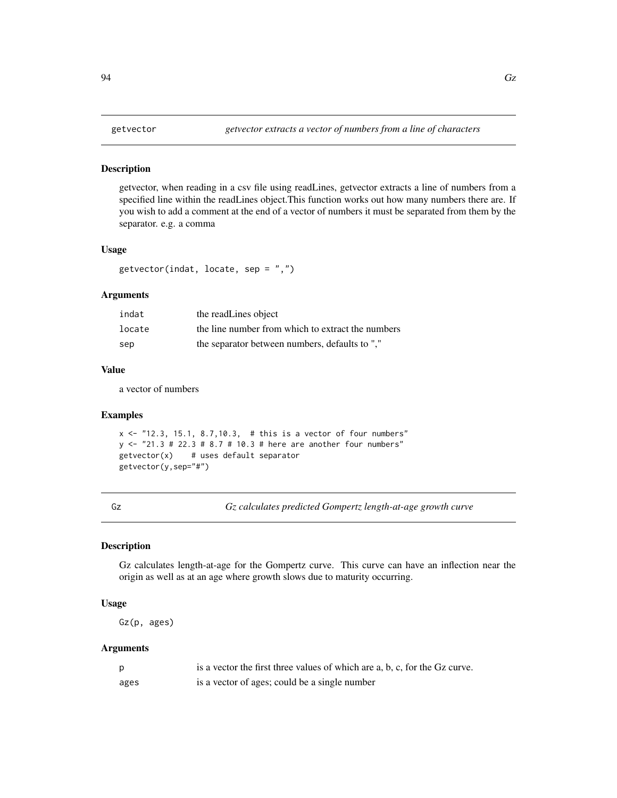getvector, when reading in a csv file using readLines, getvector extracts a line of numbers from a specified line within the readLines object.This function works out how many numbers there are. If you wish to add a comment at the end of a vector of numbers it must be separated from them by the separator. e.g. a comma

### Usage

```
getvector(indat, locate, sep = ",")
```
# Arguments

| indat  | the readLines object                              |
|--------|---------------------------------------------------|
| locate | the line number from which to extract the numbers |
| sep    | the separator between numbers, defaults to ","    |

## Value

a vector of numbers

# Examples

```
x \le -12.3, 15.1, 8.7, 10.3, # this is a vector of four numbers"
y <- "21.3 # 22.3 # 8.7 # 10.3 # here are another four numbers"
getvector(x) # uses default separator
getvector(y,sep="#")
```
Gz *Gz calculates predicted Gompertz length-at-age growth curve*

### Description

Gz calculates length-at-age for the Gompertz curve. This curve can have an inflection near the origin as well as at an age where growth slows due to maturity occurring.

# Usage

Gz(p, ages)

# Arguments

|      | is a vector the first three values of which are a, b, c, for the Gz curve. |
|------|----------------------------------------------------------------------------|
| ages | is a vector of ages; could be a single number                              |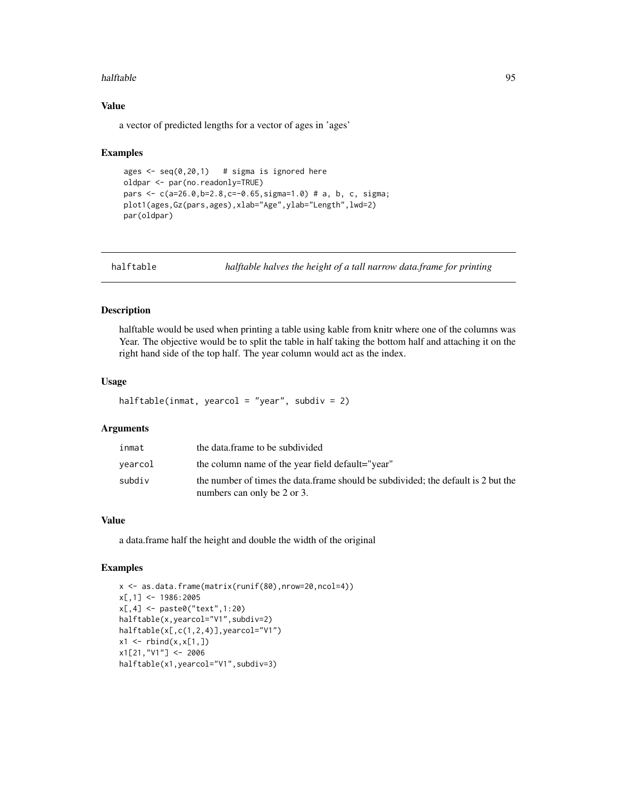### halftable 95

## Value

a vector of predicted lengths for a vector of ages in 'ages'

## Examples

```
ages \leq seq(0,20,1) # sigma is ignored here
oldpar <- par(no.readonly=TRUE)
pars <- c(a=26.0,b=2.8,c=-0.65,sigma=1.0) # a, b, c, sigma;
plot1(ages,Gz(pars,ages),xlab="Age",ylab="Length",lwd=2)
par(oldpar)
```
halftable *halftable halves the height of a tall narrow data.frame for printing*

# Description

halftable would be used when printing a table using kable from knitr where one of the columns was Year. The objective would be to split the table in half taking the bottom half and attaching it on the right hand side of the top half. The year column would act as the index.

## Usage

halftable(inmat, yearcol = "year", subdiv = 2)

## Arguments

| inmat   | the data frame to be subdivided                                                                                  |
|---------|------------------------------------------------------------------------------------------------------------------|
| vearcol | the column name of the year field default="year"                                                                 |
| subdiv  | the number of times the data frame should be subdivided; the default is 2 but the<br>numbers can only be 2 or 3. |

# Value

a data.frame half the height and double the width of the original

```
x <- as.data.frame(matrix(runif(80),nrow=20,ncol=4))
x[,1] <- 1986:2005
x[,4] <- paste0("text",1:20)
halftable(x,yearcol="V1",subdiv=2)
halftable(x[,c(1,2,4)],yearcol="V1")
x1 \leftarrow \text{rbind}(x, x[1,])x1[21,"V1"] <- 2006
halftable(x1,yearcol="V1",subdiv=3)
```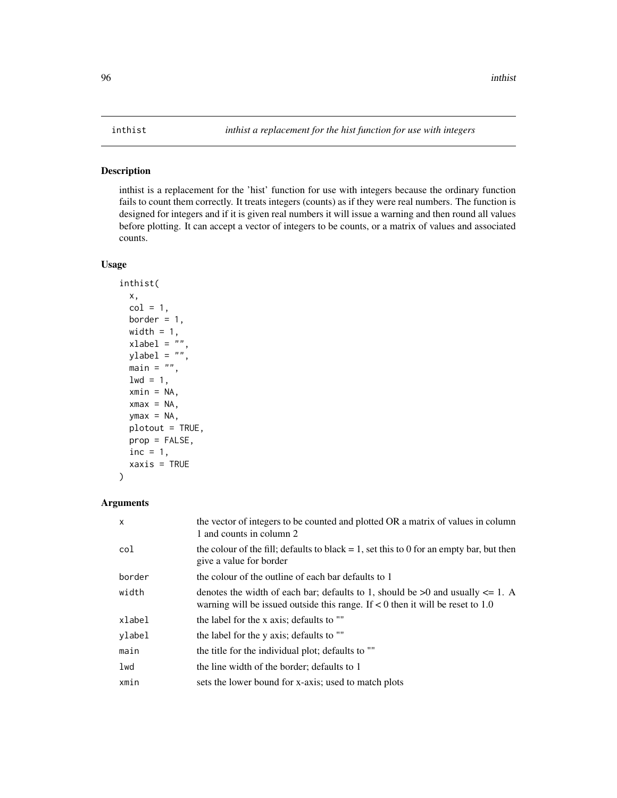inthist is a replacement for the 'hist' function for use with integers because the ordinary function fails to count them correctly. It treats integers (counts) as if they were real numbers. The function is designed for integers and if it is given real numbers it will issue a warning and then round all values before plotting. It can accept a vector of integers to be counts, or a matrix of values and associated counts.

## Usage

```
inthist(
 x,
 col = 1,
 border = 1,
 width = 1,
 xlabel = ""ylabel = "main = "",1wd = 1,xmin = NA,
 xmax = NA,
 ymax = NA,
 plotout = TRUE,
 prop = FALSE,
 inc = 1,
 xaxis = TRUE
)
```
## Arguments

| $\mathsf{x}$ | the vector of integers to be counted and plotted OR a matrix of values in column<br>1 and counts in column 2                                                              |
|--------------|---------------------------------------------------------------------------------------------------------------------------------------------------------------------------|
| col          | the colour of the fill; defaults to black $= 1$ , set this to 0 for an empty bar, but then<br>give a value for border                                                     |
| border       | the colour of the outline of each bar defaults to 1                                                                                                                       |
| width        | denotes the width of each bar; defaults to 1, should be $>0$ and usually $\leq 1$ . A<br>warning will be issued outside this range. If $< 0$ then it will be reset to 1.0 |
| xlabel       | the label for the x axis; defaults to ""                                                                                                                                  |
| ylabel       | the label for the y axis; defaults to ""                                                                                                                                  |
| main         | the title for the individual plot; defaults to ""                                                                                                                         |
| lwd          | the line width of the border; defaults to 1                                                                                                                               |
| xmin         | sets the lower bound for x-axis; used to match plots                                                                                                                      |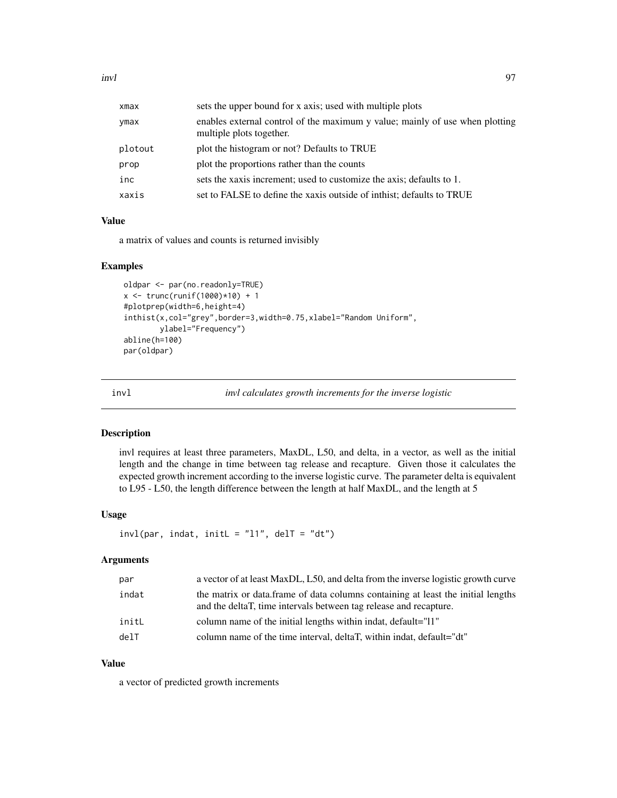| xmax    | sets the upper bound for x axis; used with multiple plots                                                |
|---------|----------------------------------------------------------------------------------------------------------|
| ymax    | enables external control of the maximum y value; mainly of use when plotting<br>multiple plots together. |
| plotout | plot the histogram or not? Defaults to TRUE                                                              |
| prop    | plot the proportions rather than the counts                                                              |
| inc     | sets the xaxis increment; used to customize the axis; defaults to 1.                                     |
| xaxis   | set to FALSE to define the xaxis outside of inthist; defaults to TRUE                                    |
|         |                                                                                                          |

# Value

a matrix of values and counts is returned invisibly

# Examples

```
oldpar <- par(no.readonly=TRUE)
x \le trunc(runif(1000) *10) + 1
#plotprep(width=6,height=4)
inthist(x,col="grey",border=3,width=0.75,xlabel="Random Uniform",
        ylabel="Frequency")
abline(h=100)
par(oldpar)
```
invl *invl calculates growth increments for the inverse logistic*

## Description

invl requires at least three parameters, MaxDL, L50, and delta, in a vector, as well as the initial length and the change in time between tag release and recapture. Given those it calculates the expected growth increment according to the inverse logistic curve. The parameter delta is equivalent to L95 - L50, the length difference between the length at half MaxDL, and the length at 5

# Usage

```
invl(par, indat, initL = "l1", delT = "dt")
```
# Arguments

| par   | a vector of at least MaxDL, L50, and delta from the inverse logistic growth curve                                                                      |
|-------|--------------------------------------------------------------------------------------------------------------------------------------------------------|
| indat | the matrix or data. frame of data columns containing at least the initial lengths<br>and the deltaT, time intervals between tag release and recapture. |
| initL | column name of the initial lengths within indat, default="11"                                                                                          |
| delT  | column name of the time interval, deltaT, within indat, default="dt"                                                                                   |

# Value

a vector of predicted growth increments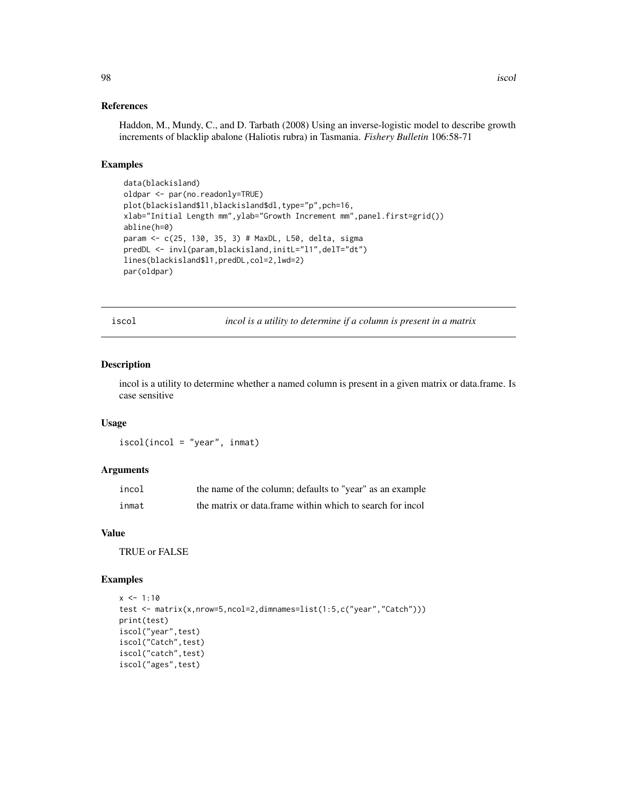### References

Haddon, M., Mundy, C., and D. Tarbath (2008) Using an inverse-logistic model to describe growth increments of blacklip abalone (Haliotis rubra) in Tasmania. *Fishery Bulletin* 106:58-71

## Examples

```
data(blackisland)
oldpar <- par(no.readonly=TRUE)
plot(blackisland$l1,blackisland$dl,type="p",pch=16,
xlab="Initial Length mm",ylab="Growth Increment mm",panel.first=grid())
abline(h=0)
param <- c(25, 130, 35, 3) # MaxDL, L50, delta, sigma
predDL <- invl(param,blackisland,initL="l1",delT="dt")
lines(blackisland$l1,predDL,col=2,lwd=2)
par(oldpar)
```
iscol *incol is a utility to determine if a column is present in a matrix*

# Description

incol is a utility to determine whether a named column is present in a given matrix or data.frame. Is case sensitive

### Usage

iscol(incol = "year", inmat)

### Arguments

| incol | the name of the column; defaults to "year" as an example   |
|-------|------------------------------------------------------------|
| inmat | the matrix or data, frame within which to search for incol |

### Value

TRUE or FALSE

```
x < -1:10test <- matrix(x,nrow=5,ncol=2,dimnames=list(1:5,c("year","Catch")))
print(test)
iscol("year",test)
iscol("Catch",test)
iscol("catch",test)
iscol("ages",test)
```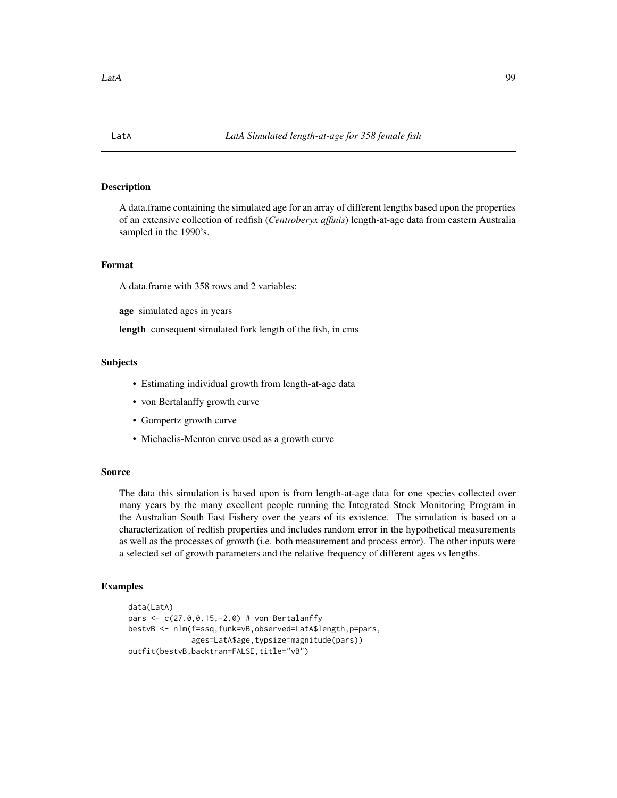A data.frame containing the simulated age for an array of different lengths based upon the properties of an extensive collection of redfish (*Centroberyx affinis*) length-at-age data from eastern Australia sampled in the 1990's.

# Format

A data.frame with 358 rows and 2 variables:

age simulated ages in years

length consequent simulated fork length of the fish, in cms

## Subjects

- Estimating individual growth from length-at-age data
- von Bertalanffy growth curve
- Gompertz growth curve
- Michaelis-Menton curve used as a growth curve

# Source

The data this simulation is based upon is from length-at-age data for one species collected over many years by the many excellent people running the Integrated Stock Monitoring Program in the Australian South East Fishery over the years of its existence. The simulation is based on a characterization of redfish properties and includes random error in the hypothetical measurements as well as the processes of growth (i.e. both measurement and process error). The other inputs were a selected set of growth parameters and the relative frequency of different ages vs lengths.

```
data(LatA)
pars <- c(27.0,0.15,-2.0) # von Bertalanffy
bestvB <- nlm(f=ssq,funk=vB,observed=LatA$length,p=pars,
              ages=LatA$age,typsize=magnitude(pars))
outfit(bestvB,backtran=FALSE,title="vB")
```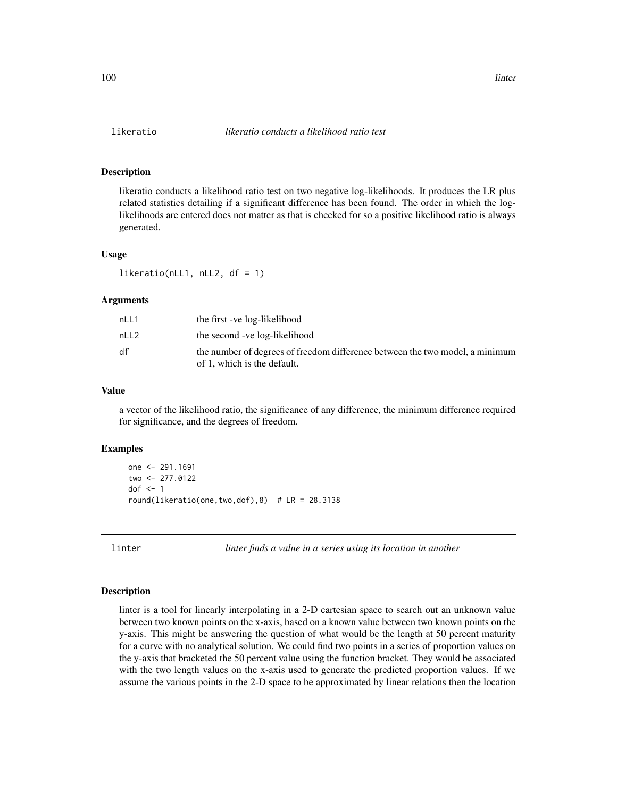likeratio conducts a likelihood ratio test on two negative log-likelihoods. It produces the LR plus related statistics detailing if a significant difference has been found. The order in which the loglikelihoods are entered does not matter as that is checked for so a positive likelihood ratio is always generated.

### Usage

likeratio(nLL1, nLL2,  $df = 1$ )

### Arguments

| nLL1 | the first -ve log-likelihood                                                                                |
|------|-------------------------------------------------------------------------------------------------------------|
| nLL2 | the second -ve log-likelihood                                                                               |
| df   | the number of degrees of freedom difference between the two model, a minimum<br>of 1, which is the default. |

## Value

a vector of the likelihood ratio, the significance of any difference, the minimum difference required for significance, and the degrees of freedom.

## Examples

```
one <- 291.1691
two <- 277.0122
dof <-1round(likeratio(one,two,dof),8) # LR = 28.3138
```
linter *linter finds a value in a series using its location in another*

## **Description**

linter is a tool for linearly interpolating in a 2-D cartesian space to search out an unknown value between two known points on the x-axis, based on a known value between two known points on the y-axis. This might be answering the question of what would be the length at 50 percent maturity for a curve with no analytical solution. We could find two points in a series of proportion values on the y-axis that bracketed the 50 percent value using the function bracket. They would be associated with the two length values on the x-axis used to generate the predicted proportion values. If we assume the various points in the 2-D space to be approximated by linear relations then the location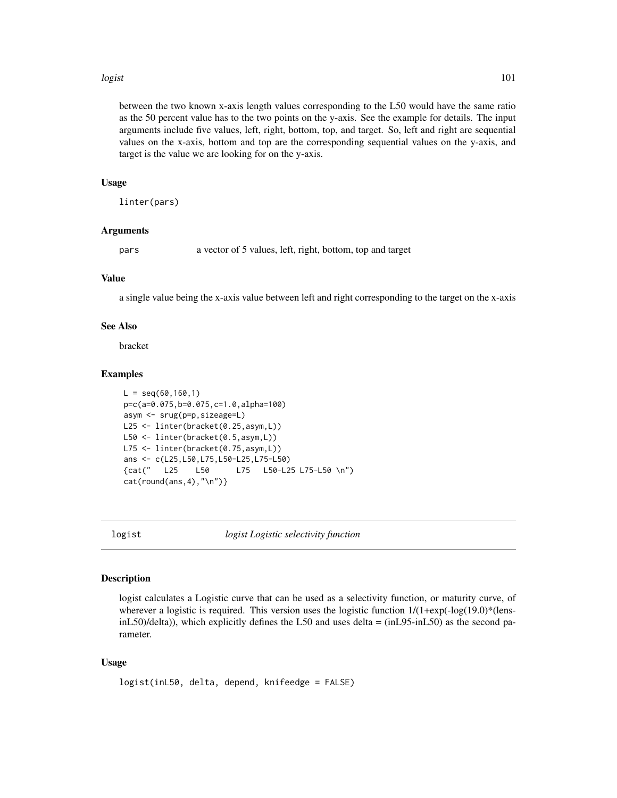### logist the contract of the contract of the contract of the contract of the contract of the contract of the contract of the contract of the contract of the contract of the contract of the contract of the contract of the con

between the two known x-axis length values corresponding to the L50 would have the same ratio as the 50 percent value has to the two points on the y-axis. See the example for details. The input arguments include five values, left, right, bottom, top, and target. So, left and right are sequential values on the x-axis, bottom and top are the corresponding sequential values on the y-axis, and target is the value we are looking for on the y-axis.

## Usage

linter(pars)

## Arguments

pars a vector of 5 values, left, right, bottom, top and target

## Value

a single value being the x-axis value between left and right corresponding to the target on the x-axis

## See Also

bracket

## Examples

```
L = \text{seq}(60, 160, 1)p=c(a=0.075,b=0.075,c=1.0,alpha=100)
asym <- srug(p=p,sizeage=L)
L25 <- linter(bracket(0.25,asym,L))
L50 <- linter(bracket(0.5,asym,L))
L75 <- linter(bracket(0.75,asym,L))
ans <- c(L25,L50,L75,L50-L25,L75-L50)
{cat(" L25 L50 L75 L50-L25 L75-L50 \n")
cat(round(ans, 4), "\\n")
```
logist *logist Logistic selectivity function*

### **Description**

logist calculates a Logistic curve that can be used as a selectivity function, or maturity curve, of wherever a logistic is required. This version uses the logistic function  $1/(1+\exp(-\log(19.0))$ <sup>\*</sup>(lensinL50)/delta)), which explicitly defines the L50 and uses delta = (inL95-inL50) as the second parameter.

## Usage

```
logist(inL50, delta, depend, knifeedge = FALSE)
```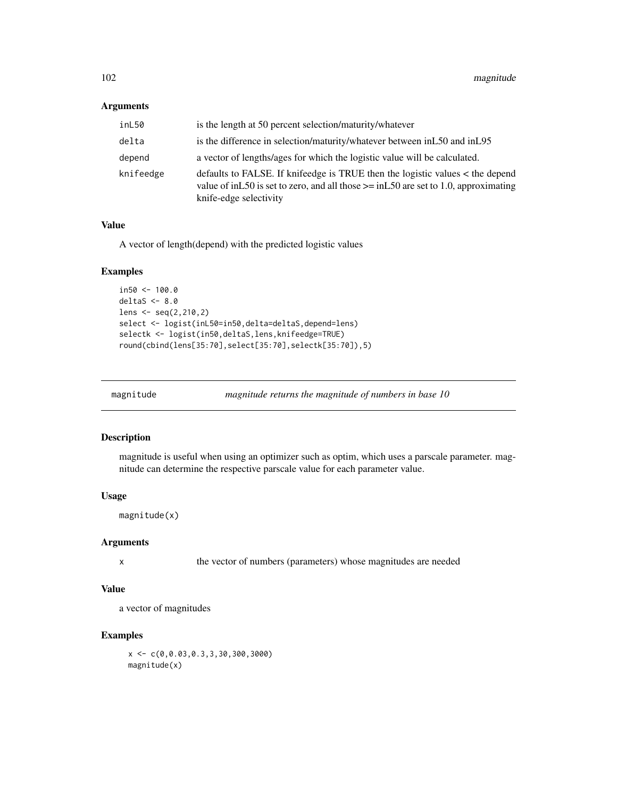## Arguments

| inL50     | is the length at 50 percent selection/maturity/whatever                                                                                                                                               |
|-----------|-------------------------------------------------------------------------------------------------------------------------------------------------------------------------------------------------------|
| delta     | is the difference in selection/maturity/whatever between in L50 and in L95                                                                                                                            |
| depend    | a vector of lengths/ages for which the logistic value will be calculated.                                                                                                                             |
| knifeedge | defaults to FALSE. If knifeedge is TRUE then the logistic values < the depend<br>value of in L50 is set to zero, and all those $\ge$ = in L50 are set to 1.0, approximating<br>knife-edge selectivity |

## Value

A vector of length(depend) with the predicted logistic values

# Examples

```
in50 < -100.0deltaS <-8.0lens <- seq(2,210,2)
select <- logist(inL50=in50,delta=deltaS,depend=lens)
selectk <- logist(in50,deltaS,lens,knifeedge=TRUE)
round(cbind(lens[35:70],select[35:70],selectk[35:70]),5)
```
magnitude *magnitude returns the magnitude of numbers in base 10*

# Description

magnitude is useful when using an optimizer such as optim, which uses a parscale parameter. magnitude can determine the respective parscale value for each parameter value.

# Usage

magnitude(x)

## Arguments

x the vector of numbers (parameters) whose magnitudes are needed

### Value

a vector of magnitudes

### Examples

 $x \leftarrow c(0, 0.03, 0.3, 3, 30, 300, 3000)$ magnitude(x)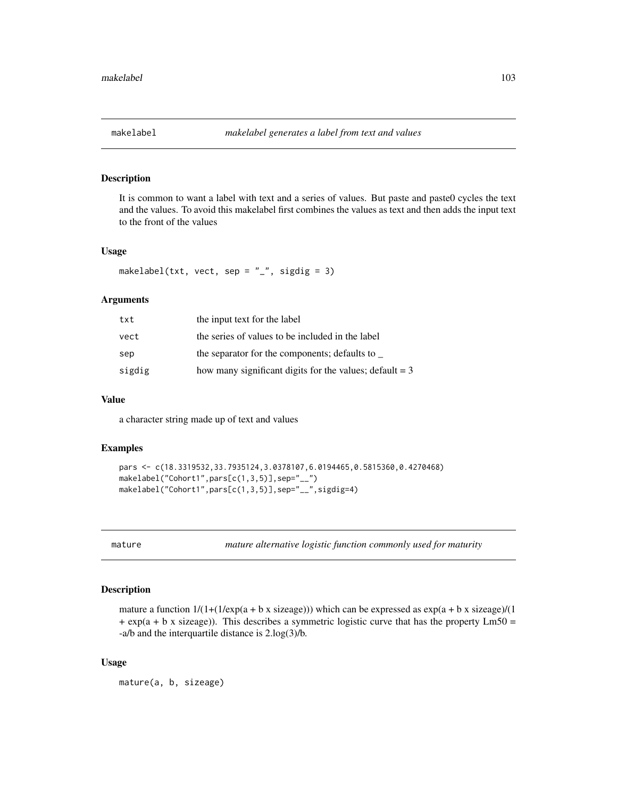It is common to want a label with text and a series of values. But paste and paste0 cycles the text and the values. To avoid this makelabel first combines the values as text and then adds the input text to the front of the values

### Usage

makelabel(txt, vect, sep =  $"$ \_", sigdig = 3)

### Arguments

| txt    | the input text for the label                              |
|--------|-----------------------------------------------------------|
| vect   | the series of values to be included in the label          |
| sep    | the separator for the components; defaults to             |
| sigdig | how many significant digits for the values; default $= 3$ |

## Value

a character string made up of text and values

# Examples

```
pars <- c(18.3319532,33.7935124,3.0378107,6.0194465,0.5815360,0.4270468)
makelabel("Cohort1",pars[c(1,3,5)],sep="__")
makelabel("Cohort1",pars[c(1,3,5)],sep="__",sigdig=4)
```
mature *mature alternative logistic function commonly used for maturity*

## Description

mature a function  $1/(1+(1/\exp(a + b \times sizeage)))$  which can be expressed as  $exp(a + b \times sizeage)/(1$  $+$  exp(a + b x sizeage)). This describes a symmetric logistic curve that has the property Lm50 = -a/b and the interquartile distance is 2.log(3)/b.

## Usage

mature(a, b, sizeage)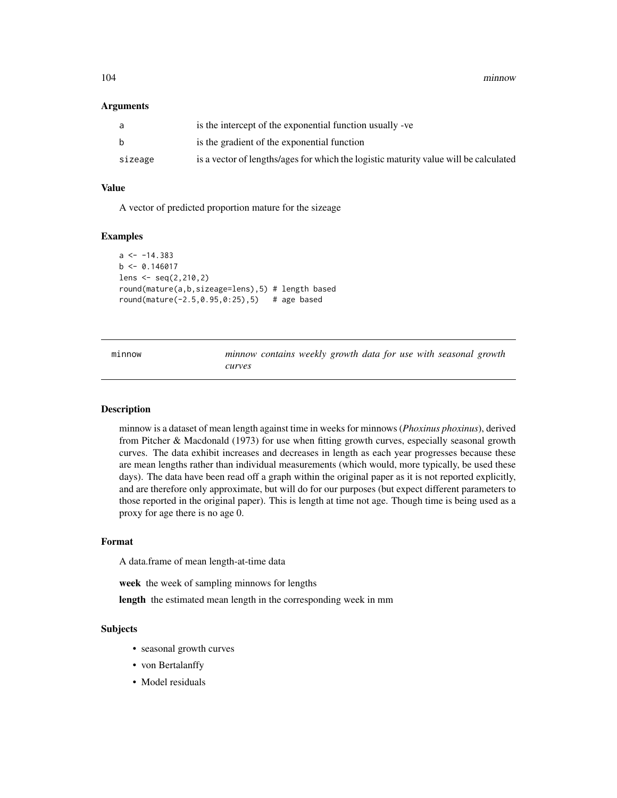104 minnow

### Arguments

|         | is the intercept of the exponential function usually -ve                             |
|---------|--------------------------------------------------------------------------------------|
|         | is the gradient of the exponential function                                          |
| sizeage | is a vector of lengths/ages for which the logistic maturity value will be calculated |

# Value

A vector of predicted proportion mature for the sizeage

### Examples

```
a \leftarrow -14.383b \leq -0.146017lens <- seq(2,210,2)
round(mature(a,b,sizeage=lens),5) # length based
round(mature(-2.5,0.95,0:25),5) # age based
```

| mınnow |  |  |  |
|--------|--|--|--|
|        |  |  |  |
|        |  |  |  |

minnow *minnow contains weekly growth data for use with seasonal growth curves*

# Description

minnow is a dataset of mean length against time in weeks for minnows (*Phoxinus phoxinus*), derived from Pitcher & Macdonald (1973) for use when fitting growth curves, especially seasonal growth curves. The data exhibit increases and decreases in length as each year progresses because these are mean lengths rather than individual measurements (which would, more typically, be used these days). The data have been read off a graph within the original paper as it is not reported explicitly, and are therefore only approximate, but will do for our purposes (but expect different parameters to those reported in the original paper). This is length at time not age. Though time is being used as a proxy for age there is no age 0.

### Format

A data.frame of mean length-at-time data

week the week of sampling minnows for lengths

length the estimated mean length in the corresponding week in mm

## Subjects

- seasonal growth curves
- von Bertalanffy
- Model residuals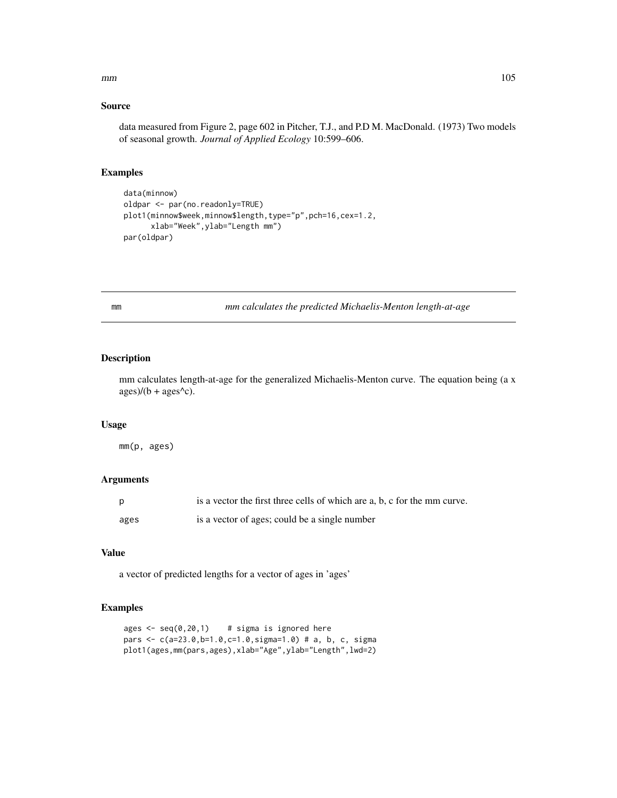## Source

data measured from Figure 2, page 602 in Pitcher, T.J., and P.D M. MacDonald. (1973) Two models of seasonal growth. *Journal of Applied Ecology* 10:599–606.

# Examples

```
data(minnow)
oldpar <- par(no.readonly=TRUE)
plot1(minnow$week,minnow$length,type="p",pch=16,cex=1.2,
      xlab="Week",ylab="Length mm")
par(oldpar)
```
mm *mm calculates the predicted Michaelis-Menton length-at-age*

# Description

mm calculates length-at-age for the generalized Michaelis-Menton curve. The equation being (a x  $ages)/(b + ages^c).$ 

## Usage

mm(p, ages)

## Arguments

|      | is a vector the first three cells of which are a, b, c for the mm curve. |
|------|--------------------------------------------------------------------------|
| ages | is a vector of ages; could be a single number                            |

## Value

a vector of predicted lengths for a vector of ages in 'ages'

```
ages \leq seq(0,20,1) # sigma is ignored here
pars <- c(a=23.0,b=1.0,c=1.0,sigma=1.0) # a, b, c, sigma
plot1(ages,mm(pars,ages),xlab="Age",ylab="Length",lwd=2)
```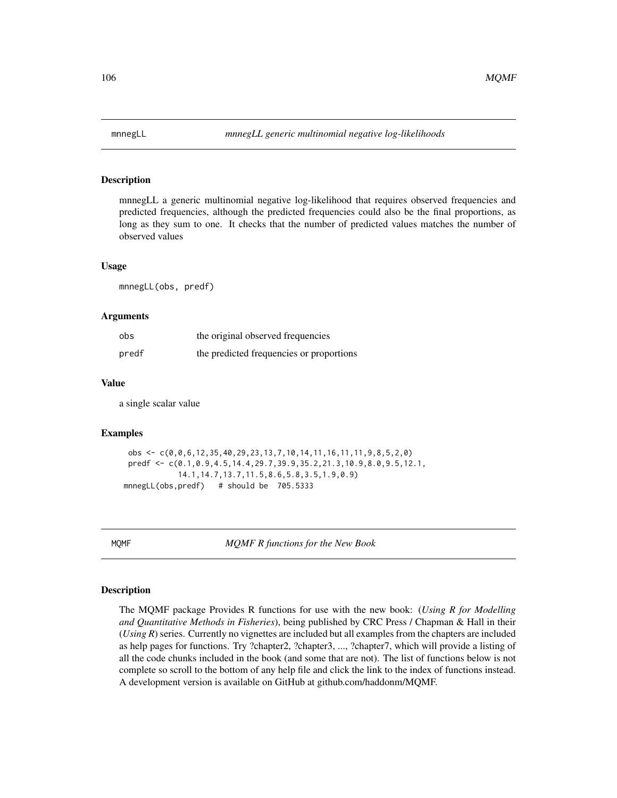mnnegLL a generic multinomial negative log-likelihood that requires observed frequencies and predicted frequencies, although the predicted frequencies could also be the final proportions, as long as they sum to one. It checks that the number of predicted values matches the number of observed values

### Usage

mnnegLL(obs, predf)

## Arguments

| obs   | the original observed frequencies        |
|-------|------------------------------------------|
| predf | the predicted frequencies or proportions |

## Value

a single scalar value

### Examples

obs <- c(0,0,6,12,35,40,29,23,13,7,10,14,11,16,11,11,9,8,5,2,0) predf <- c(0.1,0.9,4.5,14.4,29.7,39.9,35.2,21.3,10.9,8.0,9.5,12.1, 14.1,14.7,13.7,11.5,8.6,5.8,3.5,1.9,0.9) mnnegLL(obs,predf) # should be 705.5333

MQMF *MQMF R functions for the New Book*

## Description

The MQMF package Provides R functions for use with the new book: (*Using R for Modelling and Quantitative Methods in Fisheries*), being published by CRC Press / Chapman & Hall in their (*Using R*) series. Currently no vignettes are included but all examples from the chapters are included as help pages for functions. Try ?chapter2, ?chapter3, ..., ?chapter7, which will provide a listing of all the code chunks included in the book (and some that are not). The list of functions below is not complete so scroll to the bottom of any help file and click the link to the index of functions instead. A development version is available on GitHub at github.com/haddonm/MQMF.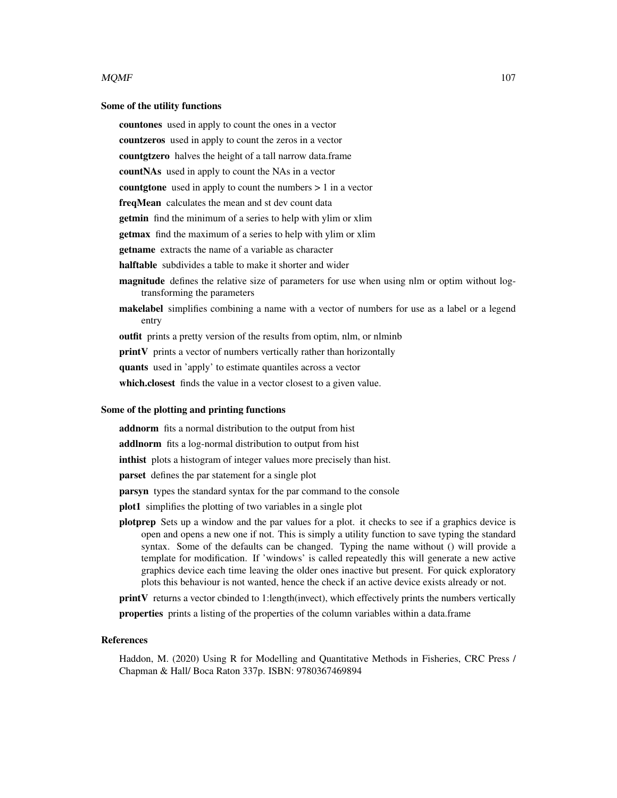### $MQMF$  107

### Some of the utility functions

countones used in apply to count the ones in a vector countzeros used in apply to count the zeros in a vector countgtzero halves the height of a tall narrow data.frame countNAs used in apply to count the NAs in a vector **countgtone** used in apply to count the numbers  $> 1$  in a vector freqMean calculates the mean and st dev count data **getmin** find the minimum of a series to help with ylim or xlim **getmax** find the maximum of a series to help with ylim or xlim getname extracts the name of a variable as character halftable subdivides a table to make it shorter and wider magnitude defines the relative size of parameters for use when using nlm or optim without logtransforming the parameters makelabel simplifies combining a name with a vector of numbers for use as a label or a legend entry outfit prints a pretty version of the results from optim, nlm, or nlminb printV prints a vector of numbers vertically rather than horizontally quants used in 'apply' to estimate quantiles across a vector which.closest finds the value in a vector closest to a given value.

### Some of the plotting and printing functions

addnorm fits a normal distribution to the output from hist

addlnorm fits a log-normal distribution to output from hist

inthist plots a histogram of integer values more precisely than hist.

parset defines the par statement for a single plot

parsyn types the standard syntax for the par command to the console

plot1 simplifies the plotting of two variables in a single plot

plotprep Sets up a window and the par values for a plot. it checks to see if a graphics device is open and opens a new one if not. This is simply a utility function to save typing the standard syntax. Some of the defaults can be changed. Typing the name without () will provide a template for modification. If 'windows' is called repeatedly this will generate a new active graphics device each time leaving the older ones inactive but present. For quick exploratory plots this behaviour is not wanted, hence the check if an active device exists already or not.

printV returns a vector cbinded to 1:length(invect), which effectively prints the numbers vertically properties prints a listing of the properties of the column variables within a data.frame

### References

Haddon, M. (2020) Using R for Modelling and Quantitative Methods in Fisheries, CRC Press / Chapman & Hall/ Boca Raton 337p. ISBN: 9780367469894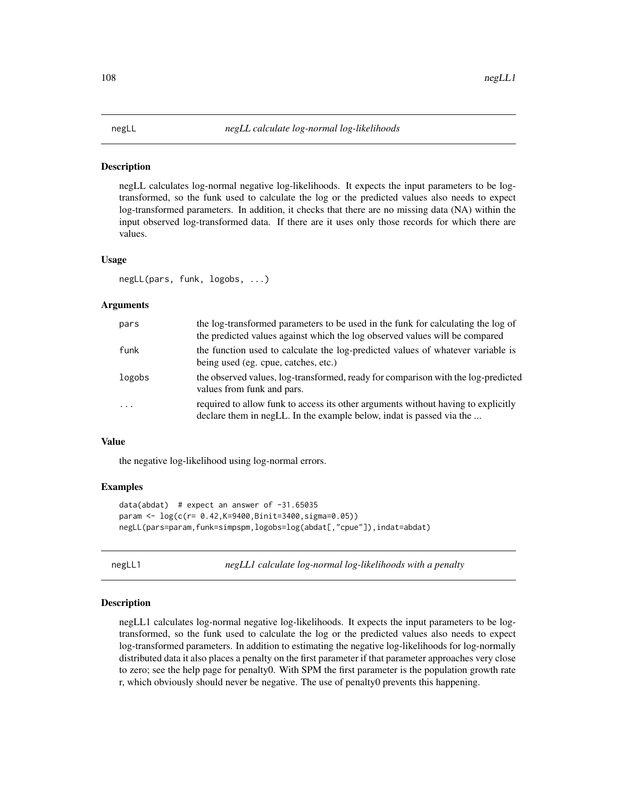negLL calculates log-normal negative log-likelihoods. It expects the input parameters to be logtransformed, so the funk used to calculate the log or the predicted values also needs to expect log-transformed parameters. In addition, it checks that there are no missing data (NA) within the input observed log-transformed data. If there are it uses only those records for which there are values.

### Usage

```
negLL(pars, funk, logobs, ...)
```
## Arguments

| pars     | the log-transformed parameters to be used in the funk for calculating the log of<br>the predicted values against which the log observed values will be compared |
|----------|-----------------------------------------------------------------------------------------------------------------------------------------------------------------|
| funk     | the function used to calculate the log-predicted values of whatever variable is<br>being used (eg. cpue, catches, etc.)                                         |
| logobs   | the observed values, log-transformed, ready for comparison with the log-predicted<br>values from funk and pars.                                                 |
| $\ddots$ | required to allow funk to access its other arguments without having to explicitly<br>declare them in negLL. In the example below, indat is passed via the       |

### Value

the negative log-likelihood using log-normal errors.

# Examples

```
data(abdat) # expect an answer of -31.65035param <- log(c(r= 0.42,K=9400,Binit=3400,sigma=0.05))
negLL(pars=param,funk=simpspm,logobs=log(abdat[,"cpue"]),indat=abdat)
```
negLL1 *negLL1 calculate log-normal log-likelihoods with a penalty*

### Description

negLL1 calculates log-normal negative log-likelihoods. It expects the input parameters to be logtransformed, so the funk used to calculate the log or the predicted values also needs to expect log-transformed parameters. In addition to estimating the negative log-likelihoods for log-normally distributed data it also places a penalty on the first parameter if that parameter approaches very close to zero; see the help page for penalty0. With SPM the first parameter is the population growth rate r, which obviously should never be negative. The use of penalty0 prevents this happening.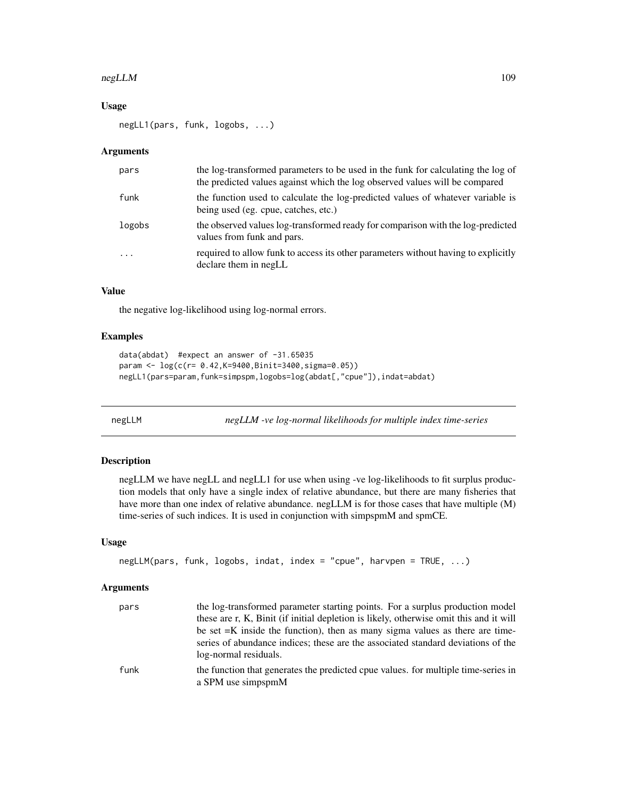## negLLM and the state of the state of the state of the state of the state of the state of the state of the state of the state of the state of the state of the state of the state of the state of the state of the state of the

# Usage

negLL1(pars, funk, logobs, ...)

#### **Arguments**

| pars      | the log-transformed parameters to be used in the funk for calculating the log of<br>the predicted values against which the log observed values will be compared |
|-----------|-----------------------------------------------------------------------------------------------------------------------------------------------------------------|
| funk      | the function used to calculate the log-predicted values of whatever variable is<br>being used (eg. cpue, catches, etc.)                                         |
| logobs    | the observed values log-transformed ready for comparison with the log-predicted<br>values from funk and pars.                                                   |
| $\ddotsc$ | required to allow funk to access its other parameters without having to explicitly<br>declare them in negLL                                                     |

# Value

the negative log-likelihood using log-normal errors.

## Examples

```
data(abdat) #expect an answer of -31.65035
param <- log(c(r= 0.42,K=9400,Binit=3400,sigma=0.05))
negLL1(pars=param,funk=simpspm,logobs=log(abdat[,"cpue"]),indat=abdat)
```
negLLM *negLLM -ve log-normal likelihoods for multiple index time-series*

# Description

negLLM we have negLL and negLL1 for use when using -ve log-likelihoods to fit surplus production models that only have a single index of relative abundance, but there are many fisheries that have more than one index of relative abundance. negLLM is for those cases that have multiple (M) time-series of such indices. It is used in conjunction with simpspmM and spmCE.

# Usage

```
negLLM(pars, funk, logobs, indat, index = "cpue", harvpen = TRUE, ...)
```

| pars | the log-transformed parameter starting points. For a surplus production model                            |
|------|----------------------------------------------------------------------------------------------------------|
|      | these are r, K, Binit (if initial depletion is likely, otherwise omit this and it will                   |
|      | be set $=K$ inside the function), then as many sigma values as there are time-                           |
|      | series of abundance indices; these are the associated standard deviations of the                         |
|      | log-normal residuals.                                                                                    |
| funk | the function that generates the predicted cpue values. for multiple time-series in<br>a SPM use simpspmM |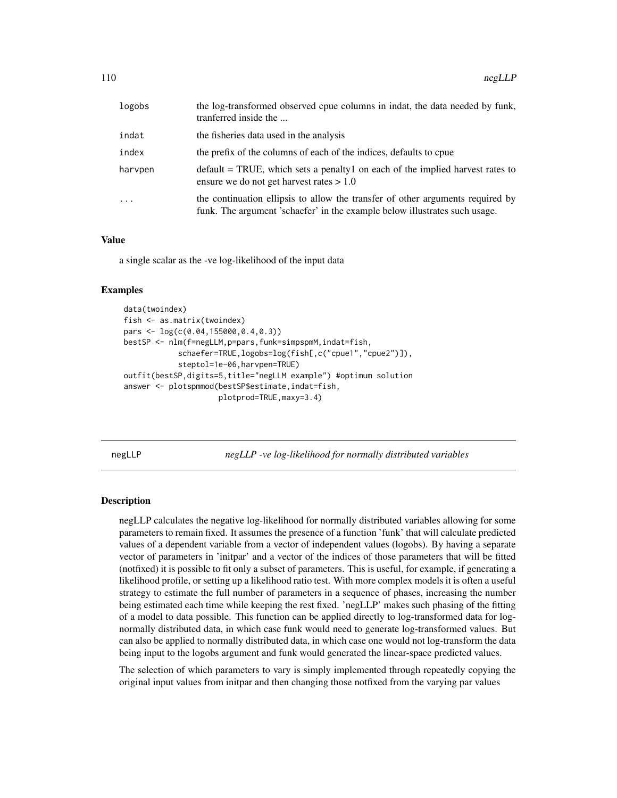| logobs                  | the log-transformed observed cpue columns in indat, the data needed by funk,<br>tranferred inside the                                                        |
|-------------------------|--------------------------------------------------------------------------------------------------------------------------------------------------------------|
| indat                   | the fisheries data used in the analysis                                                                                                                      |
| index                   | the prefix of the columns of each of the indices, defaults to cpue                                                                                           |
| harvpen                 | $default = TRUE$ , which sets a penalty on each of the implied harvest rates to<br>ensure we do not get harvest rates $> 1.0$                                |
| $\cdot$ $\cdot$ $\cdot$ | the continuation ellipsis to allow the transfer of other arguments required by<br>funk. The argument 'schaefer' in the example below illustrates such usage. |

# Value

a single scalar as the -ve log-likelihood of the input data

## Examples

```
data(twoindex)
fish <- as.matrix(twoindex)
pars <- log(c(0.04,155000,0.4,0.3))
bestSP <- nlm(f=negLLM,p=pars,funk=simpspmM,indat=fish,
            schaefer=TRUE,logobs=log(fish[,c("cpue1","cpue2")]),
            steptol=1e-06,harvpen=TRUE)
outfit(bestSP,digits=5,title="negLLM example") #optimum solution
answer <- plotspmmod(bestSP$estimate,indat=fish,
                     plotprod=TRUE,maxy=3.4)
```
negLLP *negLLP -ve log-likelihood for normally distributed variables*

#### **Description**

negLLP calculates the negative log-likelihood for normally distributed variables allowing for some parameters to remain fixed. It assumes the presence of a function 'funk' that will calculate predicted values of a dependent variable from a vector of independent values (logobs). By having a separate vector of parameters in 'initpar' and a vector of the indices of those parameters that will be fitted (notfixed) it is possible to fit only a subset of parameters. This is useful, for example, if generating a likelihood profile, or setting up a likelihood ratio test. With more complex models it is often a useful strategy to estimate the full number of parameters in a sequence of phases, increasing the number being estimated each time while keeping the rest fixed. 'negLLP' makes such phasing of the fitting of a model to data possible. This function can be applied directly to log-transformed data for lognormally distributed data, in which case funk would need to generate log-transformed values. But can also be applied to normally distributed data, in which case one would not log-transform the data being input to the logobs argument and funk would generated the linear-space predicted values.

The selection of which parameters to vary is simply implemented through repeatedly copying the original input values from initpar and then changing those notfixed from the varying par values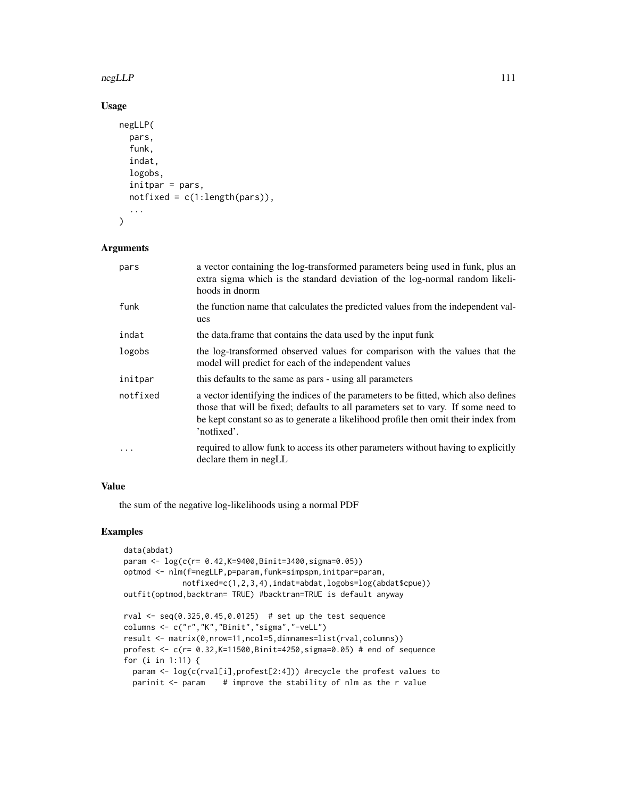## negLLP 111

# Usage

```
negLLP(
  pars,
  funk,
  indat,
  logobs,
  initpar = pars,
  notfixed = c(1:length(pars)),...
\mathcal{L}
```
# Arguments

| pars       | a vector containing the log-transformed parameters being used in funk, plus an<br>extra sigma which is the standard deviation of the log-normal random likeli-<br>hoods in dnorm                                                                                              |
|------------|-------------------------------------------------------------------------------------------------------------------------------------------------------------------------------------------------------------------------------------------------------------------------------|
| funk       | the function name that calculates the predicted values from the independent val-<br>ues                                                                                                                                                                                       |
| indat      | the data. frame that contains the data used by the input funk                                                                                                                                                                                                                 |
| logobs     | the log-transformed observed values for comparison with the values that the<br>model will predict for each of the independent values                                                                                                                                          |
| initpar    | this defaults to the same as pars - using all parameters                                                                                                                                                                                                                      |
| notfixed   | a vector identifying the indices of the parameters to be fitted, which also defines<br>those that will be fixed; defaults to all parameters set to vary. If some need to<br>be kept constant so as to generate a likelihood profile then omit their index from<br>'notfixed'. |
| $\ddots$ . | required to allow funk to access its other parameters without having to explicitly<br>declare them in negLL                                                                                                                                                                   |

# Value

the sum of the negative log-likelihoods using a normal PDF

```
data(abdat)
param <- log(c(r= 0.42,K=9400,Binit=3400,sigma=0.05))
optmod <- nlm(f=negLLP,p=param,funk=simpspm,initpar=param,
            notfixed=c(1,2,3,4),indat=abdat,logobs=log(abdat$cpue))
outfit(optmod,backtran= TRUE) #backtran=TRUE is default anyway
rval <- seq(0.325, 0.45, 0.0125) # set up the test sequence
columns <- c("r","K","Binit","sigma","-veLL")
result <- matrix(0,nrow=11,ncol=5,dimnames=list(rval,columns))
profest <- c(r= 0.32,K=11500,Binit=4250,sigma=0.05) # end of sequence
for (i in 1:11) {
 param <- log(c(rval[i],profest[2:4])) #recycle the profest values to
  parinit \leq param # improve the stability of nlm as the r value
```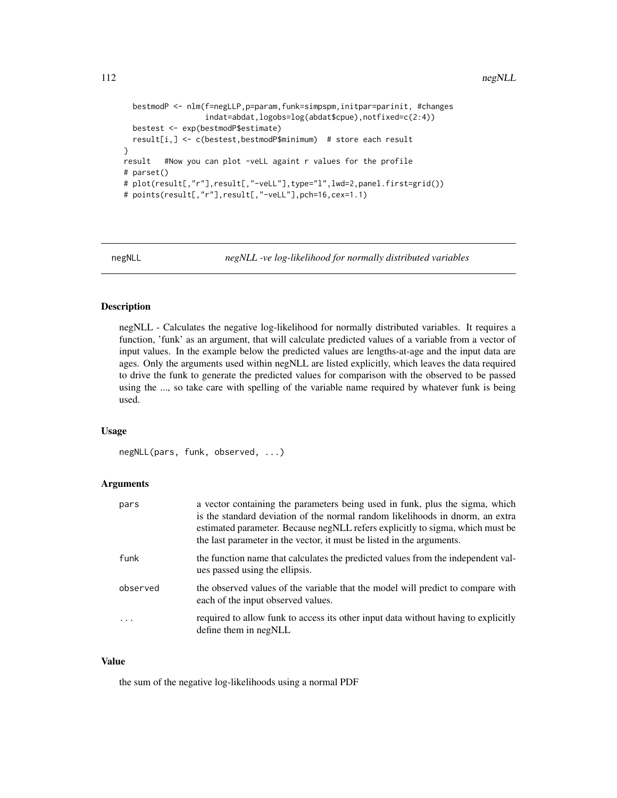```
bestmodP <- nlm(f=negLLP,p=param,funk=simpspm,initpar=parinit, #changes
                  indat=abdat,logobs=log(abdat$cpue),notfixed=c(2:4))
  bestest <- exp(bestmodP$estimate)
  result[i,] <- c(bestest,bestmodP$minimum) # store each result
}
result #Now you can plot -veLL againt r values for the profile
# parset()
# plot(result[,"r"],result[,"-veLL"],type="l",lwd=2,panel.first=grid())
# points(result[,"r"],result[,"-veLL"],pch=16,cex=1.1)
```
negNLL *negNLL -ve log-likelihood for normally distributed variables*

# Description

negNLL - Calculates the negative log-likelihood for normally distributed variables. It requires a function, 'funk' as an argument, that will calculate predicted values of a variable from a vector of input values. In the example below the predicted values are lengths-at-age and the input data are ages. Only the arguments used within negNLL are listed explicitly, which leaves the data required to drive the funk to generate the predicted values for comparison with the observed to be passed using the ..., so take care with spelling of the variable name required by whatever funk is being used.

# Usage

```
negNLL(pars, funk, observed, ...)
```
## Arguments

| pars     | a vector containing the parameters being used in funk, plus the sigma, which<br>is the standard deviation of the normal random likelihoods in dnorm, an extra<br>estimated parameter. Because negNLL refers explicitly to sigma, which must be<br>the last parameter in the vector, it must be listed in the arguments. |
|----------|-------------------------------------------------------------------------------------------------------------------------------------------------------------------------------------------------------------------------------------------------------------------------------------------------------------------------|
| funk     | the function name that calculates the predicted values from the independent val-<br>ues passed using the ellipsis.                                                                                                                                                                                                      |
| observed | the observed values of the variable that the model will predict to compare with<br>each of the input observed values.                                                                                                                                                                                                   |
| .        | required to allow funk to access its other input data without having to explicitly<br>define them in negNLL                                                                                                                                                                                                             |

#### Value

the sum of the negative log-likelihoods using a normal PDF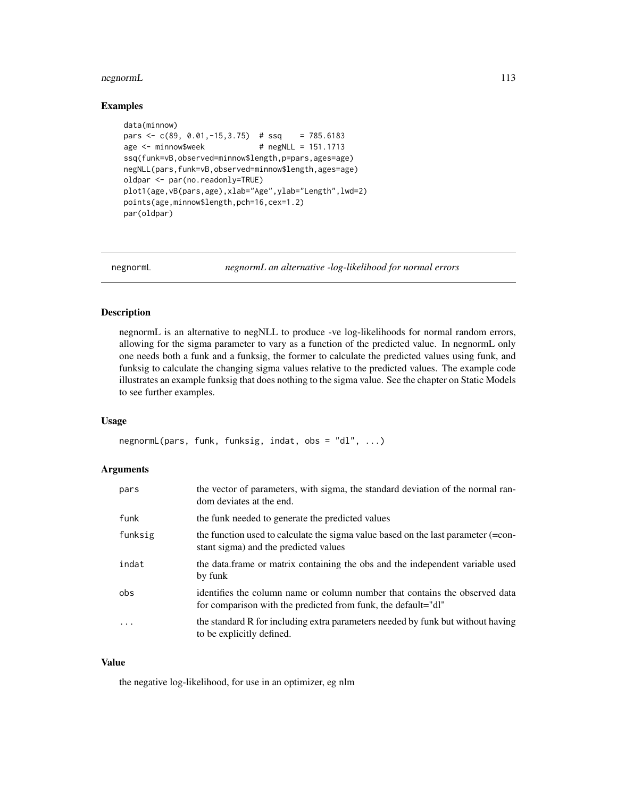#### negnormL and the contract of the contract of the contract of the contract of the contract of the contract of the contract of the contract of the contract of the contract of the contract of the contract of the contract of t

# Examples

```
data(minnow)
pars <- c(89, 0.01,-15,3.75) # ssq = 785.6183
age \le minnow$week # negNLL = 151.1713
ssq(funk=vB,observed=minnow$length,p=pars,ages=age)
negNLL(pars,funk=vB,observed=minnow$length,ages=age)
oldpar <- par(no.readonly=TRUE)
plot1(age,vB(pars,age),xlab="Age",ylab="Length",lwd=2)
points(age,minnow$length,pch=16,cex=1.2)
par(oldpar)
```
negnormL *negnormL an alternative -log-likelihood for normal errors*

## Description

negnormL is an alternative to negNLL to produce -ve log-likelihoods for normal random errors, allowing for the sigma parameter to vary as a function of the predicted value. In negnormL only one needs both a funk and a funksig, the former to calculate the predicted values using funk, and funksig to calculate the changing sigma values relative to the predicted values. The example code illustrates an example funksig that does nothing to the sigma value. See the chapter on Static Models to see further examples.

## Usage

negnormL(pars, funk, funksig, indat, obs = "dl", ...)

# Arguments

| pars    | the vector of parameters, with sigma, the standard deviation of the normal ran-<br>dom deviates at the end.                                  |
|---------|----------------------------------------------------------------------------------------------------------------------------------------------|
| funk    | the funk needed to generate the predicted values                                                                                             |
| funksig | the function used to calculate the sigma value based on the last parameter (=con-<br>stant sigma) and the predicted values                   |
| indat   | the data.frame or matrix containing the obs and the independent variable used<br>by funk                                                     |
| obs     | identifies the column name or column number that contains the observed data<br>for comparison with the predicted from funk, the default="dl" |
| .       | the standard R for including extra parameters needed by funk but without having<br>to be explicitly defined.                                 |

#### Value

the negative log-likelihood, for use in an optimizer, eg nlm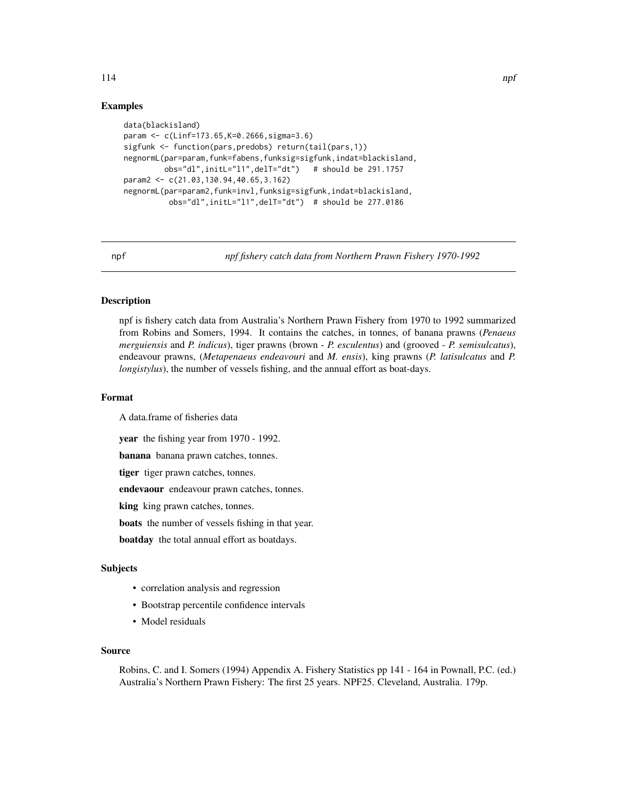## Examples

```
data(blackisland)
param <- c(Linf=173.65,K=0.2666,sigma=3.6)
sigfunk <- function(pars,predobs) return(tail(pars,1))
negnormL(par=param,funk=fabens,funksig=sigfunk,indat=blackisland,
        obs="dl",initL="l1",delT="dt") # should be 291.1757
param2 <- c(21.03,130.94,40.65,3.162)
negnormL(par=param2,funk=invl,funksig=sigfunk,indat=blackisland,
         obs="dl",initL="l1",delT="dt") # should be 277.0186
```
npf *npf fishery catch data from Northern Prawn Fishery 1970-1992*

#### Description

npf is fishery catch data from Australia's Northern Prawn Fishery from 1970 to 1992 summarized from Robins and Somers, 1994. It contains the catches, in tonnes, of banana prawns (*Penaeus merguiensis* and *P. indicus*), tiger prawns (brown - *P. esculentus*) and (grooved - *P. semisulcatus*), endeavour prawns, (*Metapenaeus endeavouri* and *M. ensis*), king prawns (*P. latisulcatus* and *P. longistylus*), the number of vessels fishing, and the annual effort as boat-days.

## Format

A data.frame of fisheries data

year the fishing year from 1970 - 1992.

banana banana prawn catches, tonnes.

tiger tiger prawn catches, tonnes.

endevaour endeavour prawn catches, tonnes.

king king prawn catches, tonnes.

boats the number of vessels fishing in that year.

boatday the total annual effort as boatdays.

#### Subjects

- correlation analysis and regression
- Bootstrap percentile confidence intervals
- Model residuals

#### Source

Robins, C. and I. Somers (1994) Appendix A. Fishery Statistics pp 141 - 164 in Pownall, P.C. (ed.) Australia's Northern Prawn Fishery: The first 25 years. NPF25. Cleveland, Australia. 179p.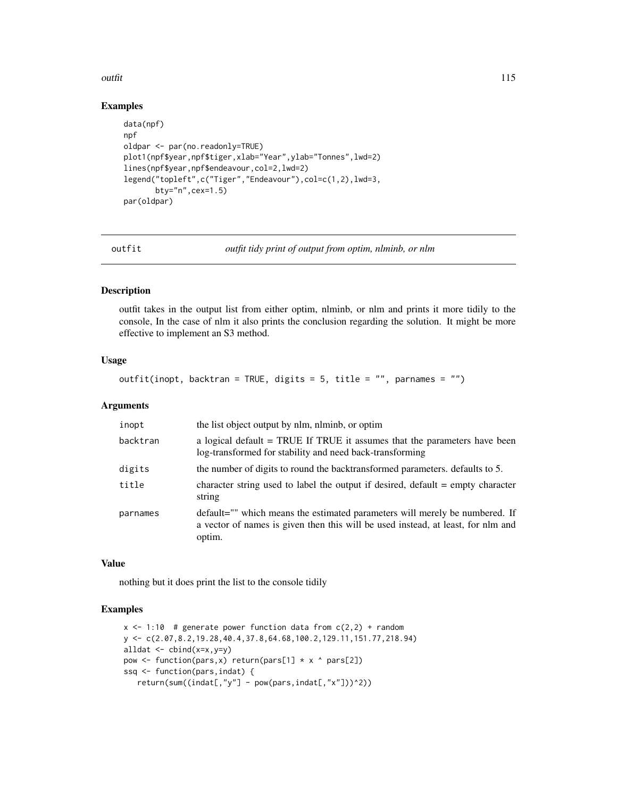#### outfit and the contract of the contract of the contract of the contract of the contract of the contract of the contract of the contract of the contract of the contract of the contract of the contract of the contract of the

# Examples

```
data(npf)
npf
oldpar <- par(no.readonly=TRUE)
plot1(npf$year,npf$tiger,xlab="Year",ylab="Tonnes",lwd=2)
lines(npf$year,npf$endeavour,col=2,lwd=2)
legend("topleft",c("Tiger","Endeavour"),col=c(1,2),lwd=3,
       bty="n",cex=1.5)
par(oldpar)
```
outfit *outfit tidy print of output from optim, nlminb, or nlm*

## Description

outfit takes in the output list from either optim, nlminb, or nlm and prints it more tidily to the console, In the case of nlm it also prints the conclusion regarding the solution. It might be more effective to implement an S3 method.

# Usage

outfit(inopt, backtran = TRUE, digits = 5, title =  $"$ , parnames =  $"$ )

#### Arguments

| inopt    | the list object output by nlm, nlminb, or optim                                                                                                                           |
|----------|---------------------------------------------------------------------------------------------------------------------------------------------------------------------------|
| backtran | a logical default = TRUE If TRUE it assumes that the parameters have been<br>log-transformed for stability and need back-transforming                                     |
| digits   | the number of digits to round the backtransformed parameters, defaults to 5.                                                                                              |
| title    | character string used to label the output if desired, default $=$ empty character<br>string                                                                               |
| parnames | default="" which means the estimated parameters will merely be numbered. If<br>a vector of names is given then this will be used instead, at least, for nlm and<br>optim. |

#### Value

nothing but it does print the list to the console tidily

```
x \le -1:10 # generate power function data from c(2,2) + random
y <- c(2.07,8.2,19.28,40.4,37.8,64.68,100.2,129.11,151.77,218.94)
alldat \leq cbind(x=x,y=y)
pow <- function(pars,x) return(pars[1] * x ^ pars[2])
ssq <- function(pars,indat) {
   return(sum((indat[, "y"] - pow(pars,indat[, "x"]))^2)
```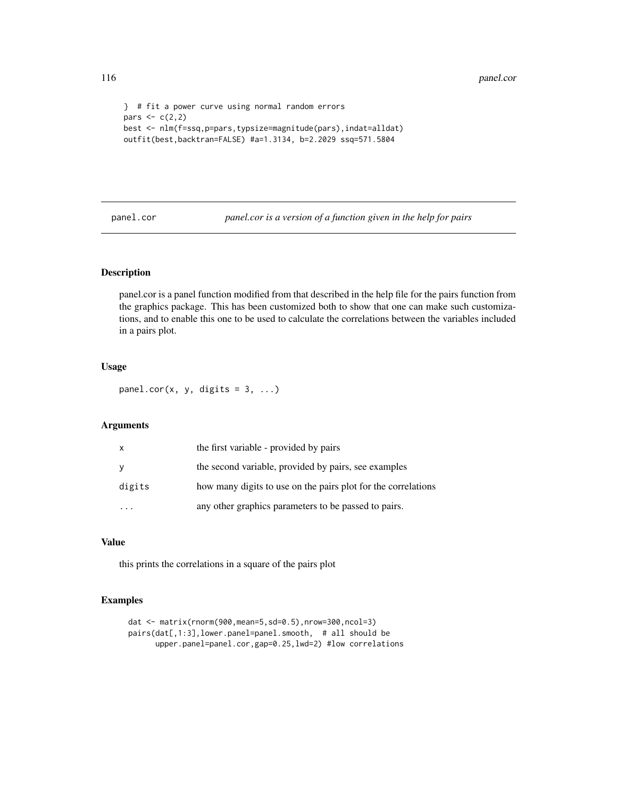```
} # fit a power curve using normal random errors
pars \leftarrow c(2,2)
best <- nlm(f=ssq,p=pars,typsize=magnitude(pars),indat=alldat)
outfit(best,backtran=FALSE) #a=1.3134, b=2.2029 ssq=571.5804
```
panel.cor *panel.cor is a version of a function given in the help for pairs*

# Description

panel.cor is a panel function modified from that described in the help file for the pairs function from the graphics package. This has been customized both to show that one can make such customizations, and to enable this one to be used to calculate the correlations between the variables included in a pairs plot.

# Usage

panel.cor(x, y, digits =  $3, ...$ )

# Arguments

| $\mathsf{x}$ | the first variable - provided by pairs                        |
|--------------|---------------------------------------------------------------|
| y            | the second variable, provided by pairs, see examples          |
| digits       | how many digits to use on the pairs plot for the correlations |
|              | any other graphics parameters to be passed to pairs.          |

# Value

this prints the correlations in a square of the pairs plot

```
dat <- matrix(rnorm(900,mean=5,sd=0.5),nrow=300,ncol=3)
pairs(dat[,1:3],lower.panel=panel.smooth, # all should be
      upper.panel=panel.cor,gap=0.25,lwd=2) #low correlations
```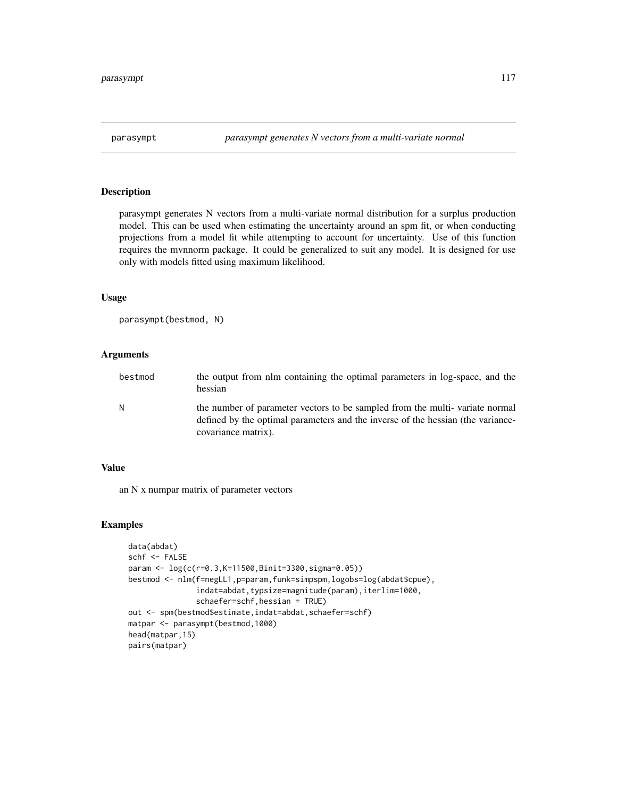parasympt generates N vectors from a multi-variate normal distribution for a surplus production model. This can be used when estimating the uncertainty around an spm fit, or when conducting projections from a model fit while attempting to account for uncertainty. Use of this function requires the mvnnorm package. It could be generalized to suit any model. It is designed for use only with models fitted using maximum likelihood.

## Usage

```
parasympt(bestmod, N)
```
# Arguments

| bestmod | the output from nlm containing the optimal parameters in log-space, and the<br>hessian                                                                                                |
|---------|---------------------------------------------------------------------------------------------------------------------------------------------------------------------------------------|
| N       | the number of parameter vectors to be sampled from the multi-variate normal<br>defined by the optimal parameters and the inverse of the hessian (the variance-<br>covariance matrix). |

# Value

an N x numpar matrix of parameter vectors

```
data(abdat)
schf <- FALSE
param <- log(c(r=0.3,K=11500,Binit=3300,sigma=0.05))
bestmod <- nlm(f=negLL1,p=param,funk=simpspm,logobs=log(abdat$cpue),
               indat=abdat,typsize=magnitude(param),iterlim=1000,
               schaefer=schf,hessian = TRUE)
out <- spm(bestmod$estimate,indat=abdat,schaefer=schf)
matpar <- parasympt(bestmod,1000)
head(matpar,15)
pairs(matpar)
```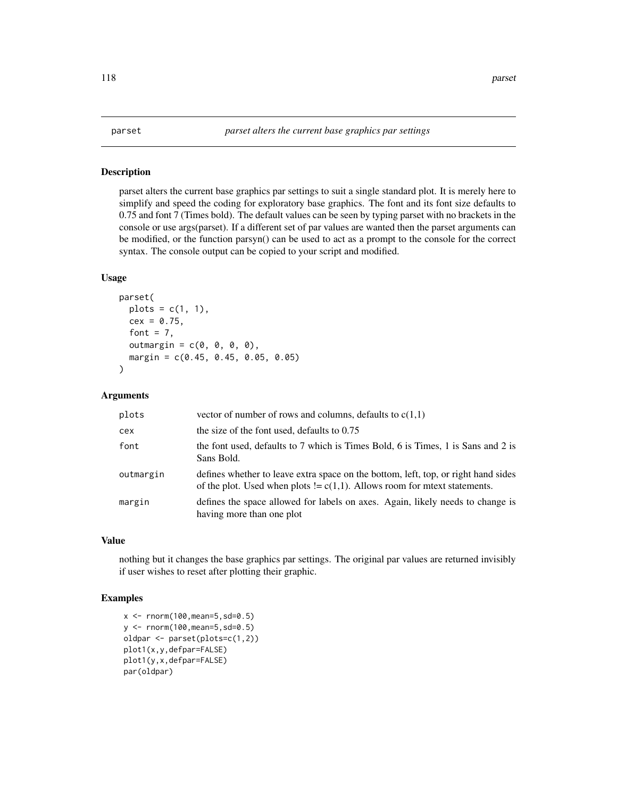parset alters the current base graphics par settings to suit a single standard plot. It is merely here to simplify and speed the coding for exploratory base graphics. The font and its font size defaults to 0.75 and font 7 (Times bold). The default values can be seen by typing parset with no brackets in the console or use args(parset). If a different set of par values are wanted then the parset arguments can be modified, or the function parsyn() can be used to act as a prompt to the console for the correct syntax. The console output can be copied to your script and modified.

# Usage

```
parset(
  plots = c(1, 1),
  cex = 0.75,
  font = 7,outmargin = c(\theta, \theta, \theta, \theta),
  margin = c(0.45, 0.45, 0.05, 0.05)
)
```
## Arguments

| plots     | vector of number of rows and columns, defaults to $c(1,1)$                                                                                                        |
|-----------|-------------------------------------------------------------------------------------------------------------------------------------------------------------------|
| cex       | the size of the font used, defaults to $0.75$                                                                                                                     |
| font      | the font used, defaults to 7 which is Times Bold, 6 is Times, 1 is Sans and 2 is<br>Sans Bold.                                                                    |
| outmargin | defines whether to leave extra space on the bottom, left, top, or right hand sides<br>of the plot. Used when plots $!= c(1,1)$ . Allows room for meet statements. |
| margin    | defines the space allowed for labels on axes. Again, likely needs to change is<br>having more than one plot                                                       |

# Value

nothing but it changes the base graphics par settings. The original par values are returned invisibly if user wishes to reset after plotting their graphic.

```
x \le - rnorm(100, mean=5, sd=0.5)
y <- rnorm(100,mean=5,sd=0.5)
oldpar <- parset(plots=c(1,2))
plot1(x,y,defpar=FALSE)
plot1(y,x,defpar=FALSE)
par(oldpar)
```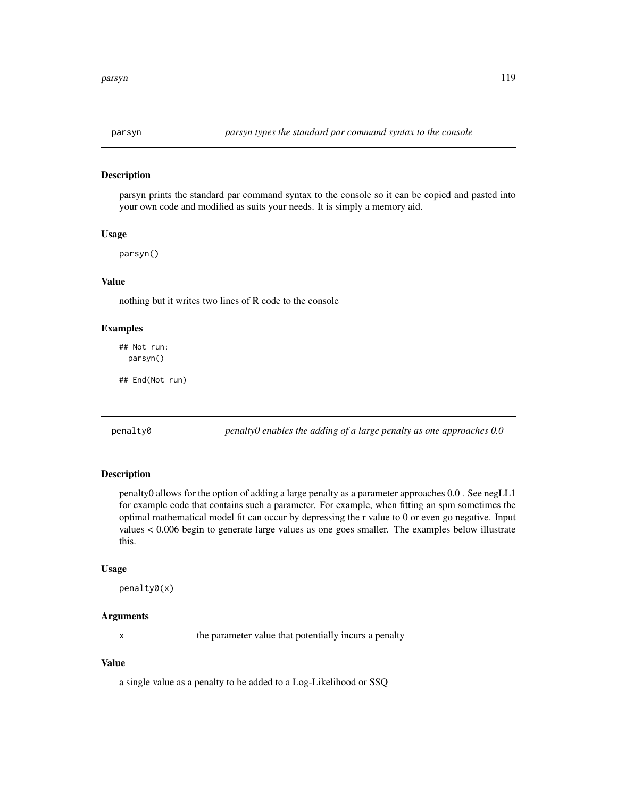parsyn prints the standard par command syntax to the console so it can be copied and pasted into your own code and modified as suits your needs. It is simply a memory aid.

### Usage

parsyn()

# Value

nothing but it writes two lines of R code to the console

# Examples

## Not run: parsyn()

## End(Not run)

penalty0 *penalty0 enables the adding of a large penalty as one approaches 0.0*

# Description

penalty0 allows for the option of adding a large penalty as a parameter approaches 0.0 . See negLL1 for example code that contains such a parameter. For example, when fitting an spm sometimes the optimal mathematical model fit can occur by depressing the r value to 0 or even go negative. Input values < 0.006 begin to generate large values as one goes smaller. The examples below illustrate this.

#### Usage

penalty0(x)

## Arguments

x the parameter value that potentially incurs a penalty

# Value

a single value as a penalty to be added to a Log-Likelihood or SSQ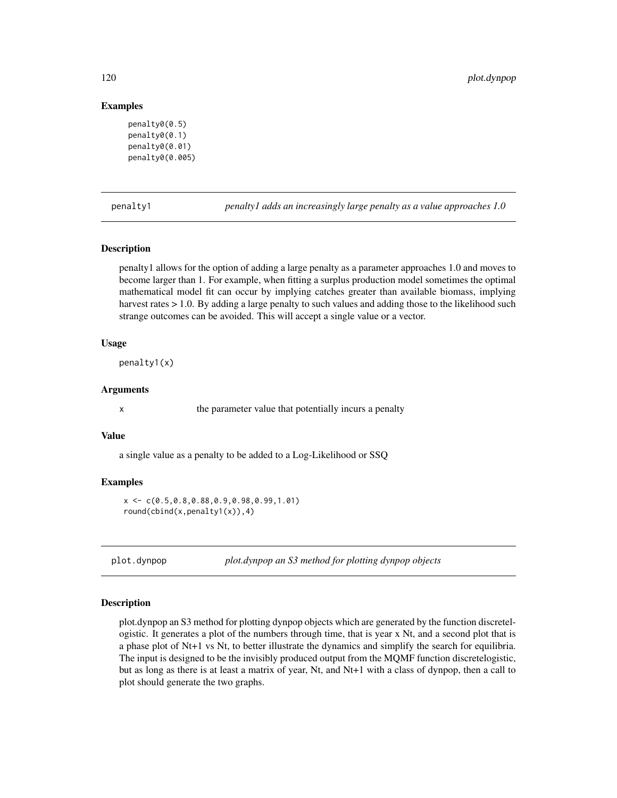## Examples

```
penalty0(0.5)
penalty0(0.1)
penalty0(0.01)
penalty0(0.005)
```
penalty1 *penalty1 adds an increasingly large penalty as a value approaches 1.0*

## Description

penalty1 allows for the option of adding a large penalty as a parameter approaches 1.0 and moves to become larger than 1. For example, when fitting a surplus production model sometimes the optimal mathematical model fit can occur by implying catches greater than available biomass, implying harvest rates  $> 1.0$ . By adding a large penalty to such values and adding those to the likelihood such strange outcomes can be avoided. This will accept a single value or a vector.

#### Usage

penalty1(x)

# **Arguments**

x the parameter value that potentially incurs a penalty

#### Value

a single value as a penalty to be added to a Log-Likelihood or SSQ

# Examples

```
x <- c(0.5,0.8,0.88,0.9,0.98,0.99,1.01)
round(cbind(x,penalty1(x)),4)
```
plot.dynpop *plot.dynpop an S3 method for plotting dynpop objects*

#### Description

plot.dynpop an S3 method for plotting dynpop objects which are generated by the function discretelogistic. It generates a plot of the numbers through time, that is year x Nt, and a second plot that is a phase plot of Nt+1 vs Nt, to better illustrate the dynamics and simplify the search for equilibria. The input is designed to be the invisibly produced output from the MQMF function discretelogistic, but as long as there is at least a matrix of year, Nt, and Nt+1 with a class of dynpop, then a call to plot should generate the two graphs.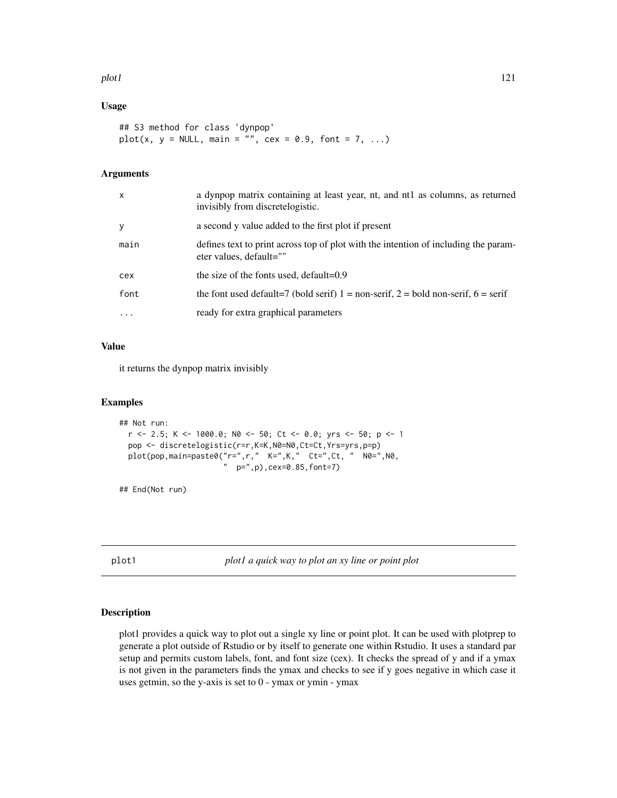#### plot1 121

## Usage

```
## S3 method for class 'dynpop'
plot(x, y = NULL, main = "", cex = 0.9, font = 7, ...)
```
# Arguments

| X         | a dynpop matrix containing at least year, nt, and nt1 as columns, as returned<br>invisibly from discretelogistic. |
|-----------|-------------------------------------------------------------------------------------------------------------------|
| y         | a second y value added to the first plot if present                                                               |
| main      | defines text to print across top of plot with the intention of including the param-<br>eter values, default=""    |
| cex       | the size of the fonts used, default=0.9                                                                           |
| font      | the font used default=7 (bold serif) $1 =$ non-serif, $2 =$ bold non-serif, $6 =$ serif                           |
| $\ddotsc$ | ready for extra graphical parameters                                                                              |

# Value

it returns the dynpop matrix invisibly

## Examples

```
## Not run:
 r <- 2.5; K <- 1000.0; N0 <- 50; Ct <- 0.0; yrs <- 50; p <- 1
 pop <- discretelogistic(r=r,K=K,N0=N0,Ct=Ct,Yrs=yrs,p=p)
 plot(pop,main=paste0("r=",r," K=",K," Ct=",Ct, " N0=",N0,
                       " p=",p),cex=0.85,font=7)
```
## End(Not run)

plot1 *plot1 a quick way to plot an xy line or point plot*

## Description

plot1 provides a quick way to plot out a single xy line or point plot. It can be used with plotprep to generate a plot outside of Rstudio or by itself to generate one within Rstudio. It uses a standard par setup and permits custom labels, font, and font size (cex). It checks the spread of y and if a ymax is not given in the parameters finds the ymax and checks to see if y goes negative in which case it uses getmin, so the y-axis is set to 0 - ymax or ymin - ymax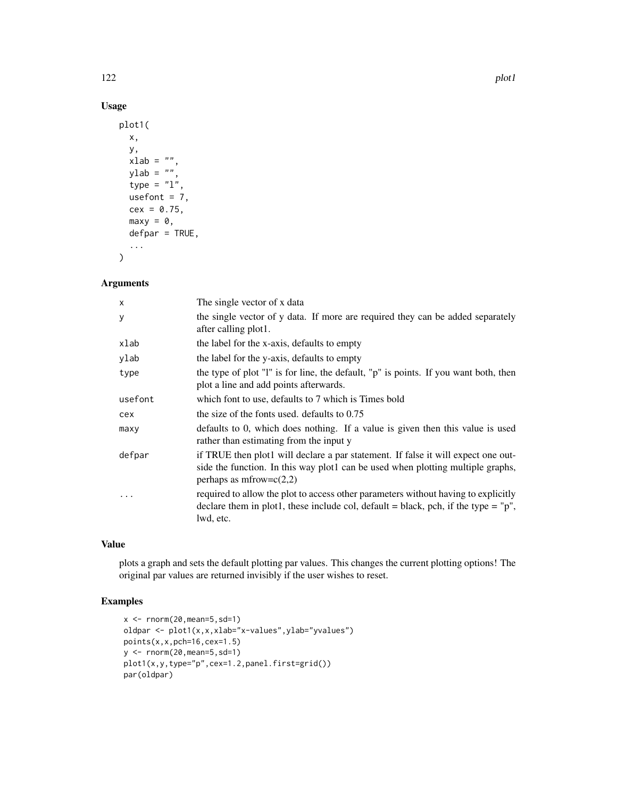# Usage

```
plot1(
 x,
 y,
 xlab = ",
 ylab = "",
 type = "1",usefont = 7,cex = 0.75,
 maxy = 0,
 defpar = TRUE,
  ...
)
```
# Arguments

| $\mathsf{x}$ | The single vector of x data                                                                                                                                                                       |
|--------------|---------------------------------------------------------------------------------------------------------------------------------------------------------------------------------------------------|
| У            | the single vector of y data. If more are required they can be added separately<br>after calling plot1.                                                                                            |
| xlab         | the label for the x-axis, defaults to empty                                                                                                                                                       |
| ylab         | the label for the y-axis, defaults to empty                                                                                                                                                       |
| type         | the type of plot "I" is for line, the default, "p" is points. If you want both, then<br>plot a line and add points afterwards.                                                                    |
| usefont      | which font to use, defaults to 7 which is Times bold                                                                                                                                              |
| cex          | the size of the fonts used. defaults to $0.75$                                                                                                                                                    |
| maxy         | defaults to 0, which does nothing. If a value is given then this value is used<br>rather than estimating from the input y                                                                         |
| defpar       | if TRUE then plot1 will declare a par statement. If false it will expect one out-<br>side the function. In this way plot can be used when plotting multiple graphs,<br>perhaps as mfrow= $c(2,2)$ |
| $\ddotsc$    | required to allow the plot to access other parameters without having to explicitly<br>declare them in plot1, these include col, default = black, pch, if the type = " $p$ ",<br>lwd, etc.         |

# Value

plots a graph and sets the default plotting par values. This changes the current plotting options! The original par values are returned invisibly if the user wishes to reset.

```
x < - rnorm(20, mean=5, sd=1)
oldpar <- plot1(x,x,xlab="x-values",ylab="yvalues")
points(x,x,pch=16,cex=1.5)
y <- rnorm(20,mean=5,sd=1)
plot1(x,y,type="p",cex=1.2,panel.first=grid())
par(oldpar)
```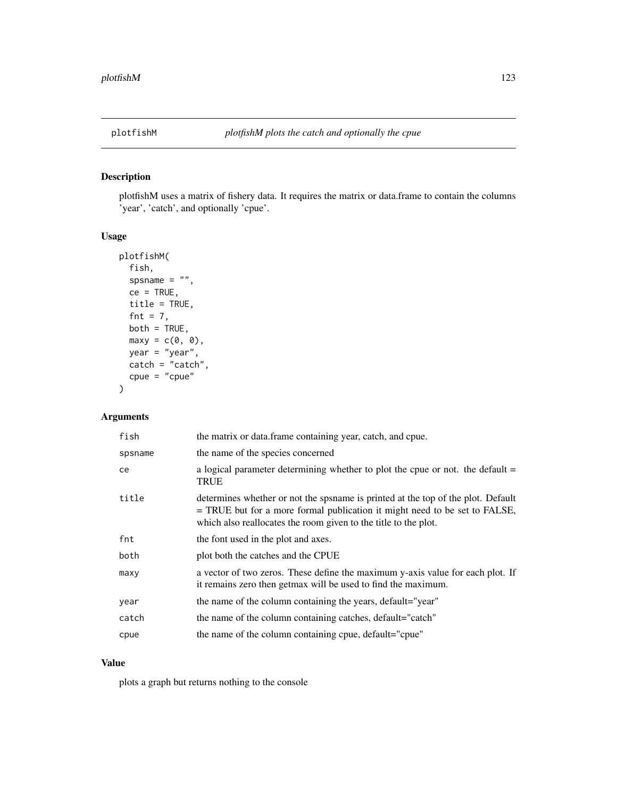plotfishM uses a matrix of fishery data. It requires the matrix or data.frame to contain the columns 'year', 'catch', and optionally 'cpue'.

## Usage

```
plotfishM(
 fish,
  spsname = ",
  ce = TRUE,title = TRUE,
  fnt = 7,both = TRUE,maxy = c(0, 0),
 year = "year",
 catch = "catch",
  cpue = "cpue"
\mathcal{L}
```
# Arguments

| fish    | the matrix or data.frame containing year, catch, and cpue.                                                                                                                                                                        |
|---------|-----------------------------------------------------------------------------------------------------------------------------------------------------------------------------------------------------------------------------------|
| spsname | the name of the species concerned                                                                                                                                                                                                 |
| ce      | a logical parameter determining whether to plot the cpue or not. the default =<br><b>TRUE</b>                                                                                                                                     |
| title   | determines whether or not the spsname is printed at the top of the plot. Default<br>= TRUE but for a more formal publication it might need to be set to FALSE,<br>which also reallocates the room given to the title to the plot. |
| fnt     | the font used in the plot and axes.                                                                                                                                                                                               |
| both    | plot both the catches and the CPUE                                                                                                                                                                                                |
| maxy    | a vector of two zeros. These define the maximum y-axis value for each plot. If<br>it remains zero then get max will be used to find the maximum.                                                                                  |
| year    | the name of the column containing the years, default="year"                                                                                                                                                                       |
| catch   | the name of the column containing catches, default="catch"                                                                                                                                                                        |
| cpue    | the name of the column containing cpue, default="cpue"                                                                                                                                                                            |
|         |                                                                                                                                                                                                                                   |

## Value

plots a graph but returns nothing to the console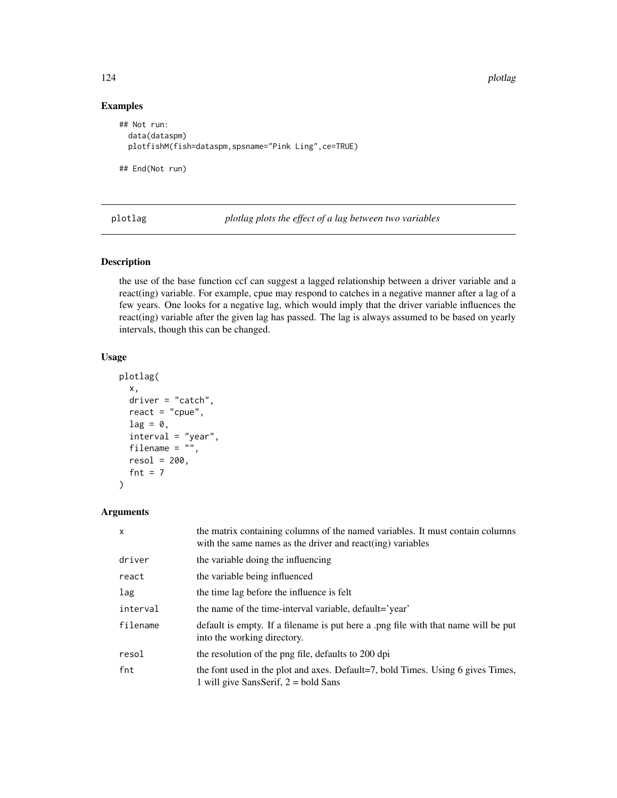124 **plotlage** provided by the contract of the provided by the plotlage provided by the plotlage provided by the plotlage provided by  $p$  and  $p$  and  $p$  and  $p$  and  $p$  and  $p$  and  $p$  and  $p$  and  $p$  and  $p$  and  $p$  and

# Examples

```
## Not run:
 data(dataspm)
 plotfishM(fish=dataspm,spsname="Pink Ling",ce=TRUE)
```
## End(Not run)

plotlag *plotlag plots the effect of a lag between two variables*

# Description

the use of the base function ccf can suggest a lagged relationship between a driver variable and a react(ing) variable. For example, cpue may respond to catches in a negative manner after a lag of a few years. One looks for a negative lag, which would imply that the driver variable influences the react(ing) variable after the given lag has passed. The lag is always assumed to be based on yearly intervals, though this can be changed.

#### Usage

```
plotlag(
 x,
 driver = "catch",
 react = "cque",lag = 0,
  interval = "year",filename = ",
 resol = 200,
  fnt = 7\lambda
```

| $\mathsf{x}$ | the matrix containing columns of the named variables. It must contain columns<br>with the same names as the driver and react(ing) variables |
|--------------|---------------------------------------------------------------------------------------------------------------------------------------------|
| driver       | the variable doing the influencing                                                                                                          |
| react        | the variable being influenced                                                                                                               |
| lag          | the time lag before the influence is felt                                                                                                   |
| interval     | the name of the time-interval variable, default='year'                                                                                      |
| filename     | default is empty. If a filename is put here a png file with that name will be put<br>into the working directory.                            |
| resol        | the resolution of the png file, defaults to 200 dpi                                                                                         |
| fnt          | the font used in the plot and axes. Default=7, bold Times. Using 6 gives Times,<br>1 will give SansSerif, $2 = \text{bold S}$ Sans          |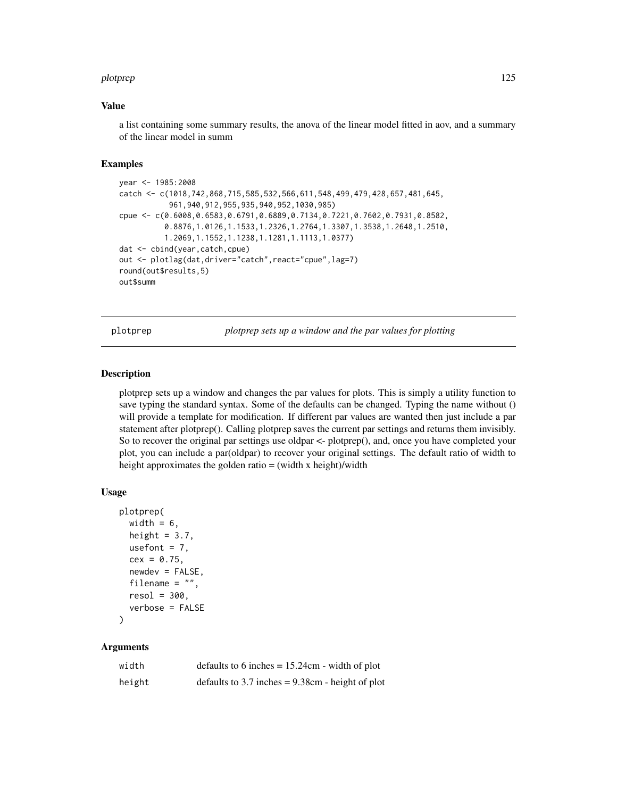#### plotprep that the state of the state of the state of the state of the state of the state of the state of the state of the state of the state of the state of the state of the state of the state of the state of the state of

# Value

a list containing some summary results, the anova of the linear model fitted in aov, and a summary of the linear model in summ

## Examples

```
year <- 1985:2008
catch <- c(1018,742,868,715,585,532,566,611,548,499,479,428,657,481,645,
           961,940,912,955,935,940,952,1030,985)
cpue <- c(0.6008,0.6583,0.6791,0.6889,0.7134,0.7221,0.7602,0.7931,0.8582,
          0.8876,1.0126,1.1533,1.2326,1.2764,1.3307,1.3538,1.2648,1.2510,
          1.2069,1.1552,1.1238,1.1281,1.1113,1.0377)
dat <- cbind(year,catch,cpue)
out <- plotlag(dat,driver="catch",react="cpue",lag=7)
round(out$results,5)
out$summ
```
plotprep *plotprep sets up a window and the par values for plotting*

## Description

plotprep sets up a window and changes the par values for plots. This is simply a utility function to save typing the standard syntax. Some of the defaults can be changed. Typing the name without () will provide a template for modification. If different par values are wanted then just include a par statement after plotprep(). Calling plotprep saves the current par settings and returns them invisibly. So to recover the original par settings use oldpar <- plotprep(), and, once you have completed your plot, you can include a par(oldpar) to recover your original settings. The default ratio of width to height approximates the golden ratio = (width x height)/width

# Usage

```
plotprep(
  width = 6,
  height = 3.7,
  usefont = 7,
  cex = 0.75,
  newdev = FALSE,filename = ".
  resol = 300.
  verbose = FALSE
)
```

| width  | defaults to 6 inches $= 15.24$ cm - width of plot   |
|--------|-----------------------------------------------------|
| height | defaults to 3.7 inches = $9.38$ cm - height of plot |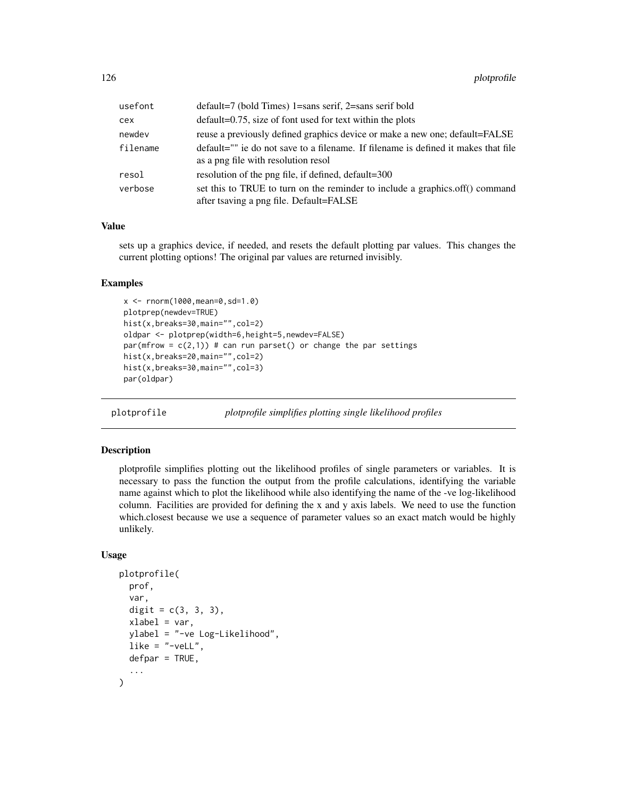| usefont  | $default=7$ (bold Times) 1=sans serif, 2=sans serif bold                                                                  |
|----------|---------------------------------------------------------------------------------------------------------------------------|
| cex      | $default=0.75$ , size of font used for text within the plots                                                              |
| newdev   | reuse a previously defined graphics device or make a new one; default=FALSE                                               |
| filename | default="" ie do not save to a filename. If filename is defined it makes that file<br>as a png file with resolution resol |
| resol    | resolution of the png file, if defined, default=300                                                                       |
| verbose  | set this to TRUE to turn on the reminder to include a graphics.off() command<br>after tsaving a png file. Default=FALSE   |
|          |                                                                                                                           |

# Value

sets up a graphics device, if needed, and resets the default plotting par values. This changes the current plotting options! The original par values are returned invisibly.

# Examples

```
x \le - rnorm(1000, mean=0, sd=1.0)
plotprep(newdev=TRUE)
hist(x,breaks=30,main="",col=2)
oldpar <- plotprep(width=6,height=5,newdev=FALSE)
par(mfrow = c(2,1)) # can run parset() or change the par settings
hist(x,breaks=20,main="",col=2)
hist(x,breaks=30,main="",col=3)
par(oldpar)
```
plotprofile *plotprofile simplifies plotting single likelihood profiles*

## Description

plotprofile simplifies plotting out the likelihood profiles of single parameters or variables. It is necessary to pass the function the output from the profile calculations, identifying the variable name against which to plot the likelihood while also identifying the name of the -ve log-likelihood column. Facilities are provided for defining the x and y axis labels. We need to use the function which.closest because we use a sequence of parameter values so an exact match would be highly unlikely.

## Usage

```
plotprofile(
 prof,
  var,
  digit = c(3, 3, 3),
  xlabel = var.
  ylabel = "-ve Log-Likelihood",
  like = "-velL".defpar = TRUE,...
)
```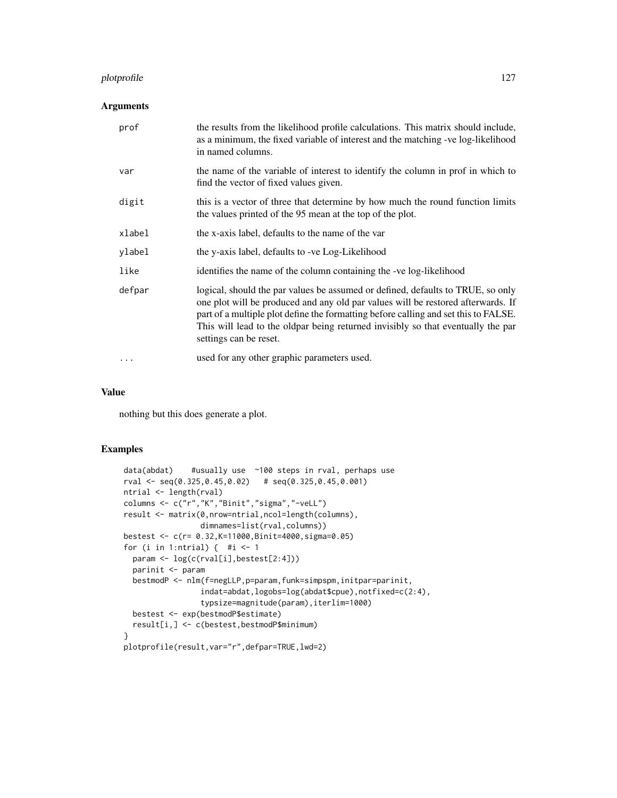# plotprofile that the contract of the contract of the contract of the contract of the contract of the contract of the contract of the contract of the contract of the contract of the contract of the contract of the contract

# Arguments

| prof     | the results from the likelihood profile calculations. This matrix should include,<br>as a minimum, the fixed variable of interest and the matching -ve log-likelihood<br>in named columns.                                                                                                                                                                               |
|----------|--------------------------------------------------------------------------------------------------------------------------------------------------------------------------------------------------------------------------------------------------------------------------------------------------------------------------------------------------------------------------|
| var      | the name of the variable of interest to identify the column in prof in which to<br>find the vector of fixed values given.                                                                                                                                                                                                                                                |
| digit    | this is a vector of three that determine by how much the round function limits<br>the values printed of the 95 mean at the top of the plot.                                                                                                                                                                                                                              |
| xlabel   | the x-axis label, defaults to the name of the var                                                                                                                                                                                                                                                                                                                        |
| ylabel   | the y-axis label, defaults to -ve Log-Likelihood                                                                                                                                                                                                                                                                                                                         |
| like     | identifies the name of the column containing the -ve log-likelihood                                                                                                                                                                                                                                                                                                      |
| defpar   | logical, should the par values be assumed or defined, defaults to TRUE, so only<br>one plot will be produced and any old par values will be restored afterwards. If<br>part of a multiple plot define the formatting before calling and set this to FALSE.<br>This will lead to the oldpar being returned invisibly so that eventually the par<br>settings can be reset. |
| $\cdots$ | used for any other graphic parameters used.                                                                                                                                                                                                                                                                                                                              |

## Value

nothing but this does generate a plot.

```
data(abdat) #usually use ~100 steps in rval, perhaps use
rval <- seq(0.325,0.45,0.02) # seq(0.325,0.45,0.001)
ntrial <- length(rval)
columns <- c("r","K","Binit","sigma","-veLL")
result <- matrix(0,nrow=ntrial,ncol=length(columns),
                dimnames=list(rval,columns))
bestest <- c(r= 0.32,K=11000,Binit=4000,sigma=0.05)
for (i in 1:ntrial) { \#i <- 1
 param <- log(c(rval[i],bestest[2:4]))
 parinit <- param
  bestmodP <- nlm(f=negLLP,p=param,funk=simpspm,initpar=parinit,
                 indat=abdat,logobs=log(abdat$cpue),notfixed=c(2:4),
                 typsize=magnitude(param),iterlim=1000)
 bestest <- exp(bestmodP$estimate)
  result[i,] <- c(bestest,bestmodP$minimum)
}
plotprofile(result,var="r",defpar=TRUE,lwd=2)
```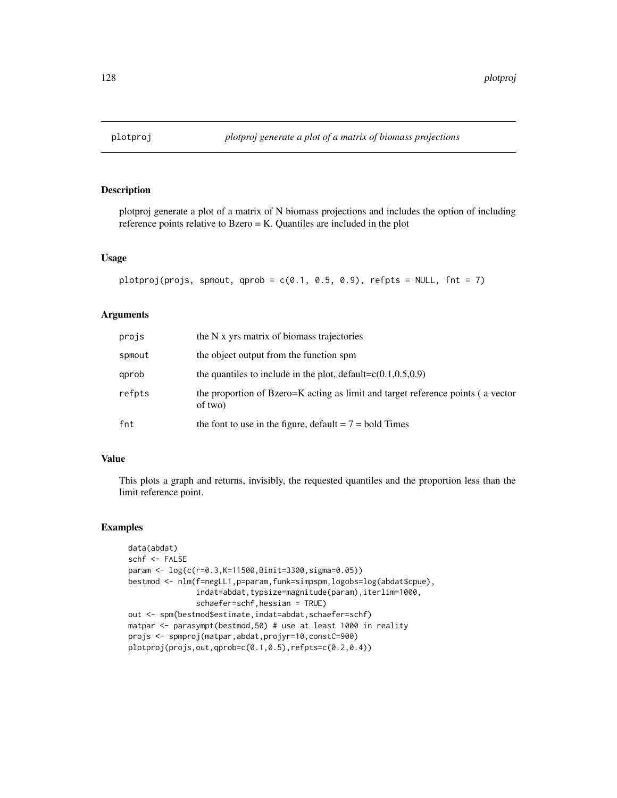plotproj generate a plot of a matrix of N biomass projections and includes the option of including reference points relative to  $B$ zero = K. Quantiles are included in the plot

#### Usage

```
plotproj(projs, spmout, qprob = c(0.1, 0.5, 0.9), refpts = NULL, fnt = 7)
```
# Arguments

| projs  | the N x yrs matrix of biomass trajectories                                                 |
|--------|--------------------------------------------------------------------------------------------|
| spmout | the object output from the function spm                                                    |
| gprob  | the quantiles to include in the plot, default= $c(0.1, 0.5, 0.9)$                          |
| refpts | the proportion of Bzero=K acting as limit and target reference points (a vector<br>of two) |
| fnt    | the font to use in the figure, default $= 7 =$ bold Times                                  |

# Value

This plots a graph and returns, invisibly, the requested quantiles and the proportion less than the limit reference point.

```
data(abdat)
schf <- FALSE
param <- log(c(r=0.3,K=11500,Binit=3300,sigma=0.05))
bestmod <- nlm(f=negLL1,p=param,funk=simpspm,logobs=log(abdat$cpue),
               indat=abdat,typsize=magnitude(param),iterlim=1000,
               schaefer=schf,hessian = TRUE)
out <- spm(bestmod$estimate,indat=abdat,schaefer=schf)
matpar <- parasympt(bestmod,50) # use at least 1000 in reality
projs <- spmproj(matpar,abdat,projyr=10,constC=900)
plotproj(projs,out,qprob=c(0.1,0.5),refpts=c(0.2,0.4))
```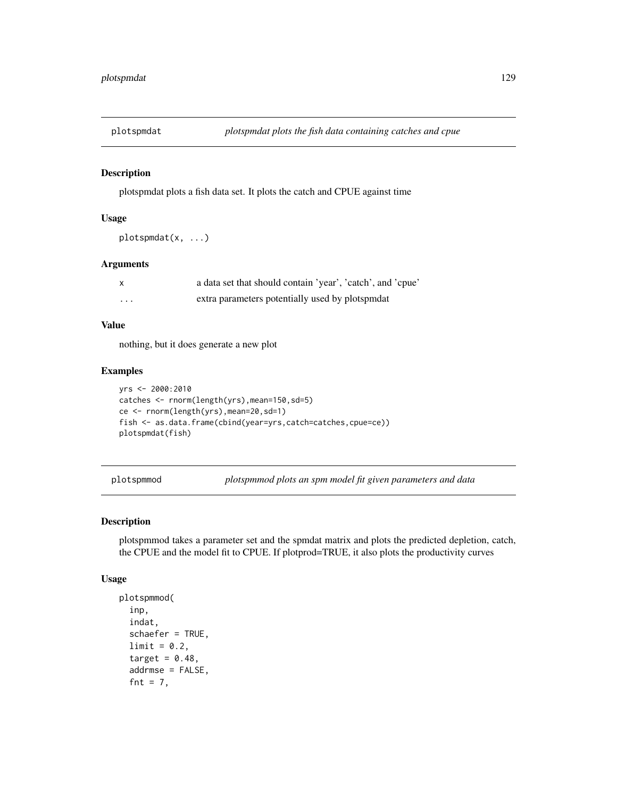plotspmdat plots a fish data set. It plots the catch and CPUE against time

## Usage

```
plotspmdat(x, ...)
```
# Arguments

|   | a data set that should contain 'year', 'catch', and 'cpue' |
|---|------------------------------------------------------------|
| . | extra parameters potentially used by plotspmdat            |

# Value

nothing, but it does generate a new plot

# Examples

```
yrs <- 2000:2010
catches <- rnorm(length(yrs),mean=150,sd=5)
ce <- rnorm(length(yrs),mean=20,sd=1)
fish <- as.data.frame(cbind(year=yrs,catch=catches,cpue=ce))
plotspmdat(fish)
```
plotspmmod *plotspmmod plots an spm model fit given parameters and data*

# Description

plotspmmod takes a parameter set and the spmdat matrix and plots the predicted depletion, catch, the CPUE and the model fit to CPUE. If plotprod=TRUE, it also plots the productivity curves

## Usage

```
plotspmmod(
  inp,
  indat,
  schaefer = TRUE,
  limit = 0.2,
  target = 0.48,
  addrmse = FALSE,
  fnt = 7,
```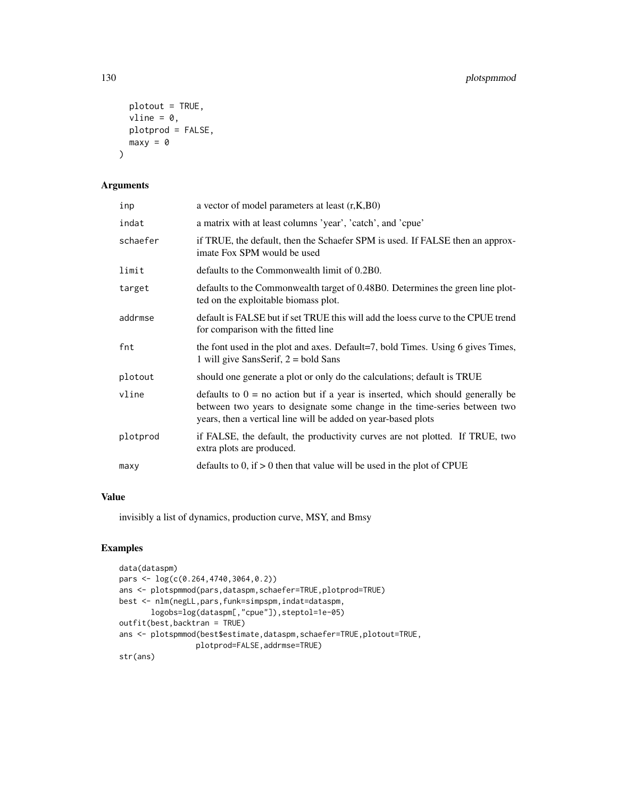```
plotout = TRUE,
  vline = \theta,
 plotprod = FALSE,
 maxy = 0)
```
# Arguments

| inp      | a vector of model parameters at least $(r, K, B0)$                                                                                                                                                                             |
|----------|--------------------------------------------------------------------------------------------------------------------------------------------------------------------------------------------------------------------------------|
| indat    | a matrix with at least columns 'year', 'catch', and 'cpue'                                                                                                                                                                     |
| schaefer | if TRUE, the default, then the Schaefer SPM is used. If FALSE then an approx-<br>imate Fox SPM would be used                                                                                                                   |
| limit    | defaults to the Commonwealth limit of 0.2B0.                                                                                                                                                                                   |
| target   | defaults to the Commonwealth target of 0.48B0. Determines the green line plot-<br>ted on the exploitable biomass plot.                                                                                                         |
| addrmse  | default is FALSE but if set TRUE this will add the loess curve to the CPUE trend<br>for comparison with the fitted line                                                                                                        |
| fnt      | the font used in the plot and axes. Default=7, bold Times. Using 6 gives Times,<br>1 will give SansSerif, $2 = \text{bold Sans}$                                                                                               |
| plotout  | should one generate a plot or only do the calculations; default is TRUE                                                                                                                                                        |
| vline    | defaults to $0 =$ no action but if a year is inserted, which should generally be<br>between two years to designate some change in the time-series between two<br>years, then a vertical line will be added on year-based plots |
| plotprod | if FALSE, the default, the productivity curves are not plotted. If TRUE, two<br>extra plots are produced.                                                                                                                      |
| maxy     | defaults to 0, if $> 0$ then that value will be used in the plot of CPUE                                                                                                                                                       |
|          |                                                                                                                                                                                                                                |

# Value

invisibly a list of dynamics, production curve, MSY, and Bmsy

```
data(dataspm)
pars <- log(c(0.264,4740,3064,0.2))
ans <- plotspmmod(pars,dataspm,schaefer=TRUE,plotprod=TRUE)
best <- nlm(negLL,pars,funk=simpspm,indat=dataspm,
       logobs=log(dataspm[,"cpue"]),steptol=1e-05)
outfit(best,backtran = TRUE)
ans <- plotspmmod(best$estimate,dataspm,schaefer=TRUE,plotout=TRUE,
                 plotprod=FALSE,addrmse=TRUE)
str(ans)
```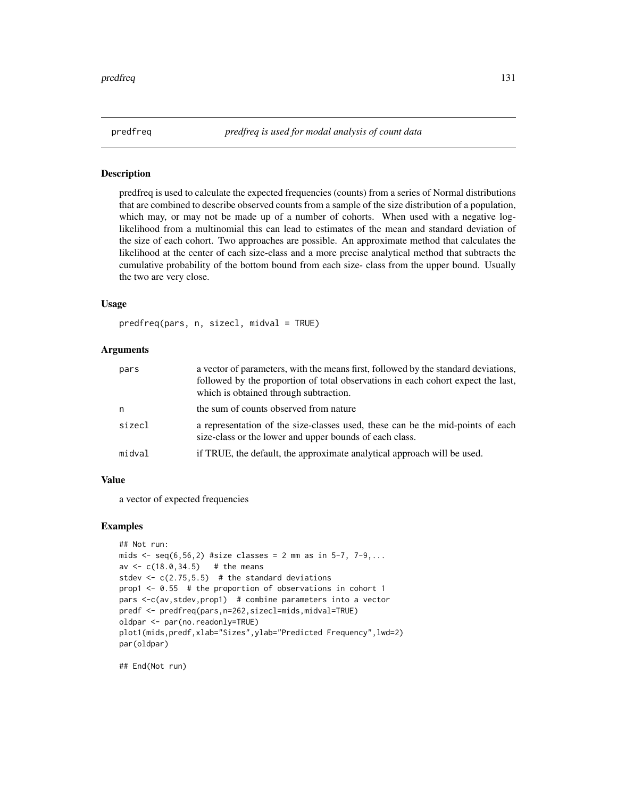predfreq is used to calculate the expected frequencies (counts) from a series of Normal distributions that are combined to describe observed counts from a sample of the size distribution of a population, which may, or may not be made up of a number of cohorts. When used with a negative loglikelihood from a multinomial this can lead to estimates of the mean and standard deviation of the size of each cohort. Two approaches are possible. An approximate method that calculates the likelihood at the center of each size-class and a more precise analytical method that subtracts the cumulative probability of the bottom bound from each size- class from the upper bound. Usually the two are very close.

# Usage

predfreq(pars, n, sizecl, midval = TRUE)

# Arguments

| pars   | a vector of parameters, with the means first, followed by the standard deviations,<br>followed by the proportion of total observations in each cohort expect the last,<br>which is obtained through subtraction. |
|--------|------------------------------------------------------------------------------------------------------------------------------------------------------------------------------------------------------------------|
| n      | the sum of counts observed from nature                                                                                                                                                                           |
| sizecl | a representation of the size-classes used, these can be the mid-points of each<br>size-class or the lower and upper bounds of each class.                                                                        |
| midval | if TRUE, the default, the approximate analytical approach will be used.                                                                                                                                          |

#### Value

a vector of expected frequencies

#### Examples

```
## Not run:
mids \leq seq(6,56,2) #size classes = 2 mm as in 5-7, 7-9,...
av \leq c(18.0, 34.5) # the means
stdev <-c(2.75,5.5) # the standard deviations
prop1 <- 0.55 # the proportion of observations in cohort 1
pars <-c(av,stdev,prop1) # combine parameters into a vector
predf <- predfreq(pars,n=262,sizecl=mids,midval=TRUE)
oldpar <- par(no.readonly=TRUE)
plot1(mids,predf,xlab="Sizes",ylab="Predicted Frequency",lwd=2)
par(oldpar)
```
## End(Not run)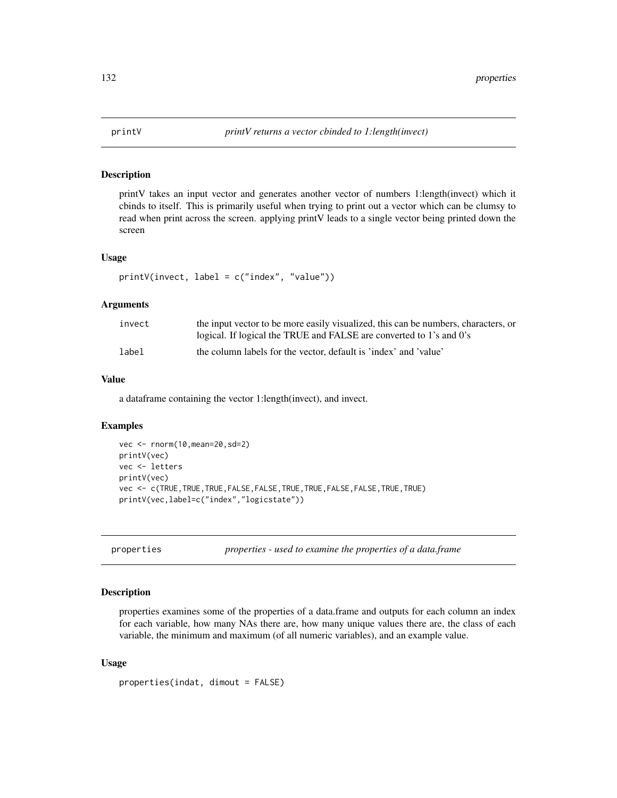printV takes an input vector and generates another vector of numbers 1:length(invect) which it cbinds to itself. This is primarily useful when trying to print out a vector which can be clumsy to read when print across the screen. applying printV leads to a single vector being printed down the screen

#### Usage

printV(invect, label = c("index", "value"))

# Arguments

| invect | the input vector to be more easily visualized, this can be numbers, characters, or<br>logical. If logical the TRUE and FALSE are converted to 1's and 0's |
|--------|-----------------------------------------------------------------------------------------------------------------------------------------------------------|
| label  | the column labels for the vector, default is 'index' and 'value'                                                                                          |

# Value

a dataframe containing the vector 1:length(invect), and invect.

# Examples

```
vec <- rnorm(10,mean=20,sd=2)
printV(vec)
vec <- letters
printV(vec)
vec <- c(TRUE,TRUE,TRUE,FALSE,FALSE,TRUE,TRUE,FALSE,FALSE,TRUE,TRUE)
printV(vec,label=c("index","logicstate"))
```
properties *properties - used to examine the properties of a data.frame*

# Description

properties examines some of the properties of a data.frame and outputs for each column an index for each variable, how many NAs there are, how many unique values there are, the class of each variable, the minimum and maximum (of all numeric variables), and an example value.

## Usage

properties(indat, dimout = FALSE)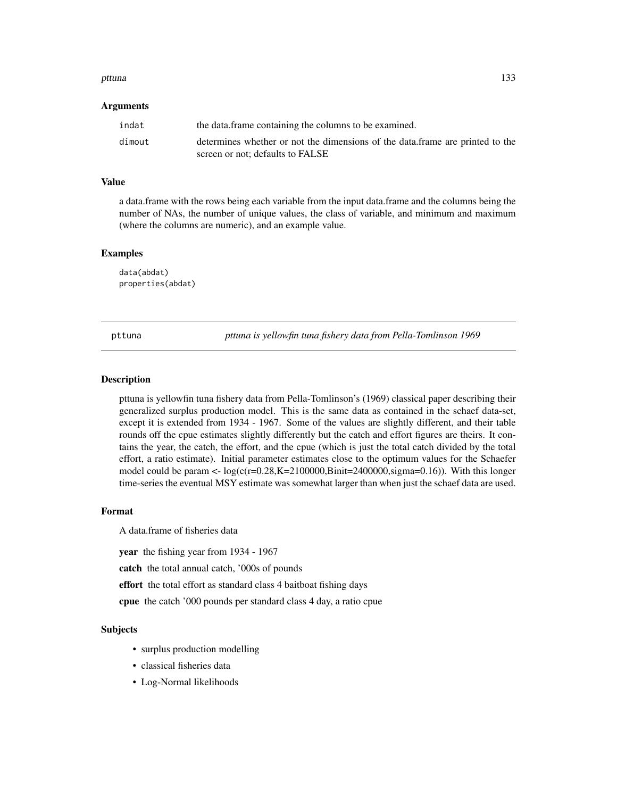#### pttuna and the state of the state of the state of the state of the state of the state of the state of the state of the state of the state of the state of the state of the state of the state of the state of the state of the

#### Arguments

| indat  | the data.frame containing the columns to be examined.                          |
|--------|--------------------------------------------------------------------------------|
| dimout | determines whether or not the dimensions of the data. frame are printed to the |
|        | screen or not; defaults to FALSE                                               |

# Value

a data.frame with the rows being each variable from the input data.frame and the columns being the number of NAs, the number of unique values, the class of variable, and minimum and maximum (where the columns are numeric), and an example value.

## Examples

data(abdat) properties(abdat)

pttuna *pttuna is yellowfin tuna fishery data from Pella-Tomlinson 1969*

#### Description

pttuna is yellowfin tuna fishery data from Pella-Tomlinson's (1969) classical paper describing their generalized surplus production model. This is the same data as contained in the schaef data-set, except it is extended from 1934 - 1967. Some of the values are slightly different, and their table rounds off the cpue estimates slightly differently but the catch and effort figures are theirs. It contains the year, the catch, the effort, and the cpue (which is just the total catch divided by the total effort, a ratio estimate). Initial parameter estimates close to the optimum values for the Schaefer model could be param  $\lt$ - $log(c(r=0.28, K=2100000, Binit=2400000, sigma=0.16))$ . With this longer time-series the eventual MSY estimate was somewhat larger than when just the schaef data are used.

## Format

A data.frame of fisheries data

year the fishing year from 1934 - 1967

catch the total annual catch, '000s of pounds

effort the total effort as standard class 4 baitboat fishing days

cpue the catch '000 pounds per standard class 4 day, a ratio cpue

# Subjects

- surplus production modelling
- classical fisheries data
- Log-Normal likelihoods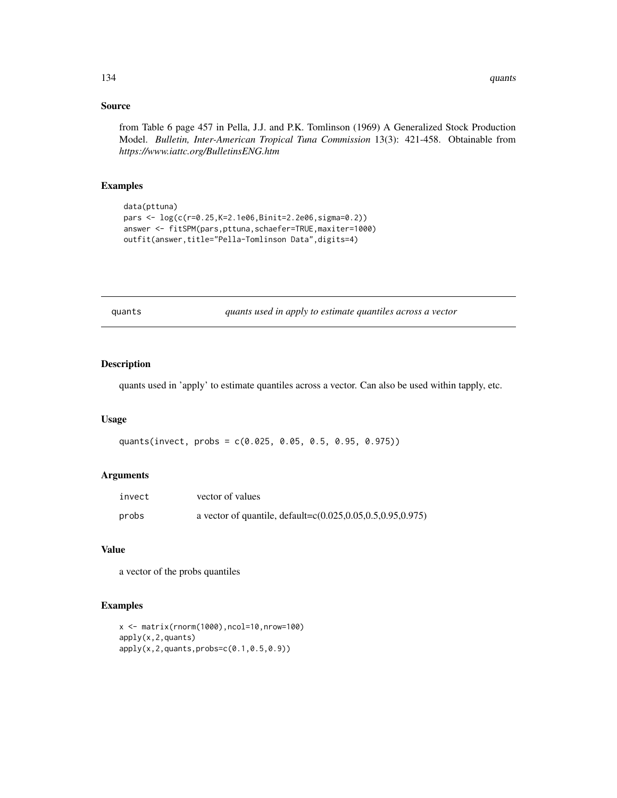# Source

from Table 6 page 457 in Pella, J.J. and P.K. Tomlinson (1969) A Generalized Stock Production Model. *Bulletin, Inter-American Tropical Tuna Commission* 13(3): 421-458. Obtainable from *https://www.iattc.org/BulletinsENG.htm*

## Examples

```
data(pttuna)
pars <- log(c(r=0.25,K=2.1e06,Binit=2.2e06,sigma=0.2))
answer <- fitSPM(pars,pttuna,schaefer=TRUE,maxiter=1000)
outfit(answer,title="Pella-Tomlinson Data",digits=4)
```
quants *quants used in apply to estimate quantiles across a vector*

## Description

quants used in 'apply' to estimate quantiles across a vector. Can also be used within tapply, etc.

#### Usage

quants(invect, probs = c(0.025, 0.05, 0.5, 0.95, 0.975))

## Arguments

| invect | vector of values                                                  |
|--------|-------------------------------------------------------------------|
| probs  | a vector of quantile, default= $c(0.025, 0.05, 0.5, 0.95, 0.975)$ |

## Value

a vector of the probs quantiles

```
x <- matrix(rnorm(1000),ncol=10,nrow=100)
apply(x,2,quants)
apply(x,2,quants,probs=c(0.1,0.5,0.9))
```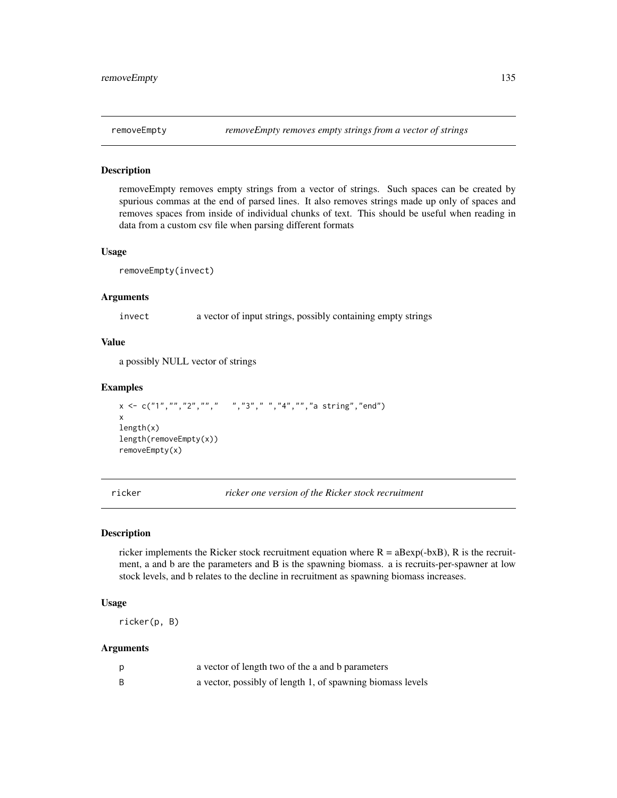removeEmpty removes empty strings from a vector of strings. Such spaces can be created by spurious commas at the end of parsed lines. It also removes strings made up only of spaces and removes spaces from inside of individual chunks of text. This should be useful when reading in data from a custom csv file when parsing different formats

#### Usage

removeEmpty(invect)

#### Arguments

invect a vector of input strings, possibly containing empty strings

# Value

a possibly NULL vector of strings

# Examples

x <- c("1","","2",""," ","3"," ","4","","a string","end") x length(x) length(removeEmpty(x)) removeEmpty(x)

ricker *ricker one version of the Ricker stock recruitment*

## Description

ricker implements the Ricker stock recruitment equation where  $R = aBexp(-bxB)$ , R is the recruitment, a and b are the parameters and B is the spawning biomass. a is recruits-per-spawner at low stock levels, and b relates to the decline in recruitment as spawning biomass increases.

## Usage

ricker(p, B)

|   | a vector of length two of the a and b parameters           |
|---|------------------------------------------------------------|
| B | a vector, possibly of length 1, of spawning biomass levels |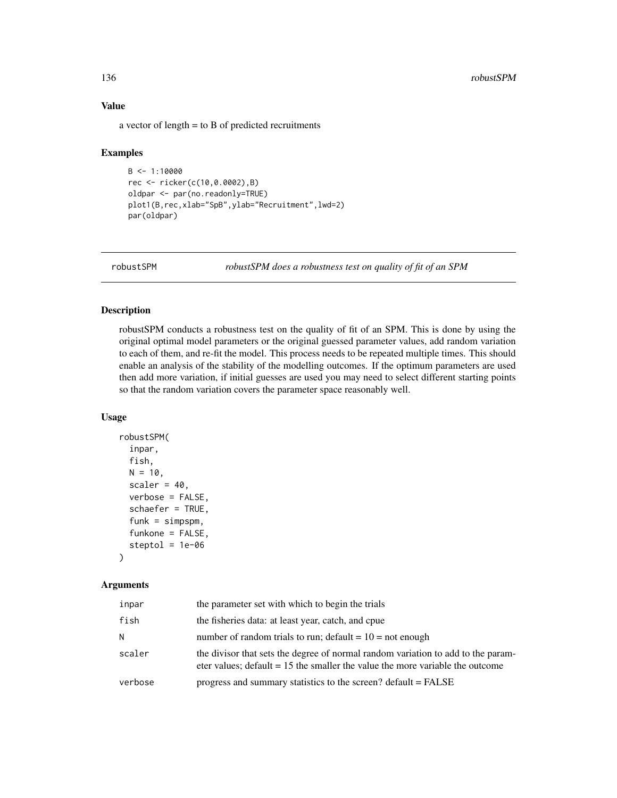# Value

a vector of length = to B of predicted recruitments

## Examples

```
B < -1:10000rec <- ricker(c(10,0.0002),B)
oldpar <- par(no.readonly=TRUE)
plot1(B,rec,xlab="SpB",ylab="Recruitment",lwd=2)
par(oldpar)
```
robustSPM *robustSPM does a robustness test on quality of fit of an SPM*

# Description

robustSPM conducts a robustness test on the quality of fit of an SPM. This is done by using the original optimal model parameters or the original guessed parameter values, add random variation to each of them, and re-fit the model. This process needs to be repeated multiple times. This should enable an analysis of the stability of the modelling outcomes. If the optimum parameters are used then add more variation, if initial guesses are used you may need to select different starting points so that the random variation covers the parameter space reasonably well.

#### Usage

```
robustSPM(
  inpar,
  fish,
 N = 10,
  scaler = 40,
  verbose = FALSE,
  schaefer = TRUE,
  funk = simpspm,funkone = FALSE,
  steptol = 1e-06)
```

| inpar   | the parameter set with which to begin the trials                                                                                                                    |
|---------|---------------------------------------------------------------------------------------------------------------------------------------------------------------------|
| fish    | the fisheries data: at least year, catch, and cpue                                                                                                                  |
| N       | number of random trials to run; default = $10 =$ not enough                                                                                                         |
| scaler  | the divisor that sets the degree of normal random variation to add to the param-<br>eter values; $default = 15$ the smaller the value the more variable the outcome |
| verbose | progress and summary statistics to the screen? default = FALSE                                                                                                      |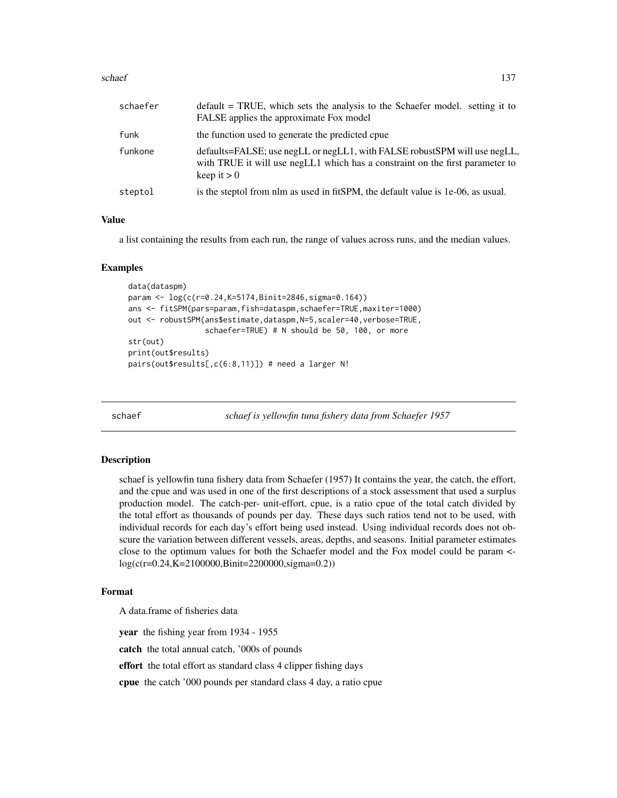#### schaef 237

| schaefer | $default = TRUE$ , which sets the analysis to the Schaefer model. setting it to<br>FALSE applies the approximate Fox model                                                  |
|----------|-----------------------------------------------------------------------------------------------------------------------------------------------------------------------------|
| funk     | the function used to generate the predicted cpue                                                                                                                            |
| funkone  | defaults=FALSE; use negLL or negLL1, with FALSE robustSPM will use negLL,<br>with TRUE it will use negLL1 which has a constraint on the first parameter to<br>keep it $> 0$ |
| steptol  | is the steptol from nlm as used in fitSPM, the default value is 1e-06, as usual.                                                                                            |

# Value

a list containing the results from each run, the range of values across runs, and the median values.

#### Examples

```
data(dataspm)
param <- log(c(r=0.24,K=5174,Binit=2846,sigma=0.164))
ans <- fitSPM(pars=param,fish=dataspm,schaefer=TRUE,maxiter=1000)
out <- robustSPM(ans$estimate,dataspm,N=5,scaler=40,verbose=TRUE,
                 schaefer=TRUE) # N should be 50, 100, or more
str(out)
print(out$results)
pairs(out$results[,c(6:8,11)]) # need a larger N!
```
schaef *schaef is yellowfin tuna fishery data from Schaefer 1957*

## Description

schaef is yellowfin tuna fishery data from Schaefer (1957) It contains the year, the catch, the effort, and the cpue and was used in one of the first descriptions of a stock assessment that used a surplus production model. The catch-per- unit-effort, cpue, is a ratio cpue of the total catch divided by the total effort as thousands of pounds per day. These days such ratios tend not to be used, with individual records for each day's effort being used instead. Using individual records does not obscure the variation between different vessels, areas, depths, and seasons. Initial parameter estimates close to the optimum values for both the Schaefer model and the Fox model could be param < log(c(r=0.24,K=2100000,Binit=2200000,sigma=0.2))

#### Format

A data.frame of fisheries data

year the fishing year from 1934 - 1955

catch the total annual catch, '000s of pounds

effort the total effort as standard class 4 clipper fishing days

cpue the catch '000 pounds per standard class 4 day, a ratio cpue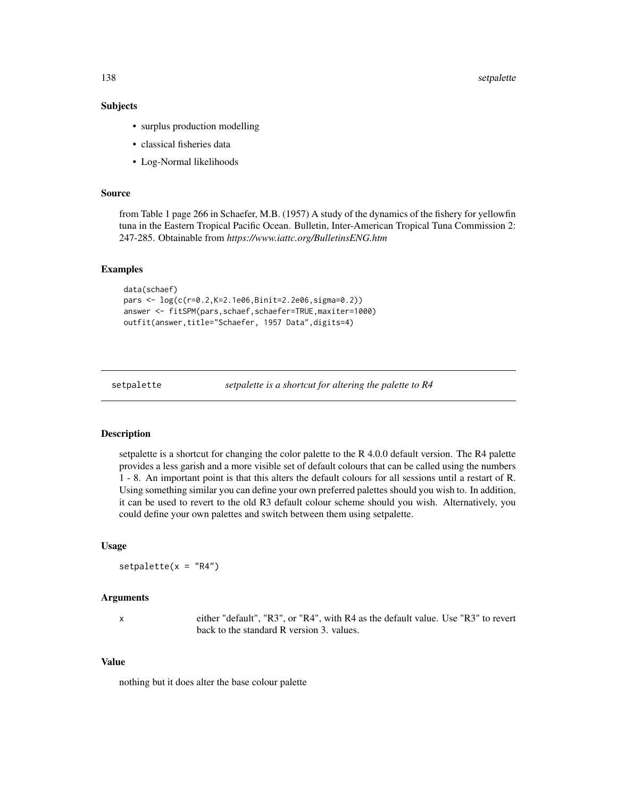138 setpalette

## Subjects

- surplus production modelling
- classical fisheries data
- Log-Normal likelihoods

# Source

from Table 1 page 266 in Schaefer, M.B. (1957) A study of the dynamics of the fishery for yellowfin tuna in the Eastern Tropical Pacific Ocean. Bulletin, Inter-American Tropical Tuna Commission 2: 247-285. Obtainable from *https://www.iattc.org/BulletinsENG.htm*

# Examples

```
data(schaef)
pars <- log(c(r=0.2,K=2.1e06,Binit=2.2e06,sigma=0.2))
answer <- fitSPM(pars,schaef,schaefer=TRUE,maxiter=1000)
outfit(answer,title="Schaefer, 1957 Data",digits=4)
```
setpalette *setpalette is a shortcut for altering the palette to R4*

### **Description**

setpalette is a shortcut for changing the color palette to the R 4.0.0 default version. The R4 palette provides a less garish and a more visible set of default colours that can be called using the numbers 1 - 8. An important point is that this alters the default colours for all sessions until a restart of R. Using something similar you can define your own preferred palettes should you wish to. In addition, it can be used to revert to the old R3 default colour scheme should you wish. Alternatively, you could define your own palettes and switch between them using setpalette.

### Usage

 $setpalette(x = "R4")$ 

## Arguments

x either "default", "R3", or "R4", with R4 as the default value. Use "R3" to revert back to the standard R version 3. values.

#### Value

nothing but it does alter the base colour palette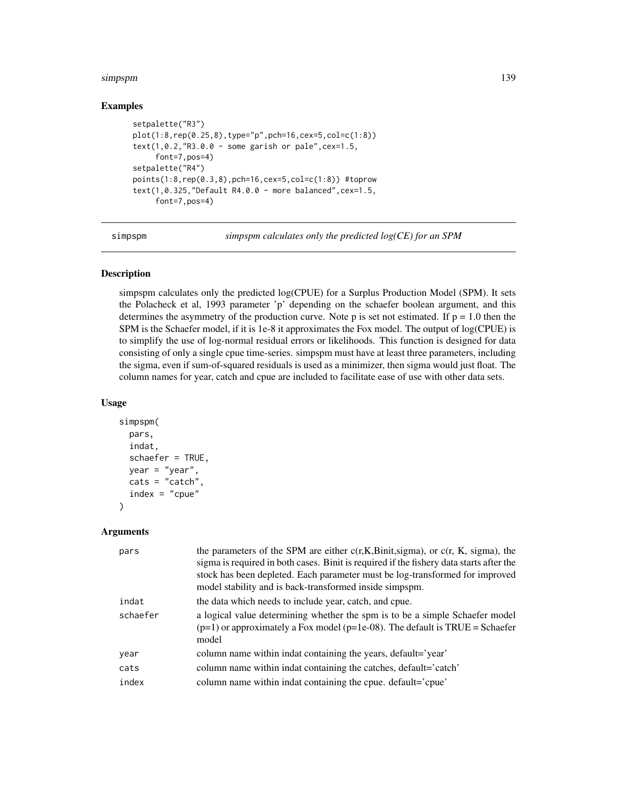#### simpspm 139

# Examples

```
setpalette("R3")
plot(1:8,rep(0.25,8),type="p",pch=16,cex=5,col=c(1:8))
text(1,0.2,"R3.0.0 - some garish or pale",cex=1.5,
     font=7,pos=4)
setpalette("R4")
points(1:8,rep(0.3,8),pch=16,cex=5,col=c(1:8)) #toprow
text(1,0.325,"Default R4.0.0 - more balanced",cex=1.5,
     font=7,pos=4)
```
simpspm *simpspm calculates only the predicted log(CE) for an SPM*

# Description

simpspm calculates only the predicted log(CPUE) for a Surplus Production Model (SPM). It sets the Polacheck et al, 1993 parameter 'p' depending on the schaefer boolean argument, and this determines the asymmetry of the production curve. Note p is set not estimated. If  $p = 1.0$  then the SPM is the Schaefer model, if it is 1e-8 it approximates the Fox model. The output of log(CPUE) is to simplify the use of log-normal residual errors or likelihoods. This function is designed for data consisting of only a single cpue time-series. simpspm must have at least three parameters, including the sigma, even if sum-of-squared residuals is used as a minimizer, then sigma would just float. The column names for year, catch and cpue are included to facilitate ease of use with other data sets.

#### Usage

```
simpspm(
  pars,
  indat,
  schaefer = TRUE,
  year = "year",\text{cats} = " \text{catch}",index = "cque")
```

| pars     | the parameters of the SPM are either $c(r,K,Binit,sigma)$ , or $c(r,K,sigma)$ , the<br>sigma is required in both cases. Binit is required if the fishery data starts after the<br>stock has been depleted. Each parameter must be log-transformed for improved<br>model stability and is back-transformed inside simpspm. |
|----------|---------------------------------------------------------------------------------------------------------------------------------------------------------------------------------------------------------------------------------------------------------------------------------------------------------------------------|
| indat    | the data which needs to include year, catch, and cpue.                                                                                                                                                                                                                                                                    |
| schaefer | a logical value determining whether the spm is to be a simple Schaefer model<br>$(p=1)$ or approximately a Fox model ( $p=1e-08$ ). The default is TRUE = Schaefer<br>model                                                                                                                                               |
| year     | column name within indat containing the years, default='year'                                                                                                                                                                                                                                                             |
| cats     | column name within indat containing the catches, default='catch'                                                                                                                                                                                                                                                          |
| index    | column name within indat containing the cpue. default='cpue'                                                                                                                                                                                                                                                              |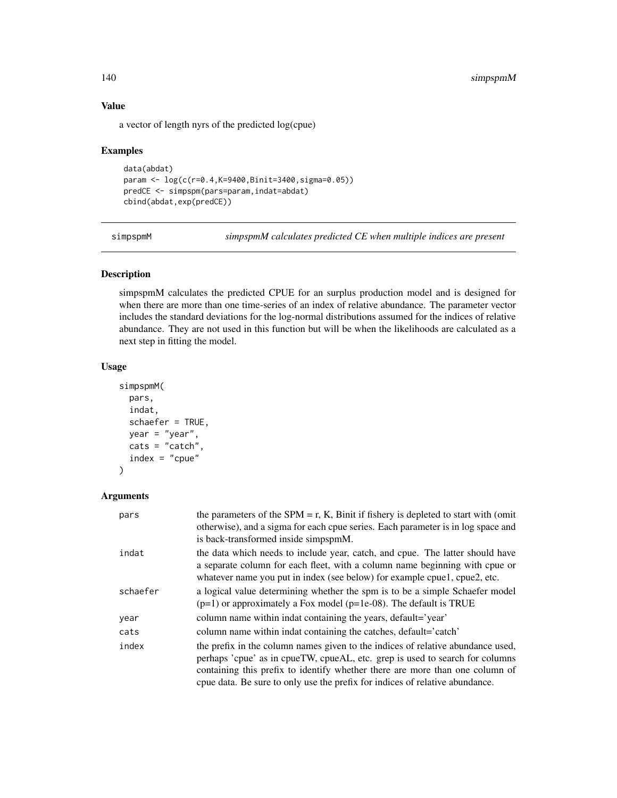# 140 simpspmM

# Value

a vector of length nyrs of the predicted log(cpue)

# Examples

```
data(abdat)
param <- log(c(r=0.4,K=9400,Binit=3400,sigma=0.05))
predCE <- simpspm(pars=param,indat=abdat)
cbind(abdat,exp(predCE))
```
simpspmM *simpspmM calculates predicted CE when multiple indices are present*

## Description

simpspmM calculates the predicted CPUE for an surplus production model and is designed for when there are more than one time-series of an index of relative abundance. The parameter vector includes the standard deviations for the log-normal distributions assumed for the indices of relative abundance. They are not used in this function but will be when the likelihoods are calculated as a next step in fitting the model.

## Usage

```
simpspmM(
  pars,
  indat,
  schaefer = TRUE,
  year = "year",
  \text{cats} = \text{"catch"}index = "cque")
```

| pars     | the parameters of the SPM $=$ r, K, Binit if fishery is depleted to start with (omit<br>otherwise), and a sigma for each cpue series. Each parameter is in log space and<br>is back-transformed inside simpspmM.                                                                                                                |
|----------|---------------------------------------------------------------------------------------------------------------------------------------------------------------------------------------------------------------------------------------------------------------------------------------------------------------------------------|
| indat    | the data which needs to include year, catch, and cpue. The latter should have<br>a separate column for each fleet, with a column name beginning with cpue or<br>whatever name you put in index (see below) for example cpue1, cpue2, etc.                                                                                       |
| schaefer | a logical value determining whether the spm is to be a simple Schaefer model<br>$(p=1)$ or approximately a Fox model ( $p=1e-08$ ). The default is TRUE                                                                                                                                                                         |
| year     | column name within indat containing the years, default='year'                                                                                                                                                                                                                                                                   |
| cats     | column name within indat containing the catches, default='catch'                                                                                                                                                                                                                                                                |
| index    | the prefix in the column names given to the indices of relative abundance used,<br>perhaps 'cpue' as in cpueTW, cpueAL, etc. grep is used to search for columns<br>containing this prefix to identify whether there are more than one column of<br>come data. Be sure to only use the prefix for indices of relative abundance. |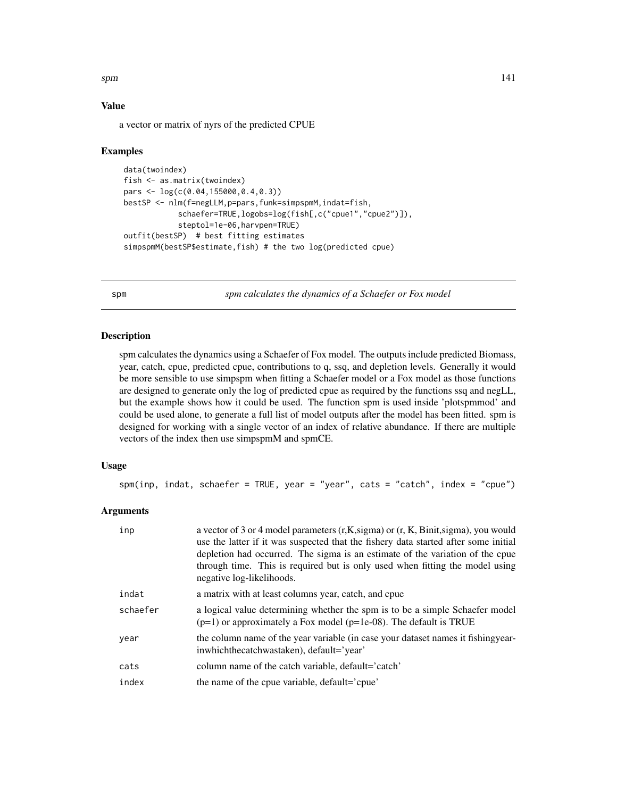## Value

a vector or matrix of nyrs of the predicted CPUE

## Examples

```
data(twoindex)
fish <- as.matrix(twoindex)
pars <- log(c(0.04,155000,0.4,0.3))
bestSP <- nlm(f=negLLM,p=pars,funk=simpspmM,indat=fish,
            schaefer=TRUE,logobs=log(fish[,c("cpue1","cpue2")]),
            steptol=1e-06,harvpen=TRUE)
outfit(bestSP) # best fitting estimates
simpspmM(bestSP$estimate,fish) # the two log(predicted cpue)
```
spm *spm calculates the dynamics of a Schaefer or Fox model*

## **Description**

spm calculates the dynamics using a Schaefer of Fox model. The outputs include predicted Biomass, year, catch, cpue, predicted cpue, contributions to q, ssq, and depletion levels. Generally it would be more sensible to use simpspm when fitting a Schaefer model or a Fox model as those functions are designed to generate only the log of predicted cpue as required by the functions ssq and negLL, but the example shows how it could be used. The function spm is used inside 'plotspmmod' and could be used alone, to generate a full list of model outputs after the model has been fitted. spm is designed for working with a single vector of an index of relative abundance. If there are multiple vectors of the index then use simpspmM and spmCE.

## Usage

```
spm(inp, indat, schaefer = TRUE, year = "year", cats = "catch", index = "cpue")
```

| inp      | a vector of 3 or 4 model parameters $(r,K,sigma)$ or $(r,K,Binit,sigma)$ , you would<br>use the latter if it was suspected that the fishery data started after some initial<br>depletion had occurred. The sigma is an estimate of the variation of the cpue<br>through time. This is required but is only used when fitting the model using<br>negative log-likelihoods. |
|----------|---------------------------------------------------------------------------------------------------------------------------------------------------------------------------------------------------------------------------------------------------------------------------------------------------------------------------------------------------------------------------|
| indat    | a matrix with at least columns year, catch, and cpue                                                                                                                                                                                                                                                                                                                      |
| schaefer | a logical value determining whether the spm is to be a simple Schaefer model<br>$(p=1)$ or approximately a Fox model ( $p=1e-08$ ). The default is TRUE                                                                                                                                                                                                                   |
| year     | the column name of the year variable (in case your dataset names it fishing year-<br>inwhichthecatchwastaken), default='year'                                                                                                                                                                                                                                             |
| cats     | column name of the catch variable, default='catch'                                                                                                                                                                                                                                                                                                                        |
| index    | the name of the cpue variable, default='cpue'                                                                                                                                                                                                                                                                                                                             |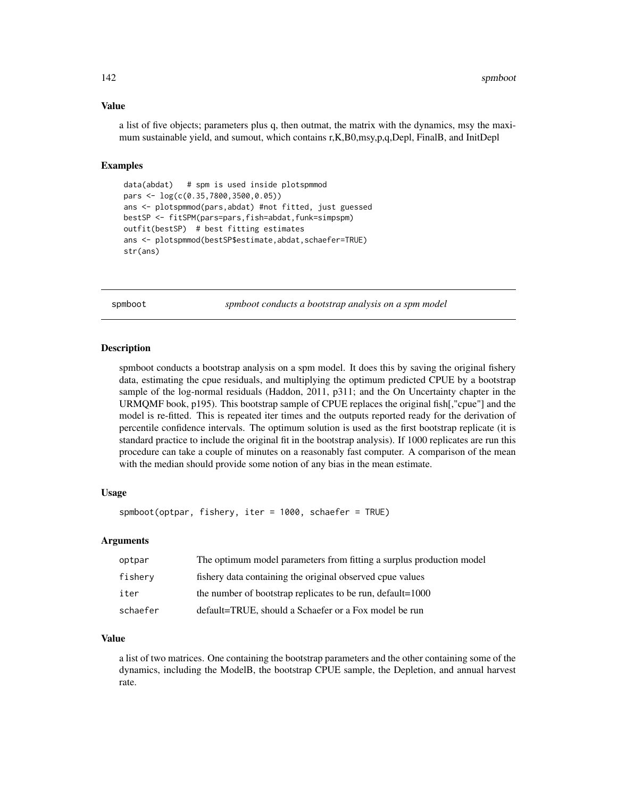#### Value

a list of five objects; parameters plus q, then outmat, the matrix with the dynamics, msy the maximum sustainable yield, and sumout, which contains r,K,B0,msy,p,q,Depl, FinalB, and InitDepl

# Examples

```
data(abdat) # spm is used inside plotspmmod
pars <- log(c(0.35,7800,3500,0.05))
ans <- plotspmmod(pars,abdat) #not fitted, just guessed
bestSP <- fitSPM(pars=pars,fish=abdat,funk=simpspm)
outfit(bestSP) # best fitting estimates
ans <- plotspmmod(bestSP$estimate,abdat,schaefer=TRUE)
str(ans)
```
spmboot *spmboot conducts a bootstrap analysis on a spm model*

## Description

spmboot conducts a bootstrap analysis on a spm model. It does this by saving the original fishery data, estimating the cpue residuals, and multiplying the optimum predicted CPUE by a bootstrap sample of the log-normal residuals (Haddon, 2011, p311; and the On Uncertainty chapter in the URMQMF book, p195). This bootstrap sample of CPUE replaces the original fish[,"cpue"] and the model is re-fitted. This is repeated iter times and the outputs reported ready for the derivation of percentile confidence intervals. The optimum solution is used as the first bootstrap replicate (it is standard practice to include the original fit in the bootstrap analysis). If 1000 replicates are run this procedure can take a couple of minutes on a reasonably fast computer. A comparison of the mean with the median should provide some notion of any bias in the mean estimate.

## Usage

```
spmboot(optpar, fishery, iter = 1000, schaefer = TRUE)
```
# Arguments

| optpar   | The optimum model parameters from fitting a surplus production model |
|----------|----------------------------------------------------------------------|
| fishery  | fishery data containing the original observed cpue values            |
| iter     | the number of bootstrap replicates to be run, default=1000           |
| schaefer | default=TRUE, should a Schaefer or a Fox model be run                |

## Value

a list of two matrices. One containing the bootstrap parameters and the other containing some of the dynamics, including the ModelB, the bootstrap CPUE sample, the Depletion, and annual harvest rate.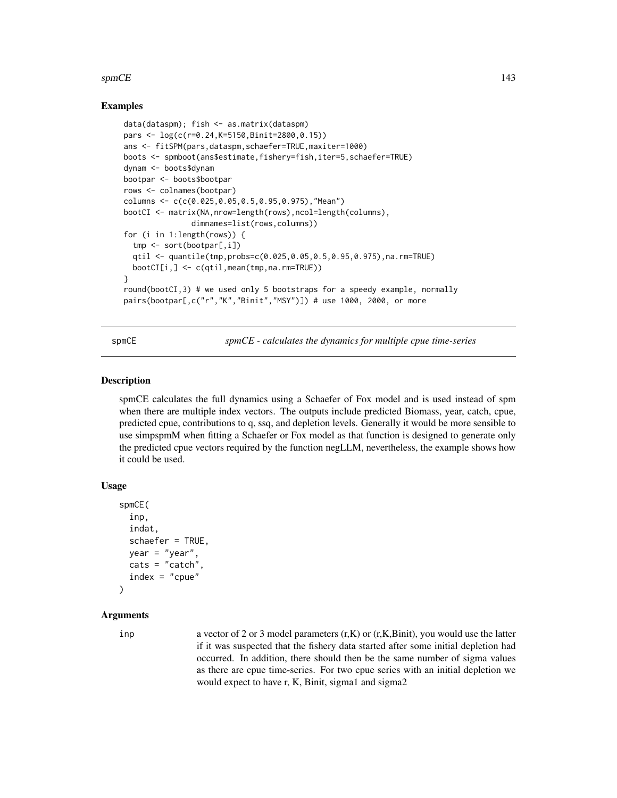#### $\text{spmCE}$  143

# Examples

```
data(dataspm); fish <- as.matrix(dataspm)
pars <- log(c(r=0.24,K=5150,Binit=2800,0.15))
ans <- fitSPM(pars,dataspm,schaefer=TRUE,maxiter=1000)
boots <- spmboot(ans$estimate,fishery=fish,iter=5,schaefer=TRUE)
dynam <- boots$dynam
bootpar <- boots$bootpar
rows <- colnames(bootpar)
columns <- c(c(0.025,0.05,0.5,0.95,0.975),"Mean")
bootCI <- matrix(NA,nrow=length(rows),ncol=length(columns),
               dimnames=list(rows,columns))
for (i in 1:length(rows)) {
  tmp <- sort(bootpar[,i])
  qtil <- quantile(tmp,probs=c(0.025,0.05,0.5,0.95,0.975),na.rm=TRUE)
  bootCI[i,] <- c(qtil,mean(tmp,na.rm=TRUE))
}
round(bootCI,3) # we used only 5 bootstraps for a speedy example, normally
pairs(bootpar[,c("r","K","Binit","MSY")]) # use 1000, 2000, or more
```
spmCE *spmCE - calculates the dynamics for multiple cpue time-series*

# Description

spmCE calculates the full dynamics using a Schaefer of Fox model and is used instead of spm when there are multiple index vectors. The outputs include predicted Biomass, year, catch, cpue, predicted cpue, contributions to q, ssq, and depletion levels. Generally it would be more sensible to use simpspmM when fitting a Schaefer or Fox model as that function is designed to generate only the predicted cpue vectors required by the function negLLM, nevertheless, the example shows how it could be used.

#### Usage

```
spmCE(
  inp,
  indat,
  schaefer = TRUE,
  year = "year",
  \text{cats} = " \text{catch}",index = "cpue")
```
# Arguments

inp a vector of 2 or 3 model parameters (r,K) or (r,K,Binit), you would use the latter if it was suspected that the fishery data started after some initial depletion had occurred. In addition, there should then be the same number of sigma values as there are cpue time-series. For two cpue series with an initial depletion we would expect to have r, K, Binit, sigma1 and sigma2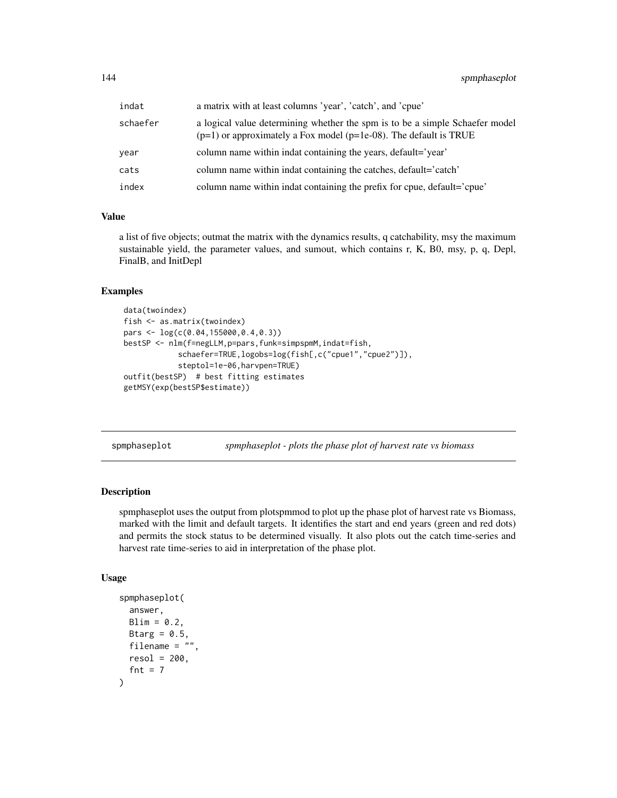| indat    | a matrix with at least columns 'year', 'catch', and 'cpue'                                                                                              |
|----------|---------------------------------------------------------------------------------------------------------------------------------------------------------|
| schaefer | a logical value determining whether the spm is to be a simple Schaefer model<br>$(p=1)$ or approximately a Fox model ( $p=1e-08$ ). The default is TRUE |
| vear     | column name within indat containing the years, default='year'                                                                                           |
| cats     | column name within indat containing the catches, default='catch'                                                                                        |
| index    | column name within indat containing the prefix for cpue, default='cpue'                                                                                 |

# Value

a list of five objects; outmat the matrix with the dynamics results, q catchability, msy the maximum sustainable yield, the parameter values, and sumout, which contains r, K, B0, msy, p, q, Depl, FinalB, and InitDepl

# Examples

```
data(twoindex)
fish <- as.matrix(twoindex)
pars <- log(c(0.04,155000,0.4,0.3))
bestSP <- nlm(f=negLLM,p=pars,funk=simpspmM,indat=fish,
            schaefer=TRUE,logobs=log(fish[,c("cpue1","cpue2")]),
            steptol=1e-06,harvpen=TRUE)
outfit(bestSP) # best fitting estimates
getMSY(exp(bestSP$estimate))
```
spmphaseplot *spmphaseplot - plots the phase plot of harvest rate vs biomass*

## Description

spmphaseplot uses the output from plotspmmod to plot up the phase plot of harvest rate vs Biomass, marked with the limit and default targets. It identifies the start and end years (green and red dots) and permits the stock status to be determined visually. It also plots out the catch time-series and harvest rate time-series to aid in interpretation of the phase plot.

# Usage

```
spmphaseplot(
  answer,
 Blim = 0.2,
 Btarg = 0.5,
 filename = ",
  resol = 200,
  fnt = 7)
```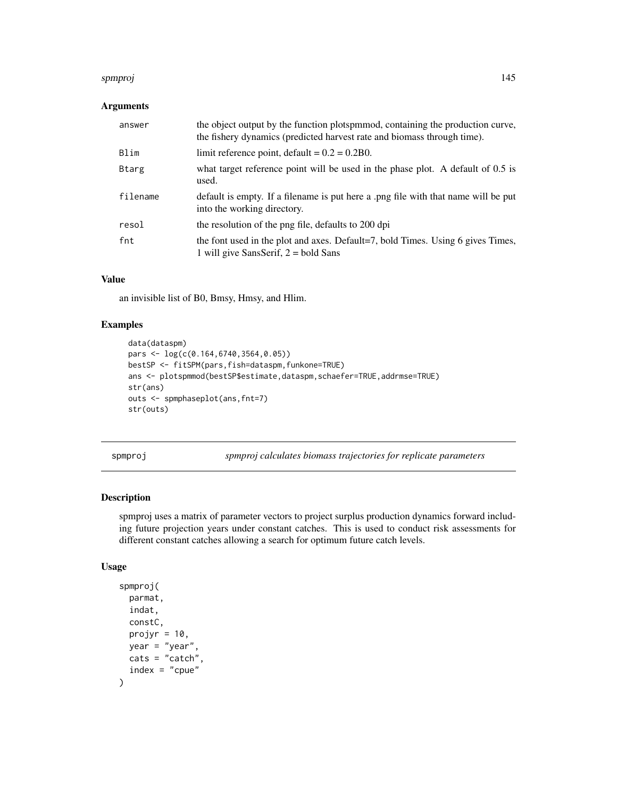#### <span id="page-144-0"></span>spmproj 145

# Arguments

| answer       | the object output by the function plotspmmod, containing the production curve,<br>the fishery dynamics (predicted harvest rate and biomass through time). |
|--------------|-----------------------------------------------------------------------------------------------------------------------------------------------------------|
| Blim         | limit reference point, default = $0.2 = 0.2B0$ .                                                                                                          |
| <b>Btarg</b> | what target reference point will be used in the phase plot. A default of 0.5 is<br>used.                                                                  |
| filename     | default is empty. If a filename is put here a png file with that name will be put<br>into the working directory.                                          |
| resol        | the resolution of the png file, defaults to 200 dpi                                                                                                       |
| fnt          | the font used in the plot and axes. Default=7, bold Times. Using 6 gives Times,<br>1 will give SansSerif, $2 = \text{bold Sans}$                          |

#### Value

an invisible list of B0, Bmsy, Hmsy, and Hlim.

# Examples

```
data(dataspm)
pars <- log(c(0.164,6740,3564,0.05))
bestSP <- fitSPM(pars,fish=dataspm,funkone=TRUE)
ans <- plotspmmod(bestSP$estimate,dataspm,schaefer=TRUE,addrmse=TRUE)
str(ans)
outs <- spmphaseplot(ans,fnt=7)
str(outs)
```
spmproj *spmproj calculates biomass trajectories for replicate parameters*

# Description

spmproj uses a matrix of parameter vectors to project surplus production dynamics forward including future projection years under constant catches. This is used to conduct risk assessments for different constant catches allowing a search for optimum future catch levels.

# Usage

```
spmproj(
  parmat,
  indat,
  constC,
  projyr = 10,
  year = "year",
  \text{cats} = " \text{catch}",index = "cque"\mathcal{E}
```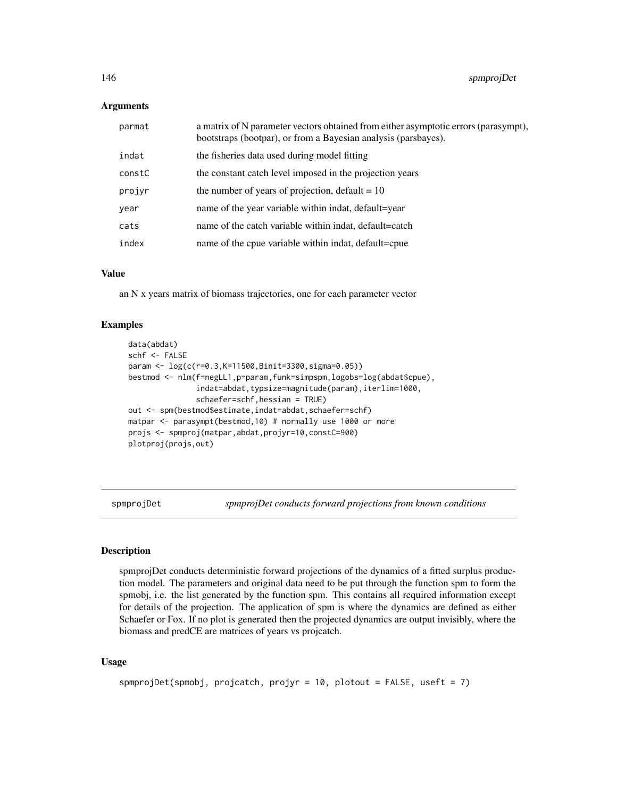#### <span id="page-145-0"></span>**Arguments**

| parmat | a matrix of N parameter vectors obtained from either asymptotic errors (parasympt),<br>bootstraps (bootpar), or from a Bayesian analysis (parsbayes). |
|--------|-------------------------------------------------------------------------------------------------------------------------------------------------------|
| indat  | the fisheries data used during model fitting                                                                                                          |
| constC | the constant catch level imposed in the projection years                                                                                              |
| projyr | the number of years of projection, default $= 10$                                                                                                     |
| year   | name of the year variable within indat, default=year                                                                                                  |
| cats   | name of the catch variable within indat, default=catch                                                                                                |
| index  | name of the cpue variable within indat, default=cpue                                                                                                  |

#### Value

an N x years matrix of biomass trajectories, one for each parameter vector

#### Examples

```
data(abdat)
schf <- FALSE
param <- log(c(r=0.3,K=11500,Binit=3300,sigma=0.05))
bestmod <- nlm(f=negLL1,p=param,funk=simpspm,logobs=log(abdat$cpue),
               indat=abdat,typsize=magnitude(param),iterlim=1000,
               schaefer=schf,hessian = TRUE)
out <- spm(bestmod$estimate,indat=abdat,schaefer=schf)
matpar <- parasympt(bestmod,10) # normally use 1000 or more
projs <- spmproj(matpar,abdat,projyr=10,constC=900)
plotproj(projs,out)
```
spmprojDet *spmprojDet conducts forward projections from known conditions*

#### Description

spmprojDet conducts deterministic forward projections of the dynamics of a fitted surplus production model. The parameters and original data need to be put through the function spm to form the spmobi, i.e. the list generated by the function spm. This contains all required information except for details of the projection. The application of spm is where the dynamics are defined as either Schaefer or Fox. If no plot is generated then the projected dynamics are output invisibly, where the biomass and predCE are matrices of years vs projcatch.

#### Usage

```
spmprojDet(spmobj, projcatch, projyr = 10, plotout = FALSE, useft = 7)
```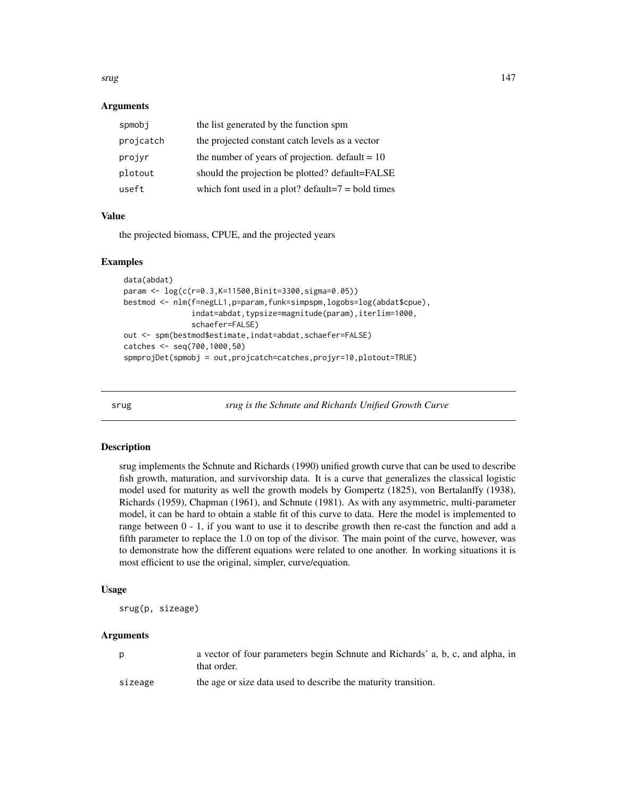#### <span id="page-146-0"></span>srug to the contract of the contract of the contract of the contract of the contract of the contract of the contract of the contract of the contract of the contract of the contract of the contract of the contract of the co

## Arguments

| spmobj    | the list generated by the function spm               |
|-----------|------------------------------------------------------|
| projcatch | the projected constant catch levels as a vector      |
| projyr    | the number of years of projection. $default = 10$    |
| plotout   | should the projection be plotted? default=FALSE      |
| useft     | which font used in a plot? default= $7 =$ bold times |
|           |                                                      |

# Value

the projected biomass, CPUE, and the projected years

# Examples

```
data(abdat)
param <- log(c(r=0.3,K=11500,Binit=3300,sigma=0.05))
bestmod <- nlm(f=negLL1,p=param,funk=simpspm,logobs=log(abdat$cpue),
               indat=abdat,typsize=magnitude(param),iterlim=1000,
               schaefer=FALSE)
out <- spm(bestmod$estimate,indat=abdat,schaefer=FALSE)
catches <- seq(700,1000,50)
spmprojDet(spmobj = out,projcatch=catches,projyr=10,plotout=TRUE)
```
srug *srug is the Schnute and Richards Unified Growth Curve*

# Description

srug implements the Schnute and Richards (1990) unified growth curve that can be used to describe fish growth, maturation, and survivorship data. It is a curve that generalizes the classical logistic model used for maturity as well the growth models by Gompertz (1825), von Bertalanffy (1938), Richards (1959), Chapman (1961), and Schnute (1981). As with any asymmetric, multi-parameter model, it can be hard to obtain a stable fit of this curve to data. Here the model is implemented to range between 0 - 1, if you want to use it to describe growth then re-cast the function and add a fifth parameter to replace the 1.0 on top of the divisor. The main point of the curve, however, was to demonstrate how the different equations were related to one another. In working situations it is most efficient to use the original, simpler, curve/equation.

#### Usage

srug(p, sizeage)

#### Arguments

| p       | a vector of four parameters begin Schnute and Richards' a, b, c, and alpha, in<br>that order. |
|---------|-----------------------------------------------------------------------------------------------|
| sizeage | the age or size data used to describe the maturity transition.                                |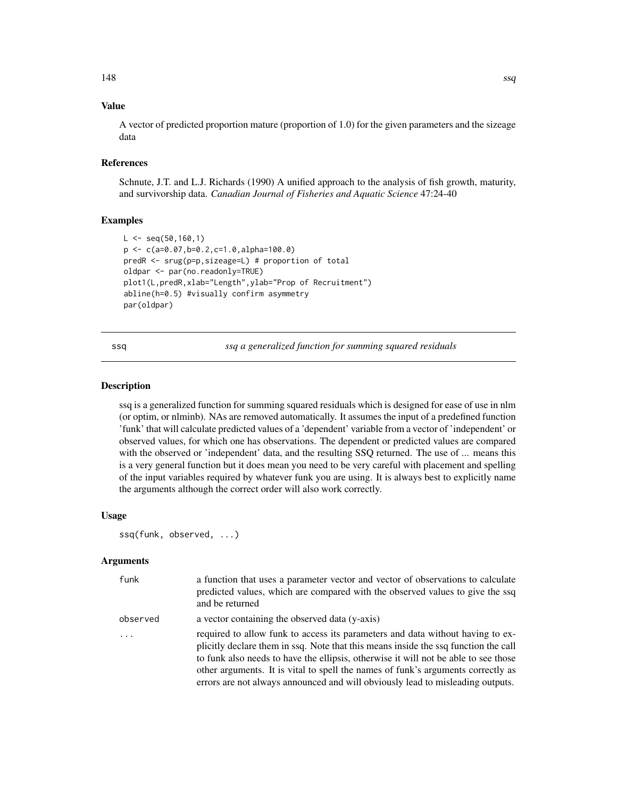# <span id="page-147-0"></span>Value

A vector of predicted proportion mature (proportion of 1.0) for the given parameters and the sizeage data

#### References

Schnute, J.T. and L.J. Richards (1990) A unified approach to the analysis of fish growth, maturity, and survivorship data. *Canadian Journal of Fisheries and Aquatic Science* 47:24-40

# Examples

```
L \leq -\text{seq}(50, 160, 1)p <- c(a=0.07,b=0.2,c=1.0,alpha=100.0)
predR <- srug(p=p,sizeage=L) # proportion of total
oldpar <- par(no.readonly=TRUE)
plot1(L,predR,xlab="Length",ylab="Prop of Recruitment")
abline(h=0.5) #visually confirm asymmetry
par(oldpar)
```
ssq *ssq a generalized function for summing squared residuals*

#### Description

ssq is a generalized function for summing squared residuals which is designed for ease of use in nlm (or optim, or nlminb). NAs are removed automatically. It assumes the input of a predefined function 'funk' that will calculate predicted values of a 'dependent' variable from a vector of 'independent' or observed values, for which one has observations. The dependent or predicted values are compared with the observed or 'independent' data, and the resulting SSQ returned. The use of ... means this is a very general function but it does mean you need to be very careful with placement and spelling of the input variables required by whatever funk you are using. It is always best to explicitly name the arguments although the correct order will also work correctly.

#### Usage

```
ssq(funk, observed, ...)
```
#### Arguments

| funk     | a function that uses a parameter vector and vector of observations to calculate<br>predicted values, which are compared with the observed values to give the ssq<br>and be returned                                                                                                                                                                                                                                                |
|----------|------------------------------------------------------------------------------------------------------------------------------------------------------------------------------------------------------------------------------------------------------------------------------------------------------------------------------------------------------------------------------------------------------------------------------------|
| observed | a vector containing the observed data (y-axis)                                                                                                                                                                                                                                                                                                                                                                                     |
|          | required to allow funk to access its parameters and data without having to ex-<br>plicitly declare them in ssq. Note that this means inside the ssq function the call<br>to funk also needs to have the ellipsis, otherwise it will not be able to see those<br>other arguments. It is vital to spell the names of funk's arguments correctly as<br>errors are not always announced and will obviously lead to misleading outputs. |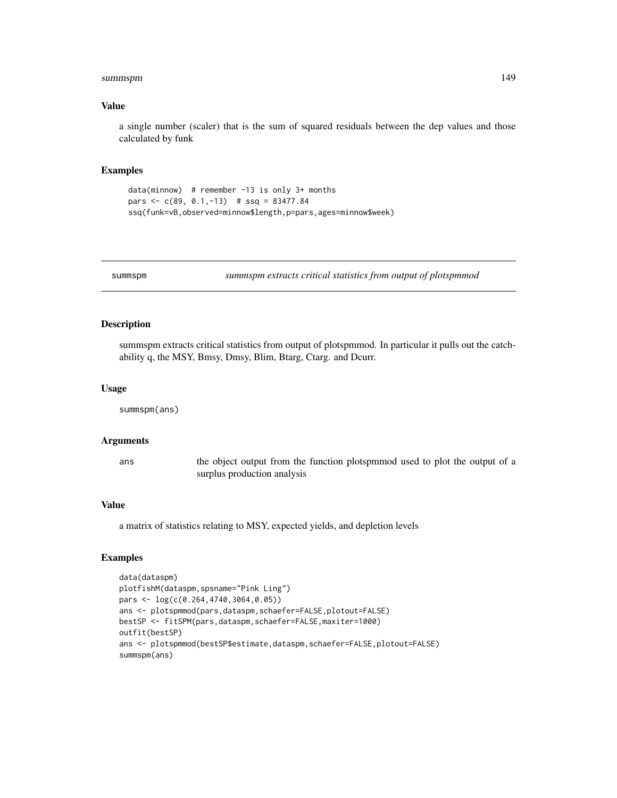#### <span id="page-148-0"></span>summspm 149

#### Value

a single number (scaler) that is the sum of squared residuals between the dep values and those calculated by funk

#### Examples

```
data(minnow) # remember -13 is only 3+ months
pars <- c(89, 0.1,-13) # ssq = 83477.84
ssq(funk=vB,observed=minnow$length,p=pars,ages=minnow$week)
```
summspm *summspm extracts critical statistics from output of plotspmmod*

#### Description

summspm extracts critical statistics from output of plotspmmod. In particular it pulls out the catchability q, the MSY, Bmsy, Dmsy, Blim, Btarg, Ctarg. and Dcurr.

#### Usage

summspm(ans)

#### Arguments

ans the object output from the function plotspmmod used to plot the output of a surplus production analysis

#### Value

a matrix of statistics relating to MSY, expected yields, and depletion levels

```
data(dataspm)
plotfishM(dataspm,spsname="Pink Ling")
pars <- log(c(0.264,4740,3064,0.05))
ans <- plotspmmod(pars,dataspm,schaefer=FALSE,plotout=FALSE)
bestSP <- fitSPM(pars,dataspm,schaefer=FALSE,maxiter=1000)
outfit(bestSP)
ans <- plotspmmod(bestSP$estimate,dataspm,schaefer=FALSE,plotout=FALSE)
summspm(ans)
```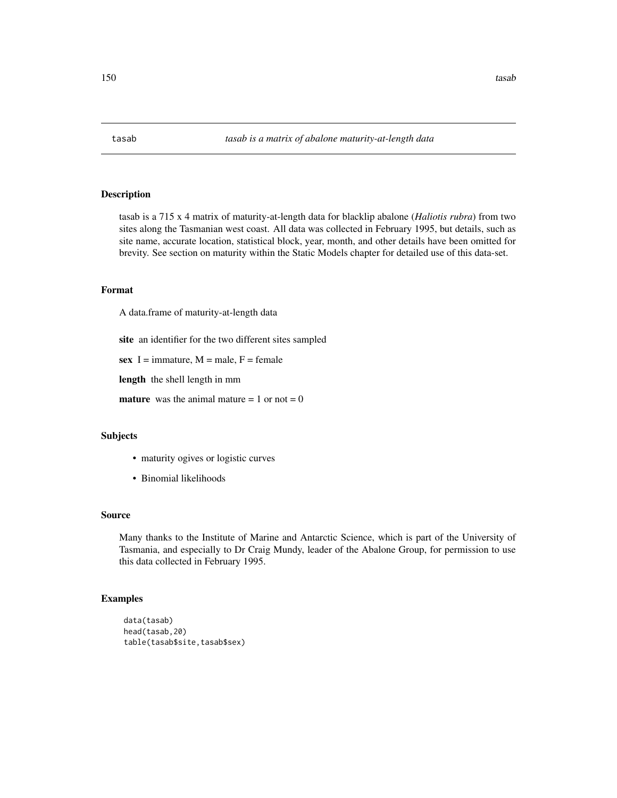<span id="page-149-0"></span>

tasab is a 715 x 4 matrix of maturity-at-length data for blacklip abalone (*Haliotis rubra*) from two sites along the Tasmanian west coast. All data was collected in February 1995, but details, such as site name, accurate location, statistical block, year, month, and other details have been omitted for brevity. See section on maturity within the Static Models chapter for detailed use of this data-set.

#### Format

A data.frame of maturity-at-length data

site an identifier for the two different sites sampled

sex  $I = \text{immature}$ ,  $M = \text{male}$ ,  $F = \text{female}$ 

length the shell length in mm

**mature** was the animal mature  $= 1$  or not  $= 0$ 

## Subjects

- maturity ogives or logistic curves
- Binomial likelihoods

#### Source

Many thanks to the Institute of Marine and Antarctic Science, which is part of the University of Tasmania, and especially to Dr Craig Mundy, leader of the Abalone Group, for permission to use this data collected in February 1995.

```
data(tasab)
head(tasab,20)
table(tasab$site,tasab$sex)
```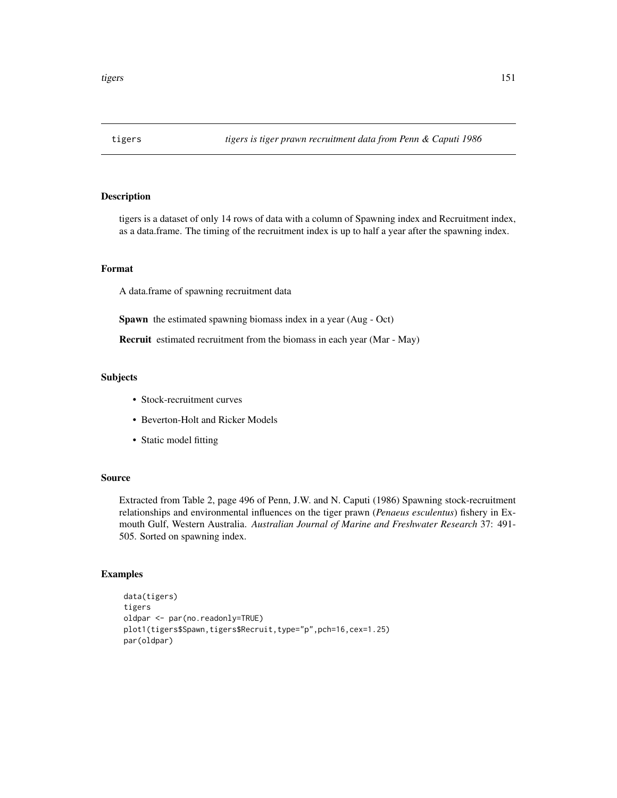<span id="page-150-0"></span>

tigers is a dataset of only 14 rows of data with a column of Spawning index and Recruitment index, as a data.frame. The timing of the recruitment index is up to half a year after the spawning index.

#### Format

A data.frame of spawning recruitment data

Spawn the estimated spawning biomass index in a year (Aug - Oct)

Recruit estimated recruitment from the biomass in each year (Mar - May)

# Subjects

- Stock-recruitment curves
- Beverton-Holt and Ricker Models
- Static model fitting

#### Source

Extracted from Table 2, page 496 of Penn, J.W. and N. Caputi (1986) Spawning stock-recruitment relationships and environmental influences on the tiger prawn (*Penaeus esculentus*) fishery in Exmouth Gulf, Western Australia. *Australian Journal of Marine and Freshwater Research* 37: 491- 505. Sorted on spawning index.

```
data(tigers)
tigers
oldpar <- par(no.readonly=TRUE)
plot1(tigers$Spawn,tigers$Recruit,type="p",pch=16,cex=1.25)
par(oldpar)
```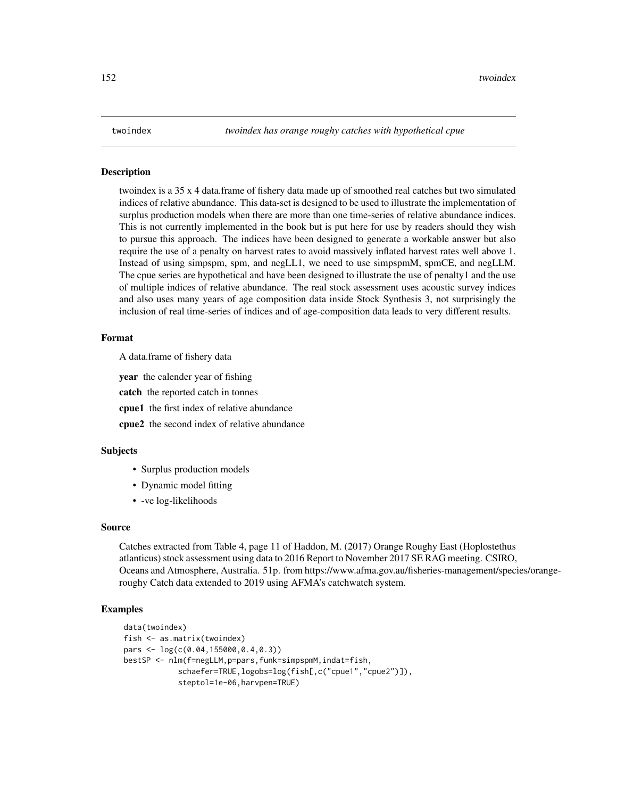<span id="page-151-0"></span>twoindex is a 35 x 4 data.frame of fishery data made up of smoothed real catches but two simulated indices of relative abundance. This data-set is designed to be used to illustrate the implementation of surplus production models when there are more than one time-series of relative abundance indices. This is not currently implemented in the book but is put here for use by readers should they wish to pursue this approach. The indices have been designed to generate a workable answer but also require the use of a penalty on harvest rates to avoid massively inflated harvest rates well above 1. Instead of using simpspm, spm, and negLL1, we need to use simpspmM, spmCE, and negLLM. The cpue series are hypothetical and have been designed to illustrate the use of penalty1 and the use of multiple indices of relative abundance. The real stock assessment uses acoustic survey indices and also uses many years of age composition data inside Stock Synthesis 3, not surprisingly the inclusion of real time-series of indices and of age-composition data leads to very different results.

#### Format

A data.frame of fishery data

year the calender year of fishing

catch the reported catch in tonnes

cpue1 the first index of relative abundance

cpue2 the second index of relative abundance

#### Subjects

- Surplus production models
- Dynamic model fitting
- -ve log-likelihoods

#### Source

Catches extracted from Table 4, page 11 of Haddon, M. (2017) Orange Roughy East (Hoplostethus atlanticus) stock assessment using data to 2016 Report to November 2017 SE RAG meeting. CSIRO, Oceans and Atmosphere, Australia. 51p. from https://www.afma.gov.au/fisheries-management/species/orangeroughy Catch data extended to 2019 using AFMA's catchwatch system.

```
data(twoindex)
fish <- as.matrix(twoindex)
pars <- log(c(0.04,155000,0.4,0.3))
bestSP <- nlm(f=negLLM,p=pars,funk=simpspmM,indat=fish,
            schaefer=TRUE,logobs=log(fish[,c("cpue1","cpue2")]),
            steptol=1e-06,harvpen=TRUE)
```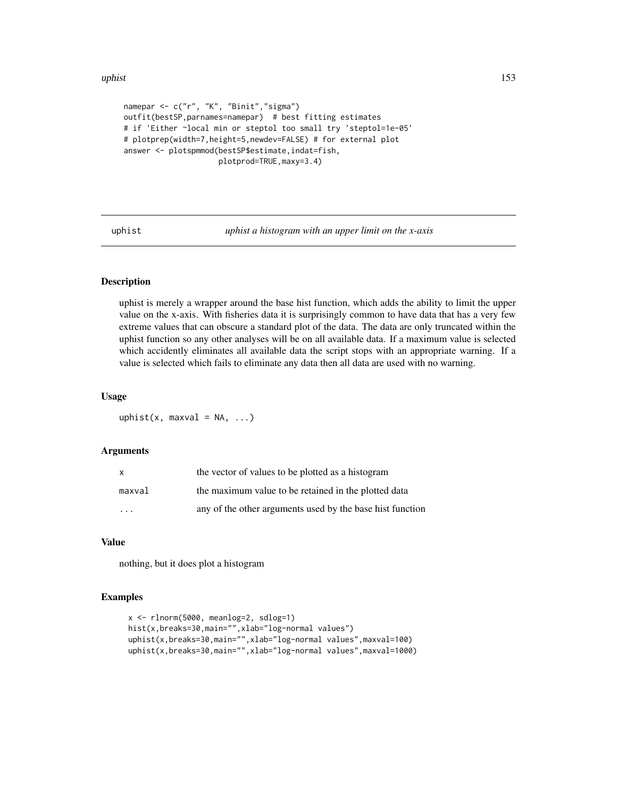#### <span id="page-152-0"></span>uphist 153

```
namepar <- c("r", "K", "Binit","sigma")
outfit(bestSP, parnames=namepar) # best fitting estimates
# if 'Either ~local min or steptol too small try 'steptol=1e-05'
# plotprep(width=7,height=5,newdev=FALSE) # for external plot
answer <- plotspmmod(bestSP$estimate,indat=fish,
                     plotprod=TRUE,maxy=3.4)
```
uphist *uphist a histogram with an upper limit on the x-axis*

# Description

uphist is merely a wrapper around the base hist function, which adds the ability to limit the upper value on the x-axis. With fisheries data it is surprisingly common to have data that has a very few extreme values that can obscure a standard plot of the data. The data are only truncated within the uphist function so any other analyses will be on all available data. If a maximum value is selected which accidently eliminates all available data the script stops with an appropriate warning. If a value is selected which fails to eliminate any data then all data are used with no warning.

#### Usage

uphist(x, maxval =  $NA$ , ...)

#### Arguments

| X       | the vector of values to be plotted as a histogram         |
|---------|-----------------------------------------------------------|
| maxval  | the maximum value to be retained in the plotted data      |
| $\cdot$ | any of the other arguments used by the base hist function |

#### Value

nothing, but it does plot a histogram

```
x <- rlnorm(5000, meanlog=2, sdlog=1)
hist(x,breaks=30,main="",xlab="log-normal values")
uphist(x,breaks=30,main="",xlab="log-normal values",maxval=100)
uphist(x,breaks=30,main="",xlab="log-normal values",maxval=1000)
```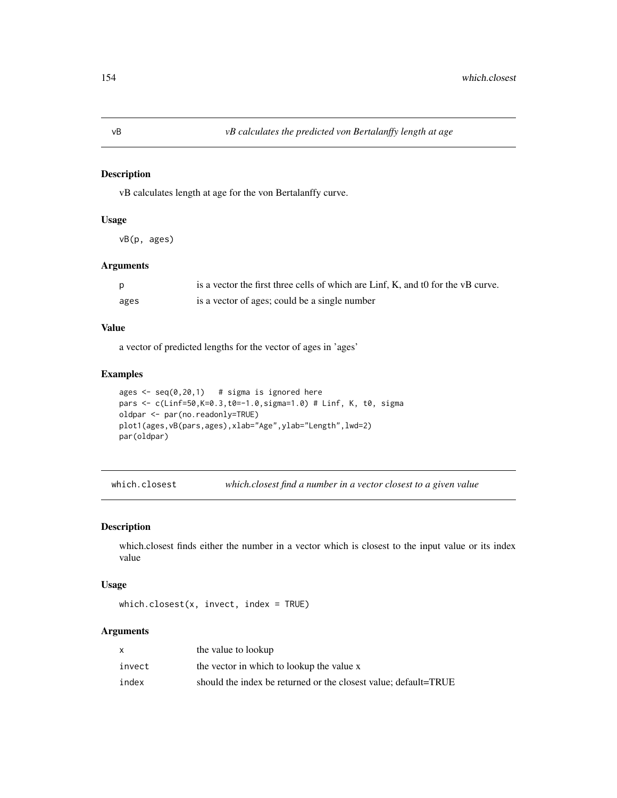vB calculates length at age for the von Bertalanffy curve.

# Usage

vB(p, ages)

# Arguments

|      | is a vector the first three cells of which are Linf, K, and to for the vB curve. |
|------|----------------------------------------------------------------------------------|
| ages | is a vector of ages; could be a single number                                    |

# Value

a vector of predicted lengths for the vector of ages in 'ages'

# Examples

```
ages \leq seq(0,20,1) # sigma is ignored here
pars <- c(Linf=50,K=0.3,t0=-1.0,sigma=1.0) # Linf, K, t0, sigma
oldpar <- par(no.readonly=TRUE)
plot1(ages,vB(pars,ages),xlab="Age",ylab="Length",lwd=2)
par(oldpar)
```
which.closest *which.closest find a number in a vector closest to a given value*

# Description

which.closest finds either the number in a vector which is closest to the input value or its index value

#### Usage

```
which.closest(x, invest, index = TRUE)
```
# Arguments

|        | the value to lookup                                             |
|--------|-----------------------------------------------------------------|
| invect | the vector in which to lookup the value x                       |
| index  | should the index be returned or the closest value; default=TRUE |

<span id="page-153-0"></span>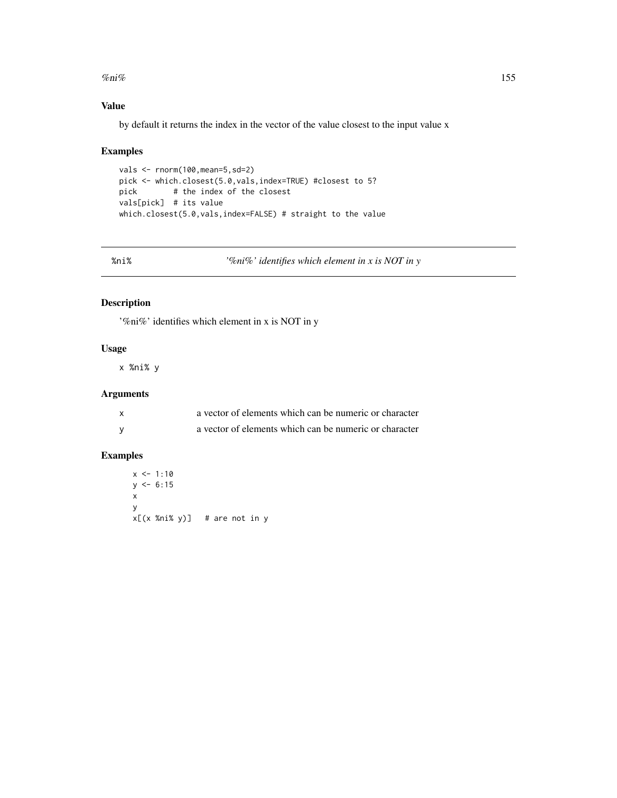#### <span id="page-154-0"></span> $\%$ ni% 155

# Value

by default it returns the index in the vector of the value closest to the input value x

# Examples

```
vals <- rnorm(100,mean=5,sd=2)
pick <- which.closest(5.0,vals,index=TRUE) #closest to 5?
pick # the index of the closest
vals[pick] # its value
which.closest(5.0,vals,index=FALSE) # straight to the value
```
%ni% *'%ni%' identifies which element in x is NOT in y*

# Description

'%ni%' identifies which element in x is NOT in y

# Usage

x %ni% y

# Arguments

| a vector of elements which can be numeric or character |
|--------------------------------------------------------|
| a vector of elements which can be numeric or character |

```
x \le -1:10y \le -6:15x
y
x[(x %ni% y)] # are not in y
```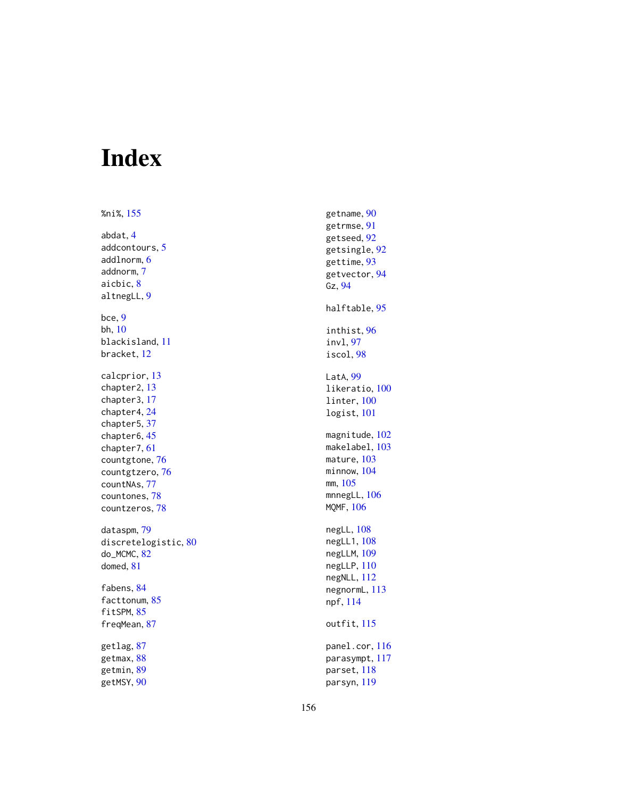# Index

%ni% , [155](#page-154-0) abdat , [4](#page-3-0) addcontours , [5](#page-4-0) addlnorm , [6](#page-5-0) addnorm , [7](#page-6-0) aicbic , [8](#page-7-0) altnegLL , [9](#page-8-0) bce , [9](#page-8-0) bh , [10](#page-9-0) blackisland , [11](#page-10-0) bracket , [12](#page-11-0) calcprior , [13](#page-12-0) chapter2 , [13](#page-12-0) chapter3 , [17](#page-16-0) chapter4 , [24](#page-23-0) chapter5 , [37](#page-36-0) chapter6 , [45](#page-44-0) chapter7 , [61](#page-60-0) countgtone , [76](#page-75-0) countgtzero , [76](#page-75-0) countNAs , [77](#page-76-0) countones , [78](#page-77-0) countzeros , [78](#page-77-0) dataspm , [79](#page-78-0) discretelogistic, [80](#page-79-0) do\_MCMC, [82](#page-81-0) domed , [81](#page-80-0) fabens, [84](#page-83-0) facttonum , [85](#page-84-0) fitSPM, [85](#page-84-0) freqMean , [87](#page-86-0) getlag, [87](#page-86-0) getmax , [88](#page-87-0) getmin , [89](#page-88-0) getMSY, [90](#page-89-0)

getname , [90](#page-89-0) getrmse , [91](#page-90-0) getseed, <mark>9</mark>2 getsingle , [92](#page-91-0) gettime , [93](#page-92-0) getvector , [94](#page-93-0) Gz , [94](#page-93-0) halftable , [95](#page-94-0) inthist , [96](#page-95-0) invl , [97](#page-96-0) iscol , [98](#page-97-0) LatA , [99](#page-98-0) likeratio , [100](#page-99-0) linter , [100](#page-99-0) logist , [101](#page-100-0) magnitude , [102](#page-101-0) makelabel, [103](#page-102-0) mature, [103](#page-102-0) minnow , [104](#page-103-0) mm , [105](#page-104-0) mnnegLL, [106](#page-105-0) MQMF , [106](#page-105-0) negLL,  $108$ negLL1, [108](#page-107-0) negLLM, [109](#page-108-0) negLLP , [110](#page-109-0) negNLL , [112](#page-111-0) negnormL , [113](#page-112-0) npf , [114](#page-113-0) outfit , [115](#page-114-0) panel.cor , [116](#page-115-0) parasympt , [117](#page-116-0) parset , [118](#page-117-0) parsyn , [119](#page-118-0)